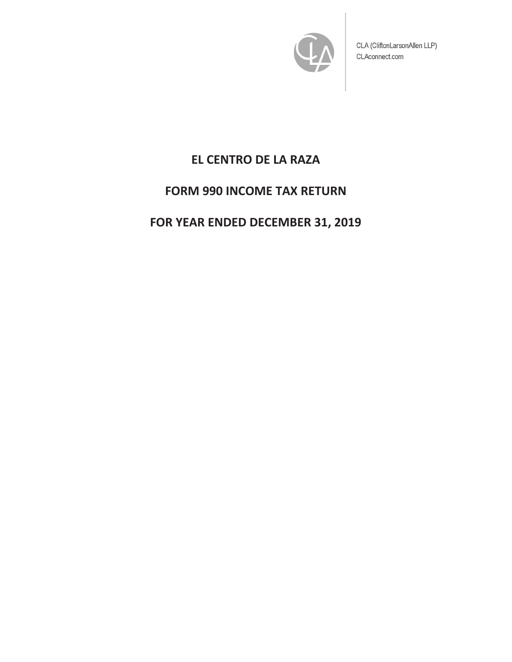

CLA (CliftonLarsonAllen LLP) CLAconnect.com

# **EL CENTRO DE LA RAZA**

# **FORM 990 INCOME TAX RETURN**

# **FOR YEAR ENDED DECEMBER 31, 2019**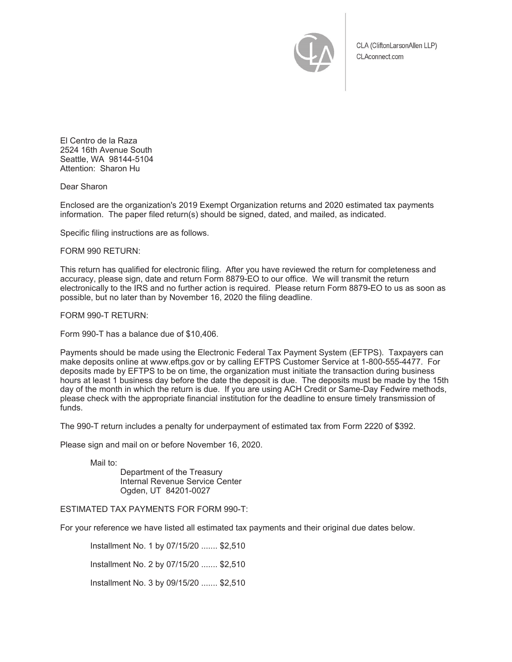

CLA (CliftonLarsonAllen LLP) CLAconnect.com

El Centro de la Raza 2524 16th Avenue South Seattle, WA 98144-5104 Attention: Sharon Hu

Dear Sharon

Enclosed are the organization's 2019 Exempt Organization returns and 2020 estimated tax payments information. The paper filed return(s) should be signed, dated, and mailed, as indicated.

Specific filing instructions are as follows.

FORM 990 RETURN:

This return has qualified for electronic filing. After you have reviewed the return for completeness and accuracy, please sign, date and return Form 8879-EO to our office. We will transmit the return electronically to the IRS and no further action is required. Please return Form 8879-EO to us as soon as possible, but no later than by November 16, 2020 the filing deadline.

FORM 990-T RETURN:

Form 990-T has a balance due of \$10,406.

Payments should be made using the Electronic Federal Tax Payment System (EFTPS). Taxpayers can make deposits online at www.eftps.gov or by calling EFTPS Customer Service at 1-800-555-4477. For deposits made by EFTPS to be on time, the organization must initiate the transaction during business hours at least 1 business day before the date the deposit is due. The deposits must be made by the 15th day of the month in which the return is due. If you are using ACH Credit or Same-Day Fedwire methods, please check with the appropriate financial institution for the deadline to ensure timely transmission of funds.

The 990-T return includes a penalty for underpayment of estimated tax from Form 2220 of \$392.

Please sign and mail on or before November 16, 2020.

Mail to:

Department of the Treasury Internal Revenue Service Center Ogden, UT 84201-0027

ESTIMATED TAX PAYMENTS FOR FORM 990-T:

For your reference we have listed all estimated tax payments and their original due dates below.

 Installment No. 1 by 07/15/20 ....... \$2,510 Installment No. 2 by 07/15/20 ....... \$2,510 Installment No. 3 by 09/15/20 ....... \$2,510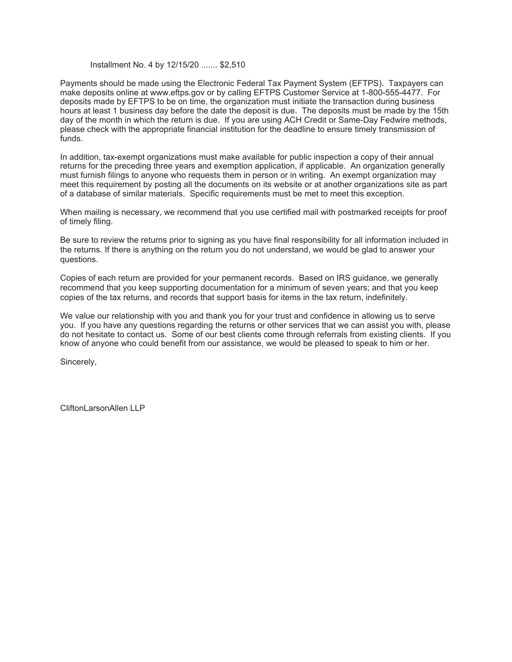Installment No. 4 by 12/15/20 ....... \$2,510

Payments should be made using the Electronic Federal Tax Payment System (EFTPS). Taxpayers can make deposits online at www.eftps.gov or by calling EFTPS Customer Service at 1-800-555-4477. For deposits made by EFTPS to be on time, the organization must initiate the transaction during business hours at least 1 business day before the date the deposit is due. The deposits must be made by the 15th day of the month in which the return is due. If you are using ACH Credit or Same-Day Fedwire methods, please check with the appropriate financial institution for the deadline to ensure timely transmission of funds.

In addition, tax-exempt organizations must make available for public inspection a copy of their annual returns for the preceding three years and exemption application, if applicable. An organization generally must furnish filings to anyone who requests them in person or in writing. An exempt organization may meet this requirement by posting all the documents on its website or at another organizations site as part of a database of similar materials. Specific requirements must be met to meet this exception.

When mailing is necessary, we recommend that you use certified mail with postmarked receipts for proof of timely filing.

Be sure to review the returns prior to signing as you have final responsibility for all information included in the returns. If there is anything on the return you do not understand, we would be glad to answer your questions.

Copies of each return are provided for your permanent records. Based on IRS guidance, we generally recommend that you keep supporting documentation for a minimum of seven years; and that you keep copies of the tax returns, and records that support basis for items in the tax return, indefinitely.

We value our relationship with you and thank you for your trust and confidence in allowing us to serve you. If you have any questions regarding the returns or other services that we can assist you with, please do not hesitate to contact us. Some of our best clients come through referrals from existing clients. If you know of anyone who could benefit from our assistance, we would be pleased to speak to him or her.

Sincerely,

CliftonLarsonAllen LLP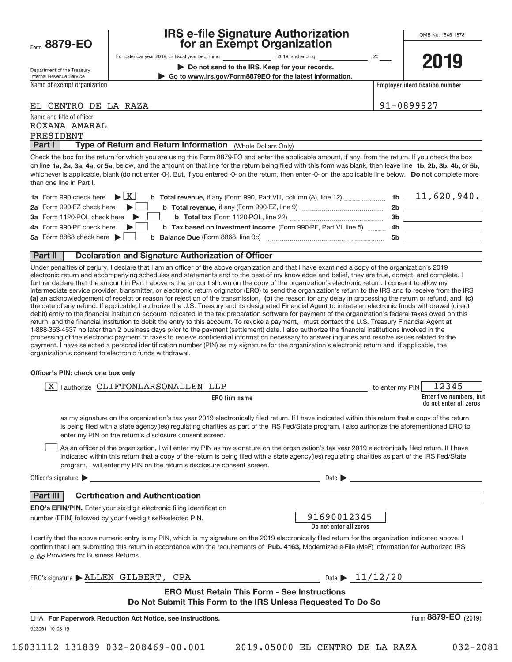|      | 8879-EO |  |  |
|------|---------|--|--|
| Form |         |  |  |

### **IRS e‐file Signature Authorization for an Exempt Organization**

**| Do not send to the IRS. Keep for your records. | Go to www.irs.gov/Form8879EO for the latest information.**

For calendar year 2019, or fiscal year beginning and the set of the set of the set of the set of the set of the set of the set of the set of the set of the set of the set of the set of the set of the set of the set of the

Department of the Treasury Internal Revenue Service

Name of exempt organization

**2019**

**Employer identification number**

| EL CENTRO DE LA RAZA |  |  |
|----------------------|--|--|
|                      |  |  |

91-0899927

| Name and title of officer                                                                                                                                                                                                                                                                               |
|---------------------------------------------------------------------------------------------------------------------------------------------------------------------------------------------------------------------------------------------------------------------------------------------------------|
| ROXANA AMARAL                                                                                                                                                                                                                                                                                           |
| PRESIDENT                                                                                                                                                                                                                                                                                               |
| Part I<br>Type of Return and Return Information<br>(Whole Dollars Only)                                                                                                                                                                                                                                 |
| Check the box for the return for which you are using this Form 8879-EO and enter the applicable amount, if any, from the return. If you check the box<br>on line 12 22 42 or 52 helow and the amount on that line for the return being filed with this form was blank then leave line 1b 2b 3b 4b or 5b |

1a, 2a, 3a, 4a, or 5a, below, and the amount on that line for the return being filed with this form was blank, then leave line 1b, 2b, 3b, 4b, or 5b, whichever is applicable, blank (do not enter -0-). But, if you entered -0- on the return, then enter -0- on the applicable line below. **Do not** complete more on line 1a, 2a, 3a, 4a, or 5a, below, and the amount on that line for the return being filed with this form was blank, then leave line 1b, 2b, 3b, 4b, or than one line in Part I.

| <b>1a</b> Form 990 check here $\triangleright$ $\boxed{\text{X}}$<br><b>b</b> Total revenue, if any (Form 990, Part VIII, column (A), line 12) <i></i> | 1 <sub>b</sub> | $11,620,940$ . |
|--------------------------------------------------------------------------------------------------------------------------------------------------------|----------------|----------------|
| 2a Form 990-EZ check here $\blacktriangleright$<br><b>b</b> Total revenue, if any (Form 990-EZ, line 9) <i>manageranan</i> manageran                   | 2b             |                |
| 3a Form 1120-POL check here                                                                                                                            | 3b             |                |
| 4a Form 990-PF check here $\blacktriangleright$<br><b>b</b> Tax based on investment income (Form 990-PF, Part VI, line 5) 4b                           |                |                |
| 5a Form 8868 check here $\blacktriangleright$<br><b>b</b> Balance Due (Form 8868, line 3c) <b>Constanting Balance Due</b> (Form 8868, line 3c)         | 5b             |                |
|                                                                                                                                                        |                |                |

#### **Part II Declaration and Signature Authorization of Officer**

(a) an acknowledgement of receipt or reason for rejection of the transmission, (b) the reason for any delay in processing the return or refund, and (c) Under penalties of perjury, I declare that I am an officer of the above organization and that I have examined a copy of the organization's 2019 electronic return and accompanying schedules and statements and to the best of my knowledge and belief, they are true, correct, and complete. I further declare that the amount in Part I above is the amount shown on the copy of the organization's electronic return. I consent to allow my intermediate service provider, transmitter, or electronic return originator (ERO) to send the organization's return to the IRS and to receive from the IRS the date of any refund. If applicable, I authorize the U.S. Treasury and its designated Financial Agent to initiate an electronic funds withdrawal (direct debit) entry to the financial institution account indicated in the tax preparation software for payment of the organization's federal taxes owed on this return, and the financial institution to debit the entry to this account. To revoke a payment, I must contact the U.S. Treasury Financial Agent at 1‐888‐353‐4537 no later than 2 business days prior to the payment (settlement) date. I also authorize the financial institutions involved in the processing of the electronic payment of taxes to receive confidential information necessary to answer inquiries and resolve issues related to the payment. I have selected a personal identification number (PIN) as my signature for the organization's electronic return and, if applicable, the organization's consent to electronic funds withdrawal.

#### **Officer's PIN: check one box only**

| lauthorize CLIFTONLARSONALLEN LLP                                                                                                                                                                                                                                                                                                                                                | 12345<br>to enter my PIN                          |
|----------------------------------------------------------------------------------------------------------------------------------------------------------------------------------------------------------------------------------------------------------------------------------------------------------------------------------------------------------------------------------|---------------------------------------------------|
| ERO firm name                                                                                                                                                                                                                                                                                                                                                                    | Enter five numbers, but<br>do not enter all zeros |
| as my signature on the organization's tax year 2019 electronically filed return. If I have indicated within this return that a copy of the return<br>is being filed with a state agency(ies) regulating charities as part of the IRS Fed/State program, I also authorize the aforementioned ERO to<br>enter my PIN on the return's disclosure consent screen.                    |                                                   |
| As an officer of the organization, I will enter my PIN as my signature on the organization's tax year 2019 electronically filed return. If I have<br>indicated within this return that a copy of the return is being filed with a state agency(ies) regulating charities as part of the IRS Fed/State<br>program, I will enter my PIN on the return's disclosure consent screen. |                                                   |
| Officer's signature $\blacktriangleright$                                                                                                                                                                                                                                                                                                                                        | Date $\triangleright$                             |
| <b>Certification and Authentication</b><br>Part III                                                                                                                                                                                                                                                                                                                              |                                                   |
| <b>ERO's EFIN/PIN.</b> Enter your six-digit electronic filing identification                                                                                                                                                                                                                                                                                                     |                                                   |
| number (EFIN) followed by your five-digit self-selected PIN.                                                                                                                                                                                                                                                                                                                     | 91690012345<br>Do not enter all zeros             |
| I certify that the above numeric entry is my PIN, which is my signature on the 2019 electronically filed return for the organization indicated above. I<br>confirm that I am submitting this return in accordance with the requirements of Pub. 4163, Modernized e-File (MeF) Information for Authorized IRS<br>e-file Providers for Business Returns.                           |                                                   |
| ERO's signature > ALLEN GILBERT, CPA                                                                                                                                                                                                                                                                                                                                             | Date $\blacktriangleright$ 11/12/20               |
| <b>ERO Must Retain This Form - See Instructions</b><br>Do Not Submit This Form to the IRS Unless Requested To Do So                                                                                                                                                                                                                                                              |                                                   |
| LHA For Paperwork Reduction Act Notice, see instructions.                                                                                                                                                                                                                                                                                                                        | Form 8879-EO<br>(2019)                            |
| 923051 10-03-19                                                                                                                                                                                                                                                                                                                                                                  |                                                   |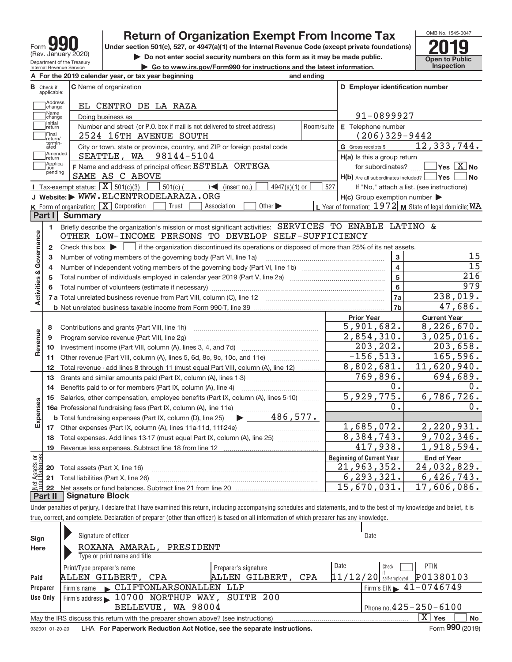

# **Return of Organization Exempt From Income Tax**

**Under section 501(c), 527, or 4947(a)(1) of the Internal Revenue Code (except private foundations) | Do not enter social security numbers on this form as it may be made public.** <br> **• Go to www.irs.gov/Form990 for instructions and the latest information.** Inspection

**| Go to www.irs.gov/Form990 for instructions and the latest information. Inspection**



|                         |                             | A For the 2019 calendar year, or tax year beginning                                                                                         | and ending |                                                     |                                                           |  |  |
|-------------------------|-----------------------------|---------------------------------------------------------------------------------------------------------------------------------------------|------------|-----------------------------------------------------|-----------------------------------------------------------|--|--|
| В                       | Check if<br>applicable:     | <b>C</b> Name of organization                                                                                                               |            | D Employer identification number                    |                                                           |  |  |
|                         | Address<br>change           | EL CENTRO DE LA RAZA                                                                                                                        |            |                                                     |                                                           |  |  |
|                         | Name<br>change              | Doing business as                                                                                                                           |            | 91-0899927                                          |                                                           |  |  |
|                         | Initial<br>return           | Number and street (or P.O. box if mail is not delivered to street address)                                                                  | Room/suite | E Telephone number                                  |                                                           |  |  |
|                         | Final<br>return/            | 2524 16TH AVENUE SOUTH                                                                                                                      |            | $(206)329 - 9442$                                   |                                                           |  |  |
|                         | termin-<br>ated             | City or town, state or province, country, and ZIP or foreign postal code                                                                    |            | G Gross receipts \$                                 | 12,333,744.                                               |  |  |
|                         | Amended<br>return           | 98144-5104<br>SEATTLE, WA                                                                                                                   |            | $H(a)$ is this a group return                       |                                                           |  |  |
|                         | Applica-<br>tion<br>pending | F Name and address of principal officer: ESTELA ORTEGA                                                                                      |            | for subordinates?                                   | $\sqrt{}$ Yes $\sqrt{X}$ No                               |  |  |
|                         |                             | SAME AS C ABOVE                                                                                                                             |            | $H(b)$ Are all subordinates included? $\Box$ Yes    | <b>No</b>                                                 |  |  |
|                         |                             | Tax-exempt status: $\boxed{\mathbf{X}}$ 501(c)(3)<br>$\sqrt{\frac{1}{1}}$ (insert no.)<br>$501(c)$ (<br>$4947(a)(1)$ or                     | 527        |                                                     | If "No," attach a list. (see instructions)                |  |  |
|                         |                             | J Website: WWW.ELCENTRODELARAZA.ORG<br>Other $\blacktriangleright$<br>Trust<br>Association                                                  |            | $H(c)$ Group exemption number $\blacktriangleright$ |                                                           |  |  |
|                         | Part I                      | K Form of organization: X Corporation<br><b>Summary</b>                                                                                     |            |                                                     | L Year of formation: $1972$ M State of legal domicile: WA |  |  |
|                         | 1                           | Briefly describe the organization's mission or most significant activities: SERVICES TO ENABLE LATINO &                                     |            |                                                     |                                                           |  |  |
|                         |                             | OTHER LOW-INCOME PERSONS TO DEVELOP SELF-SUFFICIENCY                                                                                        |            |                                                     |                                                           |  |  |
| Governance              | $\mathbf{2}$                | Check this box $\blacktriangleright$ $\Box$ if the organization discontinued its operations or disposed of more than 25% of its net assets. |            |                                                     |                                                           |  |  |
|                         | 3                           | Number of voting members of the governing body (Part VI, line 1a)                                                                           |            | 3                                                   | 15                                                        |  |  |
|                         | 4                           |                                                                                                                                             |            | $\overline{\mathbf{4}}$                             | 15                                                        |  |  |
|                         | 5                           |                                                                                                                                             |            | 5                                                   | 216                                                       |  |  |
|                         | 6                           |                                                                                                                                             |            | 6                                                   | 979                                                       |  |  |
| <b>Activities &amp;</b> |                             |                                                                                                                                             |            | 7a                                                  | 238,019.                                                  |  |  |
|                         |                             |                                                                                                                                             |            | 7b                                                  | 47,686.                                                   |  |  |
|                         |                             |                                                                                                                                             |            | <b>Prior Year</b>                                   | <b>Current Year</b>                                       |  |  |
|                         | 8                           | Contributions and grants (Part VIII, line 1h)                                                                                               |            | 5,901,682.                                          | 8,226,670.                                                |  |  |
| Revenue                 | 9                           | Program service revenue (Part VIII, line 2g)                                                                                                |            | 2,854,310.                                          | 3,025,016.                                                |  |  |
|                         | 10                          |                                                                                                                                             |            | 203, 202.                                           | 203,658.                                                  |  |  |
|                         | 11                          | Other revenue (Part VIII, column (A), lines 5, 6d, 8c, 9c, 10c, and 11e)                                                                    |            | $-156, 513.$                                        | 165,596.                                                  |  |  |
|                         | $12 \overline{ }$           | Total revenue - add lines 8 through 11 (must equal Part VIII, column (A), line 12)                                                          |            | 8,802,681.                                          | 11,620,940.                                               |  |  |
|                         | 13                          | Grants and similar amounts paid (Part IX, column (A), lines 1-3)                                                                            |            | 769,896.                                            | 694,689.                                                  |  |  |
|                         | 14                          | Benefits paid to or for members (Part IX, column (A), line 4)                                                                               |            | 0.<br>5,929,775.                                    | 0.<br>6,786,726.                                          |  |  |
|                         | 15                          | Salaries, other compensation, employee benefits (Part IX, column (A), lines 5-10)                                                           |            | 0.                                                  | 0.                                                        |  |  |
| Expenses                |                             |                                                                                                                                             |            |                                                     |                                                           |  |  |
|                         |                             | $\blacktriangleright$ 486,577.<br><b>b</b> Total fundraising expenses (Part IX, column (D), line 25)                                        |            | 1,685,072.                                          | 2,220,931.                                                |  |  |
|                         |                             |                                                                                                                                             |            | 8,384,743.                                          | 9,702,346.                                                |  |  |
|                         | 18<br>19                    |                                                                                                                                             |            | 417,938.                                            | 1,918,594.                                                |  |  |
| គង្គ                    |                             |                                                                                                                                             |            | <b>Beginning of Current Year</b>                    | <b>End of Year</b>                                        |  |  |
|                         | 20                          | Total assets (Part X, line 16)                                                                                                              |            | $\overline{21,963,352}$ .                           | 24,032,829.                                               |  |  |
| Assets<br>1 Balanc      |                             | 21 Total liabilities (Part X, line 26)                                                                                                      |            | 6,293,321.                                          | 6,426,743.                                                |  |  |
|                         | 22                          |                                                                                                                                             |            | 15,670,031.                                         | 17,606,086.                                               |  |  |
|                         | Part II                     | Signature Block                                                                                                                             |            |                                                     |                                                           |  |  |

Under penalties of perjury, I declare that I have examined this return, including accompanying schedules and statements, and to the best of my knowledge and belief, it is true, correct, and complete. Declaration of preparer (other than officer) is based on all information of which preparer has any knowledge.

| Sign     | Signature of officer                                                                                                  | Date                                     |  |  |  |  |  |  |
|----------|-----------------------------------------------------------------------------------------------------------------------|------------------------------------------|--|--|--|--|--|--|
| Here     | ROXANA AMARAL,<br>PRESIDENT                                                                                           |                                          |  |  |  |  |  |  |
|          | Type or print name and title                                                                                          |                                          |  |  |  |  |  |  |
|          | Print/Type preparer's name<br>Preparer's signature                                                                    | Date<br><b>PTIN</b><br>Check             |  |  |  |  |  |  |
| Paid     | ALLEN GILBERT,<br>ALLEN GILBERT, CPA<br>CPA                                                                           | P01380103<br> 11/12/20 <br>self-emploved |  |  |  |  |  |  |
| Preparer | Firm's name CLIFTONLARSONALLEN<br>LLP                                                                                 | Firm's EIN $\geq 41 - 0746749$           |  |  |  |  |  |  |
| Use Only | Firm's address 10700 NORTHUP WAY, SUITE 200                                                                           |                                          |  |  |  |  |  |  |
|          | BELLEVUE, WA 98004                                                                                                    | Phone no. $425 - 250 - 6100$             |  |  |  |  |  |  |
|          | $\mathbf{X}$<br><b>No</b><br>Yes<br>May the IRS discuss this return with the preparer shown above? (see instructions) |                                          |  |  |  |  |  |  |
|          | Form 990 (2019)<br>LHA For Paperwork Reduction Act Notice, see the separate instructions.<br>932001 01-20-20          |                                          |  |  |  |  |  |  |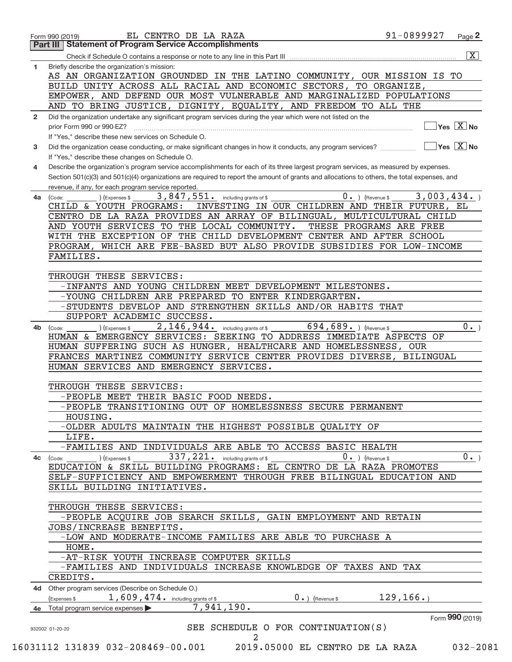| Briefly describe the organization's mission:<br>AS AN ORGANIZATION GROUNDED IN THE LATINO COMMUNITY, OUR MISSION IS TO<br>BUILD UNITY ACROSS ALL RACIAL AND ECONOMIC SECTORS, TO ORGANIZE,<br>EMPOWER, AND DEFEND OUR MOST VULNERABLE AND MARGINALIZED POPULATIONS<br>AND TO BRING JUSTICE, DIGNITY, EQUALITY, AND FREEDOM TO ALL THE<br>Did the organization undertake any significant program services during the year which were not listed on the<br>$\mathbf{2}$<br>prior Form 990 or 990-EZ?<br>If "Yes," describe these new services on Schedule O.<br>If "Yes," describe these changes on Schedule O.<br>Describe the organization's program service accomplishments for each of its three largest program services, as measured by expenses.<br>Section 501(c)(3) and 501(c)(4) organizations are required to report the amount of grants and allocations to others, the total expenses, and<br>revenue, if any, for each program service reported.<br>3,847,551. including grants of \$<br>$0 \cdot$ ) (Revenue \$<br>(Expenses \$<br>(Code:<br>INVESTING IN OUR CHILDREN AND THEIR FUTURE, EL<br>CHILD & YOUTH PROGRAMS:<br>CENTRO DE LA RAZA PROVIDES AN ARRAY OF BILINGUAL, MULTICULTURAL CHILD<br>AND YOUTH SERVICES TO THE LOCAL COMMUNITY.<br>THESE PROGRAMS ARE FREE<br>WITH THE EXCEPTION OF THE CHILD DEVELOPMENT CENTER AND AFTER SCHOOL<br>PROGRAM, WHICH ARE FEE-BASED BUT ALSO PROVIDE SUBSIDIES FOR LOW-INCOME<br>FAMILIES.<br>THROUGH THESE SERVICES:<br>-INFANTS AND YOUNG CHILDREN MEET DEVELOPMENT MILESTONES.<br>-YOUNG CHILDREN ARE PREPARED TO ENTER KINDERGARTEN.<br>-STUDENTS DEVELOP AND STRENGTHEN SKILLS AND/OR HABITS THAT<br>SUPPORT ACADEMIC SUCCESS.<br>$2,146,944.$ including grants of \$<br>$694, 689.$ (Revenue \$<br>0.<br>(Expenses \$<br>4b<br>(Code:<br>HUMAN & EMERGENCY SERVICES: SEEKING TO ADDRESS IMMEDIATE ASPECTS OF<br>HUMAN SUFFERING SUCH AS HUNGER, HEALTHCARE AND HOMELESSNESS, OUR<br>FRANCES MARTINEZ COMMUNITY SERVICE CENTER PROVIDES DIVERSE, BILINGUAL<br>HUMAN SERVICES AND EMERGENCY SERVICES.<br>THROUGH THESE SERVICES:<br>-PEOPLE MEET THEIR BASIC FOOD NEEDS.<br>-PEOPLE TRANSITIONING OUT OF HOMELESSNESS SECURE PERMANENT<br>HOUSING.<br>-OLDER ADULTS MAINTAIN THE HIGHEST POSSIBLE QUALITY OF<br>LIFE.<br>-FAMILIES AND INDIVIDUALS ARE ABLE TO ACCESS BASIC HEALTH<br>$337$ , $221$ $\cdot$ including grants of \$<br>$0 \cdot$ ) (Revenue \$<br>$\overline{4c}$ (Code: ) (Expenses \$<br>EDUCATION & SKILL BUILDING PROGRAMS: EL CENTRO DE LA RAZA PROMOTES<br>SELF-SUFFICIENCY AND EMPOWERMENT THROUGH FREE BILINGUAL EDUCATION AND<br>SKILL BUILDING INITIATIVES.<br>THROUGH THESE SERVICES:<br>-PEOPLE ACQUIRE JOB SEARCH SKILLS, GAIN EMPLOYMENT AND RETAIN<br>JOBS/INCREASE BENEFITS.<br>-LOW AND MODERATE-INCOME FAMILIES ARE ABLE TO PURCHASE A<br>HOME.<br>-AT-RISK YOUTH INCREASE COMPUTER SKILLS<br>-FAMILIES AND INDIVIDUALS INCREASE KNOWLEDGE OF TAXES AND TAX<br>CREDITS.<br>4d Other program services (Describe on Schedule O.)<br>129, 166.<br>$1,609,474$ . including grants of \$<br>$0 \cdot$ ) (Revenue \$<br>(Expenses \$<br>7,941,190.<br>4e Total program service expenses<br>SEE SCHEDULE O FOR CONTINUATION(S)<br>932002 01-20-20 |             | Page 2<br><b>Part III   Statement of Program Service Accomplishments</b> |
|------------------------------------------------------------------------------------------------------------------------------------------------------------------------------------------------------------------------------------------------------------------------------------------------------------------------------------------------------------------------------------------------------------------------------------------------------------------------------------------------------------------------------------------------------------------------------------------------------------------------------------------------------------------------------------------------------------------------------------------------------------------------------------------------------------------------------------------------------------------------------------------------------------------------------------------------------------------------------------------------------------------------------------------------------------------------------------------------------------------------------------------------------------------------------------------------------------------------------------------------------------------------------------------------------------------------------------------------------------------------------------------------------------------------------------------------------------------------------------------------------------------------------------------------------------------------------------------------------------------------------------------------------------------------------------------------------------------------------------------------------------------------------------------------------------------------------------------------------------------------------------------------------------------------------------------------------------------------------------------------------------------------------------------------------------------------------------------------------------------------------------------------------------------------------------------------------------------------------------------------------------------------------------------------------------------------------------------------------------------------------------------------------------------------------------------------------------------------------------------------------------------------------------------------------------------------------------------------------------------------------------------------------------------------------------------------------------------------------------------------------------------------------------------------------------------------------------------------------------------------------------------------------------------------------------------------------------------------------------------------------------------------------------------------------------------------------------------------------------------------------------------------------------------------------------------------------------------------------------------|-------------|--------------------------------------------------------------------------|
|                                                                                                                                                                                                                                                                                                                                                                                                                                                                                                                                                                                                                                                                                                                                                                                                                                                                                                                                                                                                                                                                                                                                                                                                                                                                                                                                                                                                                                                                                                                                                                                                                                                                                                                                                                                                                                                                                                                                                                                                                                                                                                                                                                                                                                                                                                                                                                                                                                                                                                                                                                                                                                                                                                                                                                                                                                                                                                                                                                                                                                                                                                                                                                                                                                          |             | $\overline{X}$                                                           |
|                                                                                                                                                                                                                                                                                                                                                                                                                                                                                                                                                                                                                                                                                                                                                                                                                                                                                                                                                                                                                                                                                                                                                                                                                                                                                                                                                                                                                                                                                                                                                                                                                                                                                                                                                                                                                                                                                                                                                                                                                                                                                                                                                                                                                                                                                                                                                                                                                                                                                                                                                                                                                                                                                                                                                                                                                                                                                                                                                                                                                                                                                                                                                                                                                                          | $\mathbf 1$ |                                                                          |
|                                                                                                                                                                                                                                                                                                                                                                                                                                                                                                                                                                                                                                                                                                                                                                                                                                                                                                                                                                                                                                                                                                                                                                                                                                                                                                                                                                                                                                                                                                                                                                                                                                                                                                                                                                                                                                                                                                                                                                                                                                                                                                                                                                                                                                                                                                                                                                                                                                                                                                                                                                                                                                                                                                                                                                                                                                                                                                                                                                                                                                                                                                                                                                                                                                          |             |                                                                          |
|                                                                                                                                                                                                                                                                                                                                                                                                                                                                                                                                                                                                                                                                                                                                                                                                                                                                                                                                                                                                                                                                                                                                                                                                                                                                                                                                                                                                                                                                                                                                                                                                                                                                                                                                                                                                                                                                                                                                                                                                                                                                                                                                                                                                                                                                                                                                                                                                                                                                                                                                                                                                                                                                                                                                                                                                                                                                                                                                                                                                                                                                                                                                                                                                                                          |             |                                                                          |
|                                                                                                                                                                                                                                                                                                                                                                                                                                                                                                                                                                                                                                                                                                                                                                                                                                                                                                                                                                                                                                                                                                                                                                                                                                                                                                                                                                                                                                                                                                                                                                                                                                                                                                                                                                                                                                                                                                                                                                                                                                                                                                                                                                                                                                                                                                                                                                                                                                                                                                                                                                                                                                                                                                                                                                                                                                                                                                                                                                                                                                                                                                                                                                                                                                          |             | Yes $X$ No                                                               |
|                                                                                                                                                                                                                                                                                                                                                                                                                                                                                                                                                                                                                                                                                                                                                                                                                                                                                                                                                                                                                                                                                                                                                                                                                                                                                                                                                                                                                                                                                                                                                                                                                                                                                                                                                                                                                                                                                                                                                                                                                                                                                                                                                                                                                                                                                                                                                                                                                                                                                                                                                                                                                                                                                                                                                                                                                                                                                                                                                                                                                                                                                                                                                                                                                                          | 3           | $\overline{\ }$ Yes $\overline{\phantom{X}}$ No                          |
|                                                                                                                                                                                                                                                                                                                                                                                                                                                                                                                                                                                                                                                                                                                                                                                                                                                                                                                                                                                                                                                                                                                                                                                                                                                                                                                                                                                                                                                                                                                                                                                                                                                                                                                                                                                                                                                                                                                                                                                                                                                                                                                                                                                                                                                                                                                                                                                                                                                                                                                                                                                                                                                                                                                                                                                                                                                                                                                                                                                                                                                                                                                                                                                                                                          | 4           |                                                                          |
|                                                                                                                                                                                                                                                                                                                                                                                                                                                                                                                                                                                                                                                                                                                                                                                                                                                                                                                                                                                                                                                                                                                                                                                                                                                                                                                                                                                                                                                                                                                                                                                                                                                                                                                                                                                                                                                                                                                                                                                                                                                                                                                                                                                                                                                                                                                                                                                                                                                                                                                                                                                                                                                                                                                                                                                                                                                                                                                                                                                                                                                                                                                                                                                                                                          | 4a          | 3,003,434.                                                               |
|                                                                                                                                                                                                                                                                                                                                                                                                                                                                                                                                                                                                                                                                                                                                                                                                                                                                                                                                                                                                                                                                                                                                                                                                                                                                                                                                                                                                                                                                                                                                                                                                                                                                                                                                                                                                                                                                                                                                                                                                                                                                                                                                                                                                                                                                                                                                                                                                                                                                                                                                                                                                                                                                                                                                                                                                                                                                                                                                                                                                                                                                                                                                                                                                                                          |             |                                                                          |
|                                                                                                                                                                                                                                                                                                                                                                                                                                                                                                                                                                                                                                                                                                                                                                                                                                                                                                                                                                                                                                                                                                                                                                                                                                                                                                                                                                                                                                                                                                                                                                                                                                                                                                                                                                                                                                                                                                                                                                                                                                                                                                                                                                                                                                                                                                                                                                                                                                                                                                                                                                                                                                                                                                                                                                                                                                                                                                                                                                                                                                                                                                                                                                                                                                          |             |                                                                          |
|                                                                                                                                                                                                                                                                                                                                                                                                                                                                                                                                                                                                                                                                                                                                                                                                                                                                                                                                                                                                                                                                                                                                                                                                                                                                                                                                                                                                                                                                                                                                                                                                                                                                                                                                                                                                                                                                                                                                                                                                                                                                                                                                                                                                                                                                                                                                                                                                                                                                                                                                                                                                                                                                                                                                                                                                                                                                                                                                                                                                                                                                                                                                                                                                                                          |             |                                                                          |
|                                                                                                                                                                                                                                                                                                                                                                                                                                                                                                                                                                                                                                                                                                                                                                                                                                                                                                                                                                                                                                                                                                                                                                                                                                                                                                                                                                                                                                                                                                                                                                                                                                                                                                                                                                                                                                                                                                                                                                                                                                                                                                                                                                                                                                                                                                                                                                                                                                                                                                                                                                                                                                                                                                                                                                                                                                                                                                                                                                                                                                                                                                                                                                                                                                          |             |                                                                          |
|                                                                                                                                                                                                                                                                                                                                                                                                                                                                                                                                                                                                                                                                                                                                                                                                                                                                                                                                                                                                                                                                                                                                                                                                                                                                                                                                                                                                                                                                                                                                                                                                                                                                                                                                                                                                                                                                                                                                                                                                                                                                                                                                                                                                                                                                                                                                                                                                                                                                                                                                                                                                                                                                                                                                                                                                                                                                                                                                                                                                                                                                                                                                                                                                                                          |             |                                                                          |
|                                                                                                                                                                                                                                                                                                                                                                                                                                                                                                                                                                                                                                                                                                                                                                                                                                                                                                                                                                                                                                                                                                                                                                                                                                                                                                                                                                                                                                                                                                                                                                                                                                                                                                                                                                                                                                                                                                                                                                                                                                                                                                                                                                                                                                                                                                                                                                                                                                                                                                                                                                                                                                                                                                                                                                                                                                                                                                                                                                                                                                                                                                                                                                                                                                          |             |                                                                          |
|                                                                                                                                                                                                                                                                                                                                                                                                                                                                                                                                                                                                                                                                                                                                                                                                                                                                                                                                                                                                                                                                                                                                                                                                                                                                                                                                                                                                                                                                                                                                                                                                                                                                                                                                                                                                                                                                                                                                                                                                                                                                                                                                                                                                                                                                                                                                                                                                                                                                                                                                                                                                                                                                                                                                                                                                                                                                                                                                                                                                                                                                                                                                                                                                                                          |             |                                                                          |
|                                                                                                                                                                                                                                                                                                                                                                                                                                                                                                                                                                                                                                                                                                                                                                                                                                                                                                                                                                                                                                                                                                                                                                                                                                                                                                                                                                                                                                                                                                                                                                                                                                                                                                                                                                                                                                                                                                                                                                                                                                                                                                                                                                                                                                                                                                                                                                                                                                                                                                                                                                                                                                                                                                                                                                                                                                                                                                                                                                                                                                                                                                                                                                                                                                          |             |                                                                          |
|                                                                                                                                                                                                                                                                                                                                                                                                                                                                                                                                                                                                                                                                                                                                                                                                                                                                                                                                                                                                                                                                                                                                                                                                                                                                                                                                                                                                                                                                                                                                                                                                                                                                                                                                                                                                                                                                                                                                                                                                                                                                                                                                                                                                                                                                                                                                                                                                                                                                                                                                                                                                                                                                                                                                                                                                                                                                                                                                                                                                                                                                                                                                                                                                                                          |             |                                                                          |
|                                                                                                                                                                                                                                                                                                                                                                                                                                                                                                                                                                                                                                                                                                                                                                                                                                                                                                                                                                                                                                                                                                                                                                                                                                                                                                                                                                                                                                                                                                                                                                                                                                                                                                                                                                                                                                                                                                                                                                                                                                                                                                                                                                                                                                                                                                                                                                                                                                                                                                                                                                                                                                                                                                                                                                                                                                                                                                                                                                                                                                                                                                                                                                                                                                          |             | 0.                                                                       |
|                                                                                                                                                                                                                                                                                                                                                                                                                                                                                                                                                                                                                                                                                                                                                                                                                                                                                                                                                                                                                                                                                                                                                                                                                                                                                                                                                                                                                                                                                                                                                                                                                                                                                                                                                                                                                                                                                                                                                                                                                                                                                                                                                                                                                                                                                                                                                                                                                                                                                                                                                                                                                                                                                                                                                                                                                                                                                                                                                                                                                                                                                                                                                                                                                                          |             |                                                                          |
|                                                                                                                                                                                                                                                                                                                                                                                                                                                                                                                                                                                                                                                                                                                                                                                                                                                                                                                                                                                                                                                                                                                                                                                                                                                                                                                                                                                                                                                                                                                                                                                                                                                                                                                                                                                                                                                                                                                                                                                                                                                                                                                                                                                                                                                                                                                                                                                                                                                                                                                                                                                                                                                                                                                                                                                                                                                                                                                                                                                                                                                                                                                                                                                                                                          |             |                                                                          |
|                                                                                                                                                                                                                                                                                                                                                                                                                                                                                                                                                                                                                                                                                                                                                                                                                                                                                                                                                                                                                                                                                                                                                                                                                                                                                                                                                                                                                                                                                                                                                                                                                                                                                                                                                                                                                                                                                                                                                                                                                                                                                                                                                                                                                                                                                                                                                                                                                                                                                                                                                                                                                                                                                                                                                                                                                                                                                                                                                                                                                                                                                                                                                                                                                                          |             |                                                                          |
|                                                                                                                                                                                                                                                                                                                                                                                                                                                                                                                                                                                                                                                                                                                                                                                                                                                                                                                                                                                                                                                                                                                                                                                                                                                                                                                                                                                                                                                                                                                                                                                                                                                                                                                                                                                                                                                                                                                                                                                                                                                                                                                                                                                                                                                                                                                                                                                                                                                                                                                                                                                                                                                                                                                                                                                                                                                                                                                                                                                                                                                                                                                                                                                                                                          |             |                                                                          |
|                                                                                                                                                                                                                                                                                                                                                                                                                                                                                                                                                                                                                                                                                                                                                                                                                                                                                                                                                                                                                                                                                                                                                                                                                                                                                                                                                                                                                                                                                                                                                                                                                                                                                                                                                                                                                                                                                                                                                                                                                                                                                                                                                                                                                                                                                                                                                                                                                                                                                                                                                                                                                                                                                                                                                                                                                                                                                                                                                                                                                                                                                                                                                                                                                                          |             |                                                                          |
|                                                                                                                                                                                                                                                                                                                                                                                                                                                                                                                                                                                                                                                                                                                                                                                                                                                                                                                                                                                                                                                                                                                                                                                                                                                                                                                                                                                                                                                                                                                                                                                                                                                                                                                                                                                                                                                                                                                                                                                                                                                                                                                                                                                                                                                                                                                                                                                                                                                                                                                                                                                                                                                                                                                                                                                                                                                                                                                                                                                                                                                                                                                                                                                                                                          |             |                                                                          |
|                                                                                                                                                                                                                                                                                                                                                                                                                                                                                                                                                                                                                                                                                                                                                                                                                                                                                                                                                                                                                                                                                                                                                                                                                                                                                                                                                                                                                                                                                                                                                                                                                                                                                                                                                                                                                                                                                                                                                                                                                                                                                                                                                                                                                                                                                                                                                                                                                                                                                                                                                                                                                                                                                                                                                                                                                                                                                                                                                                                                                                                                                                                                                                                                                                          |             |                                                                          |
|                                                                                                                                                                                                                                                                                                                                                                                                                                                                                                                                                                                                                                                                                                                                                                                                                                                                                                                                                                                                                                                                                                                                                                                                                                                                                                                                                                                                                                                                                                                                                                                                                                                                                                                                                                                                                                                                                                                                                                                                                                                                                                                                                                                                                                                                                                                                                                                                                                                                                                                                                                                                                                                                                                                                                                                                                                                                                                                                                                                                                                                                                                                                                                                                                                          |             |                                                                          |
|                                                                                                                                                                                                                                                                                                                                                                                                                                                                                                                                                                                                                                                                                                                                                                                                                                                                                                                                                                                                                                                                                                                                                                                                                                                                                                                                                                                                                                                                                                                                                                                                                                                                                                                                                                                                                                                                                                                                                                                                                                                                                                                                                                                                                                                                                                                                                                                                                                                                                                                                                                                                                                                                                                                                                                                                                                                                                                                                                                                                                                                                                                                                                                                                                                          |             | Form 990 (2019)                                                          |
| 16031112 131839 032-208469-00.001                                                                                                                                                                                                                                                                                                                                                                                                                                                                                                                                                                                                                                                                                                                                                                                                                                                                                                                                                                                                                                                                                                                                                                                                                                                                                                                                                                                                                                                                                                                                                                                                                                                                                                                                                                                                                                                                                                                                                                                                                                                                                                                                                                                                                                                                                                                                                                                                                                                                                                                                                                                                                                                                                                                                                                                                                                                                                                                                                                                                                                                                                                                                                                                                        |             | 2                                                                        |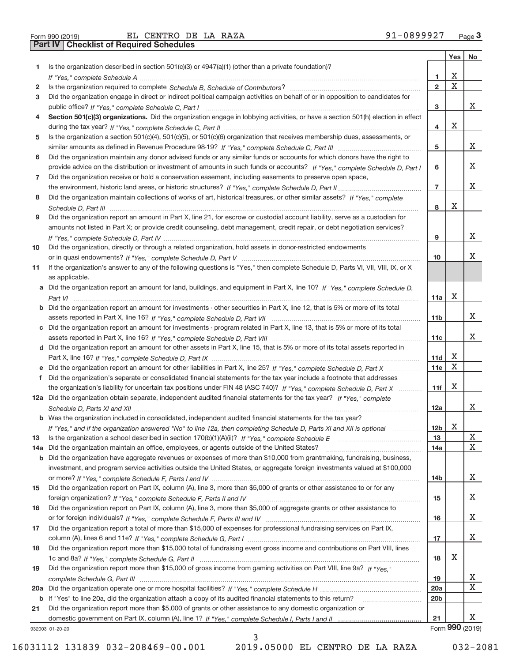| Form 990 (2019) |  |  |
|-----------------|--|--|

Form 990 (2019) Page **Part IV Checklist of Required Schedules** EL CENTRO DE LA RAZA 91‐0899927

|     |                                                                                                                                       |                 | Yes | No.             |
|-----|---------------------------------------------------------------------------------------------------------------------------------------|-----------------|-----|-----------------|
| 1   | Is the organization described in section 501(c)(3) or 4947(a)(1) (other than a private foundation)?                                   |                 |     |                 |
|     |                                                                                                                                       | 1               | х   |                 |
| 2   |                                                                                                                                       | $\overline{2}$  | X   |                 |
| 3   | Did the organization engage in direct or indirect political campaign activities on behalf of or in opposition to candidates for       |                 |     |                 |
|     |                                                                                                                                       | 3               |     | X.              |
| 4   | Section 501(c)(3) organizations. Did the organization engage in lobbying activities, or have a section 501(h) election in effect      |                 |     |                 |
|     |                                                                                                                                       | 4               | х   |                 |
| 5   | Is the organization a section 501(c)(4), 501(c)(5), or 501(c)(6) organization that receives membership dues, assessments, or          |                 |     |                 |
|     |                                                                                                                                       | 5               |     | x               |
| 6   | Did the organization maintain any donor advised funds or any similar funds or accounts for which donors have the right to             |                 |     |                 |
|     | provide advice on the distribution or investment of amounts in such funds or accounts? If "Yes," complete Schedule D, Part I          | 6               |     | х               |
| 7   | Did the organization receive or hold a conservation easement, including easements to preserve open space,                             |                 |     |                 |
|     |                                                                                                                                       | $\overline{7}$  |     | х               |
| 8   | Did the organization maintain collections of works of art, historical treasures, or other similar assets? If "Yes," complete          |                 |     |                 |
|     |                                                                                                                                       | 8               | х   |                 |
| 9   | Did the organization report an amount in Part X, line 21, for escrow or custodial account liability, serve as a custodian for         |                 |     |                 |
|     | amounts not listed in Part X; or provide credit counseling, debt management, credit repair, or debt negotiation services?             |                 |     |                 |
|     |                                                                                                                                       | 9               |     | x               |
|     |                                                                                                                                       |                 |     |                 |
| 10  | Did the organization, directly or through a related organization, hold assets in donor-restricted endowments                          |                 |     | x               |
|     |                                                                                                                                       | 10              |     |                 |
| 11  | If the organization's answer to any of the following questions is "Yes," then complete Schedule D, Parts VI, VII, VIII, IX, or X      |                 |     |                 |
|     | as applicable.                                                                                                                        |                 |     |                 |
|     | a Did the organization report an amount for land, buildings, and equipment in Part X, line 10? If "Yes." complete Schedule D.         |                 |     |                 |
|     |                                                                                                                                       | 11a             | х   |                 |
|     | <b>b</b> Did the organization report an amount for investments - other securities in Part X, line 12, that is 5% or more of its total |                 |     |                 |
|     |                                                                                                                                       | 11 <sub>b</sub> |     | х               |
|     | c Did the organization report an amount for investments - program related in Part X, line 13, that is 5% or more of its total         |                 |     |                 |
|     |                                                                                                                                       | 11c             |     | х               |
|     | d Did the organization report an amount for other assets in Part X, line 15, that is 5% or more of its total assets reported in       |                 |     |                 |
|     |                                                                                                                                       | 11d             | х   |                 |
|     | e Did the organization report an amount for other liabilities in Part X, line 25? If "Yes," complete Schedule D, Part X               | 11e             | х   |                 |
|     | f Did the organization's separate or consolidated financial statements for the tax year include a footnote that addresses             |                 |     |                 |
|     | the organization's liability for uncertain tax positions under FIN 48 (ASC 740)? If "Yes," complete Schedule D, Part X                | 11f             | х   |                 |
|     | 12a Did the organization obtain separate, independent audited financial statements for the tax year? If "Yes," complete               |                 |     |                 |
|     |                                                                                                                                       | 12a             |     | x               |
|     | <b>b</b> Was the organization included in consolidated, independent audited financial statements for the tax year?                    |                 |     |                 |
|     | If "Yes," and if the organization answered "No" to line 12a, then completing Schedule D, Parts XI and XII is optional                 | 12 <sub>b</sub> | X   |                 |
| 13  | Is the organization a school described in section $170(b)(1)(A)(ii)?$ If "Yes," complete Schedule E                                   | 13              |     | X               |
| 14a | Did the organization maintain an office, employees, or agents outside of the United States?                                           | 14a             |     | х               |
| b   | Did the organization have aggregate revenues or expenses of more than \$10,000 from grantmaking, fundraising, business,               |                 |     |                 |
|     | investment, and program service activities outside the United States, or aggregate foreign investments valued at \$100,000            |                 |     |                 |
|     |                                                                                                                                       | 14b             |     | X.              |
| 15  | Did the organization report on Part IX, column (A), line 3, more than \$5,000 of grants or other assistance to or for any             |                 |     |                 |
|     |                                                                                                                                       | 15              |     | x               |
| 16  | Did the organization report on Part IX, column (A), line 3, more than \$5,000 of aggregate grants or other assistance to              |                 |     |                 |
|     |                                                                                                                                       | 16              |     | x               |
| 17  | Did the organization report a total of more than \$15,000 of expenses for professional fundraising services on Part IX,               |                 |     |                 |
|     |                                                                                                                                       | 17              |     | X.              |
| 18  | Did the organization report more than \$15,000 total of fundraising event gross income and contributions on Part VIII, lines          |                 |     |                 |
|     |                                                                                                                                       | 18              | Х   |                 |
| 19  | Did the organization report more than \$15,000 of gross income from gaming activities on Part VIII, line 9a? If "Yes."                |                 |     |                 |
|     |                                                                                                                                       | 19              |     | x               |
| 20a |                                                                                                                                       | 20a             |     | X.              |
| b   | If "Yes" to line 20a, did the organization attach a copy of its audited financial statements to this return?                          | 20b             |     |                 |
| 21  | Did the organization report more than \$5,000 of grants or other assistance to any domestic organization or                           |                 |     |                 |
|     |                                                                                                                                       | 21              |     | x               |
|     | 932003 01-20-20                                                                                                                       |                 |     | Form 990 (2019) |

3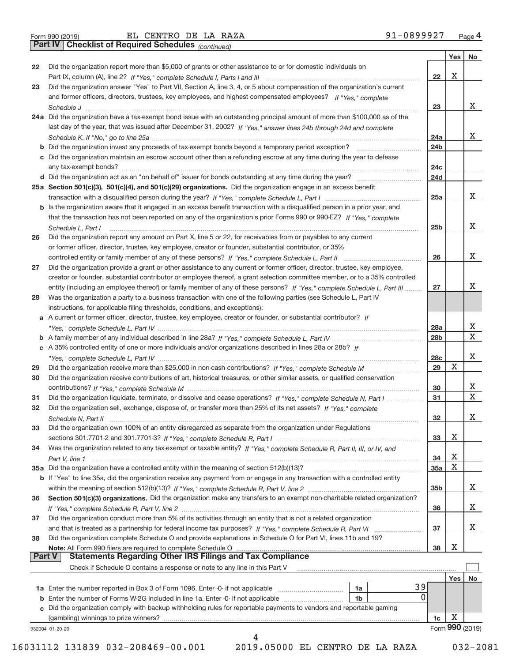| Form 990 (2019) |  |
|-----------------|--|

**Part IV Checklist of Required Schedules**

Form 990 (2019) Page EL CENTRO DE LA RAZA 91‐0899927

*(continued)*

┱

|               |                                                                                                                              |                 | Yes | No              |
|---------------|------------------------------------------------------------------------------------------------------------------------------|-----------------|-----|-----------------|
| 22            | Did the organization report more than \$5,000 of grants or other assistance to or for domestic individuals on                |                 |     |                 |
|               |                                                                                                                              | 22              | X   |                 |
| 23            | Did the organization answer "Yes" to Part VII, Section A, line 3, 4, or 5 about compensation of the organization's current   |                 |     |                 |
|               | and former officers, directors, trustees, key employees, and highest compensated employees? If "Yes," complete               |                 |     |                 |
|               |                                                                                                                              | 23              |     | x               |
|               | 24a Did the organization have a tax-exempt bond issue with an outstanding principal amount of more than \$100,000 as of the  |                 |     |                 |
|               | last day of the year, that was issued after December 31, 2002? If "Yes," answer lines 24b through 24d and complete           |                 |     |                 |
|               |                                                                                                                              | 24a             |     | х               |
|               |                                                                                                                              | 24 <sub>b</sub> |     |                 |
|               | c Did the organization maintain an escrow account other than a refunding escrow at any time during the year to defease       |                 |     |                 |
|               |                                                                                                                              | 24 <sub>c</sub> |     |                 |
|               |                                                                                                                              | 24d             |     |                 |
|               | 25a Section 501(c)(3), 501(c)(4), and 501(c)(29) organizations. Did the organization engage in an excess benefit             |                 |     |                 |
|               |                                                                                                                              | 25a             |     | x               |
|               | b Is the organization aware that it engaged in an excess benefit transaction with a disqualified person in a prior year, and |                 |     |                 |
|               | that the transaction has not been reported on any of the organization's prior Forms 990 or 990-EZ? If "Yes," complete        |                 |     |                 |
|               | Schedule L, Part I                                                                                                           | 25 <sub>b</sub> |     | x               |
| 26            | Did the organization report any amount on Part X, line 5 or 22, for receivables from or payables to any current              |                 |     |                 |
|               | or former officer, director, trustee, key employee, creator or founder, substantial contributor, or 35%                      |                 |     |                 |
|               |                                                                                                                              | 26              |     | х               |
| 27            | Did the organization provide a grant or other assistance to any current or former officer, director, trustee, key employee,  |                 |     |                 |
|               | creator or founder, substantial contributor or employee thereof, a grant selection committee member, or to a 35% controlled  |                 |     |                 |
|               | entity (including an employee thereof) or family member of any of these persons? If "Yes," complete Schedule L, Part III     | 27              |     | Χ               |
| 28            | Was the organization a party to a business transaction with one of the following parties (see Schedule L, Part IV            |                 |     |                 |
|               | instructions, for applicable filing thresholds, conditions, and exceptions):                                                 |                 |     |                 |
|               | a A current or former officer, director, trustee, key employee, creator or founder, or substantial contributor? If           |                 |     |                 |
|               |                                                                                                                              | 28a             |     | х               |
|               |                                                                                                                              | 28 <sub>b</sub> |     | $\mathbf X$     |
|               | c A 35% controlled entity of one or more individuals and/or organizations described in lines 28a or 28b? If                  |                 |     |                 |
|               |                                                                                                                              | 28 <sub>c</sub> |     | х               |
| 29            |                                                                                                                              | 29              | Χ   |                 |
| 30            | Did the organization receive contributions of art, historical treasures, or other similar assets, or qualified conservation  |                 |     |                 |
|               |                                                                                                                              | 30              |     | х               |
| 31            | Did the organization liquidate, terminate, or dissolve and cease operations? If "Yes," complete Schedule N, Part I           | 31              |     | $\mathbf X$     |
| 32            | Did the organization sell, exchange, dispose of, or transfer more than 25% of its net assets? If "Yes," complete             |                 |     |                 |
|               | Schedule N, Part II                                                                                                          | 32              |     | X               |
| 33            | Did the organization own 100% of an entity disregarded as separate from the organization under Regulations                   |                 |     |                 |
|               |                                                                                                                              | 33              | X   |                 |
| 34            | Was the organization related to any tax-exempt or taxable entity? If "Yes," complete Schedule R, Part II, III, or IV, and    |                 |     |                 |
|               |                                                                                                                              | 34              | X   |                 |
|               | 35a Did the organization have a controlled entity within the meaning of section 512(b)(13)?                                  | 35a             | X   |                 |
|               | b If "Yes" to line 35a, did the organization receive any payment from or engage in any transaction with a controlled entity  |                 |     |                 |
|               |                                                                                                                              | 35 <sub>b</sub> |     | x               |
| 36            | Section 501(c)(3) organizations. Did the organization make any transfers to an exempt non-charitable related organization?   |                 |     |                 |
|               |                                                                                                                              | 36              |     | x               |
| 37            | Did the organization conduct more than 5% of its activities through an entity that is not a related organization             |                 |     |                 |
|               |                                                                                                                              | 37              |     | х               |
| 38            | Did the organization complete Schedule O and provide explanations in Schedule O for Part VI, lines 11b and 19?               |                 |     |                 |
|               | Note: All Form 990 filers are required to complete Schedule O                                                                | 38              | Х   |                 |
| <b>Part V</b> | <b>Statements Regarding Other IRS Filings and Tax Compliance</b>                                                             |                 |     |                 |
|               | Check if Schedule O contains a response or note to any line in this Part V                                                   |                 |     |                 |
|               |                                                                                                                              |                 | Yes | No              |
|               | 39<br>1a                                                                                                                     |                 |     |                 |
|               | 0<br><b>b</b> Enter the number of Forms W-2G included in line 1a. Enter -0- if not applicable<br>1b                          |                 |     |                 |
|               | c Did the organization comply with backup withholding rules for reportable payments to vendors and reportable gaming         |                 |     |                 |
|               | (gambling) winnings to prize winners?                                                                                        | 1c              | X   |                 |
|               | 932004 01-20-20                                                                                                              |                 |     | Form 990 (2019) |
|               | 4                                                                                                                            |                 |     |                 |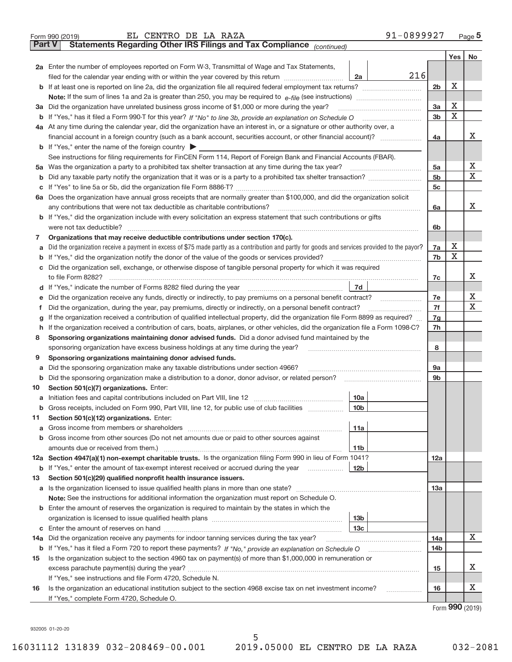|               | 91-0899927<br>EL CENTRO DE LA RAZA<br>Form 990 (2019)                                                                                                                                       |                |                 | $Page$ <sup>5</sup> |
|---------------|---------------------------------------------------------------------------------------------------------------------------------------------------------------------------------------------|----------------|-----------------|---------------------|
| <b>Part V</b> | Statements Regarding Other IRS Filings and Tax Compliance (continued)                                                                                                                       |                |                 |                     |
|               |                                                                                                                                                                                             |                | Yes             | No                  |
|               | 2a Enter the number of employees reported on Form W-3, Transmittal of Wage and Tax Statements,                                                                                              |                |                 |                     |
|               | 216<br>filed for the calendar year ending with or within the year covered by this return [111] [11] filed for the calendar year ending with or within the year covered by this return<br>2a |                |                 |                     |
|               |                                                                                                                                                                                             | 2 <sub>b</sub> | х               |                     |
|               |                                                                                                                                                                                             |                |                 |                     |
|               | 3a Did the organization have unrelated business gross income of \$1,000 or more during the year?                                                                                            | 3a             | X               |                     |
|               |                                                                                                                                                                                             | 3 <sub>b</sub> | Х               |                     |
|               | 4a At any time during the calendar year, did the organization have an interest in, or a signature or other authority over, a                                                                |                |                 |                     |
|               | financial account in a foreign country (such as a bank account, securities account, or other financial account)?                                                                            | 4a             |                 | х                   |
|               | <b>b</b> If "Yes," enter the name of the foreign country $\blacktriangleright$                                                                                                              |                |                 |                     |
|               | See instructions for filing requirements for FinCEN Form 114, Report of Foreign Bank and Financial Accounts (FBAR).                                                                         |                |                 |                     |
|               | 5a Was the organization a party to a prohibited tax shelter transaction at any time during the tax year?                                                                                    | 5a             |                 | х                   |
|               |                                                                                                                                                                                             | 5 <sub>b</sub> |                 | x                   |
|               |                                                                                                                                                                                             | 5 <sub>c</sub> |                 |                     |
|               | 6a Does the organization have annual gross receipts that are normally greater than \$100,000, and did the organization solicit                                                              |                |                 |                     |
|               | any contributions that were not tax deductible as charitable contributions?                                                                                                                 | 6a             |                 | х                   |
|               | b If "Yes," did the organization include with every solicitation an express statement that such contributions or gifts                                                                      |                |                 |                     |
|               | were not tax deductible?                                                                                                                                                                    | 6b             |                 |                     |
| 7             | Organizations that may receive deductible contributions under section 170(c).                                                                                                               |                | х               |                     |
| а             | Did the organization receive a payment in excess of \$75 made partly as a contribution and partly for goods and services provided to the payor?                                             | 7a<br>7b       | Х               |                     |
|               | <b>b</b> If "Yes," did the organization notify the donor of the value of the goods or services provided?                                                                                    |                |                 |                     |
|               | c Did the organization sell, exchange, or otherwise dispose of tangible personal property for which it was required                                                                         | 7c             |                 | х                   |
|               | 7d                                                                                                                                                                                          |                |                 |                     |
|               | e Did the organization receive any funds, directly or indirectly, to pay premiums on a personal benefit contract?                                                                           | 7e             |                 | х                   |
| f             | Did the organization, during the year, pay premiums, directly or indirectly, on a personal benefit contract?                                                                                | 7f             |                 | х                   |
| g             | If the organization received a contribution of qualified intellectual property, did the organization file Form 8899 as required?                                                            | 7g             |                 |                     |
|               | h If the organization received a contribution of cars, boats, airplanes, or other vehicles, did the organization file a Form 1098-C?                                                        | 7h             |                 |                     |
| 8             | Sponsoring organizations maintaining donor advised funds. Did a donor advised fund maintained by the                                                                                        |                |                 |                     |
|               | sponsoring organization have excess business holdings at any time during the year?                                                                                                          | 8              |                 |                     |
| 9             | Sponsoring organizations maintaining donor advised funds.                                                                                                                                   |                |                 |                     |
| a             | Did the sponsoring organization make any taxable distributions under section 4966?                                                                                                          | <b>9a</b>      |                 |                     |
|               |                                                                                                                                                                                             | 9b             |                 |                     |
| 10            | Section 501(c)(7) organizations. Enter:                                                                                                                                                     |                |                 |                     |
|               | 10a                                                                                                                                                                                         |                |                 |                     |
| b             | Gross receipts, included on Form 990, Part VIII, line 12, for public use of club facilities<br>10b                                                                                          |                |                 |                     |
| 11            | Section 501(c)(12) organizations. Enter:                                                                                                                                                    |                |                 |                     |
|               | 11a                                                                                                                                                                                         |                |                 |                     |
|               | b Gross income from other sources (Do not net amounts due or paid to other sources against                                                                                                  |                |                 |                     |
|               | amounts due or received from them.)<br>11b                                                                                                                                                  |                |                 |                     |
|               | 12a Section 4947(a)(1) non-exempt charitable trusts. Is the organization filing Form 990 in lieu of Form 1041?                                                                              | 12a            |                 |                     |
|               | <b>b</b> If "Yes," enter the amount of tax-exempt interest received or accrued during the year<br>12 <sub>b</sub>                                                                           |                |                 |                     |
| 13            | Section 501(c)(29) qualified nonprofit health insurance issuers.                                                                                                                            |                |                 |                     |
|               |                                                                                                                                                                                             | 13а            |                 |                     |
|               | Note: See the instructions for additional information the organization must report on Schedule O.                                                                                           |                |                 |                     |
|               | <b>b</b> Enter the amount of reserves the organization is required to maintain by the states in which the<br>13 <sub>b</sub>                                                                |                |                 |                     |
|               | 13с                                                                                                                                                                                         |                |                 |                     |
| 14а           | Did the organization receive any payments for indoor tanning services during the tax year?                                                                                                  | 14a            |                 | х                   |
|               |                                                                                                                                                                                             | 14b            |                 |                     |
| 15            | Is the organization subject to the section 4960 tax on payment(s) of more than \$1,000,000 in remuneration or                                                                               |                |                 |                     |
|               |                                                                                                                                                                                             | 15             |                 | х                   |
|               | If "Yes," see instructions and file Form 4720, Schedule N.                                                                                                                                  |                |                 |                     |
| 16            | Is the organization an educational institution subject to the section 4968 excise tax on net investment income?<br>.                                                                        | 16             |                 | х                   |
|               | If "Yes," complete Form 4720, Schedule O.                                                                                                                                                   |                |                 |                     |
|               |                                                                                                                                                                                             |                | Form 990 (2019) |                     |

932005 01‐20‐20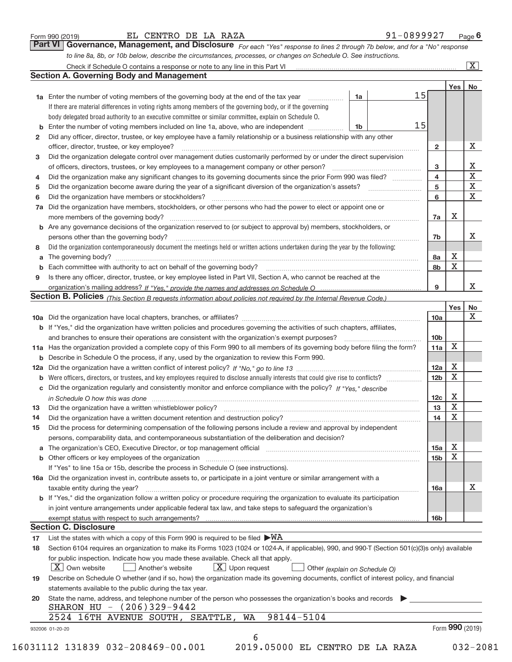|  | Form 990 (2019) |  |
|--|-----------------|--|
|  |                 |  |

| Form 990 (2019) | EL CENTRO DE LA RAZA | --0899927<br>Page |
|-----------------|----------------------|-------------------|
|-----------------|----------------------|-------------------|

|                                                                                                                  | <b>Part VI</b> Governance, Management, and Disclosure For each "Yes" response to lines 2 through 7b below, and for a "No" respons |  |
|------------------------------------------------------------------------------------------------------------------|-----------------------------------------------------------------------------------------------------------------------------------|--|
| to line 8a, 8b, or 10b below, describe the circumstances, processes, or changes on Schedule O. See instructions. |                                                                                                                                   |  |

|                 | <b>1a</b> Enter the number of voting members of the governing body at the end of the tax year <i>manumum</i>                                                                                                                   | 1a | 15 |                 | Yes             | No                      |
|-----------------|--------------------------------------------------------------------------------------------------------------------------------------------------------------------------------------------------------------------------------|----|----|-----------------|-----------------|-------------------------|
|                 | If there are material differences in voting rights among members of the governing body, or if the governing                                                                                                                    |    |    |                 |                 |                         |
|                 | body delegated broad authority to an executive committee or similar committee, explain on Schedule O.                                                                                                                          |    |    |                 |                 |                         |
| b               | Enter the number of voting members included on line 1a, above, who are independent                                                                                                                                             | 1b | 15 |                 |                 |                         |
| 2               | Did any officer, director, trustee, or key employee have a family relationship or a business relationship with any other                                                                                                       |    |    |                 |                 |                         |
|                 | officer, director, trustee, or key employee?                                                                                                                                                                                   |    |    | $\overline{2}$  |                 | X                       |
|                 | Did the organization delegate control over management duties customarily performed by or under the direct supervision                                                                                                          |    |    |                 |                 |                         |
| з               |                                                                                                                                                                                                                                |    |    | 3               |                 | X                       |
| 4               | Did the organization make any significant changes to its governing documents since the prior Form 990 was filed?                                                                                                               |    |    | 4               |                 | $\overline{\textbf{x}}$ |
|                 |                                                                                                                                                                                                                                |    |    | 5               |                 | $\overline{\mathbf{x}}$ |
| 5               | Did the organization have members or stockholders?                                                                                                                                                                             |    |    | 6               |                 | $\mathbf X$             |
| 6               | Did the organization have members, stockholders, or other persons who had the power to elect or appoint one or                                                                                                                 |    |    |                 |                 |                         |
| 7a              |                                                                                                                                                                                                                                |    |    |                 | X               |                         |
|                 |                                                                                                                                                                                                                                |    |    | 7a              |                 |                         |
|                 | <b>b</b> Are any governance decisions of the organization reserved to (or subject to approval by) members, stockholders, or                                                                                                    |    |    |                 |                 | X                       |
|                 | persons other than the governing body?                                                                                                                                                                                         |    |    | 7b              |                 |                         |
| 8               | Did the organization contemporaneously document the meetings held or written actions undertaken during the year by the following:                                                                                              |    |    |                 |                 |                         |
| a               |                                                                                                                                                                                                                                |    |    | 8а              | X               |                         |
|                 | Each committee with authority to act on behalf of the governing body? [11] manufacture manufacture with authority to act on behalf of the governing body? [11] manufacture with authority of the state with an interval and th |    |    | 8b              | X               |                         |
| 9               | Is there any officer, director, trustee, or key employee listed in Part VII, Section A, who cannot be reached at the                                                                                                           |    |    |                 |                 |                         |
|                 |                                                                                                                                                                                                                                |    |    | 9               |                 | X                       |
|                 | Section B. Policies <sub>(This</sub> Section B requests information about policies not required by the Internal Revenue Code.)                                                                                                 |    |    |                 |                 |                         |
|                 |                                                                                                                                                                                                                                |    |    |                 | Yes             | No                      |
|                 |                                                                                                                                                                                                                                |    |    | 10a             |                 | X                       |
|                 | <b>b</b> If "Yes," did the organization have written policies and procedures governing the activities of such chapters, affiliates,                                                                                            |    |    |                 |                 |                         |
|                 |                                                                                                                                                                                                                                |    |    | 10 <sub>b</sub> |                 |                         |
|                 | 11a Has the organization provided a complete copy of this Form 990 to all members of its governing body before filing the form?                                                                                                |    |    | 11a             | X               |                         |
|                 | <b>b</b> Describe in Schedule O the process, if any, used by the organization to review this Form 990.                                                                                                                         |    |    |                 |                 |                         |
|                 |                                                                                                                                                                                                                                |    |    | 12a             | X               |                         |
| b               |                                                                                                                                                                                                                                |    |    | 12 <sub>b</sub> | X               |                         |
|                 | c Did the organization regularly and consistently monitor and enforce compliance with the policy? If "Yes," describe                                                                                                           |    |    |                 |                 |                         |
|                 | in Schedule O how this was done measured and the control of the control of the state of the control of the control of the control of the control of the control of the control of the control of the control of the control of |    |    | 12c             | X               |                         |
| 13              |                                                                                                                                                                                                                                |    |    | 13              | $\mathbf X$     |                         |
| 14              |                                                                                                                                                                                                                                |    |    | 14              | X               |                         |
| 15              | Did the process for determining compensation of the following persons include a review and approval by independent                                                                                                             |    |    |                 |                 |                         |
|                 | persons, comparability data, and contemporaneous substantiation of the deliberation and decision?                                                                                                                              |    |    |                 |                 |                         |
|                 |                                                                                                                                                                                                                                |    |    | 15a             | х               |                         |
|                 |                                                                                                                                                                                                                                |    |    | 15 <sub>b</sub> | X               |                         |
|                 | If "Yes" to line 15a or 15b, describe the process in Schedule O (see instructions).                                                                                                                                            |    |    |                 |                 |                         |
|                 | 16a Did the organization invest in, contribute assets to, or participate in a joint venture or similar arrangement with a                                                                                                      |    |    |                 |                 |                         |
|                 | taxable entity during the year?                                                                                                                                                                                                |    |    | 16a             |                 | X                       |
|                 | b If "Yes," did the organization follow a written policy or procedure requiring the organization to evaluate its participation                                                                                                 |    |    |                 |                 |                         |
|                 | in joint venture arrangements under applicable federal tax law, and take steps to safeguard the organization's                                                                                                                 |    |    |                 |                 |                         |
|                 |                                                                                                                                                                                                                                |    |    | 16b             |                 |                         |
|                 | <b>Section C. Disclosure</b>                                                                                                                                                                                                   |    |    |                 |                 |                         |
| 17              | List the states with which a copy of this Form 990 is required to be filed $\blacktriangleright\text{WA}$                                                                                                                      |    |    |                 |                 |                         |
| 18              | Section 6104 requires an organization to make its Forms 1023 (1024 or 1024-A, if applicable), 990, and 990-T (Section 501(c)(3)s only) available                                                                               |    |    |                 |                 |                         |
|                 | for public inspection. Indicate how you made these available. Check all that apply.                                                                                                                                            |    |    |                 |                 |                         |
|                 | $X$ Upon request<br>$\mid$ $\rm X \mid$ Own website<br>Another's website<br>Other (explain on Schedule O)                                                                                                                      |    |    |                 |                 |                         |
| 19              | Describe on Schedule O whether (and if so, how) the organization made its governing documents, conflict of interest policy, and financial                                                                                      |    |    |                 |                 |                         |
|                 | statements available to the public during the tax year.                                                                                                                                                                        |    |    |                 |                 |                         |
| 20              | State the name, address, and telephone number of the person who possesses the organization's books and records                                                                                                                 |    |    |                 |                 |                         |
|                 | SHARON HU - (206)329-9442                                                                                                                                                                                                      |    |    |                 |                 |                         |
|                 | 98144-5104<br>2524 16TH AVENUE SOUTH, SEATTLE,<br>WA                                                                                                                                                                           |    |    |                 |                 |                         |
| 932006 01-20-20 |                                                                                                                                                                                                                                |    |    |                 | Form 990 (2019) |                         |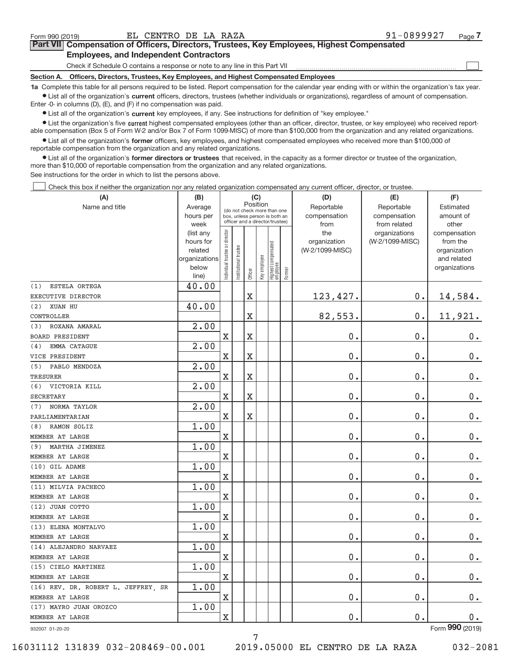$\boxed{\phantom{1}}$ 

| Part VII Compensation of Officers, Directors, Trustees, Key Employees, Highest Compensated |
|--------------------------------------------------------------------------------------------|
| <b>Employees, and Independent Contractors</b>                                              |

Check if Schedule O contains a response or note to any line in this Part VII

**Section A. Officers, Directors, Trustees, Key Employees, and Highest Compensated Employees**

**1a**  Complete this table for all persons required to be listed. Report compensation for the calendar year ending with or within the organization's tax year. **•** List all of the organization's current officers, directors, trustees (whether individuals or organizations), regardless of amount of compensation.

Enter -0- in columns (D), (E), and (F) if no compensation was paid.

**•** List all of the organization's current key employees, if any. See instructions for definition of "key employee."

● List the organization's five current highest compensated employees (other than an officer, director, trustee, or key employee) who received report‐ able compensation (Box 5 of Form W‐2 and/or Box 7 of Form 1099‐MISC) of more than \$100,000 from the organization and any related organizations.

 $\bullet$  List all of the organization's former officers, key employees, and highest compensated employees who received more than \$100,000 of reportable compensation from the organization and any related organizations.

**•** List all of the organization's former directors or trustees that received, in the capacity as a former director or trustee of the organization, more than \$10,000 of reportable compensation from the organization and any related organizations.

See instructions for the order in which to list the persons above.

Check this box if neither the organization nor any related organization compensated any current officer, director, or trustee.  $\Box$ 

| (A)                                 | (B)                    |                                         |                                                                  | (C)                   |              |                                  |           | (D)                 | (E)                              | (F)                      |
|-------------------------------------|------------------------|-----------------------------------------|------------------------------------------------------------------|-----------------------|--------------|----------------------------------|-----------|---------------------|----------------------------------|--------------------------|
| Name and title                      | Average                | Position<br>(do not check more than one |                                                                  |                       |              |                                  |           | Reportable          | Reportable                       | Estimated                |
|                                     | hours per              |                                         | box, unless person is both an<br>officer and a director/trustee) |                       | compensation | compensation                     | amount of |                     |                                  |                          |
|                                     | week                   |                                         |                                                                  |                       |              |                                  |           | from                | from related                     | other                    |
|                                     | (list any<br>hours for |                                         |                                                                  |                       |              |                                  |           | the<br>organization | organizations<br>(W-2/1099-MISC) | compensation<br>from the |
|                                     | related                |                                         |                                                                  |                       |              |                                  |           | (W-2/1099-MISC)     |                                  | organization             |
|                                     | organizations          |                                         |                                                                  |                       |              |                                  |           |                     |                                  | and related              |
|                                     | below                  | ndividual trustee or director           | Institutional trustee                                            |                       | Key employee |                                  |           |                     |                                  | organizations            |
|                                     | line)                  |                                         |                                                                  | Officer               |              | Highest compensated<br> employee | Former    |                     |                                  |                          |
| ESTELA ORTEGA<br>(1)                | 40.00                  |                                         |                                                                  |                       |              |                                  |           |                     |                                  |                          |
| EXECUTIVE DIRECTOR                  |                        |                                         |                                                                  | X                     |              |                                  |           | 123, 427.           | $0$ .                            | 14,584.                  |
| (2)<br>XUAN HU                      | 40.00                  |                                         |                                                                  |                       |              |                                  |           |                     |                                  |                          |
| CONTROLLER                          |                        |                                         |                                                                  | $\mathbf X$           |              |                                  |           | 82,553.             | 0.                               | 11,921.                  |
| ROXANA AMARAL<br>(3)                | 2.00                   |                                         |                                                                  |                       |              |                                  |           |                     |                                  |                          |
| <b>BOARD PRESIDENT</b>              |                        | X                                       |                                                                  | X                     |              |                                  |           | 0.                  | 0.                               | 0.                       |
| EMMA CATAGUE<br>(4)                 | 2.00                   |                                         |                                                                  |                       |              |                                  |           |                     |                                  |                          |
| VICE PRESIDENT                      |                        | X                                       |                                                                  | X                     |              |                                  |           | 0.                  | 0.                               | $0_{.}$                  |
| (5)<br>PABLO MENDOZA                | 2.00                   |                                         |                                                                  |                       |              |                                  |           |                     |                                  |                          |
| TRESURER                            |                        | X                                       |                                                                  | X                     |              |                                  |           | 0.                  | 0.                               | $0$ .                    |
| VICTORIA KILL<br>(6)                | 2.00                   |                                         |                                                                  |                       |              |                                  |           |                     |                                  |                          |
| <b>SECRETARY</b>                    |                        | $\overline{\mathbf{X}}$                 |                                                                  | X                     |              |                                  |           | 0.                  | 0.                               | $0 \cdot$                |
| NORMA TAYLOR<br>(7)                 | 2.00                   |                                         |                                                                  |                       |              |                                  |           |                     |                                  |                          |
| PARLIAMENTARIAN                     |                        | X                                       |                                                                  | $\overline{\text{X}}$ |              |                                  |           | 0.                  | 0.                               | $0_{.}$                  |
| RAMON SOLIZ<br>(8)                  | 1.00                   |                                         |                                                                  |                       |              |                                  |           |                     |                                  |                          |
| MEMBER AT LARGE                     |                        | X                                       |                                                                  |                       |              |                                  |           | 0.                  | 0.                               | $0_{.}$                  |
| MARTHA JIMENEZ<br>(9)               | 1.00                   |                                         |                                                                  |                       |              |                                  |           |                     |                                  |                          |
| MEMBER AT LARGE                     |                        | X                                       |                                                                  |                       |              |                                  |           | 0.                  | 0.                               | 0.                       |
| (10) GIL ADAME                      | 1.00                   |                                         |                                                                  |                       |              |                                  |           |                     |                                  |                          |
| MEMBER AT LARGE                     |                        | X                                       |                                                                  |                       |              |                                  |           | 0.                  | 0.                               | $0 \cdot$                |
| (11) MILVIA PACHECO                 | 1.00                   |                                         |                                                                  |                       |              |                                  |           |                     |                                  |                          |
| MEMBER AT LARGE                     |                        | X                                       |                                                                  |                       |              |                                  |           | 0.                  | 0.                               | $0$ .                    |
| (12) JUAN COTTO                     | 1.00                   |                                         |                                                                  |                       |              |                                  |           |                     |                                  |                          |
| MEMBER AT LARGE                     |                        | X                                       |                                                                  |                       |              |                                  |           | 0.                  | 0.                               | $0_{.}$                  |
| (13) ELENA MONTALVO                 | 1.00                   |                                         |                                                                  |                       |              |                                  |           |                     |                                  |                          |
| MEMBER AT LARGE                     |                        | X                                       |                                                                  |                       |              |                                  |           | 0.                  | 0.                               | $0$ .                    |
| (14) ALEJANDRO NARVAEZ              | 1.00                   |                                         |                                                                  |                       |              |                                  |           |                     |                                  |                          |
| MEMBER AT LARGE                     |                        | X                                       |                                                                  |                       |              |                                  |           | 0.                  | 0.                               | 0.                       |
| (15) CIELO MARTINEZ                 | 1.00                   |                                         |                                                                  |                       |              |                                  |           |                     |                                  |                          |
| MEMBER AT LARGE                     |                        | X                                       |                                                                  |                       |              |                                  |           | 0.                  | 0.                               | $0_{.}$                  |
| (16) REV. DR. ROBERT L. JEFFREY, SR | 1.00                   |                                         |                                                                  |                       |              |                                  |           |                     |                                  |                          |
| MEMBER AT LARGE                     |                        | X                                       |                                                                  |                       |              |                                  |           | 0.                  | 0.                               | $\mathbf 0$ .            |
| (17) MAYRO JUAN OROZCO              | 1.00                   |                                         |                                                                  |                       |              |                                  |           |                     |                                  |                          |
| MEMBER AT LARGE                     |                        | X                                       |                                                                  |                       |              |                                  |           | 0.                  | 0.                               | 0.                       |
| 932007 01-20-20                     |                        |                                         |                                                                  |                       |              |                                  |           |                     |                                  | Form 990 (2019)          |

932007 01‐20‐20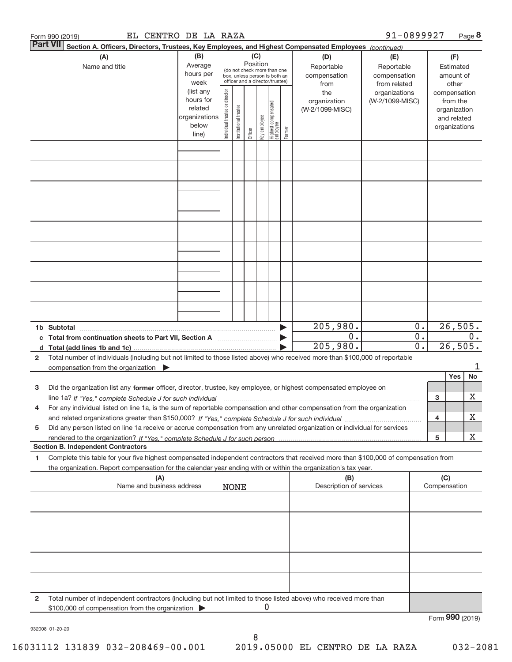|   | EL CENTRO DE LA RAZA<br>Form 990 (2019)                                                                                                                                                                                                                         |                                                                      |                               |                       |          |              |                                                                                                 |        |                                           | 91-0899927                                        |             |                     | Page 8                                                                   |
|---|-----------------------------------------------------------------------------------------------------------------------------------------------------------------------------------------------------------------------------------------------------------------|----------------------------------------------------------------------|-------------------------------|-----------------------|----------|--------------|-------------------------------------------------------------------------------------------------|--------|-------------------------------------------|---------------------------------------------------|-------------|---------------------|--------------------------------------------------------------------------|
|   | <b>Part VII</b><br>Section A. Officers, Directors, Trustees, Key Employees, and Highest Compensated Employees (continued)                                                                                                                                       |                                                                      |                               |                       |          |              |                                                                                                 |        |                                           |                                                   |             |                     |                                                                          |
|   | (A)<br>Name and title                                                                                                                                                                                                                                           | (B)<br>Average<br>hours per<br>week                                  |                               |                       | Position | (C)          | (do not check more than one<br>box, unless person is both an<br>officer and a director/trustee) |        | (D)<br>Reportable<br>compensation<br>from | (E)<br>Reportable<br>compensation<br>from related |             |                     | (F)<br>Estimated<br>amount of<br>other                                   |
|   |                                                                                                                                                                                                                                                                 | (list any<br>hours for<br>related<br>organizations<br>below<br>line) | ndividual trustee or director | Institutional trustee | Officer  | Key employee | Highest compensated<br> employee                                                                | Former | the<br>organization<br>(W-2/1099-MISC)    | organizations<br>(W-2/1099-MISC)                  |             |                     | compensation<br>from the<br>organization<br>and related<br>organizations |
|   |                                                                                                                                                                                                                                                                 |                                                                      |                               |                       |          |              |                                                                                                 |        |                                           |                                                   |             |                     |                                                                          |
|   |                                                                                                                                                                                                                                                                 |                                                                      |                               |                       |          |              |                                                                                                 |        |                                           |                                                   |             |                     |                                                                          |
|   |                                                                                                                                                                                                                                                                 |                                                                      |                               |                       |          |              |                                                                                                 |        |                                           |                                                   |             |                     |                                                                          |
|   |                                                                                                                                                                                                                                                                 |                                                                      |                               |                       |          |              |                                                                                                 |        |                                           |                                                   |             |                     |                                                                          |
|   |                                                                                                                                                                                                                                                                 |                                                                      |                               |                       |          |              |                                                                                                 |        |                                           |                                                   |             |                     |                                                                          |
|   |                                                                                                                                                                                                                                                                 |                                                                      |                               |                       |          |              |                                                                                                 |        |                                           |                                                   |             |                     |                                                                          |
|   | 1b Subtotal                                                                                                                                                                                                                                                     |                                                                      |                               |                       |          |              |                                                                                                 |        | 205,980.                                  |                                                   | 0.          |                     | 26,505.                                                                  |
|   |                                                                                                                                                                                                                                                                 |                                                                      |                               |                       |          |              |                                                                                                 |        | 0.<br>205,980.                            |                                                   | $0$ .<br>0. |                     | 0.<br>26,505.                                                            |
| 2 | Total number of individuals (including but not limited to those listed above) who received more than \$100,000 of reportable<br>compensation from the organization $\blacktriangleright$                                                                        |                                                                      |                               |                       |          |              |                                                                                                 |        |                                           |                                                   |             |                     | 1<br>Yes<br><b>No</b>                                                    |
| 3 | Did the organization list any former officer, director, trustee, key employee, or highest compensated employee on<br>line 1a? If "Yes," complete Schedule J for such individual matches contained and the 1a? If "Yes," complete Schedule J for such individual |                                                                      |                               |                       |          |              |                                                                                                 |        |                                           |                                                   |             | 3                   | х                                                                        |
|   | For any individual listed on line 1a, is the sum of reportable compensation and other compensation from the organization                                                                                                                                        |                                                                      |                               |                       |          |              |                                                                                                 |        |                                           |                                                   |             | 4                   | х                                                                        |
| 5 | Did any person listed on line 1a receive or accrue compensation from any unrelated organization or individual for services<br><b>Section B. Independent Contractors</b>                                                                                         |                                                                      |                               |                       |          |              |                                                                                                 |        |                                           |                                                   |             | 5                   | х                                                                        |
| 1 | Complete this table for your five highest compensated independent contractors that received more than \$100,000 of compensation from<br>the organization. Report compensation for the calendar year ending with or within the organization's tax year.          |                                                                      |                               |                       |          |              |                                                                                                 |        |                                           |                                                   |             |                     |                                                                          |
|   | (A)<br>Name and business address                                                                                                                                                                                                                                |                                                                      |                               | <b>NONE</b>           |          |              |                                                                                                 |        | (B)<br>Description of services            |                                                   |             | (C)<br>Compensation |                                                                          |
|   |                                                                                                                                                                                                                                                                 |                                                                      |                               |                       |          |              |                                                                                                 |        |                                           |                                                   |             |                     |                                                                          |
|   |                                                                                                                                                                                                                                                                 |                                                                      |                               |                       |          |              |                                                                                                 |        |                                           |                                                   |             |                     |                                                                          |
|   |                                                                                                                                                                                                                                                                 |                                                                      |                               |                       |          |              |                                                                                                 |        |                                           |                                                   |             |                     |                                                                          |
| 2 | Total number of independent contractors (including but not limited to those listed above) who received more than                                                                                                                                                |                                                                      |                               |                       |          |              |                                                                                                 |        |                                           |                                                   |             |                     |                                                                          |
|   | \$100,000 of compensation from the organization                                                                                                                                                                                                                 |                                                                      |                               |                       |          | 0            |                                                                                                 |        |                                           |                                                   |             |                     | Form 990 (2019)                                                          |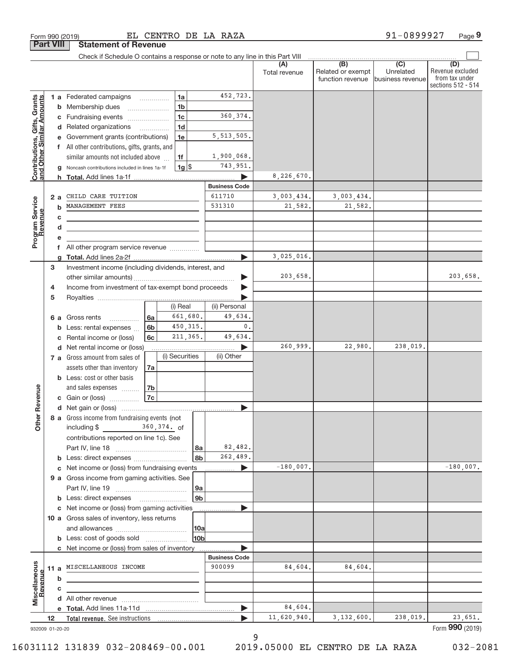|                                                           |                 |                                                | Check if Schedule O contains a response or note to any line in this Part VIII |                          |                |                      |                      |                      |                                              |                                      |                                                                 |
|-----------------------------------------------------------|-----------------|------------------------------------------------|-------------------------------------------------------------------------------|--------------------------|----------------|----------------------|----------------------|----------------------|----------------------------------------------|--------------------------------------|-----------------------------------------------------------------|
|                                                           |                 |                                                |                                                                               |                          |                |                      |                      | (A)<br>Total revenue | (B)<br>Related or exempt<br>function revenue | (C)<br>Unrelated<br>business revenue | (D)<br>Revenue excluded<br>from tax under<br>sections 512 - 514 |
|                                                           |                 |                                                | 1 a Federated campaigns                                                       | .                        | 1a             |                      | 452,723.             |                      |                                              |                                      |                                                                 |
| Contributions, Gifts, Grants<br>and Other Similar Amounts |                 |                                                | <b>b</b> Membership dues                                                      |                          | 1 <sub>b</sub> |                      |                      |                      |                                              |                                      |                                                                 |
|                                                           |                 |                                                | c Fundraising events                                                          |                          | 1 <sub>c</sub> |                      | 360,374.             |                      |                                              |                                      |                                                                 |
|                                                           |                 |                                                | d Related organizations                                                       | $\overline{\phantom{a}}$ | 1 <sub>d</sub> |                      |                      |                      |                                              |                                      |                                                                 |
|                                                           |                 |                                                | e Government grants (contributions)                                           |                          | 1e             |                      | 5, 513, 505.         |                      |                                              |                                      |                                                                 |
|                                                           |                 |                                                | All other contributions, gifts, grants, and                                   |                          |                |                      |                      |                      |                                              |                                      |                                                                 |
|                                                           |                 |                                                | similar amounts not included above                                            |                          | 1f             |                      | 1,900,068.           |                      |                                              |                                      |                                                                 |
|                                                           |                 |                                                | Noncash contributions included in lines 1a-1f                                 |                          | $1g$ \$        |                      | 743,951.             |                      |                                              |                                      |                                                                 |
|                                                           |                 |                                                |                                                                               |                          |                |                      |                      | 8,226,670.           |                                              |                                      |                                                                 |
|                                                           |                 |                                                |                                                                               |                          |                |                      | <b>Business Code</b> |                      |                                              |                                      |                                                                 |
|                                                           | 2 a             |                                                | CHILD CARE TUITION                                                            |                          |                |                      | 611710               | 3,003,434.           | 3,003,434.                                   |                                      |                                                                 |
|                                                           |                 | b                                              | MANAGEMENT FEES                                                               |                          |                |                      | 531310               | 21,582.              | 21,582.                                      |                                      |                                                                 |
| Program Service<br>Revenue                                |                 | с                                              |                                                                               |                          |                |                      |                      |                      |                                              |                                      |                                                                 |
|                                                           |                 | d                                              | the control of the control of the control of the control of the control of    |                          |                |                      |                      |                      |                                              |                                      |                                                                 |
|                                                           |                 | е                                              |                                                                               |                          |                |                      |                      |                      |                                              |                                      |                                                                 |
|                                                           |                 |                                                | All other program service revenue                                             |                          |                |                      |                      |                      |                                              |                                      |                                                                 |
|                                                           |                 |                                                |                                                                               |                          |                |                      | ь                    | 3,025,016.           |                                              |                                      |                                                                 |
|                                                           | з               |                                                | Investment income (including dividends, interest, and                         |                          |                |                      |                      |                      |                                              |                                      |                                                                 |
|                                                           |                 |                                                |                                                                               |                          |                |                      |                      | 203,658.             |                                              |                                      | 203,658.                                                        |
|                                                           | 4               |                                                | Income from investment of tax-exempt bond proceeds                            |                          |                |                      |                      |                      |                                              |                                      |                                                                 |
|                                                           | 5               |                                                |                                                                               |                          |                |                      |                      |                      |                                              |                                      |                                                                 |
|                                                           |                 |                                                |                                                                               |                          | (i) Real       |                      | (ii) Personal        |                      |                                              |                                      |                                                                 |
|                                                           | 6 a             |                                                | Gross rents<br>.                                                              | 6a                       | 661,680.       |                      | 49,634.              |                      |                                              |                                      |                                                                 |
|                                                           |                 | b                                              | Less: rental expenses                                                         | 6 <sub>b</sub>           | 450, 315.      |                      | 0.                   |                      |                                              |                                      |                                                                 |
|                                                           |                 | 211,365.<br>Rental income or (loss)<br>6c<br>С |                                                                               | 49,634.                  |                |                      |                      |                      |                                              |                                      |                                                                 |
|                                                           |                 |                                                | d Net rental income or (loss)                                                 |                          |                |                      |                      | 260,999.             | 22,980.                                      | 238,019.                             |                                                                 |
|                                                           |                 |                                                | 7 a Gross amount from sales of                                                |                          | (i) Securities |                      | (ii) Other           |                      |                                              |                                      |                                                                 |
|                                                           |                 |                                                | assets other than inventory                                                   | 7a                       |                |                      |                      |                      |                                              |                                      |                                                                 |
|                                                           |                 |                                                | <b>b</b> Less: cost or other basis                                            |                          |                |                      |                      |                      |                                              |                                      |                                                                 |
|                                                           |                 |                                                | and sales expenses                                                            | 7b                       |                |                      |                      |                      |                                              |                                      |                                                                 |
|                                                           |                 |                                                | c Gain or (loss)                                                              | 7c                       |                |                      |                      |                      |                                              |                                      |                                                                 |
| <b>Other Revenue</b>                                      |                 |                                                |                                                                               |                          |                |                      |                      |                      |                                              |                                      |                                                                 |
|                                                           |                 |                                                | 8 a Gross income from fundraising events (not                                 |                          |                |                      |                      |                      |                                              |                                      |                                                                 |
|                                                           |                 |                                                |                                                                               |                          |                |                      |                      |                      |                                              |                                      |                                                                 |
|                                                           |                 |                                                | contributions reported on line 1c). See                                       |                          |                |                      |                      |                      |                                              |                                      |                                                                 |
|                                                           |                 |                                                |                                                                               |                          |                | 8a                   | 82,482.<br>262,489.  |                      |                                              |                                      |                                                                 |
|                                                           |                 |                                                |                                                                               |                          |                | 8b                   |                      | $-180,007$ .         |                                              |                                      | $-180,007.$                                                     |
|                                                           |                 |                                                | c Net income or (loss) from fundraising events                                |                          |                |                      |                      |                      |                                              |                                      |                                                                 |
|                                                           |                 |                                                | 9 a Gross income from gaming activities. See                                  |                          |                |                      |                      |                      |                                              |                                      |                                                                 |
|                                                           |                 |                                                | <b>b</b> Less: direct expenses                                                |                          |                | 9a<br>9 <sub>b</sub> |                      |                      |                                              |                                      |                                                                 |
|                                                           |                 |                                                | c Net income or (loss) from gaming activities                                 |                          |                |                      |                      |                      |                                              |                                      |                                                                 |
|                                                           |                 |                                                | 10 a Gross sales of inventory, less returns                                   |                          |                |                      |                      |                      |                                              |                                      |                                                                 |
|                                                           |                 |                                                |                                                                               |                          |                | 10a                  |                      |                      |                                              |                                      |                                                                 |
|                                                           |                 |                                                | <b>b</b> Less: cost of goods sold                                             |                          |                | 10 <sub>b</sub>      |                      |                      |                                              |                                      |                                                                 |
|                                                           |                 |                                                |                                                                               |                          |                |                      |                      |                      |                                              |                                      |                                                                 |
|                                                           |                 |                                                | c Net income or (loss) from sales of inventory                                |                          |                |                      | <b>Business Code</b> |                      |                                              |                                      |                                                                 |
|                                                           |                 |                                                | 11 a MISCELLANEOUS INCOME                                                     |                          |                |                      | 900099               | 84,604.              | 84,604.                                      |                                      |                                                                 |
|                                                           |                 | b                                              |                                                                               |                          |                |                      |                      |                      |                                              |                                      |                                                                 |
| Revenue                                                   |                 |                                                |                                                                               |                          |                |                      |                      |                      |                                              |                                      |                                                                 |
| Miscellaneous                                             |                 | С                                              |                                                                               |                          |                |                      |                      |                      |                                              |                                      |                                                                 |
|                                                           |                 |                                                |                                                                               |                          |                |                      | ▶                    | 84,604.              |                                              |                                      |                                                                 |
|                                                           | 12              |                                                |                                                                               |                          |                |                      |                      | 11,620,940.          | 3,132,600.                                   | 238,019.                             | 23,651.                                                         |
|                                                           | 932009 01-20-20 |                                                |                                                                               |                          |                |                      |                      |                      |                                              |                                      | Form 990 (2019)                                                 |
|                                                           |                 |                                                |                                                                               |                          |                |                      |                      |                      |                                              |                                      |                                                                 |

932009 01‐20‐20

9

16031112 131839 032‐208469‐00.001 2019.05000 EL CENTRO DE LA RAZA 032‐2081

Form 990 (2019) Page EL CENTRO DE LA RAZA **Porm 990 (2019)**<br>**Part VIII** Statement of Revenue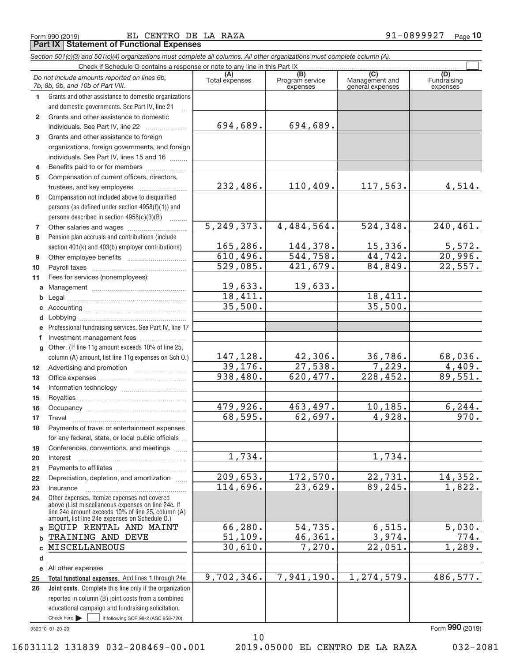|  | Form 990 (2019) |  |
|--|-----------------|--|
|  |                 |  |

Form 990 (2019) EL CENTRO DE LA RAZA 91−0899927 <sub>Page</sub> **Part IX Statement of Functional Expenses**

|                 | Section 501(c)(3) and 501(c)(4) organizations must complete all columns. All other organizations must complete column (A).                                 |                         |                                    |                                           |                                |
|-----------------|------------------------------------------------------------------------------------------------------------------------------------------------------------|-------------------------|------------------------------------|-------------------------------------------|--------------------------------|
|                 | Check if Schedule O contains a response or note to any line in this Part IX                                                                                |                         |                                    |                                           |                                |
|                 | Do not include amounts reported on lines 6b,<br>7b, 8b, 9b, and 10b of Part VIII.                                                                          | (A)<br>Total expenses   | (B)<br>Program service<br>expenses | (C)<br>Management and<br>general expenses | (D)<br>Fundraising<br>expenses |
| 1.              | Grants and other assistance to domestic organizations                                                                                                      |                         |                                    |                                           |                                |
|                 | and domestic governments. See Part IV, line 21                                                                                                             |                         |                                    |                                           |                                |
| $\mathbf{2}$    | Grants and other assistance to domestic                                                                                                                    |                         |                                    |                                           |                                |
|                 | individuals. See Part IV, line 22                                                                                                                          | 694,689.                | 694,689.                           |                                           |                                |
| 3               | Grants and other assistance to foreign                                                                                                                     |                         |                                    |                                           |                                |
|                 | organizations, foreign governments, and foreign                                                                                                            |                         |                                    |                                           |                                |
|                 | individuals. See Part IV, lines 15 and 16                                                                                                                  |                         |                                    |                                           |                                |
| 4               | Benefits paid to or for members                                                                                                                            |                         |                                    |                                           |                                |
| 5               | Compensation of current officers, directors,                                                                                                               |                         |                                    |                                           |                                |
|                 | trustees, and key employees                                                                                                                                | 232,486.                | 110,409.                           | 117,563.                                  | 4,514.                         |
| 6               | Compensation not included above to disqualified                                                                                                            |                         |                                    |                                           |                                |
|                 | persons (as defined under section 4958(f)(1)) and                                                                                                          |                         |                                    |                                           |                                |
|                 | persons described in section 4958(c)(3)(B)                                                                                                                 |                         |                                    |                                           |                                |
| 7               |                                                                                                                                                            | $\overline{5,249,373.}$ | 4,484,564.                         | 524, 348.                                 | 240, 461.                      |
| 8               | Pension plan accruals and contributions (include                                                                                                           |                         |                                    |                                           |                                |
|                 | section 401(k) and 403(b) employer contributions)                                                                                                          | 165,286.                | 144,378.                           | 15,336.                                   | 5,572.                         |
| 9               |                                                                                                                                                            | 610, 496.               | 544, 758.                          | 44,742.                                   | 20,996.                        |
| 10              |                                                                                                                                                            | 529,085.                | 421,679.                           | 84,849.                                   | 22,557.                        |
| 11              | Fees for services (nonemployees):                                                                                                                          |                         |                                    |                                           |                                |
| a               |                                                                                                                                                            | 19,633.                 | 19,633.                            |                                           |                                |
| b               |                                                                                                                                                            | 18,411.                 |                                    | 18,411.                                   |                                |
| c               |                                                                                                                                                            | 35,500.                 |                                    | 35,500.                                   |                                |
| d               |                                                                                                                                                            |                         |                                    |                                           |                                |
| e               | Professional fundraising services. See Part IV, line 17                                                                                                    |                         |                                    |                                           |                                |
| f               | Investment management fees                                                                                                                                 |                         |                                    |                                           |                                |
| g               | Other. (If line 11g amount exceeds 10% of line 25,                                                                                                         |                         |                                    |                                           |                                |
|                 | column (A) amount, list line 11g expenses on Sch O.)                                                                                                       | 147,128.                | 42,306.                            | 36,786.                                   | 68,036.                        |
| 12 <sup>2</sup> |                                                                                                                                                            | 39,176.                 | 27,538.                            | 7,229.                                    | 4,409.                         |
| 13              |                                                                                                                                                            | 938,480.                | 620, 477.                          | 228,452.                                  | 89,551.                        |
| 14              |                                                                                                                                                            |                         |                                    |                                           |                                |
| 15              |                                                                                                                                                            |                         |                                    |                                           |                                |
| 16              |                                                                                                                                                            | 479,926.                | 463,497.                           | 10, 185.                                  | 6, 244.                        |
| 17              |                                                                                                                                                            | 68,595.                 | 62,697.                            | 4,928.                                    | $\overline{970}$ .             |
|                 | Payments of travel or entertainment expenses                                                                                                               |                         |                                    |                                           |                                |
|                 | for any federal, state, or local public officials                                                                                                          |                         |                                    |                                           |                                |
| 19              | Conferences, conventions, and meetings                                                                                                                     |                         |                                    |                                           |                                |
| 20              | Interest                                                                                                                                                   | 1,734.                  |                                    | 1,734.                                    |                                |
| 21              |                                                                                                                                                            |                         |                                    |                                           |                                |
| 22              | Depreciation, depletion, and amortization                                                                                                                  | 209,653.                | 172,570.                           | 22,731.                                   | 14,352.                        |
| 23              | Insurance                                                                                                                                                  | 114,696.                | 23,629.                            | 89, 245.                                  | 1,822.                         |
| 24              | Other expenses. Itemize expenses not covered                                                                                                               |                         |                                    |                                           |                                |
|                 | above (List miscellaneous expenses on line 24e. If<br>line 24e amount exceeds 10% of line 25, column (A)<br>amount, list line 24e expenses on Schedule O.) |                         |                                    |                                           |                                |
| a               | EQUIP RENTAL AND MAINT                                                                                                                                     | 66,280.                 | 54,735.                            | 6, 515.                                   | 5,030.                         |
| $\mathbf b$     | TRAINING AND DEVE                                                                                                                                          | 51, 109.                | 46,361.                            | 3,974.                                    | 774.                           |
| C               | <b>MISCELLANEOUS</b>                                                                                                                                       | 30,610.                 | 7,270.                             | 22,051.                                   | 1,289.                         |
| d               |                                                                                                                                                            |                         |                                    |                                           |                                |
|                 | e All other expenses                                                                                                                                       |                         |                                    |                                           |                                |
| 25              | Total functional expenses. Add lines 1 through 24e                                                                                                         | 9,702,346.              | 7,941,190.                         | 1,274,579.                                | 486,577.                       |
| 26              | Joint costs. Complete this line only if the organization                                                                                                   |                         |                                    |                                           |                                |
|                 | reported in column (B) joint costs from a combined                                                                                                         |                         |                                    |                                           |                                |

932010 01‐20‐20

Check here

16031112 131839 032‐208469‐00.001 2019.05000 EL CENTRO DE LA RAZA 032‐2081

Check here if following SOP 98-2 (ASC 958-720)

educational campaign and fundraising solicitation.

10

 $\frac{1}{1}$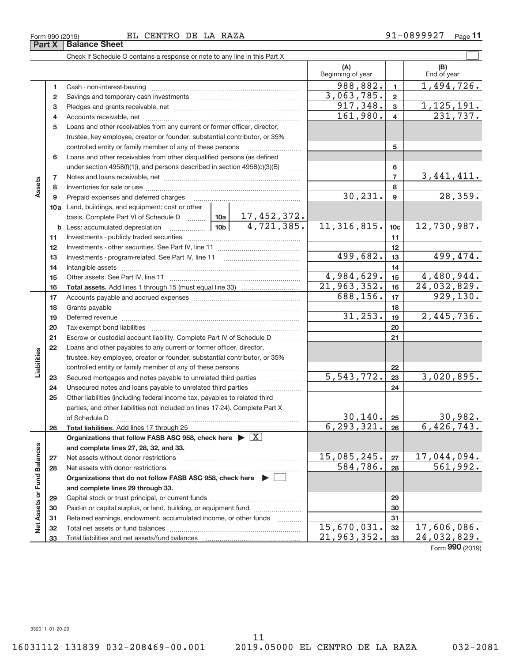|                      |          |                                                                                                                 |            | (A)<br>Beginning of year    |                 | (B)<br>End of year          |
|----------------------|----------|-----------------------------------------------------------------------------------------------------------------|------------|-----------------------------|-----------------|-----------------------------|
|                      | 1.       | Cash - non-interest-bearing                                                                                     |            | 988,882.                    | $\mathbf{1}$    | 1,494,726.                  |
|                      | 2        |                                                                                                                 |            | 3,063,785.                  | $\overline{2}$  |                             |
|                      | з        |                                                                                                                 |            | 917, 348.                   | 3               | 1, 125, 191.                |
|                      | 4        |                                                                                                                 |            | 161,980.                    | $\overline{4}$  | 231,737.                    |
|                      | 5        | Loans and other receivables from any current or former officer, director,                                       |            |                             |                 |                             |
|                      |          | trustee, key employee, creator or founder, substantial contributor, or 35%                                      |            |                             |                 |                             |
|                      |          | controlled entity or family member of any of these persons                                                      |            | 5                           |                 |                             |
|                      | 6        | Loans and other receivables from other disqualified persons (as defined                                         |            |                             |                 |                             |
|                      |          | under section $4958(f)(1)$ , and persons described in section $4958(c)(3)(B)$                                   | 1.1.1.1.1  |                             | 6               |                             |
|                      | 7        |                                                                                                                 |            |                             | $\overline{7}$  | 3,441,411.                  |
| Assets               | 8        |                                                                                                                 |            |                             | 8               |                             |
|                      | 9        | Prepaid expenses and deferred charges [11] matter contracts and the prepaid expenses and deferred charges [11]  |            | 30, 231.                    | 9               | 28, 359.                    |
|                      |          | 10a Land, buildings, and equipment: cost or other                                                               |            |                             |                 |                             |
|                      |          | basis. Complete Part VI of Schedule D    10a   17, 452, 372.                                                    |            |                             |                 |                             |
|                      |          | <u>  10b</u> 10c<br><b>b</b> Less: accumulated depreciation                                                     | 4,721,385. | 11, 316, 815.               | 10 <sub>c</sub> | 12,730,987.                 |
|                      | 11       |                                                                                                                 |            |                             | 11              |                             |
|                      | 12       |                                                                                                                 |            | 12                          |                 |                             |
|                      | 13       |                                                                                                                 | 499,682.   | 13                          | 499,474.        |                             |
|                      | 14       |                                                                                                                 |            | 14                          |                 |                             |
|                      | 15       |                                                                                                                 | 4,984,629. | 15                          | 4,480,944.      |                             |
|                      | 16       |                                                                                                                 |            | $\overline{21}$ , 963, 352. | 16              | 24,032,829.                 |
|                      | 17       |                                                                                                                 |            | 688,156.                    | 17              | 929, 130.                   |
|                      | 18       |                                                                                                                 |            | 18                          |                 |                             |
|                      | 19       | Deferred revenue manual contracts and contracts are all the manual contracts and contracts are contracted and c | 31, 253.   | 19                          | 2,445,736.      |                             |
|                      | 20       |                                                                                                                 |            |                             | 20              |                             |
|                      | 21       | Escrow or custodial account liability. Complete Part IV of Schedule D                                           | .          |                             | 21              |                             |
|                      | 22       | Loans and other payables to any current or former officer, director,                                            |            |                             |                 |                             |
| Liabilities          |          | trustee, key employee, creator or founder, substantial contributor, or 35%                                      |            |                             |                 |                             |
|                      |          | controlled entity or family member of any of these persons                                                      |            |                             | 22              |                             |
|                      | 23       | Secured mortgages and notes payable to unrelated third parties                                                  | .          | 5, 543, 772.                | 23              | 3,020,895.                  |
|                      | 24       | Unsecured notes and loans payable to unrelated third parties                                                    |            |                             | 24              |                             |
|                      | 25       | Other liabilities (including federal income tax, payables to related third                                      |            |                             |                 |                             |
|                      |          | parties, and other liabilities not included on lines 17-24). Complete Part X                                    |            |                             |                 |                             |
|                      |          | of Schedule D                                                                                                   |            | 30,140.<br>6, 293, 321.     | 25              | 30,982.<br>6,426,743.       |
|                      | 26       |                                                                                                                 |            |                             | 26              |                             |
|                      |          | Organizations that follow FASB ASC 958, check here $\blacktriangleright \boxed{X}$                              |            |                             |                 |                             |
|                      |          | and complete lines 27, 28, 32, and 33.                                                                          |            | 15,085,245.                 |                 | 17,044,094.                 |
|                      | 27       | Net assets without donor restrictions                                                                           |            | 584,786.                    | 27              | 561,992.                    |
| <b>Fund Balances</b> | 28       | Organizations that do not follow FASB ASC 958, check here $\blacktriangleright$                                 |            |                             | 28              |                             |
|                      |          |                                                                                                                 |            |                             |                 |                             |
|                      |          | and complete lines 29 through 33.                                                                               |            |                             |                 |                             |
|                      | 29<br>30 | Paid-in or capital surplus, or land, building, or equipment fund                                                |            | 29<br>30                    |                 |                             |
|                      | 31       | Retained earnings, endowment, accumulated income, or other funds                                                |            |                             | 31              |                             |
| Net Assets or        | 32       |                                                                                                                 |            | 15,670,031.                 | 32              | $\overline{17}$ , 606, 086. |
|                      | 33       |                                                                                                                 |            | 21,963,352.                 | 33              | $\overline{24}$ , 032, 829. |
|                      |          |                                                                                                                 |            |                             |                 | Form 990 (2019)             |

Check if Schedule O contains a response or note to any line in this Part X

91-0899927 Page 11

 $\boxed{\phantom{1}}$ 

**Part X Balance Sheet**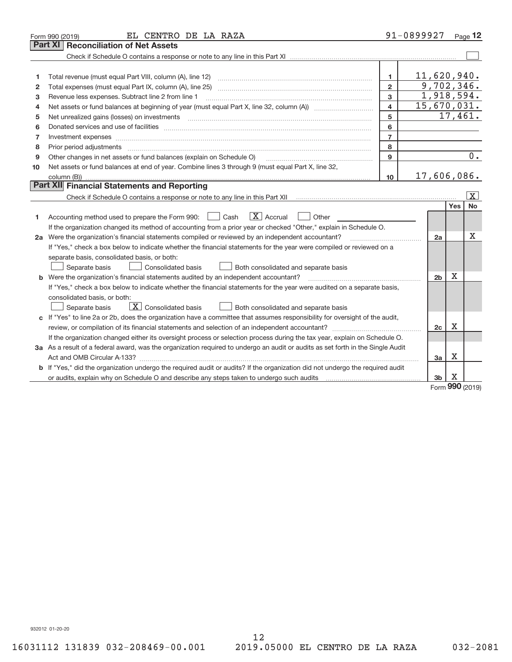|                                 | EL CENTRO DE LA RAZA<br>Form 990 (2019)                                                                                                                                                                                                                                                                                                                                                                                                       |                                                                                 | 91-0899927                                             |          | Page $12$               |  |
|---------------------------------|-----------------------------------------------------------------------------------------------------------------------------------------------------------------------------------------------------------------------------------------------------------------------------------------------------------------------------------------------------------------------------------------------------------------------------------------------|---------------------------------------------------------------------------------|--------------------------------------------------------|----------|-------------------------|--|
|                                 | <b>Part XI   Reconciliation of Net Assets</b>                                                                                                                                                                                                                                                                                                                                                                                                 |                                                                                 |                                                        |          |                         |  |
|                                 |                                                                                                                                                                                                                                                                                                                                                                                                                                               |                                                                                 |                                                        |          |                         |  |
| 1<br>2<br>з<br>4<br>5<br>6<br>7 | Total revenue (must equal Part VIII, column (A), line 12)<br>Total expenses (must equal Part IX, column (A), line 25)<br>Revenue less expenses. Subtract line 2 from line 1<br>Net unrealized gains (losses) on investments                                                                                                                                                                                                                   | 1<br>$\overline{2}$<br>3<br>$\overline{\mathbf{4}}$<br>5<br>6<br>$\overline{7}$ | 11,620,940.<br>9,702,346.<br>1,918,594.<br>15,670,031. |          | 17,461.                 |  |
| 8                               | Prior period adjustments www.communication.communication.communication.com/                                                                                                                                                                                                                                                                                                                                                                   | 8                                                                               |                                                        |          |                         |  |
| 9                               | Other changes in net assets or fund balances (explain on Schedule O)                                                                                                                                                                                                                                                                                                                                                                          | 9                                                                               |                                                        |          | $\overline{0}$ .        |  |
| 10                              | Net assets or fund balances at end of year. Combine lines 3 through 9 (must equal Part X, line 32,                                                                                                                                                                                                                                                                                                                                            | 10                                                                              | 17,606,086.                                            |          |                         |  |
|                                 | Part XII Financial Statements and Reporting                                                                                                                                                                                                                                                                                                                                                                                                   |                                                                                 |                                                        |          |                         |  |
|                                 |                                                                                                                                                                                                                                                                                                                                                                                                                                               |                                                                                 |                                                        |          | $\overline{\mathbf{X}}$ |  |
| 1                               | $ X $ Accrual<br>Accounting method used to prepare the Form 990: <u>June</u> Cash<br>Other<br>If the organization changed its method of accounting from a prior year or checked "Other," explain in Schedule O.<br>2a Were the organization's financial statements compiled or reviewed by an independent accountant?<br>If "Yes," check a box below to indicate whether the financial statements for the year were compiled or reviewed on a |                                                                                 | 2a                                                     | Yes      | <b>No</b><br>X          |  |
|                                 | separate basis, consolidated basis, or both:<br>Separate basis<br>Consolidated basis<br>Both consolidated and separate basis<br><b>b</b> Were the organization's financial statements audited by an independent accountant?                                                                                                                                                                                                                   |                                                                                 |                                                        |          |                         |  |
|                                 | If "Yes," check a box below to indicate whether the financial statements for the year were audited on a separate basis,<br>consolidated basis, or both:<br>$\boxed{\text{X}}$ Consolidated basis<br>Both consolidated and separate basis<br>Separate basis<br>c If "Yes" to line 2a or 2b, does the organization have a committee that assumes responsibility for oversight of the audit,                                                     |                                                                                 |                                                        |          |                         |  |
|                                 |                                                                                                                                                                                                                                                                                                                                                                                                                                               |                                                                                 | 2c                                                     | Χ        |                         |  |
|                                 | If the organization changed either its oversight process or selection process during the tax year, explain on Schedule O.                                                                                                                                                                                                                                                                                                                     |                                                                                 |                                                        |          |                         |  |
|                                 | 3a As a result of a federal award, was the organization required to undergo an audit or audits as set forth in the Single Audit                                                                                                                                                                                                                                                                                                               |                                                                                 |                                                        | х        |                         |  |
|                                 |                                                                                                                                                                                                                                                                                                                                                                                                                                               |                                                                                 | 3a                                                     |          |                         |  |
|                                 | b If "Yes," did the organization undergo the required audit or audits? If the organization did not undergo the required audit<br>or audits, explain why on Schedule O and describe any steps taken to undergo such audits                                                                                                                                                                                                                     |                                                                                 | 3b                                                     | х<br>nnn |                         |  |

Form (2019) **990**

932012 01‐20‐20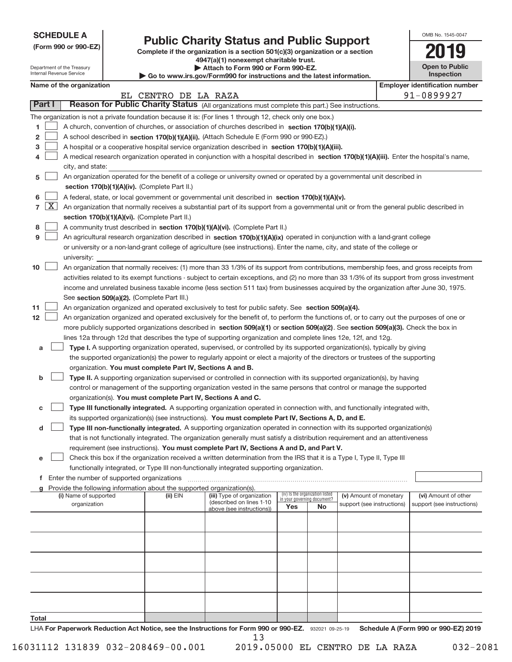|  | <b>SCHEDULE A</b> |  |
|--|-------------------|--|
|  |                   |  |

Department of the Treasury Internal Revenue Service

|  |  |  | (Form 990 or 990-EZ) |  |
|--|--|--|----------------------|--|
|--|--|--|----------------------|--|

## **Public Charity Status and Public Support**

Complete if the organization is a section 501(c)(3) organization or a section **4947(a)(1) nonexempt charitable trust. | Attach to Form 990 or Form 990‐EZ.** 

| ▶ Go to www.irs.gov/Form990 for instructions and the latest information. | $\blacksquare$ |
|--------------------------------------------------------------------------|----------------|
|                                                                          |                |

| OMB No 1545-0047                    |
|-------------------------------------|
| 2069                                |
| <b>Open to Public</b><br>Inspection |

| Name of the organization |  |  |  |
|--------------------------|--|--|--|
|--------------------------|--|--|--|

| Name of the organization<br><b>Employer identification number</b>                                                       |                                                                                                                                               |              |                                                        |                             |                                 |                            |  |                                      |
|-------------------------------------------------------------------------------------------------------------------------|-----------------------------------------------------------------------------------------------------------------------------------------------|--------------|--------------------------------------------------------|-----------------------------|---------------------------------|----------------------------|--|--------------------------------------|
| EL CENTRO DE LA RAZA<br>Reason for Public Charity Status (All organizations must complete this part.) See instructions. |                                                                                                                                               |              |                                                        |                             |                                 |                            |  | 91-0899927                           |
| Part I                                                                                                                  |                                                                                                                                               |              |                                                        |                             |                                 |                            |  |                                      |
|                                                                                                                         | The organization is not a private foundation because it is: (For lines 1 through 12, check only one box.)                                     |              |                                                        |                             |                                 |                            |  |                                      |
| 1                                                                                                                       | A church, convention of churches, or association of churches described in section 170(b)(1)(A)(i).                                            |              |                                                        |                             |                                 |                            |  |                                      |
| 2                                                                                                                       | A school described in section 170(b)(1)(A)(ii). (Attach Schedule E (Form 990 or 990-EZ).)                                                     |              |                                                        |                             |                                 |                            |  |                                      |
| з                                                                                                                       | A hospital or a cooperative hospital service organization described in section 170(b)(1)(A)(iii).                                             |              |                                                        |                             |                                 |                            |  |                                      |
|                                                                                                                         | A medical research organization operated in conjunction with a hospital described in section 170(b)(1)(A)(iii). Enter the hospital's name,    |              |                                                        |                             |                                 |                            |  |                                      |
|                                                                                                                         | city, and state:                                                                                                                              |              |                                                        |                             |                                 |                            |  |                                      |
| 5                                                                                                                       | An organization operated for the benefit of a college or university owned or operated by a governmental unit described in                     |              |                                                        |                             |                                 |                            |  |                                      |
|                                                                                                                         | section 170(b)(1)(A)(iv). (Complete Part II.)                                                                                                 |              |                                                        |                             |                                 |                            |  |                                      |
| 6                                                                                                                       | A federal, state, or local government or governmental unit described in section 170(b)(1)(A)(v).                                              |              |                                                        |                             |                                 |                            |  |                                      |
| $7 \times$                                                                                                              | An organization that normally receives a substantial part of its support from a governmental unit or from the general public described in     |              |                                                        |                             |                                 |                            |  |                                      |
|                                                                                                                         | section 170(b)(1)(A)(vi). (Complete Part II.)                                                                                                 |              |                                                        |                             |                                 |                            |  |                                      |
| 8                                                                                                                       | A community trust described in section 170(b)(1)(A)(vi). (Complete Part II.)                                                                  |              |                                                        |                             |                                 |                            |  |                                      |
| 9                                                                                                                       | An agricultural research organization described in section 170(b)(1)(A)(ix) operated in conjunction with a land-grant college                 |              |                                                        |                             |                                 |                            |  |                                      |
|                                                                                                                         | or university or a non-land-grant college of agriculture (see instructions). Enter the name, city, and state of the college or                |              |                                                        |                             |                                 |                            |  |                                      |
|                                                                                                                         | university:                                                                                                                                   |              |                                                        |                             |                                 |                            |  |                                      |
| 10                                                                                                                      | An organization that normally receives: (1) more than 33 1/3% of its support from contributions, membership fees, and gross receipts from     |              |                                                        |                             |                                 |                            |  |                                      |
|                                                                                                                         | activities related to its exempt functions - subject to certain exceptions, and (2) no more than 33 1/3% of its support from gross investment |              |                                                        |                             |                                 |                            |  |                                      |
|                                                                                                                         |                                                                                                                                               |              |                                                        |                             |                                 |                            |  |                                      |
|                                                                                                                         | income and unrelated business taxable income (less section 511 tax) from businesses acquired by the organization after June 30, 1975.         |              |                                                        |                             |                                 |                            |  |                                      |
|                                                                                                                         | See section 509(a)(2). (Complete Part III.)                                                                                                   |              |                                                        |                             |                                 |                            |  |                                      |
| 11                                                                                                                      | An organization organized and operated exclusively to test for public safety. See section 509(a)(4).                                          |              |                                                        |                             |                                 |                            |  |                                      |
| 12                                                                                                                      | An organization organized and operated exclusively for the benefit of, to perform the functions of, or to carry out the purposes of one or    |              |                                                        |                             |                                 |                            |  |                                      |
|                                                                                                                         | more publicly supported organizations described in section 509(a)(1) or section 509(a)(2). See section 509(a)(3). Check the box in            |              |                                                        |                             |                                 |                            |  |                                      |
|                                                                                                                         | lines 12a through 12d that describes the type of supporting organization and complete lines 12e, 12f, and 12g.                                |              |                                                        |                             |                                 |                            |  |                                      |
| а                                                                                                                       | Type I. A supporting organization operated, supervised, or controlled by its supported organization(s), typically by giving                   |              |                                                        |                             |                                 |                            |  |                                      |
|                                                                                                                         | the supported organization(s) the power to regularly appoint or elect a majority of the directors or trustees of the supporting               |              |                                                        |                             |                                 |                            |  |                                      |
|                                                                                                                         | organization. You must complete Part IV, Sections A and B.                                                                                    |              |                                                        |                             |                                 |                            |  |                                      |
| b                                                                                                                       | Type II. A supporting organization supervised or controlled in connection with its supported organization(s), by having                       |              |                                                        |                             |                                 |                            |  |                                      |
|                                                                                                                         | control or management of the supporting organization vested in the same persons that control or manage the supported                          |              |                                                        |                             |                                 |                            |  |                                      |
|                                                                                                                         | organization(s). You must complete Part IV, Sections A and C.                                                                                 |              |                                                        |                             |                                 |                            |  |                                      |
| с                                                                                                                       | Type III functionally integrated. A supporting organization operated in connection with, and functionally integrated with,                    |              |                                                        |                             |                                 |                            |  |                                      |
|                                                                                                                         | its supported organization(s) (see instructions). You must complete Part IV, Sections A, D, and E.                                            |              |                                                        |                             |                                 |                            |  |                                      |
| d                                                                                                                       | Type III non-functionally integrated. A supporting organization operated in connection with its supported organization(s)                     |              |                                                        |                             |                                 |                            |  |                                      |
|                                                                                                                         | that is not functionally integrated. The organization generally must satisfy a distribution requirement and an attentiveness                  |              |                                                        |                             |                                 |                            |  |                                      |
|                                                                                                                         | requirement (see instructions). You must complete Part IV, Sections A and D, and Part V.                                                      |              |                                                        |                             |                                 |                            |  |                                      |
| е                                                                                                                       | Check this box if the organization received a written determination from the IRS that it is a Type I, Type II, Type III                       |              |                                                        |                             |                                 |                            |  |                                      |
|                                                                                                                         | functionally integrated, or Type III non-functionally integrated supporting organization.                                                     |              |                                                        |                             |                                 |                            |  |                                      |
|                                                                                                                         | f Enter the number of supported organizations                                                                                                 |              |                                                        |                             |                                 |                            |  |                                      |
|                                                                                                                         | g Provide the following information about the supported organization(s).                                                                      |              |                                                        |                             |                                 |                            |  |                                      |
|                                                                                                                         | (i) Name of supported                                                                                                                         | $(ii)$ $EIN$ | (iii) Type of organization<br>(described on lines 1-10 | in your governing document? | (iv) Is the organization listed | (v) Amount of monetary     |  | (vi) Amount of other                 |
|                                                                                                                         | organization                                                                                                                                  |              | above (see instructions))                              | Yes                         | No                              | support (see instructions) |  | support (see instructions)           |
|                                                                                                                         |                                                                                                                                               |              |                                                        |                             |                                 |                            |  |                                      |
|                                                                                                                         |                                                                                                                                               |              |                                                        |                             |                                 |                            |  |                                      |
|                                                                                                                         |                                                                                                                                               |              |                                                        |                             |                                 |                            |  |                                      |
|                                                                                                                         |                                                                                                                                               |              |                                                        |                             |                                 |                            |  |                                      |
|                                                                                                                         |                                                                                                                                               |              |                                                        |                             |                                 |                            |  |                                      |
|                                                                                                                         |                                                                                                                                               |              |                                                        |                             |                                 |                            |  |                                      |
|                                                                                                                         |                                                                                                                                               |              |                                                        |                             |                                 |                            |  |                                      |
|                                                                                                                         |                                                                                                                                               |              |                                                        |                             |                                 |                            |  |                                      |
|                                                                                                                         |                                                                                                                                               |              |                                                        |                             |                                 |                            |  |                                      |
|                                                                                                                         |                                                                                                                                               |              |                                                        |                             |                                 |                            |  |                                      |
| Total                                                                                                                   |                                                                                                                                               |              |                                                        |                             |                                 |                            |  |                                      |
|                                                                                                                         | LHA For Paperwork Reduction Act Notice, see the Instructions for Form 990 or 990-EZ. 932021 09-25-19                                          |              |                                                        |                             |                                 |                            |  | Schedule A (Form 990 or 990-EZ) 2019 |
|                                                                                                                         |                                                                                                                                               |              |                                                        |                             |                                 |                            |  |                                      |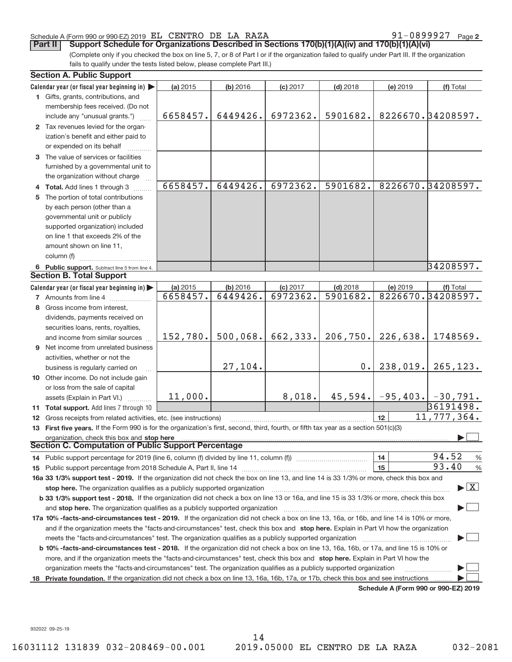#### Schedule A (Form 990 or 990‐EZ) 2019 Page EL CENTRO DE LA RAZA 91‐0899927

(Complete only if you checked the box on line 5, 7, or 8 of Part I or if the organization failed to qualify under Part III. If the organization fails to qualify under the tests listed below, please complete Part III.) **Part II** Support Schedule for Organizations Described in Sections 170(b)(1)(A)(iv) and 170(b)(1)(A)(vi)

6 Public support. Subtract line 5 from line 4. **Calendar year (or fiscal year beginning in)**  | **Calendar year (or fiscal year beginning in) | (a)** 2015 **| (b)** 2016 **| (c)** 2017 **| (d)** 2018 **| (e)** 2019 **| (f) 1** Gifts, grants, contributions, and **2** Tax revenues levied for the organ‐ **3** The value of services or facilities 4 Total. Add lines 1 through 3 ........ **5** The portion of total contributions **(a)** 2015 **| (b)** 2016 **| (c)** 2017 **| (d)** 2018 **| (e)** 2019 **| (f) 7** Amounts from line 4 .................... **8** Gross income from interest, **9** Net income from unrelated business **10** Other income. Do not include gain **11 Total support.**  Add lines 7 through 10 **12** Gross receipts from related activities, etc. (see instructions) ~~~~~~~~~~~~~~~~~~~~~~~ 13 First five years. If the Form 990 is for the organization's first, second, third, fourth, or fifth tax year as a section 501(c)(3) **12 stop here** organization, check this box and | **14 15 14** Public support percentage for 2019 (line 6, column (f) divided by line 11, column (f))  $\ldots$  $\ldots$  $\ldots$  $\ldots$  $\ldots$  $\ldots$ 15 Public support percentage from 2018 Schedule A, Part II, line 14 **manual community** manual community and a 15 | **16 a 33 1/3% support test ‐ 2019.**  If the organization did not check the box on line 13, and line 14 is 33 1/3% or more, check this box and **17 a 10% ‐facts‐and‐circumstances test ‐ 2019.**  If the organization did not check a box on line 13, 16a, or 16b, and line 14 is 10% or more, 18 Private foundation. If the organization did not check a box on line 13, 16a, 16b, 17a, or 17b, check this box and see instructions ......... **b** 33 1/3% support test - 2018. If the organization did not check a box on line 13 or 16a, and line 15 is 33 1/3% or more, check this box **b 10% ‐facts‐and‐circumstances test ‐ 2018.**  If the organization did not check a box on line 13, 16a, 16b, or 17a, and line 15 is 10% or **stop here.**  The organization qualifies as a publicly supported organization ~~~~~~~~~~~~~~~~~~~~~~~~~~~~~~ | **stop here.**  and The organization qualifies as a publicly supported organization ~~~~~~~~~~~~~~~~~~~~~~~~~~~~ | and if the organization meets the "facts-and-circumstances" test, check this box and stop here. Explain in Part VI how the organization more, and if the organization meets the "facts-and-circumstances" test, check this box and stop here. Explain in Part VI how the 2015 **| (b)** 2016 **| (c)** 2017 **| (d)** 2018 **| (e)** 2019 **| (f)** Total membership fees received. (Do not include any "unusual grants.") ization's benefit and either paid to or expended on its behalf ~~~~~~~~ furnished by a governmental unit to the organization without charge by each person (other than a governmental unit or publicly supported organization) included on line 1 that exceeds 2% of the amount shown on line 11, column (f)  $\ldots$   $\ldots$   $\ldots$   $\ldots$   $\ldots$   $\ldots$   $\ldots$   $\ldots$ 2015 **| (b)** 2016 **| (c)** 2017 **| (d)** 2018 **| (e)** 2019 **| (f)** Total dividends, payments received on securities loans, rents, royalties, and income from similar sources activities, whether or not the business is regularly carried on ~ or loss from the sale of capital assets (Explain in Part VI.)  $\ldots$ % meets the "facts‐and‐circumstances" test. The organization qualifies as a publicly supported organization ~~~~~~~~~~~~~~~ | organization meets the "facts-and-circumstances" test. The organization qualifies as a publicly supported organization **Section B. Total Support Section C. Computation of Public Support Percentage**  $\cdot \Box$  $\overline{X}$  $\vdash$  $\vdash$  $\vdash$  $\cdot \Box$ 6658457. 6658457. 6449426. 6449426. 6972362. 5901682. 8226670. 34208597. 6972362. 5901682. 8226670.34208597. 34208597. 6658457. 6449426. 6972362. 5901682. 8226670.34208597. 152,780. 500,068. 662,333. 206,750. 226,638. 1748569. 27,104. 0. 238,019. 265,123.  $11,000.$  | 8,018. | 45,594. |  $-95,403.$  |  $-30,791.$ 36191498. 11,777,364. 94.52 93.40

**Schedule A (Form 990 or 990‐EZ) 2019**

932022 09‐25‐19

14

**Section A. Public Support**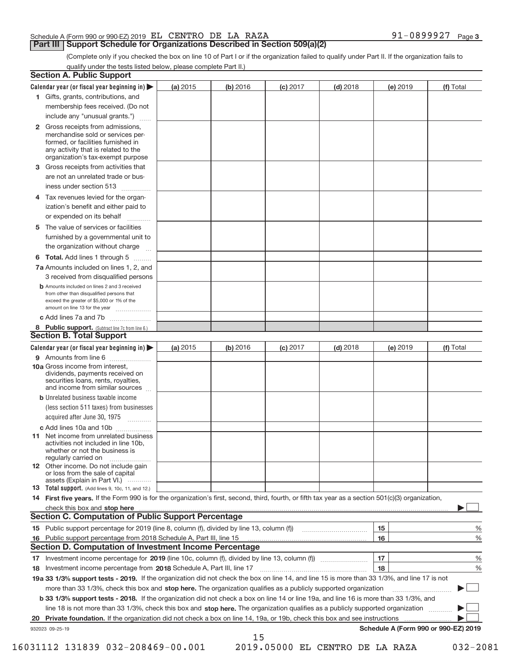| Schedule A (Form 990 or 990-EZ) 2019 $\,$ EL $\,$ CENTRO $\,$ DE $\,$ LA $\,$ $\,$ |  |  | RAZA |  | $-0899927$ | Page 3 |
|------------------------------------------------------------------------------------|--|--|------|--|------------|--------|
|                                                                                    |  |  |      |  |            |        |

(Complete only if you checked the box on line 10 of Part I or if the organization failed to qualify under Part II. If the organization fails to qualify under the tests listed below, please complete Part II.)

|    | <b>Section A. Public Support</b>                                                                                                                                                                                                          |          |          |            |            |          |                                      |
|----|-------------------------------------------------------------------------------------------------------------------------------------------------------------------------------------------------------------------------------------------|----------|----------|------------|------------|----------|--------------------------------------|
|    | Calendar year (or fiscal year beginning in) $\blacktriangleright$                                                                                                                                                                         | (a) 2015 | (b) 2016 | $(c)$ 2017 | $(d)$ 2018 | (e) 2019 | (f) Total                            |
|    | 1 Gifts, grants, contributions, and                                                                                                                                                                                                       |          |          |            |            |          |                                      |
|    | membership fees received. (Do not                                                                                                                                                                                                         |          |          |            |            |          |                                      |
|    | include any "unusual grants.")                                                                                                                                                                                                            |          |          |            |            |          |                                      |
|    | 2 Gross receipts from admissions,<br>merchandise sold or services per-<br>formed, or facilities furnished in<br>any activity that is related to the<br>organization's tax-exempt purpose                                                  |          |          |            |            |          |                                      |
| 3. | Gross receipts from activities that                                                                                                                                                                                                       |          |          |            |            |          |                                      |
|    | are not an unrelated trade or bus-                                                                                                                                                                                                        |          |          |            |            |          |                                      |
|    | iness under section 513<br>.                                                                                                                                                                                                              |          |          |            |            |          |                                      |
|    | 4 Tax revenues levied for the organ-                                                                                                                                                                                                      |          |          |            |            |          |                                      |
|    | ization's benefit and either paid to<br>or expended on its behalf                                                                                                                                                                         |          |          |            |            |          |                                      |
| 5. | The value of services or facilities                                                                                                                                                                                                       |          |          |            |            |          |                                      |
|    | furnished by a governmental unit to                                                                                                                                                                                                       |          |          |            |            |          |                                      |
|    | the organization without charge                                                                                                                                                                                                           |          |          |            |            |          |                                      |
|    | <b>6 Total.</b> Add lines 1 through 5                                                                                                                                                                                                     |          |          |            |            |          |                                      |
|    | 7a Amounts included on lines 1, 2, and                                                                                                                                                                                                    |          |          |            |            |          |                                      |
|    | 3 received from disqualified persons                                                                                                                                                                                                      |          |          |            |            |          |                                      |
|    | <b>b</b> Amounts included on lines 2 and 3 received<br>from other than disqualified persons that<br>exceed the greater of \$5,000 or 1% of the<br>amount on line 13 for the year                                                          |          |          |            |            |          |                                      |
|    | c Add lines 7a and 7b                                                                                                                                                                                                                     |          |          |            |            |          |                                      |
|    | 8 Public support. (Subtract line 7c from line 6.)                                                                                                                                                                                         |          |          |            |            |          |                                      |
|    | <b>Section B. Total Support</b>                                                                                                                                                                                                           |          |          |            |            |          |                                      |
|    | Calendar year (or fiscal year beginning in)                                                                                                                                                                                               | (a) 2015 | (b) 2016 | $(c)$ 2017 | $(d)$ 2018 | (e) 2019 | (f) Total                            |
|    | 9 Amounts from line 6                                                                                                                                                                                                                     |          |          |            |            |          |                                      |
|    | <b>10a</b> Gross income from interest,<br>dividends, payments received on<br>securities loans, rents, royalties,<br>and income from similar sources                                                                                       |          |          |            |            |          |                                      |
|    | <b>b</b> Unrelated business taxable income                                                                                                                                                                                                |          |          |            |            |          |                                      |
|    | (less section 511 taxes) from businesses                                                                                                                                                                                                  |          |          |            |            |          |                                      |
|    | acquired after June 30, 1975                                                                                                                                                                                                              |          |          |            |            |          |                                      |
|    | c Add lines 10a and 10b                                                                                                                                                                                                                   |          |          |            |            |          |                                      |
|    | <b>11</b> Net income from unrelated business<br>activities not included in line 10b,<br>whether or not the business is<br>regularly carried on                                                                                            |          |          |            |            |          |                                      |
|    | <b>12</b> Other income. Do not include gain<br>or loss from the sale of capital<br>assets (Explain in Part VI.)                                                                                                                           |          |          |            |            |          |                                      |
|    | <b>13</b> Total support. (Add lines 9, 10c, 11, and 12.)                                                                                                                                                                                  |          |          |            |            |          |                                      |
|    | 14 First five years. If the Form 990 is for the organization's first, second, third, fourth, or fifth tax year as a section 501(c)(3) organization,                                                                                       |          |          |            |            |          |                                      |
|    | check this box and stop here <i>manufacture in the content of the state of the state in the state state</i> and stop here <i>manufacture in the state of the state state in the state state in the state state in the state state in </i> |          |          |            |            |          |                                      |
|    | <b>Section C. Computation of Public Support Percentage</b>                                                                                                                                                                                |          |          |            |            |          |                                      |
|    |                                                                                                                                                                                                                                           |          |          |            |            | 15       | %                                    |
| 16 | Public support percentage from 2018 Schedule A, Part III, line 15                                                                                                                                                                         |          |          |            |            | 16       | %                                    |
|    | <b>Section D. Computation of Investment Income Percentage</b>                                                                                                                                                                             |          |          |            |            |          |                                      |
|    |                                                                                                                                                                                                                                           |          |          |            |            | 17       | %                                    |
|    | 18 Investment income percentage from 2018 Schedule A, Part III, line 17                                                                                                                                                                   |          |          |            |            | 18       | %                                    |
|    | 19a 33 1/3% support tests - 2019. If the organization did not check the box on line 14, and line 15 is more than 33 1/3%, and line 17 is not                                                                                              |          |          |            |            |          |                                      |
|    |                                                                                                                                                                                                                                           |          |          |            |            |          |                                      |
|    | more than 33 1/3%, check this box and stop here. The organization qualifies as a publicly supported organization                                                                                                                          |          |          |            |            |          |                                      |
|    | b 33 1/3% support tests - 2018. If the organization did not check a box on line 14 or line 19a, and line 16 is more than 33 1/3%, and                                                                                                     |          |          |            |            |          |                                      |
|    | line 18 is not more than 33 1/3%, check this box and stop here. The organization qualifies as a publicly supported organization                                                                                                           |          |          |            |            |          |                                      |
| 20 | Private foundation. If the organization did not check a box on line 14, 19a, or 19b, check this box and see instructions                                                                                                                  |          |          |            |            |          |                                      |
|    | 932023 09-25-19                                                                                                                                                                                                                           |          | 15       |            |            |          | Schedule A (Form 990 or 990-EZ) 2019 |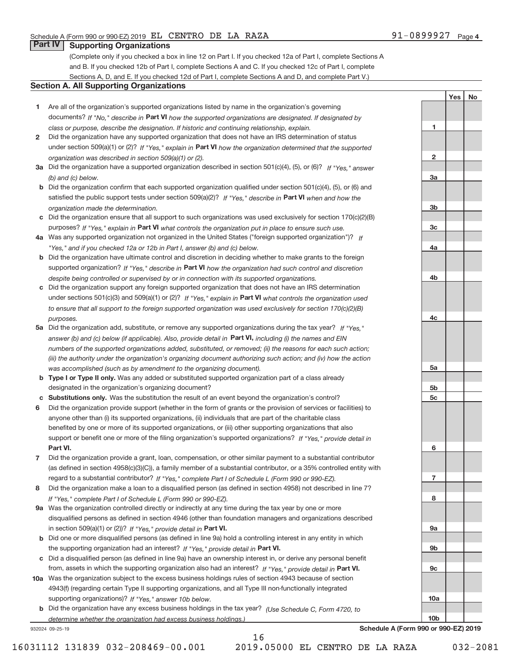**1**

**2**

**3a**

**3b**

**3c**

**4a**

**4b**

**4c**

**5a**

**5b 5c**

**6**

**7**

**8**

**9a**

**9b**

**9c**

**10a**

**10b**

**Schedule A (Form 990 or 990‐EZ) 2019**

Yes | No

#### **Part IV Supporting Organizations**

(Complete only if you checked a box in line 12 on Part I. If you checked 12a of Part I, complete Sections A and B. If you checked 12b of Part I, complete Sections A and C. If you checked 12c of Part I, complete Sections A, D, and E. If you checked 12d of Part I, complete Sections A and D, and complete Part V.)

#### **Section A. All Supporting Organizations**

- **1** Are all of the organization's supported organizations listed by name in the organization's governing documents? If "No," describe in Part VI how the supported organizations are designated. If designated by *class or purpose, describe the designation. If historic and continuing relationship, explain.*
- **2** Did the organization have any supported organization that does not have an IRS determination of status under section 509(a)(1) or (2)? If "Yes," explain in Part VI how the organization determined that the supported *organization was described in section 509(a)(1) or (2).*
- **3a** Did the organization have a supported organization described in section 501(c)(4), (5), or (6)? If "Yes," answer *(b) and (c) below.*
- **b** Did the organization confirm that each supported organization qualified under section 501(c)(4), (5), or (6) and satisfied the public support tests under section 509(a)(2)? If "Yes," describe in Part VI when and how the *organization made the determination.*
- **c** Did the organization ensure that all support to such organizations was used exclusively for section 170(c)(2)(B) purposes? If "Yes," explain in Part VI what controls the organization put in place to ensure such use.
- **4 a** *If* Was any supported organization not organized in the United States ("foreign supported organization")? *"Yes," and if you checked 12a or 12b in Part I, answer (b) and (c) below.*
- **b** Did the organization have ultimate control and discretion in deciding whether to make grants to the foreign supported organization? If "Yes," describe in Part VI how the organization had such control and discretion *despite being controlled or supervised by or in connection with its supported organizations.*
- **c** Did the organization support any foreign supported organization that does not have an IRS determination under sections 501(c)(3) and 509(a)(1) or (2)? If "Yes," explain in Part VI what controls the organization used *to ensure that all support to the foreign supported organization was used exclusively for section 170(c)(2)(B) purposes.*
- **5a** Did the organization add, substitute, or remove any supported organizations during the tax year? If "Yes," answer (b) and (c) below (if applicable). Also, provide detail in **Part VI,** including (i) the names and EIN *numbers of the supported organizations added, substituted, or removed; (ii) the reasons for each such action; (iii) the authority under the organization's organizing document authorizing such action; and (iv) how the action was accomplished (such as by amendment to the organizing document).*
- **b** Type I or Type II only. Was any added or substituted supported organization part of a class already designated in the organization's organizing document?
- **c Substitutions only.**  Was the substitution the result of an event beyond the organization's control?
- **6** Did the organization provide support (whether in the form of grants or the provision of services or facilities) to **Part VI.** *If "Yes," provide detail in* support or benefit one or more of the filing organization's supported organizations? anyone other than (i) its supported organizations, (ii) individuals that are part of the charitable class benefited by one or more of its supported organizations, or (iii) other supporting organizations that also
- **7** Did the organization provide a grant, loan, compensation, or other similar payment to a substantial contributor regard to a substantial contributor? If "Yes," complete Part I of Schedule L (Form 990 or 990-EZ). (as defined in section 4958(c)(3)(C)), a family member of a substantial contributor, or a 35% controlled entity with
- **8** Did the organization make a loan to a disqualified person (as defined in section 4958) not described in line 7? *If "Yes," complete Part I of Schedule L (Form 990 or 990-EZ).*
- **9 a** Was the organization controlled directly or indirectly at any time during the tax year by one or more in section 509(a)(1) or (2))? If "Yes," provide detail in Part VI. disqualified persons as defined in section 4946 (other than foundation managers and organizations described
- **b** the supporting organization had an interest? If "Yes," provide detail in Part VI. Did one or more disqualified persons (as defined in line 9a) hold a controlling interest in any entity in which
- **c** Did a disqualified person (as defined in line 9a) have an ownership interest in, or derive any personal benefit from, assets in which the supporting organization also had an interest? If "Yes," provide detail in Part VI.
- **10 a** Was the organization subject to the excess business holdings rules of section 4943 because of section supporting organizations)? If "Yes," answer 10b below. 4943(f) (regarding certain Type II supporting organizations, and all Type III non-functionally integrated
	- **b** Did the organization have any excess business holdings in the tax year? (Use Schedule C, Form 4720, to *determine whether the organization had excess business holdings.)*

932024 09‐25‐19

16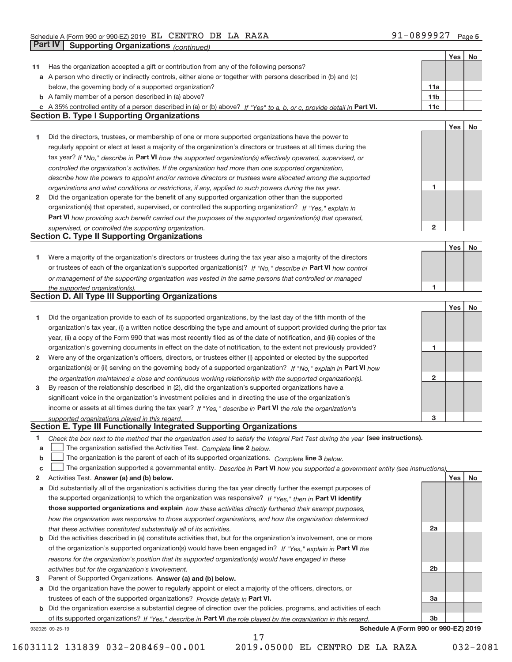|    | Part IV<br><b>Supporting Organizations (continued)</b>                                                                                                                       |                 |     |    |
|----|------------------------------------------------------------------------------------------------------------------------------------------------------------------------------|-----------------|-----|----|
|    |                                                                                                                                                                              |                 | Yes | No |
| 11 | Has the organization accepted a gift or contribution from any of the following persons?                                                                                      |                 |     |    |
|    | a A person who directly or indirectly controls, either alone or together with persons described in (b) and (c)                                                               |                 |     |    |
|    | below, the governing body of a supported organization?                                                                                                                       | 11a             |     |    |
|    | <b>b</b> A family member of a person described in (a) above?                                                                                                                 | 11 <sub>b</sub> |     |    |
|    |                                                                                                                                                                              |                 |     |    |
|    | c A 35% controlled entity of a person described in (a) or (b) above? If "Yes" to a, b, or c, provide detail in Part VI.<br><b>Section B. Type I Supporting Organizations</b> | 11c             |     |    |
|    |                                                                                                                                                                              |                 |     |    |
|    |                                                                                                                                                                              |                 | Yes | No |
| 1  | Did the directors, trustees, or membership of one or more supported organizations have the power to                                                                          |                 |     |    |
|    | regularly appoint or elect at least a majority of the organization's directors or trustees at all times during the                                                           |                 |     |    |
|    | tax year? If "No," describe in Part VI how the supported organization(s) effectively operated, supervised, or                                                                |                 |     |    |
|    | controlled the organization's activities. If the organization had more than one supported organization,                                                                      |                 |     |    |
|    | describe how the powers to appoint and/or remove directors or trustees were allocated among the supported                                                                    |                 |     |    |
|    | organizations and what conditions or restrictions, if any, applied to such powers during the tax year.                                                                       | 1               |     |    |
| 2  | Did the organization operate for the benefit of any supported organization other than the supported                                                                          |                 |     |    |
|    | organization(s) that operated, supervised, or controlled the supporting organization? If "Yes," explain in                                                                   |                 |     |    |
|    | Part VI how providing such benefit carried out the purposes of the supported organization(s) that operated,                                                                  |                 |     |    |
|    | supervised, or controlled the supporting organization.                                                                                                                       | $\mathbf{2}$    |     |    |
|    | <b>Section C. Type II Supporting Organizations</b>                                                                                                                           |                 |     |    |
|    |                                                                                                                                                                              |                 | Yes | No |
| 1. | Were a majority of the organization's directors or trustees during the tax year also a majority of the directors                                                             |                 |     |    |
|    | or trustees of each of the organization's supported organization(s)? If "No," describe in Part VI how control                                                                |                 |     |    |
|    | or management of the supporting organization was vested in the same persons that controlled or managed                                                                       |                 |     |    |
|    |                                                                                                                                                                              | 1               |     |    |
|    | the supported organization(s).<br><b>Section D. All Type III Supporting Organizations</b>                                                                                    |                 |     |    |
|    |                                                                                                                                                                              |                 |     |    |
|    |                                                                                                                                                                              |                 | Yes | No |
| 1  | Did the organization provide to each of its supported organizations, by the last day of the fifth month of the                                                               |                 |     |    |
|    | organization's tax year, (i) a written notice describing the type and amount of support provided during the prior tax                                                        |                 |     |    |
|    | year, (ii) a copy of the Form 990 that was most recently filed as of the date of notification, and (iii) copies of the                                                       |                 |     |    |
|    | organization's governing documents in effect on the date of notification, to the extent not previously provided?                                                             | 1               |     |    |
| 2  | Were any of the organization's officers, directors, or trustees either (i) appointed or elected by the supported                                                             |                 |     |    |
|    | organization(s) or (ii) serving on the governing body of a supported organization? If "No," explain in Part VI how                                                           |                 |     |    |
|    | the organization maintained a close and continuous working relationship with the supported organization(s).                                                                  | $\overline{2}$  |     |    |
| 3  | By reason of the relationship described in (2), did the organization's supported organizations have a                                                                        |                 |     |    |
|    | significant voice in the organization's investment policies and in directing the use of the organization's                                                                   |                 |     |    |
|    | income or assets at all times during the tax year? If "Yes," describe in Part VI the role the organization's                                                                 |                 |     |    |
|    | supported organizations played in this regard.                                                                                                                               | з               |     |    |
|    | Section E. Type III Functionally Integrated Supporting Organizations                                                                                                         |                 |     |    |
| 1. | Check the box next to the method that the organization used to satisfy the Integral Part Test during the year (see instructions).                                            |                 |     |    |
| a  | The organization satisfied the Activities Test. Complete line 2 below.                                                                                                       |                 |     |    |
| b  | The organization is the parent of each of its supported organizations. Complete line 3 below.                                                                                |                 |     |    |
| C  | The organization supported a governmental entity. Describe in Part VI how you supported a government entity (see instructions).                                              |                 |     |    |
| 2  | Activities Test. Answer (a) and (b) below.                                                                                                                                   |                 | Yes | No |
| а  | Did substantially all of the organization's activities during the tax year directly further the exempt purposes of                                                           |                 |     |    |
|    | the supported organization(s) to which the organization was responsive? If "Yes," then in Part VI identify                                                                   |                 |     |    |
|    | those supported organizations and explain how these activities directly furthered their exempt purposes,                                                                     |                 |     |    |
|    |                                                                                                                                                                              |                 |     |    |
|    | how the organization was responsive to those supported organizations, and how the organization determined                                                                    |                 |     |    |
|    | that these activities constituted substantially all of its activities.                                                                                                       | 2a              |     |    |
| b  | Did the activities described in (a) constitute activities that, but for the organization's involvement, one or more                                                          |                 |     |    |
|    | of the organization's supported organization(s) would have been engaged in? If "Yes," explain in Part VI the                                                                 |                 |     |    |
|    | reasons for the organization's position that its supported organization(s) would have engaged in these                                                                       |                 |     |    |
|    | activities but for the organization's involvement.                                                                                                                           | 2b              |     |    |
| з  | Parent of Supported Organizations. Answer (a) and (b) below.                                                                                                                 |                 |     |    |
| а  | Did the organization have the power to regularly appoint or elect a majority of the officers, directors, or                                                                  |                 |     |    |
|    | trustees of each of the supported organizations? Provide details in Part VI.                                                                                                 | Зa              |     |    |
|    | <b>b</b> Did the organization exercise a substantial degree of direction over the policies, programs, and activities of each                                                 |                 |     |    |
|    | of its supported organizations? If "Yes." describe in Part VI the role played by the organization in this regard.                                                            | 3b              |     |    |
|    | Schedule A (Form 990 or 990-EZ) 2019<br>932025 09-25-19                                                                                                                      |                 |     |    |

<sup>17</sup>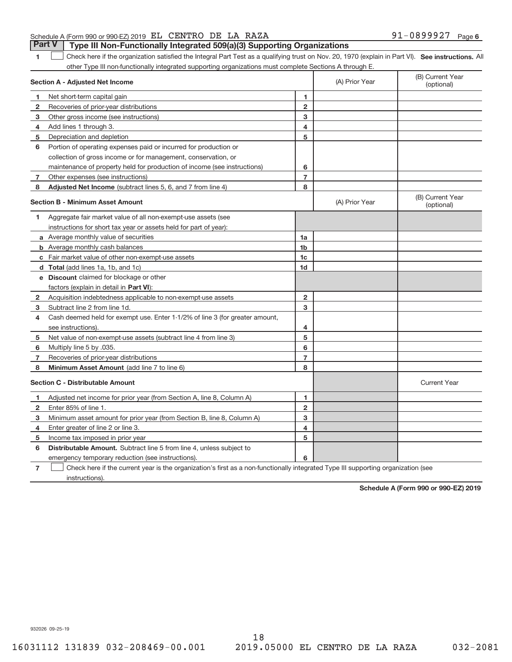#### Schedule A (Form 990 or 990‐EZ) 2019 Page EL CENTRO DE LA RAZA 91‐0899927 **Part V** Type III Non-Functionally Integrated 509(a)(3) Supporting Organizations

1 **1** Check here if the organization satisfied the Integral Part Test as a qualifying trust on Nov. 20, 1970 (explain in Part VI). See instructions. All other Type III non‐functionally integrated supporting organizations must complete Sections A through E.

|              | <b>Section A - Adjusted Net Income</b>                                       |                | (A) Prior Year | (B) Current Year<br>(optional) |
|--------------|------------------------------------------------------------------------------|----------------|----------------|--------------------------------|
| 1            | Net short-term capital gain                                                  | 1              |                |                                |
| $\mathbf{2}$ | Recoveries of prior-year distributions                                       | $\mathbf{2}$   |                |                                |
| 3            | Other gross income (see instructions)                                        | 3              |                |                                |
| 4            | Add lines 1 through 3.                                                       | 4              |                |                                |
| 5            | Depreciation and depletion                                                   | 5              |                |                                |
| 6            | Portion of operating expenses paid or incurred for production or             |                |                |                                |
|              | collection of gross income or for management, conservation, or               |                |                |                                |
|              | maintenance of property held for production of income (see instructions)     | 6              |                |                                |
| 7            | Other expenses (see instructions)                                            | $\overline{7}$ |                |                                |
| 8            | Adjusted Net Income (subtract lines 5, 6, and 7 from line 4)                 | 8              |                |                                |
|              | <b>Section B - Minimum Asset Amount</b>                                      |                | (A) Prior Year | (B) Current Year<br>(optional) |
| 1            | Aggregate fair market value of all non-exempt-use assets (see                |                |                |                                |
|              | instructions for short tax year or assets held for part of year):            |                |                |                                |
|              | a Average monthly value of securities                                        | 1a             |                |                                |
|              | <b>b</b> Average monthly cash balances                                       | 1 <sub>b</sub> |                |                                |
|              | c Fair market value of other non-exempt-use assets                           | 1 <sub>c</sub> |                |                                |
|              | <b>d</b> Total (add lines 1a, 1b, and 1c)                                    | 1 <sub>d</sub> |                |                                |
|              | <b>e</b> Discount claimed for blockage or other                              |                |                |                                |
|              | factors (explain in detail in Part VI):                                      |                |                |                                |
| 2            | Acquisition indebtedness applicable to non-exempt-use assets                 | $\mathbf{2}$   |                |                                |
| з            | Subtract line 2 from line 1d.                                                | 3              |                |                                |
| 4            | Cash deemed held for exempt use. Enter 1-1/2% of line 3 (for greater amount, |                |                |                                |
|              | see instructions).                                                           | 4              |                |                                |
| 5            | Net value of non-exempt-use assets (subtract line 4 from line 3)             | 5              |                |                                |
| 6            | Multiply line 5 by .035.                                                     | 6              |                |                                |
| 7            | Recoveries of prior-year distributions                                       | $\overline{7}$ |                |                                |
| 8            | <b>Minimum Asset Amount</b> (add line 7 to line 6)                           | 8              |                |                                |
|              | <b>Section C - Distributable Amount</b>                                      |                |                | <b>Current Year</b>            |
| 1            | Adjusted net income for prior year (from Section A, line 8, Column A)        | 1              |                |                                |
| $\mathbf{2}$ | Enter 85% of line 1.                                                         | $\overline{2}$ |                |                                |
| 3            | Minimum asset amount for prior year (from Section B, line 8, Column A)       | 3              |                |                                |
| 4            | Enter greater of line 2 or line 3.                                           | 4              |                |                                |
| 5            | Income tax imposed in prior year                                             | 5              |                |                                |
| 6            | <b>Distributable Amount.</b> Subtract line 5 from line 4, unless subject to  |                |                |                                |
|              | emergency temporary reduction (see instructions).                            | 6              |                |                                |
|              | $\sim$ $\sim$ $\sim$ $\sim$                                                  |                |                |                                |

**7** Check here if the current year is the organization's first as a non-functionally integrated Type III supporting organization (see instructions).

**Schedule A (Form 990 or 990‐EZ) 2019**

932026 09‐25‐19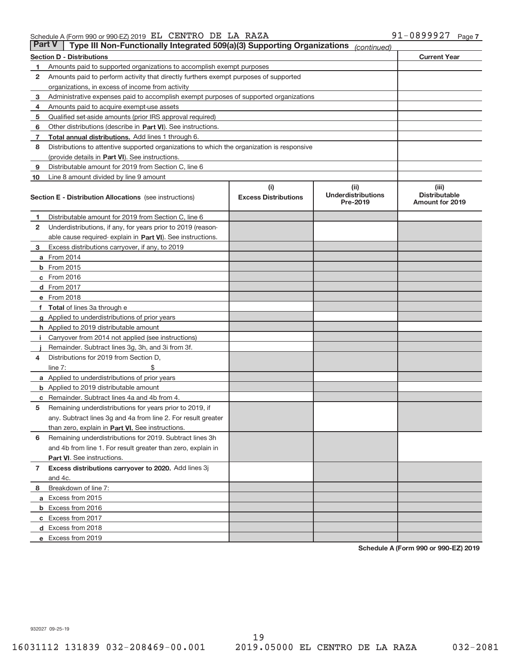|              | <b>Part V</b><br>Type III Non-Functionally Integrated 509(a)(3) Supporting Organizations<br>(continued) |                                    |                                                      |                                                         |  |  |  |  |  |  |
|--------------|---------------------------------------------------------------------------------------------------------|------------------------------------|------------------------------------------------------|---------------------------------------------------------|--|--|--|--|--|--|
|              | <b>Section D - Distributions</b>                                                                        |                                    |                                                      | <b>Current Year</b>                                     |  |  |  |  |  |  |
| 1            | Amounts paid to supported organizations to accomplish exempt purposes                                   |                                    |                                                      |                                                         |  |  |  |  |  |  |
| 2            | Amounts paid to perform activity that directly furthers exempt purposes of supported                    |                                    |                                                      |                                                         |  |  |  |  |  |  |
|              | organizations, in excess of income from activity                                                        |                                    |                                                      |                                                         |  |  |  |  |  |  |
| 3            | Administrative expenses paid to accomplish exempt purposes of supported organizations                   |                                    |                                                      |                                                         |  |  |  |  |  |  |
| 4            | Amounts paid to acquire exempt-use assets                                                               |                                    |                                                      |                                                         |  |  |  |  |  |  |
| 5            | Qualified set-aside amounts (prior IRS approval required)                                               |                                    |                                                      |                                                         |  |  |  |  |  |  |
| 6            | Other distributions (describe in Part VI). See instructions.                                            |                                    |                                                      |                                                         |  |  |  |  |  |  |
| 7            | Total annual distributions. Add lines 1 through 6.                                                      |                                    |                                                      |                                                         |  |  |  |  |  |  |
| 8            | Distributions to attentive supported organizations to which the organization is responsive              |                                    |                                                      |                                                         |  |  |  |  |  |  |
|              | (provide details in Part VI). See instructions.                                                         |                                    |                                                      |                                                         |  |  |  |  |  |  |
| 9            | Distributable amount for 2019 from Section C, line 6                                                    |                                    |                                                      |                                                         |  |  |  |  |  |  |
| 10           | Line 8 amount divided by line 9 amount                                                                  |                                    |                                                      |                                                         |  |  |  |  |  |  |
|              | <b>Section E - Distribution Allocations</b> (see instructions)                                          | (i)<br><b>Excess Distributions</b> | (ii)<br><b>Underdistributions</b><br><b>Pre-2019</b> | (iii)<br><b>Distributable</b><br><b>Amount for 2019</b> |  |  |  |  |  |  |
| 1.           | Distributable amount for 2019 from Section C, line 6                                                    |                                    |                                                      |                                                         |  |  |  |  |  |  |
| $\mathbf{2}$ | Underdistributions, if any, for years prior to 2019 (reason-                                            |                                    |                                                      |                                                         |  |  |  |  |  |  |
|              | able cause required-explain in Part VI). See instructions.                                              |                                    |                                                      |                                                         |  |  |  |  |  |  |
| 3            | Excess distributions carryover, if any, to 2019                                                         |                                    |                                                      |                                                         |  |  |  |  |  |  |
|              | <b>a</b> From 2014                                                                                      |                                    |                                                      |                                                         |  |  |  |  |  |  |
|              | <b>b</b> From 2015                                                                                      |                                    |                                                      |                                                         |  |  |  |  |  |  |
|              | $c$ From 2016                                                                                           |                                    |                                                      |                                                         |  |  |  |  |  |  |
|              | d From 2017                                                                                             |                                    |                                                      |                                                         |  |  |  |  |  |  |
|              | e From 2018                                                                                             |                                    |                                                      |                                                         |  |  |  |  |  |  |
|              | f Total of lines 3a through e                                                                           |                                    |                                                      |                                                         |  |  |  |  |  |  |
|              | g Applied to underdistributions of prior years                                                          |                                    |                                                      |                                                         |  |  |  |  |  |  |
|              | <b>h</b> Applied to 2019 distributable amount                                                           |                                    |                                                      |                                                         |  |  |  |  |  |  |
| j.           | Carryover from 2014 not applied (see instructions)                                                      |                                    |                                                      |                                                         |  |  |  |  |  |  |
|              | Remainder. Subtract lines 3g, 3h, and 3i from 3f.                                                       |                                    |                                                      |                                                         |  |  |  |  |  |  |
| 4            | Distributions for 2019 from Section D,                                                                  |                                    |                                                      |                                                         |  |  |  |  |  |  |
|              | line $7:$                                                                                               |                                    |                                                      |                                                         |  |  |  |  |  |  |
|              | a Applied to underdistributions of prior years                                                          |                                    |                                                      |                                                         |  |  |  |  |  |  |
|              | <b>b</b> Applied to 2019 distributable amount                                                           |                                    |                                                      |                                                         |  |  |  |  |  |  |
|              | <b>c</b> Remainder. Subtract lines 4a and 4b from 4.                                                    |                                    |                                                      |                                                         |  |  |  |  |  |  |
| 5            | Remaining underdistributions for years prior to 2019, if                                                |                                    |                                                      |                                                         |  |  |  |  |  |  |
|              | any. Subtract lines 3g and 4a from line 2. For result greater                                           |                                    |                                                      |                                                         |  |  |  |  |  |  |
|              | than zero, explain in Part VI. See instructions.                                                        |                                    |                                                      |                                                         |  |  |  |  |  |  |
| 6            | Remaining underdistributions for 2019. Subtract lines 3h                                                |                                    |                                                      |                                                         |  |  |  |  |  |  |
|              | and 4b from line 1. For result greater than zero, explain in                                            |                                    |                                                      |                                                         |  |  |  |  |  |  |
|              | Part VI. See instructions.                                                                              |                                    |                                                      |                                                         |  |  |  |  |  |  |
| $\mathbf{7}$ | Excess distributions carryover to 2020. Add lines 3j<br>and 4c.                                         |                                    |                                                      |                                                         |  |  |  |  |  |  |
| 8            | Breakdown of line 7:                                                                                    |                                    |                                                      |                                                         |  |  |  |  |  |  |
|              | a Excess from 2015                                                                                      |                                    |                                                      |                                                         |  |  |  |  |  |  |
|              | <b>b</b> Excess from 2016                                                                               |                                    |                                                      |                                                         |  |  |  |  |  |  |
|              | c Excess from 2017                                                                                      |                                    |                                                      |                                                         |  |  |  |  |  |  |
|              | d Excess from 2018                                                                                      |                                    |                                                      |                                                         |  |  |  |  |  |  |
|              | e Excess from 2019                                                                                      |                                    |                                                      |                                                         |  |  |  |  |  |  |
|              |                                                                                                         |                                    |                                                      |                                                         |  |  |  |  |  |  |

**Schedule A (Form 990 or 990‐EZ) 2019**

932027 09‐25‐19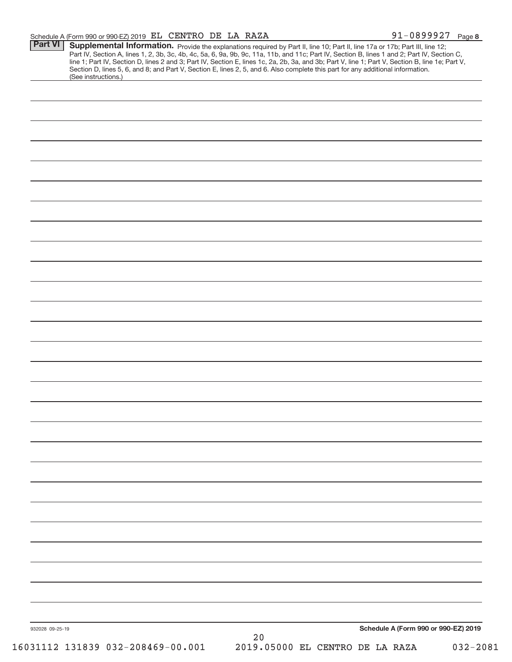|                 | (See instructions.) | line 1; Part IV, Section D, lines 2 and 3; Part IV, Section E, lines 1c, 2a, 2b, 3a, and 3b; Part V, line 1; Part V, Section B, line 1e; Part V,<br>Section D, lines 5, 6, and 8; and Part V, Section E, lines 2, 5, and 6. Also complete this part for any additional information. |  |  |  |                                      |
|-----------------|---------------------|-------------------------------------------------------------------------------------------------------------------------------------------------------------------------------------------------------------------------------------------------------------------------------------|--|--|--|--------------------------------------|
|                 |                     |                                                                                                                                                                                                                                                                                     |  |  |  |                                      |
|                 |                     |                                                                                                                                                                                                                                                                                     |  |  |  |                                      |
|                 |                     |                                                                                                                                                                                                                                                                                     |  |  |  |                                      |
|                 |                     |                                                                                                                                                                                                                                                                                     |  |  |  |                                      |
|                 |                     |                                                                                                                                                                                                                                                                                     |  |  |  |                                      |
|                 |                     |                                                                                                                                                                                                                                                                                     |  |  |  |                                      |
|                 |                     |                                                                                                                                                                                                                                                                                     |  |  |  |                                      |
|                 |                     |                                                                                                                                                                                                                                                                                     |  |  |  |                                      |
|                 |                     |                                                                                                                                                                                                                                                                                     |  |  |  |                                      |
|                 |                     |                                                                                                                                                                                                                                                                                     |  |  |  |                                      |
|                 |                     |                                                                                                                                                                                                                                                                                     |  |  |  |                                      |
|                 |                     |                                                                                                                                                                                                                                                                                     |  |  |  |                                      |
|                 |                     |                                                                                                                                                                                                                                                                                     |  |  |  |                                      |
|                 |                     |                                                                                                                                                                                                                                                                                     |  |  |  |                                      |
|                 |                     |                                                                                                                                                                                                                                                                                     |  |  |  |                                      |
|                 |                     |                                                                                                                                                                                                                                                                                     |  |  |  |                                      |
|                 |                     |                                                                                                                                                                                                                                                                                     |  |  |  |                                      |
|                 |                     |                                                                                                                                                                                                                                                                                     |  |  |  |                                      |
|                 |                     |                                                                                                                                                                                                                                                                                     |  |  |  |                                      |
|                 |                     |                                                                                                                                                                                                                                                                                     |  |  |  |                                      |
|                 |                     |                                                                                                                                                                                                                                                                                     |  |  |  |                                      |
|                 |                     |                                                                                                                                                                                                                                                                                     |  |  |  |                                      |
|                 |                     |                                                                                                                                                                                                                                                                                     |  |  |  |                                      |
|                 |                     |                                                                                                                                                                                                                                                                                     |  |  |  |                                      |
|                 |                     |                                                                                                                                                                                                                                                                                     |  |  |  |                                      |
|                 |                     |                                                                                                                                                                                                                                                                                     |  |  |  |                                      |
|                 |                     |                                                                                                                                                                                                                                                                                     |  |  |  |                                      |
|                 |                     |                                                                                                                                                                                                                                                                                     |  |  |  |                                      |
|                 |                     |                                                                                                                                                                                                                                                                                     |  |  |  |                                      |
|                 |                     |                                                                                                                                                                                                                                                                                     |  |  |  |                                      |
|                 |                     |                                                                                                                                                                                                                                                                                     |  |  |  |                                      |
|                 |                     |                                                                                                                                                                                                                                                                                     |  |  |  |                                      |
|                 |                     |                                                                                                                                                                                                                                                                                     |  |  |  |                                      |
|                 |                     |                                                                                                                                                                                                                                                                                     |  |  |  |                                      |
|                 |                     |                                                                                                                                                                                                                                                                                     |  |  |  |                                      |
|                 |                     |                                                                                                                                                                                                                                                                                     |  |  |  |                                      |
|                 |                     |                                                                                                                                                                                                                                                                                     |  |  |  |                                      |
|                 |                     |                                                                                                                                                                                                                                                                                     |  |  |  |                                      |
|                 |                     |                                                                                                                                                                                                                                                                                     |  |  |  |                                      |
|                 |                     |                                                                                                                                                                                                                                                                                     |  |  |  |                                      |
|                 |                     |                                                                                                                                                                                                                                                                                     |  |  |  |                                      |
|                 |                     |                                                                                                                                                                                                                                                                                     |  |  |  |                                      |
| 932028 09-25-19 |                     |                                                                                                                                                                                                                                                                                     |  |  |  | Schedule A (Form 990 or 990-EZ) 2019 |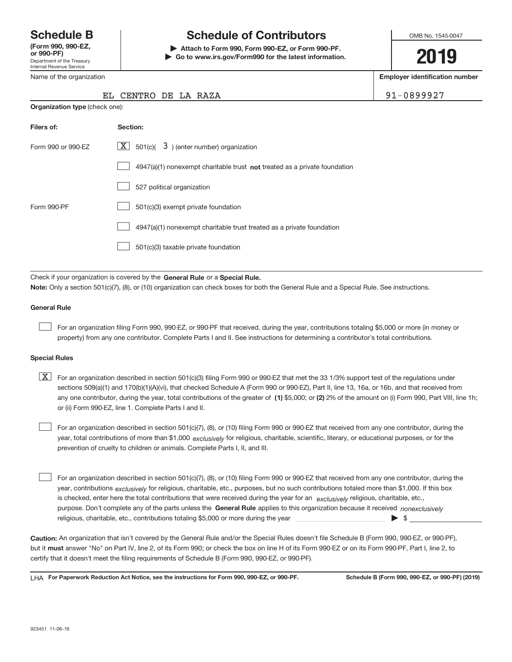Department of the Treasury Internal Revenue Service **(Form 990, 990‐EZ,**

Name of the organization

**Organization type** (check one):

# **Schedule B Schedule of Contributors**

**or 990‐PF) | Attach to Form 990, Form 990‐EZ, or Form 990‐PF. | Go to www.irs.gov/Form990 for the latest information.** OMB No. 1545-0047

# **2019**

**Employer identification number**

91-0899927

|  | EL CENTRO DE LA RAZA |  |  |  |  |
|--|----------------------|--|--|--|--|
|--|----------------------|--|--|--|--|

| Filers of:         | Section:                                                                    |
|--------------------|-----------------------------------------------------------------------------|
| Form 990 or 990-FZ | $X$ 501(c)( 3) (enter number) organization                                  |
|                    | $4947(a)(1)$ nonexempt charitable trust not treated as a private foundation |
|                    | 527 political organization                                                  |
| Form 990-PF        | 501(c)(3) exempt private foundation                                         |
|                    | 4947(a)(1) nonexempt charitable trust treated as a private foundation       |
|                    | 501(c)(3) taxable private foundation                                        |

Check if your organization is covered by the General Rule or a Special Rule. **Note:**  Only a section 501(c)(7), (8), or (10) organization can check boxes for both the General Rule and a Special Rule. See instructions.

#### **General Rule**

 $\begin{array}{c} \hline \end{array}$ 

For an organization filing Form 990, 990‐EZ, or 990‐PF that received, during the year, contributions totaling \$5,000 or more (in money or property) from any one contributor. Complete Parts I and II. See instructions for determining a contributor's total contributions.

#### **Special Rules**

any one contributor, during the year, total contributions of the greater of  $\,$  (1) \$5,000; or (2) 2% of the amount on (i) Form 990, Part VIII, line 1h;  $\boxed{\text{X}}$  For an organization described in section 501(c)(3) filing Form 990 or 990-EZ that met the 33 1/3% support test of the regulations under sections 509(a)(1) and 170(b)(1)(A)(vi), that checked Schedule A (Form 990 or 990‐EZ), Part II, line 13, 16a, or 16b, and that received from or (ii) Form 990‐EZ, line 1. Complete Parts I and II.

year, total contributions of more than \$1,000 *exclusively* for religious, charitable, scientific, literary, or educational purposes, or for the For an organization described in section 501(c)(7), (8), or (10) filing Form 990 or 990‐EZ that received from any one contributor, during the prevention of cruelty to children or animals. Complete Parts I, II, and III.  $\begin{array}{c} \hline \end{array}$ 

purpose. Don't complete any of the parts unless the General Rule applies to this organization because it received nonexclusively year, contributions <sub>exclusively</sub> for religious, charitable, etc., purposes, but no such contributions totaled more than \$1,000. If this box is checked, enter here the total contributions that were received during the year for an *exclusively* religious, charitable, etc., For an organization described in section 501(c)(7), (8), or (10) filing Form 990 or 990‐EZ that received from any one contributor, during the religious, charitable, etc., contributions totaling \$5,000 or more during the year  $\Box$ — $\Box$   $\Box$  $\begin{array}{c} \hline \end{array}$ 

**Caution:**  An organization that isn't covered by the General Rule and/or the Special Rules doesn't file Schedule B (Form 990, 990‐EZ, or 990‐PF),  **must** but it answer "No" on Part IV, line 2, of its Form 990; or check the box on line H of its Form 990‐EZ or on its Form 990‐PF, Part I, line 2, to certify that it doesn't meet the filing requirements of Schedule B (Form 990, 990‐EZ, or 990‐PF).

**For Paperwork Reduction Act Notice, see the instructions for Form 990, 990-EZ, or 990-PF. Schedule B (Form 990, 990-EZ, or 990-PF) (2019)** LHA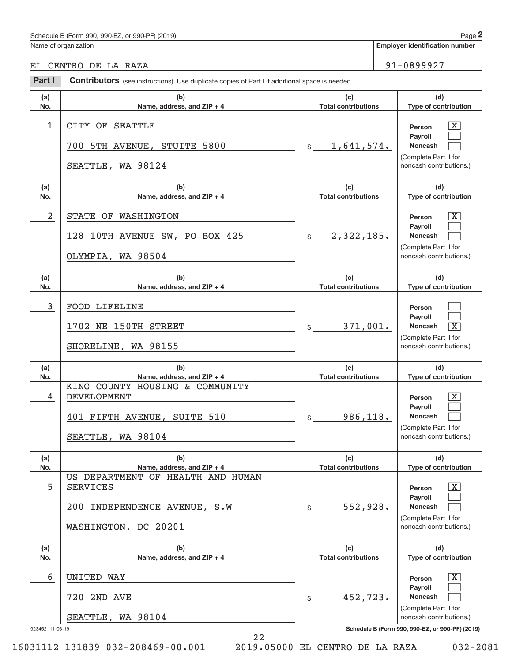#### Schedule B (Form 990, 990-EZ, or 990-PF) (2019)

**(b) Name, address, and ZIP + 4**

**Part I** Contributors (see instructions). Use duplicate copies of Part I if additional space is needed.

Name of organization

**(a) No.**

#### EL CENTRO DE LA RAZA | 91–0899927

| 1              | CITY OF SEATTLE                                       |                                   | х.<br>Person                                          |
|----------------|-------------------------------------------------------|-----------------------------------|-------------------------------------------------------|
|                | 700 5TH AVENUE, STUITE 5800                           | 1,641,574.<br>$\frac{1}{2}$       | Payroll<br>Noncash                                    |
|                | SEATTLE, WA 98124                                     |                                   | (Complete Part II for<br>noncash contributions.)      |
| (a)<br>No.     | (b)<br>Name, address, and ZIP + 4                     | (c)<br><b>Total contributions</b> | (d)<br>Type of contribution                           |
| $\overline{a}$ | STATE OF WASHINGTON                                   |                                   | x<br>Person                                           |
|                | 128 10TH AVENUE SW, PO BOX 425                        | 2,322,185.<br>$\mathbb{S}$        | Payroll<br>Noncash                                    |
|                | OLYMPIA, WA 98504                                     |                                   | (Complete Part II for<br>noncash contributions.)      |
| (a)            | (b)                                                   | (c)                               | (d)                                                   |
| No.            | Name, address, and ZIP + 4                            | <b>Total contributions</b>        | Type of contribution                                  |
| 3              | FOOD LIFELINE<br>1702 NE 150TH STREET                 |                                   | Person<br>Payroll<br>$\overline{\text{X}}$<br>Noncash |
|                | SHORELINE, WA 98155                                   | 371,001.<br>$\mathfrak{S}$        | (Complete Part II for<br>noncash contributions.)      |
| (a)<br>No.     | (b)<br>Name, address, and ZIP + 4                     | (c)<br><b>Total contributions</b> | (d)<br>Type of contribution                           |
| 4              | KING COUNTY HOUSING & COMMUNITY<br><b>DEVELOPMENT</b> |                                   | x.<br>Person                                          |
|                | 401 FIFTH AVENUE, SUITE 510                           | 986,118.<br>$\mathfrak{S}$        | Payroll<br>Noncash                                    |
|                | SEATTLE, WA 98104                                     |                                   | (Complete Part II for<br>noncash contributions.)      |
| (a)<br>No.     | (b)<br>Name, address, and ZIP + 4                     | (c)<br><b>Total contributions</b> | (d)<br><b>Type of contribution</b>                    |
| 5              | US DEPARTMENT OF HEALTH AND HUMAN<br><b>SERVICES</b>  |                                   | $\boxed{\text{X}}$<br>Person                          |
|                | INDEPENDENCE AVENUE, S.W<br>200                       | 552,928.<br>\$                    | Payroll<br>Noncash                                    |
|                | WASHINGTON, DC 20201                                  |                                   | (Complete Part II for<br>noncash contributions.)      |
| (a)<br>No.     | (b)<br>Name, address, and ZIP + 4                     | (c)<br><b>Total contributions</b> | (d)<br>Type of contribution                           |
| 6              | UNITED WAY                                            |                                   | х<br>Person                                           |
|                | 2ND AVE<br>720                                        | 452,723.<br>\$                    | Payroll<br>Noncash                                    |
|                | SEATTLE, WA 98104                                     |                                   | (Complete Part II for<br>noncash contributions.)      |

**Employer identification number**

**(d) Type of contribution**

**(c) Total contributions**

923452 11‐06‐19 **Schedule B (Form 990, 990-EZ, or 990-PF) (2019)**

16031112 131839 032‐208469‐00.001 2019.05000 EL CENTRO DE LA RAZA 032‐2081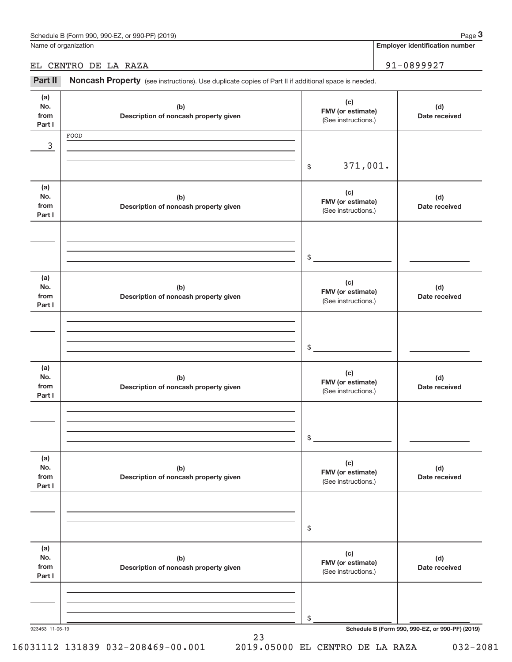**3**

**Employer identification number**

#### EL CENTRO DE LA RAZA 91–0899927

Part II Noncash Property (see instructions). Use duplicate copies of Part II if additional space is needed.

| (a)<br>No.<br>from<br>Part I | (b)<br>Description of noncash property given | (c)<br>FMV (or estimate)<br>(See instructions.) | (d)<br>Date received                            |
|------------------------------|----------------------------------------------|-------------------------------------------------|-------------------------------------------------|
|                              | FOOD                                         |                                                 |                                                 |
| 3                            |                                              |                                                 |                                                 |
|                              |                                              |                                                 |                                                 |
|                              |                                              | 371,001.<br>$$\circ$$                           |                                                 |
|                              |                                              |                                                 |                                                 |
| (a)                          |                                              |                                                 |                                                 |
| No.                          | (b)                                          | (c)                                             | (d)                                             |
| from                         | Description of noncash property given        | FMV (or estimate)                               | Date received                                   |
| Part I                       |                                              | (See instructions.)                             |                                                 |
|                              |                                              |                                                 |                                                 |
|                              |                                              |                                                 |                                                 |
|                              |                                              |                                                 |                                                 |
|                              |                                              | \$                                              |                                                 |
|                              |                                              |                                                 |                                                 |
| (a)                          |                                              |                                                 |                                                 |
| No.                          | (b)                                          | (c)                                             | (d)                                             |
| from                         | Description of noncash property given        | FMV (or estimate)                               | Date received                                   |
| Part I                       |                                              | (See instructions.)                             |                                                 |
|                              |                                              |                                                 |                                                 |
|                              |                                              |                                                 |                                                 |
|                              |                                              |                                                 |                                                 |
|                              |                                              | \$                                              |                                                 |
|                              |                                              |                                                 |                                                 |
| (a)                          |                                              |                                                 |                                                 |
| No.                          | (b)                                          | (c)                                             | (d)                                             |
| from                         | Description of noncash property given        | FMV (or estimate)                               | Date received                                   |
| Part I                       |                                              | (See instructions.)                             |                                                 |
|                              |                                              |                                                 |                                                 |
|                              |                                              |                                                 |                                                 |
|                              |                                              |                                                 |                                                 |
|                              |                                              | \$                                              |                                                 |
|                              |                                              |                                                 |                                                 |
| (a)                          |                                              |                                                 |                                                 |
| No.                          | (b)                                          | (c)                                             | (d)                                             |
| from                         | Description of noncash property given        | FMV (or estimate)<br>(See instructions.)        | Date received                                   |
| Part I                       |                                              |                                                 |                                                 |
|                              |                                              |                                                 |                                                 |
|                              |                                              |                                                 |                                                 |
|                              |                                              |                                                 |                                                 |
|                              |                                              | \$                                              |                                                 |
|                              |                                              |                                                 |                                                 |
| (a)                          |                                              |                                                 |                                                 |
| No.                          | (b)                                          | (c)<br>FMV (or estimate)                        | (d)                                             |
| from                         | Description of noncash property given        | (See instructions.)                             | Date received                                   |
| Part I                       |                                              |                                                 |                                                 |
|                              |                                              |                                                 |                                                 |
|                              |                                              |                                                 |                                                 |
|                              |                                              |                                                 |                                                 |
|                              |                                              | \$                                              |                                                 |
| 923453 11-06-19              |                                              |                                                 | Schedule B (Form 990, 990-EZ, or 990-PF) (2019) |

16031112 131839 032‐208469‐00.001 2019.05000 EL CENTRO DE LA RAZA 032‐2081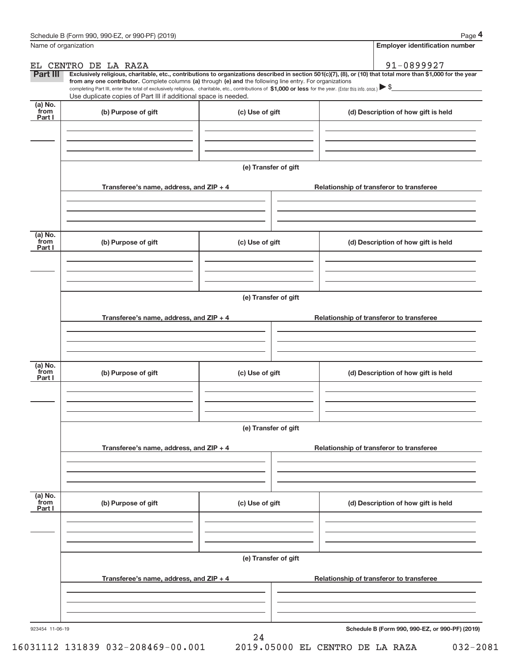|                           | Name of organization                                                                                                                                                          |                      | <b>Employer identification number</b>                                                                                                                                                                                                                                                                                                               |
|---------------------------|-------------------------------------------------------------------------------------------------------------------------------------------------------------------------------|----------------------|-----------------------------------------------------------------------------------------------------------------------------------------------------------------------------------------------------------------------------------------------------------------------------------------------------------------------------------------------------|
|                           | EL CENTRO DE LA RAZA                                                                                                                                                          |                      | 91-0899927                                                                                                                                                                                                                                                                                                                                          |
| <b>Part III</b>           | from any one contributor. Complete columns (a) through (e) and the following line entry. For organizations<br>Use duplicate copies of Part III if additional space is needed. |                      | Exclusively religious, charitable, etc., contributions to organizations described in section 501(c)(7), (8), or (10) that total more than \$1,000 for the year<br>completing Part III, enter the total of exclusively religious, charitable, etc., contributions of \$1,000 or less for the year. (Enter this info. once.) $\blacktriangleright$ \$ |
| (a) No.<br>from<br>Part I | (b) Purpose of gift                                                                                                                                                           | (c) Use of gift      | (d) Description of how gift is held                                                                                                                                                                                                                                                                                                                 |
|                           |                                                                                                                                                                               |                      |                                                                                                                                                                                                                                                                                                                                                     |
|                           |                                                                                                                                                                               | (e) Transfer of gift |                                                                                                                                                                                                                                                                                                                                                     |
|                           | Transferee's name, address, and ZIP + 4                                                                                                                                       |                      | Relationship of transferor to transferee                                                                                                                                                                                                                                                                                                            |
|                           |                                                                                                                                                                               |                      |                                                                                                                                                                                                                                                                                                                                                     |
| (a) No.<br>from<br>Part I | (b) Purpose of gift                                                                                                                                                           | (c) Use of gift      | (d) Description of how gift is held                                                                                                                                                                                                                                                                                                                 |
|                           |                                                                                                                                                                               |                      |                                                                                                                                                                                                                                                                                                                                                     |
|                           |                                                                                                                                                                               | (e) Transfer of gift |                                                                                                                                                                                                                                                                                                                                                     |
|                           | Transferee's name, address, and ZIP + 4                                                                                                                                       |                      | Relationship of transferor to transferee                                                                                                                                                                                                                                                                                                            |
|                           |                                                                                                                                                                               |                      |                                                                                                                                                                                                                                                                                                                                                     |
| (a) No.<br>from<br>Part I | (b) Purpose of gift                                                                                                                                                           | (c) Use of gift      | (d) Description of how gift is held                                                                                                                                                                                                                                                                                                                 |
|                           |                                                                                                                                                                               |                      |                                                                                                                                                                                                                                                                                                                                                     |
|                           |                                                                                                                                                                               | (e) Transfer of gift |                                                                                                                                                                                                                                                                                                                                                     |
|                           | Transferee's name, address, and ZIP + 4                                                                                                                                       |                      | Relationship of transferor to transferee                                                                                                                                                                                                                                                                                                            |
|                           |                                                                                                                                                                               |                      |                                                                                                                                                                                                                                                                                                                                                     |
| (a) No.<br>from<br>Part I | (b) Purpose of gift                                                                                                                                                           | (c) Use of gift      | (d) Description of how gift is held                                                                                                                                                                                                                                                                                                                 |
|                           |                                                                                                                                                                               |                      |                                                                                                                                                                                                                                                                                                                                                     |
|                           |                                                                                                                                                                               | (e) Transfer of gift |                                                                                                                                                                                                                                                                                                                                                     |
|                           | Transferee's name, address, and ZIP + 4                                                                                                                                       |                      | Relationship of transferor to transferee                                                                                                                                                                                                                                                                                                            |
|                           |                                                                                                                                                                               |                      |                                                                                                                                                                                                                                                                                                                                                     |
| 923454 11-06-19           |                                                                                                                                                                               |                      | Schedule B (Form 990, 990-EZ, or 990-PF) (2019)                                                                                                                                                                                                                                                                                                     |

16031112 131839 032‐208469‐00.001 2019.05000 EL CENTRO DE LA RAZA 032‐2081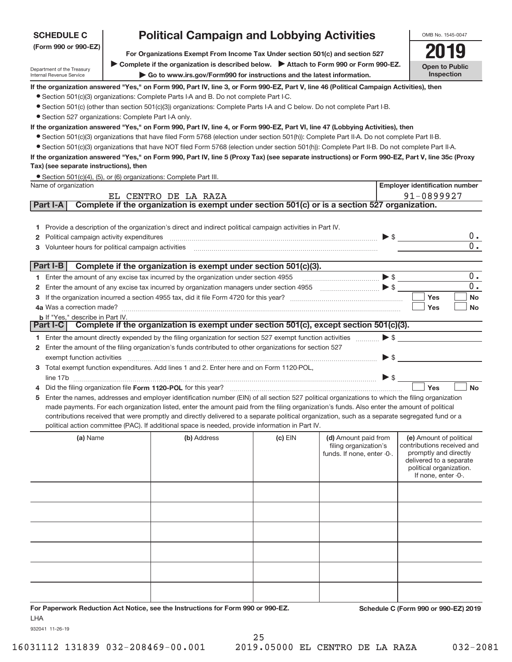| <b>SCHEDULE C</b>                                                                                                                                                                                                           |                                                                               | <b>Political Campaign and Lobbying Activities</b>                                                                                                                                                                                                                                                   |           |                            |                          | OMB No. 1545-0047                                |  |  |  |
|-----------------------------------------------------------------------------------------------------------------------------------------------------------------------------------------------------------------------------|-------------------------------------------------------------------------------|-----------------------------------------------------------------------------------------------------------------------------------------------------------------------------------------------------------------------------------------------------------------------------------------------------|-----------|----------------------------|--------------------------|--------------------------------------------------|--|--|--|
| (Form 990 or 990-EZ)                                                                                                                                                                                                        | For Organizations Exempt From Income Tax Under section 501(c) and section 527 | IJ                                                                                                                                                                                                                                                                                                  |           |                            |                          |                                                  |  |  |  |
|                                                                                                                                                                                                                             |                                                                               | <b>Open to Public</b>                                                                                                                                                                                                                                                                               |           |                            |                          |                                                  |  |  |  |
| ▶ Complete if the organization is described below. ▶ Attach to Form 990 or Form 990-EZ.<br>Department of the Treasury<br>Go to www.irs.gov/Form990 for instructions and the latest information.<br>Internal Revenue Service |                                                                               |                                                                                                                                                                                                                                                                                                     |           |                            |                          |                                                  |  |  |  |
|                                                                                                                                                                                                                             |                                                                               | If the organization answered "Yes," on Form 990, Part IV, line 3, or Form 990-EZ, Part V, line 46 (Political Campaign Activities), then                                                                                                                                                             |           |                            |                          |                                                  |  |  |  |
|                                                                                                                                                                                                                             |                                                                               | • Section 501(c)(3) organizations: Complete Parts I-A and B. Do not complete Part I-C.                                                                                                                                                                                                              |           |                            |                          |                                                  |  |  |  |
|                                                                                                                                                                                                                             |                                                                               | • Section 501(c) (other than section 501(c)(3)) organizations: Complete Parts I-A and C below. Do not complete Part I-B.                                                                                                                                                                            |           |                            |                          |                                                  |  |  |  |
| • Section 527 organizations: Complete Part I-A only.                                                                                                                                                                        |                                                                               |                                                                                                                                                                                                                                                                                                     |           |                            |                          |                                                  |  |  |  |
|                                                                                                                                                                                                                             |                                                                               | If the organization answered "Yes," on Form 990, Part IV, line 4, or Form 990-EZ, Part VI, line 47 (Lobbying Activities), then                                                                                                                                                                      |           |                            |                          |                                                  |  |  |  |
|                                                                                                                                                                                                                             |                                                                               | • Section 501(c)(3) organizations that have filed Form 5768 (election under section 501(h)): Complete Part II-A. Do not complete Part II-B.                                                                                                                                                         |           |                            |                          |                                                  |  |  |  |
|                                                                                                                                                                                                                             |                                                                               | • Section 501(c)(3) organizations that have NOT filed Form 5768 (election under section 501(h)): Complete Part II-B. Do not complete Part II-A.<br>If the organization answered "Yes," on Form 990, Part IV, line 5 (Proxy Tax) (see separate instructions) or Form 990-EZ, Part V, line 35c (Proxy |           |                            |                          |                                                  |  |  |  |
| Tax) (see separate instructions), then                                                                                                                                                                                      |                                                                               |                                                                                                                                                                                                                                                                                                     |           |                            |                          |                                                  |  |  |  |
|                                                                                                                                                                                                                             |                                                                               | • Section 501(c)(4), (5), or (6) organizations: Complete Part III.                                                                                                                                                                                                                                  |           |                            |                          |                                                  |  |  |  |
| Name of organization                                                                                                                                                                                                        |                                                                               |                                                                                                                                                                                                                                                                                                     |           |                            |                          | <b>Employer identification number</b>            |  |  |  |
|                                                                                                                                                                                                                             |                                                                               | EL CENTRO DE LA RAZA                                                                                                                                                                                                                                                                                |           |                            |                          | 91-0899927                                       |  |  |  |
| Part I-A                                                                                                                                                                                                                    |                                                                               | Complete if the organization is exempt under section 501(c) or is a section 527 organization.                                                                                                                                                                                                       |           |                            |                          |                                                  |  |  |  |
|                                                                                                                                                                                                                             |                                                                               |                                                                                                                                                                                                                                                                                                     |           |                            |                          |                                                  |  |  |  |
|                                                                                                                                                                                                                             |                                                                               | 1 Provide a description of the organization's direct and indirect political campaign activities in Part IV.                                                                                                                                                                                         |           |                            |                          |                                                  |  |  |  |
| Political campaign activity expenditures<br>2                                                                                                                                                                               |                                                                               |                                                                                                                                                                                                                                                                                                     |           |                            |                          | 0.<br>$\blacktriangleright$ \$                   |  |  |  |
| Volunteer hours for political campaign activities<br>3.                                                                                                                                                                     |                                                                               |                                                                                                                                                                                                                                                                                                     |           |                            |                          | $\overline{0}$ .                                 |  |  |  |
|                                                                                                                                                                                                                             |                                                                               |                                                                                                                                                                                                                                                                                                     |           |                            |                          |                                                  |  |  |  |
| Part I-B                                                                                                                                                                                                                    |                                                                               | Complete if the organization is exempt under section 501(c)(3).                                                                                                                                                                                                                                     |           |                            |                          |                                                  |  |  |  |
|                                                                                                                                                                                                                             |                                                                               | 1 Enter the amount of any excise tax incurred by the organization under section 4955                                                                                                                                                                                                                |           |                            | $\blacktriangleright$ \$ | 0.                                               |  |  |  |
| $\mathbf{2}$                                                                                                                                                                                                                |                                                                               | Enter the amount of any excise tax incurred by organization managers under section 4955 [11, 11, 11, 11, 11, 11, 11, 12, 13] [12]                                                                                                                                                                   |           |                            |                          | $\overline{0}$ .                                 |  |  |  |
| 3.                                                                                                                                                                                                                          |                                                                               |                                                                                                                                                                                                                                                                                                     |           |                            |                          | Yes<br><b>No</b>                                 |  |  |  |
|                                                                                                                                                                                                                             |                                                                               |                                                                                                                                                                                                                                                                                                     |           |                            |                          | Yes<br>No                                        |  |  |  |
| <b>b</b> If "Yes," describe in Part IV.<br>Part I-C                                                                                                                                                                         |                                                                               | Complete if the organization is exempt under section 501(c), except section 501(c)(3).                                                                                                                                                                                                              |           |                            |                          |                                                  |  |  |  |
|                                                                                                                                                                                                                             |                                                                               |                                                                                                                                                                                                                                                                                                     |           |                            |                          |                                                  |  |  |  |
|                                                                                                                                                                                                                             |                                                                               | 1 Enter the amount directly expended by the filing organization for section 527 exempt function activities                                                                                                                                                                                          |           |                            | $\blacktriangleright$ \$ |                                                  |  |  |  |
|                                                                                                                                                                                                                             |                                                                               | 2 Enter the amount of the filing organization's funds contributed to other organizations for section 527                                                                                                                                                                                            |           |                            |                          |                                                  |  |  |  |
| exempt function activities                                                                                                                                                                                                  |                                                                               | 3 Total exempt function expenditures. Add lines 1 and 2. Enter here and on Form 1120-POL,                                                                                                                                                                                                           |           |                            | $\blacktriangleright$ \$ |                                                  |  |  |  |
|                                                                                                                                                                                                                             |                                                                               |                                                                                                                                                                                                                                                                                                     |           |                            | $\triangleright$ \$      |                                                  |  |  |  |
|                                                                                                                                                                                                                             |                                                                               | Did the filing organization file Form 1120-POL for this year?                                                                                                                                                                                                                                       |           |                            |                          | Yes<br><b>No</b>                                 |  |  |  |
| 5.                                                                                                                                                                                                                          |                                                                               | Enter the names, addresses and employer identification number (EIN) of all section 527 political organizations to which the filing organization                                                                                                                                                     |           |                            |                          |                                                  |  |  |  |
|                                                                                                                                                                                                                             |                                                                               | made payments. For each organization listed, enter the amount paid from the filing organization's funds. Also enter the amount of political                                                                                                                                                         |           |                            |                          |                                                  |  |  |  |
|                                                                                                                                                                                                                             |                                                                               | contributions received that were promptly and directly delivered to a separate political organization, such as a separate segregated fund or a                                                                                                                                                      |           |                            |                          |                                                  |  |  |  |
|                                                                                                                                                                                                                             |                                                                               | political action committee (PAC). If additional space is needed, provide information in Part IV.                                                                                                                                                                                                    |           |                            |                          |                                                  |  |  |  |
| (a) Name                                                                                                                                                                                                                    |                                                                               | (b) Address                                                                                                                                                                                                                                                                                         | $(c)$ EIN | (d) Amount paid from       |                          | (e) Amount of political                          |  |  |  |
|                                                                                                                                                                                                                             |                                                                               |                                                                                                                                                                                                                                                                                                     |           | filing organization's      |                          | contributions received and                       |  |  |  |
|                                                                                                                                                                                                                             |                                                                               |                                                                                                                                                                                                                                                                                                     |           | funds. If none, enter -0-. |                          | promptly and directly<br>delivered to a separate |  |  |  |
|                                                                                                                                                                                                                             |                                                                               |                                                                                                                                                                                                                                                                                                     |           |                            |                          | political organization.                          |  |  |  |
|                                                                                                                                                                                                                             |                                                                               |                                                                                                                                                                                                                                                                                                     |           |                            |                          | If none, enter -0-.                              |  |  |  |
|                                                                                                                                                                                                                             |                                                                               |                                                                                                                                                                                                                                                                                                     |           |                            |                          |                                                  |  |  |  |
|                                                                                                                                                                                                                             |                                                                               |                                                                                                                                                                                                                                                                                                     |           |                            |                          |                                                  |  |  |  |
|                                                                                                                                                                                                                             |                                                                               |                                                                                                                                                                                                                                                                                                     |           |                            |                          |                                                  |  |  |  |
|                                                                                                                                                                                                                             |                                                                               |                                                                                                                                                                                                                                                                                                     |           |                            |                          |                                                  |  |  |  |
|                                                                                                                                                                                                                             |                                                                               |                                                                                                                                                                                                                                                                                                     |           |                            |                          |                                                  |  |  |  |
|                                                                                                                                                                                                                             |                                                                               |                                                                                                                                                                                                                                                                                                     |           |                            |                          |                                                  |  |  |  |
|                                                                                                                                                                                                                             |                                                                               |                                                                                                                                                                                                                                                                                                     |           |                            |                          |                                                  |  |  |  |
|                                                                                                                                                                                                                             |                                                                               |                                                                                                                                                                                                                                                                                                     |           |                            |                          |                                                  |  |  |  |
|                                                                                                                                                                                                                             |                                                                               |                                                                                                                                                                                                                                                                                                     |           |                            |                          |                                                  |  |  |  |
|                                                                                                                                                                                                                             |                                                                               |                                                                                                                                                                                                                                                                                                     |           |                            |                          |                                                  |  |  |  |
|                                                                                                                                                                                                                             |                                                                               |                                                                                                                                                                                                                                                                                                     |           |                            |                          |                                                  |  |  |  |
|                                                                                                                                                                                                                             |                                                                               |                                                                                                                                                                                                                                                                                                     |           |                            |                          |                                                  |  |  |  |

**For Paperwork Reduction Act Notice, see the Instructions for Form 990 or 990‐EZ. Schedule C (Form 990 or 990‐EZ) 2019** LHA

932041 11‐26‐19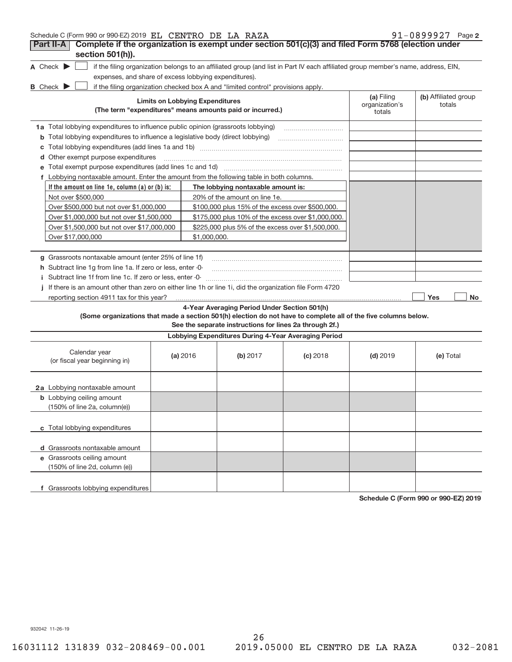| Schedule C (Form 990 or 990-EZ) 2019 EL CENTRO DE LA RAZA<br>Complete if the organization is exempt under section 501(c)(3) and filed Form 5768 (election under<br>Part II-A<br>section 501(h)). |                                                       |                                        |                                                                                  |            |                                        | 91-0899927 Page 2              |  |  |  |
|--------------------------------------------------------------------------------------------------------------------------------------------------------------------------------------------------|-------------------------------------------------------|----------------------------------------|----------------------------------------------------------------------------------|------------|----------------------------------------|--------------------------------|--|--|--|
| A Check $\blacktriangleright$<br>if the filing organization belongs to an affiliated group (and list in Part IV each affiliated group member's name, address, EIN,                               |                                                       |                                        |                                                                                  |            |                                        |                                |  |  |  |
|                                                                                                                                                                                                  | expenses, and share of excess lobbying expenditures). |                                        |                                                                                  |            |                                        |                                |  |  |  |
| <b>B</b> Check <b>D</b>                                                                                                                                                                          |                                                       |                                        | if the filing organization checked box A and "limited control" provisions apply. |            |                                        |                                |  |  |  |
|                                                                                                                                                                                                  |                                                       | <b>Limits on Lobbying Expenditures</b> | (The term "expenditures" means amounts paid or incurred.)                        |            | (a) Filing<br>organization's<br>totals | (b) Affiliated group<br>totals |  |  |  |
| 1a Total lobbying expenditures to influence public opinion (grassroots lobbying)                                                                                                                 |                                                       |                                        |                                                                                  |            |                                        |                                |  |  |  |
| <b>b</b> Total lobbying expenditures to influence a legislative body (direct lobbying)                                                                                                           |                                                       |                                        |                                                                                  |            |                                        |                                |  |  |  |
|                                                                                                                                                                                                  |                                                       |                                        |                                                                                  |            |                                        |                                |  |  |  |
| d Other exempt purpose expenditures                                                                                                                                                              |                                                       |                                        |                                                                                  |            |                                        |                                |  |  |  |
| e Total exempt purpose expenditures (add lines 1c and 1d)                                                                                                                                        |                                                       |                                        |                                                                                  |            |                                        |                                |  |  |  |
| f Lobbying nontaxable amount. Enter the amount from the following table in both columns.                                                                                                         |                                                       |                                        |                                                                                  |            |                                        |                                |  |  |  |
| If the amount on line 1e, column (a) or (b) is:                                                                                                                                                  |                                                       |                                        | The lobbying nontaxable amount is:                                               |            |                                        |                                |  |  |  |
| Not over \$500,000                                                                                                                                                                               |                                                       |                                        | 20% of the amount on line 1e.                                                    |            |                                        |                                |  |  |  |
| Over \$500,000 but not over \$1,000,000                                                                                                                                                          |                                                       |                                        | \$100,000 plus 15% of the excess over \$500,000.                                 |            |                                        |                                |  |  |  |
| Over \$1,000,000 but not over \$1,500,000                                                                                                                                                        |                                                       |                                        | \$175,000 plus 10% of the excess over \$1,000,000.                               |            |                                        |                                |  |  |  |
| Over \$1,500,000 but not over \$17,000,000                                                                                                                                                       |                                                       |                                        | \$225,000 plus 5% of the excess over \$1,500,000.                                |            |                                        |                                |  |  |  |
| Over \$17,000,000                                                                                                                                                                                |                                                       | \$1,000,000.                           |                                                                                  |            |                                        |                                |  |  |  |
|                                                                                                                                                                                                  |                                                       |                                        |                                                                                  |            |                                        |                                |  |  |  |
| g Grassroots nontaxable amount (enter 25% of line 1f)<br>h Subtract line 1g from line 1a. If zero or less, enter -0-<br>i Subtract line 1f from line 1c. If zero or less, enter -0-              |                                                       |                                        |                                                                                  |            |                                        |                                |  |  |  |
| j If there is an amount other than zero on either line 1h or line 1i, did the organization file Form 4720<br>reporting section 4911 tax for this year?                                           |                                                       |                                        |                                                                                  |            |                                        | Yes<br>No                      |  |  |  |
|                                                                                                                                                                                                  |                                                       |                                        | 4-Year Averaging Period Under Section 501(h)                                     |            |                                        |                                |  |  |  |
| (Some organizations that made a section 501(h) election do not have to complete all of the five columns below.                                                                                   |                                                       |                                        | See the separate instructions for lines 2a through 2f.)                          |            |                                        |                                |  |  |  |
|                                                                                                                                                                                                  |                                                       |                                        | Lobbying Expenditures During 4-Year Averaging Period                             |            |                                        |                                |  |  |  |
| Calendar year<br>(or fiscal year beginning in)                                                                                                                                                   |                                                       | (a) 2016                               | (b) 2017                                                                         | $(c)$ 2018 | $(d)$ 2019                             | (e) Total                      |  |  |  |
| 2a Lobbying nontaxable amount                                                                                                                                                                    |                                                       |                                        |                                                                                  |            |                                        |                                |  |  |  |
| <b>b</b> Lobbying ceiling amount<br>(150% of line 2a, column(e))                                                                                                                                 |                                                       |                                        |                                                                                  |            |                                        |                                |  |  |  |
| c Total lobbying expenditures                                                                                                                                                                    |                                                       |                                        |                                                                                  |            |                                        |                                |  |  |  |
| d Grassroots nontaxable amount                                                                                                                                                                   |                                                       |                                        |                                                                                  |            |                                        |                                |  |  |  |
| e Grassroots ceiling amount<br>(150% of line 2d, column (e))                                                                                                                                     |                                                       |                                        |                                                                                  |            |                                        |                                |  |  |  |
| f Grassroots lobbying expenditures                                                                                                                                                               |                                                       |                                        |                                                                                  |            |                                        |                                |  |  |  |

**Schedule C (Form 990 or 990‐EZ) 2019**

932042 11‐26‐19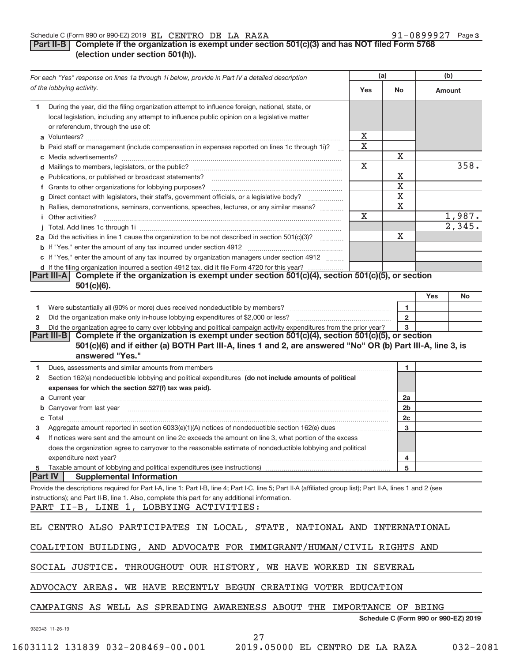#### Schedule C (Form 990 or 990‐EZ) 2019 Page EL CENTRO DE LA RAZA 91‐0899927

#### 91-0899927 Page 3

#### **Part II‐B Complete if the organization is exempt under section 501(c)(3) and has NOT filed Form 5768 (election under section 501(h)).**

| of the lobbying activity.<br><b>Yes</b><br>No<br>During the year, did the filing organization attempt to influence foreign, national, state, or<br>1.                                                                                            | Amount |        |  |  |  |
|--------------------------------------------------------------------------------------------------------------------------------------------------------------------------------------------------------------------------------------------------|--------|--------|--|--|--|
|                                                                                                                                                                                                                                                  |        |        |  |  |  |
| local legislation, including any attempt to influence public opinion on a legislative matter<br>or referendum, through the use of:                                                                                                               |        |        |  |  |  |
| х                                                                                                                                                                                                                                                |        |        |  |  |  |
| Χ<br>b Paid staff or management (include compensation in expenses reported on lines 1c through 1i)?                                                                                                                                              |        |        |  |  |  |
| х                                                                                                                                                                                                                                                |        |        |  |  |  |
| Χ                                                                                                                                                                                                                                                |        | 358.   |  |  |  |
| х<br>e Publications, or published or broadcast statements?                                                                                                                                                                                       |        |        |  |  |  |
| X<br>f Grants to other organizations for lobbying purposes?                                                                                                                                                                                      |        |        |  |  |  |
| X<br>g Direct contact with legislators, their staffs, government officials, or a legislative body?                                                                                                                                               |        |        |  |  |  |
| X<br>h Rallies, demonstrations, seminars, conventions, speeches, lectures, or any similar means?                                                                                                                                                 |        |        |  |  |  |
| Χ<br><i>i</i> Other activities?                                                                                                                                                                                                                  |        | 1,987. |  |  |  |
|                                                                                                                                                                                                                                                  |        | 2,345. |  |  |  |
| Х<br>2a Did the activities in line 1 cause the organization to be not described in section 501(c)(3)?                                                                                                                                            |        |        |  |  |  |
|                                                                                                                                                                                                                                                  |        |        |  |  |  |
| c If "Yes," enter the amount of any tax incurred by organization managers under section 4912                                                                                                                                                     |        |        |  |  |  |
| d If the filing organization incurred a section 4912 tax, did it file Form 4720 for this year?<br>Part III-A Complete if the organization is exempt under section 501(c)(4), section 501(c)(5), or section                                       |        |        |  |  |  |
| $501(c)(6)$ .                                                                                                                                                                                                                                    |        |        |  |  |  |
|                                                                                                                                                                                                                                                  | Yes    | No     |  |  |  |
| 1<br>1.                                                                                                                                                                                                                                          |        |        |  |  |  |
| $\mathbf{2}$<br>2                                                                                                                                                                                                                                |        |        |  |  |  |
| 3<br>Did the organization agree to carry over lobbying and political campaign activity expenditures from the prior year?<br>Part III-B Complete if the organization is exempt under section 501(c)(4), section 501(c)(5), or section             |        |        |  |  |  |
| 501(c)(6) and if either (a) BOTH Part III-A, lines 1 and 2, are answered "No" OR (b) Part III-A, line 3, is                                                                                                                                      |        |        |  |  |  |
| answered "Yes."                                                                                                                                                                                                                                  |        |        |  |  |  |
| Dues, assessments and similar amounts from members [11] matter content and streamly matter and similar amounts from members [11] matter and streamly matter and similar amounts from members [11] matter and streamly matter a<br>1<br>1         |        |        |  |  |  |
| Section 162(e) nondeductible lobbying and political expenditures (do not include amounts of political<br>2                                                                                                                                       |        |        |  |  |  |
| expenses for which the section 527(f) tax was paid).                                                                                                                                                                                             |        |        |  |  |  |
| 2a                                                                                                                                                                                                                                               |        |        |  |  |  |
| 2 <sub>b</sub><br>b Carryover from last year manufactured and continuum control of the control of the control of the control of the control of the control of the control of the control of the control of the control of the control of the con |        |        |  |  |  |
| 2 <sub>c</sub>                                                                                                                                                                                                                                   |        |        |  |  |  |
| Aggregate amount reported in section 6033(e)(1)(A) notices of nondeductible section 162(e) dues<br>3                                                                                                                                             |        |        |  |  |  |
| If notices were sent and the amount on line 2c exceeds the amount on line 3, what portion of the excess<br>4                                                                                                                                     |        |        |  |  |  |
| does the organization agree to carryover to the reasonable estimate of nondeductible lobbying and political                                                                                                                                      |        |        |  |  |  |
| expenditure next year?<br>4                                                                                                                                                                                                                      |        |        |  |  |  |
| 5 Taxable amount of lobbying and political expenditures (see instructions)<br>5                                                                                                                                                                  |        |        |  |  |  |
| <b>Part IV</b><br><b>Supplemental Information</b>                                                                                                                                                                                                |        |        |  |  |  |
| Provide the descriptions required for Part I-A, line 1; Part I-B, line 4; Part I-C, line 5; Part II-A (affiliated group list); Part II-A, lines 1 and 2 (see                                                                                     |        |        |  |  |  |
| instructions); and Part II-B, line 1. Also, complete this part for any additional information.                                                                                                                                                   |        |        |  |  |  |
| PART II-B, LINE 1, LOBBYING ACTIVITIES:                                                                                                                                                                                                          |        |        |  |  |  |
| EL CENTRO ALSO PARTICIPATES IN LOCAL, STATE, NATIONAL AND INTERNATIONAL                                                                                                                                                                          |        |        |  |  |  |
| COALITION BUILDING, AND ADVOCATE FOR IMMIGRANT/HUMAN/CIVIL RIGHTS AND                                                                                                                                                                            |        |        |  |  |  |
| SOCIAL JUSTICE. THROUGHOUT OUR HISTORY, WE HAVE WORKED IN SEVERAL                                                                                                                                                                                |        |        |  |  |  |
| ADVOCACY AREAS. WE HAVE RECENTLY BEGUN CREATING VOTER EDUCATION                                                                                                                                                                                  |        |        |  |  |  |
| CAMPAIGNS AS WELL AS SPREADING AWARENESS ABOUT THE IMPORTANCE OF BEING                                                                                                                                                                           |        |        |  |  |  |
| Schedule C (Form 990 or 990-EZ) 2019<br>932043 11-26-19<br>クワ                                                                                                                                                                                    |        |        |  |  |  |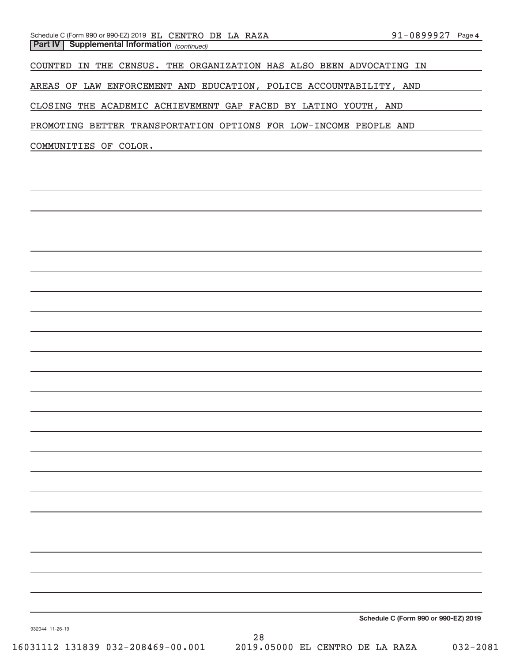COUNTED IN THE CENSUS. THE ORGANIZATION HAS ALSO BEEN ADVOCATING IN

AREAS OF LAW ENFORCEMENT AND EDUCATION, POLICE ACCOUNTABILITY, AND

CLOSING THE ACADEMIC ACHIEVEMENT GAP FACED BY LATINO YOUTH, AND

PROMOTING BETTER TRANSPORTATION OPTIONS FOR LOW‐INCOME PEOPLE AND

COMMUNITIES OF COLOR.

**Schedule C (Form 990 or 990‐EZ) 2019**

932044 11‐26‐19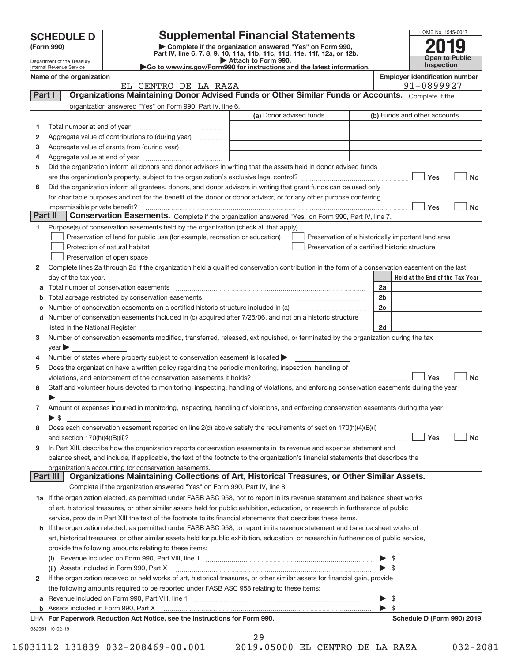|         | OMB No. 1545-0047                                                                                                                       |                                                                                                        |                                                                                                                                                |                     |                                 |  |  |  |
|---------|-----------------------------------------------------------------------------------------------------------------------------------------|--------------------------------------------------------------------------------------------------------|------------------------------------------------------------------------------------------------------------------------------------------------|---------------------|---------------------------------|--|--|--|
|         | <b>Supplemental Financial Statements</b><br><b>SCHEDULE D</b><br>Complete if the organization answered "Yes" on Form 990,<br>(Form 990) |                                                                                                        |                                                                                                                                                |                     |                                 |  |  |  |
|         |                                                                                                                                         | <b>Open to Public</b>                                                                                  |                                                                                                                                                |                     |                                 |  |  |  |
|         | Department of the Treasury<br>Internal Revenue Service                                                                                  | Attach to Form 990.<br>Go to www.irs.gov/Form990 for instructions and the latest information.          |                                                                                                                                                |                     |                                 |  |  |  |
|         | Name of the organization                                                                                                                | <b>Employer identification number</b>                                                                  |                                                                                                                                                |                     |                                 |  |  |  |
|         |                                                                                                                                         | EL CENTRO DE LA RAZA                                                                                   |                                                                                                                                                |                     | 91-0899927                      |  |  |  |
| Part I  |                                                                                                                                         |                                                                                                        | Organizations Maintaining Donor Advised Funds or Other Similar Funds or Accounts. Complete if the                                              |                     |                                 |  |  |  |
|         |                                                                                                                                         | organization answered "Yes" on Form 990, Part IV, line 6.                                              |                                                                                                                                                |                     |                                 |  |  |  |
|         |                                                                                                                                         |                                                                                                        | (a) Donor advised funds                                                                                                                        |                     | (b) Funds and other accounts    |  |  |  |
| 1       |                                                                                                                                         |                                                                                                        |                                                                                                                                                |                     |                                 |  |  |  |
| 2       |                                                                                                                                         | Aggregate value of contributions to (during year)                                                      |                                                                                                                                                |                     |                                 |  |  |  |
| 3       |                                                                                                                                         |                                                                                                        |                                                                                                                                                |                     |                                 |  |  |  |
| 4       |                                                                                                                                         |                                                                                                        |                                                                                                                                                |                     |                                 |  |  |  |
| 5       |                                                                                                                                         |                                                                                                        | Did the organization inform all donors and donor advisors in writing that the assets held in donor advised funds                               |                     |                                 |  |  |  |
|         |                                                                                                                                         |                                                                                                        |                                                                                                                                                |                     | Yes<br><b>No</b>                |  |  |  |
| 6       |                                                                                                                                         |                                                                                                        | Did the organization inform all grantees, donors, and donor advisors in writing that grant funds can be used only                              |                     |                                 |  |  |  |
|         |                                                                                                                                         |                                                                                                        | for charitable purposes and not for the benefit of the donor or donor advisor, or for any other purpose conferring                             |                     |                                 |  |  |  |
| Part II | impermissible private benefit?                                                                                                          |                                                                                                        |                                                                                                                                                |                     | Yes<br><b>No</b>                |  |  |  |
|         |                                                                                                                                         |                                                                                                        | Conservation Easements. Complete if the organization answered "Yes" on Form 990, Part IV, line 7.                                              |                     |                                 |  |  |  |
| 1       |                                                                                                                                         | Purpose(s) of conservation easements held by the organization (check all that apply).                  |                                                                                                                                                |                     |                                 |  |  |  |
|         |                                                                                                                                         | Preservation of land for public use (for example, recreation or education)                             | Preservation of a historically important land area                                                                                             |                     |                                 |  |  |  |
|         |                                                                                                                                         | Protection of natural habitat                                                                          | Preservation of a certified historic structure                                                                                                 |                     |                                 |  |  |  |
|         |                                                                                                                                         | Preservation of open space                                                                             |                                                                                                                                                |                     |                                 |  |  |  |
| 2       |                                                                                                                                         |                                                                                                        | Complete lines 2a through 2d if the organization held a qualified conservation contribution in the form of a conservation easement on the last |                     | Held at the End of the Tax Year |  |  |  |
|         | day of the tax year.                                                                                                                    |                                                                                                        |                                                                                                                                                | 2a                  |                                 |  |  |  |
| b       |                                                                                                                                         | Total acreage restricted by conservation easements                                                     |                                                                                                                                                | 2 <sub>b</sub>      |                                 |  |  |  |
|         |                                                                                                                                         |                                                                                                        |                                                                                                                                                | 2c                  |                                 |  |  |  |
|         |                                                                                                                                         |                                                                                                        | d Number of conservation easements included in (c) acquired after 7/25/06, and not on a historic structure                                     |                     |                                 |  |  |  |
|         |                                                                                                                                         |                                                                                                        |                                                                                                                                                | 2d                  |                                 |  |  |  |
| 3       |                                                                                                                                         |                                                                                                        | Number of conservation easements modified, transferred, released, extinguished, or terminated by the organization during the tax               |                     |                                 |  |  |  |
|         | year                                                                                                                                    |                                                                                                        |                                                                                                                                                |                     |                                 |  |  |  |
| 4       |                                                                                                                                         | Number of states where property subject to conservation easement is located                            |                                                                                                                                                |                     |                                 |  |  |  |
| 5       |                                                                                                                                         | Does the organization have a written policy regarding the periodic monitoring, inspection, handling of |                                                                                                                                                |                     |                                 |  |  |  |
|         |                                                                                                                                         | violations, and enforcement of the conservation easements it holds?                                    |                                                                                                                                                |                     | Yes<br><b>No</b>                |  |  |  |
| 6       |                                                                                                                                         |                                                                                                        | Staff and volunteer hours devoted to monitoring, inspecting, handling of violations, and enforcing conservation easements during the year      |                     |                                 |  |  |  |
|         |                                                                                                                                         |                                                                                                        |                                                                                                                                                |                     |                                 |  |  |  |
| 7       |                                                                                                                                         |                                                                                                        | Amount of expenses incurred in monitoring, inspecting, handling of violations, and enforcing conservation easements during the year            |                     |                                 |  |  |  |
|         | $\blacktriangleright$ \$                                                                                                                |                                                                                                        |                                                                                                                                                |                     |                                 |  |  |  |
| 8       |                                                                                                                                         |                                                                                                        | Does each conservation easement reported on line 2(d) above satisfy the requirements of section 170(h)(4)(B)(i)                                |                     |                                 |  |  |  |
|         |                                                                                                                                         |                                                                                                        |                                                                                                                                                |                     | Yes<br><b>No</b>                |  |  |  |
| 9       |                                                                                                                                         |                                                                                                        | In Part XIII, describe how the organization reports conservation easements in its revenue and expense statement and                            |                     |                                 |  |  |  |
|         |                                                                                                                                         |                                                                                                        | balance sheet, and include, if applicable, the text of the footnote to the organization's financial statements that describes the              |                     |                                 |  |  |  |
|         | Part III                                                                                                                                | organization's accounting for conservation easements.                                                  | Organizations Maintaining Collections of Art, Historical Treasures, or Other Similar Assets.                                                   |                     |                                 |  |  |  |
|         |                                                                                                                                         | Complete if the organization answered "Yes" on Form 990, Part IV, line 8.                              |                                                                                                                                                |                     |                                 |  |  |  |
|         |                                                                                                                                         |                                                                                                        | 1a If the organization elected, as permitted under FASB ASC 958, not to report in its revenue statement and balance sheet works                |                     |                                 |  |  |  |
|         |                                                                                                                                         |                                                                                                        | of art, historical treasures, or other similar assets held for public exhibition, education, or research in furtherance of public              |                     |                                 |  |  |  |
|         |                                                                                                                                         |                                                                                                        | service, provide in Part XIII the text of the footnote to its financial statements that describes these items.                                 |                     |                                 |  |  |  |
|         |                                                                                                                                         |                                                                                                        | b If the organization elected, as permitted under FASB ASC 958, to report in its revenue statement and balance sheet works of                  |                     |                                 |  |  |  |
|         |                                                                                                                                         |                                                                                                        | art, historical treasures, or other similar assets held for public exhibition, education, or research in furtherance of public service,        |                     |                                 |  |  |  |
|         |                                                                                                                                         | provide the following amounts relating to these items:                                                 |                                                                                                                                                |                     |                                 |  |  |  |
|         |                                                                                                                                         |                                                                                                        |                                                                                                                                                |                     | $\triangleright$ \$             |  |  |  |
|         |                                                                                                                                         | (ii) Assets included in Form 990, Part X                                                               |                                                                                                                                                |                     |                                 |  |  |  |
| 2       |                                                                                                                                         |                                                                                                        | If the organization received or held works of art, historical treasures, or other similar assets for financial gain, provide                   |                     |                                 |  |  |  |
|         |                                                                                                                                         | the following amounts required to be reported under FASB ASC 958 relating to these items:              |                                                                                                                                                |                     |                                 |  |  |  |
| а       |                                                                                                                                         |                                                                                                        | Revenue included on Form 990, Part VIII, line 1 [2000] [2000] [2000] [2000] [3000] [3000] [3000] [3000] [3000                                  |                     |                                 |  |  |  |
|         |                                                                                                                                         |                                                                                                        |                                                                                                                                                | $\triangleright$ \$ |                                 |  |  |  |
|         |                                                                                                                                         | LHA For Paperwork Reduction Act Notice, see the Instructions for Form 990.                             |                                                                                                                                                |                     | Schedule D (Form 990) 2019      |  |  |  |
|         | 932051 10-02-19                                                                                                                         |                                                                                                        |                                                                                                                                                |                     |                                 |  |  |  |

29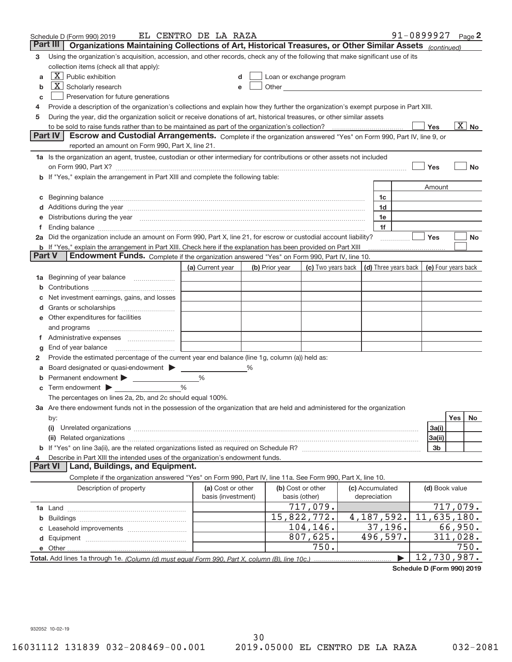|        | Schedule D (Form 990) 2019                                                                                                                                                                                                     | EL CENTRO DE LA RAZA                    |   |                |                                                                                                                                                                                                                                      |  |                                 |   | 91-0899927          |          | Page 2            |
|--------|--------------------------------------------------------------------------------------------------------------------------------------------------------------------------------------------------------------------------------|-----------------------------------------|---|----------------|--------------------------------------------------------------------------------------------------------------------------------------------------------------------------------------------------------------------------------------|--|---------------------------------|---|---------------------|----------|-------------------|
|        | Part III<br>Organizations Maintaining Collections of Art, Historical Treasures, or Other Similar Assets (continued)                                                                                                            |                                         |   |                |                                                                                                                                                                                                                                      |  |                                 |   |                     |          |                   |
| 3      | Using the organization's acquisition, accession, and other records, check any of the following that make significant use of its                                                                                                |                                         |   |                |                                                                                                                                                                                                                                      |  |                                 |   |                     |          |                   |
|        | collection items (check all that apply):                                                                                                                                                                                       |                                         |   |                |                                                                                                                                                                                                                                      |  |                                 |   |                     |          |                   |
| a      | $\boxed{\text{X}}$ Public exhibition                                                                                                                                                                                           |                                         |   |                | Loan or exchange program                                                                                                                                                                                                             |  |                                 |   |                     |          |                   |
| b      | $\boxed{\text{X}}$ Scholarly research                                                                                                                                                                                          | e                                       |   |                | Other <u>with the contract of the contract of the contract of the contract of the contract of the contract of the contract of the contract of the contract of the contract of the contract of the contract of the contract of th</u> |  |                                 |   |                     |          |                   |
| C      | Preservation for future generations                                                                                                                                                                                            |                                         |   |                |                                                                                                                                                                                                                                      |  |                                 |   |                     |          |                   |
| 4      | Provide a description of the organization's collections and explain how they further the organization's exempt purpose in Part XIII.                                                                                           |                                         |   |                |                                                                                                                                                                                                                                      |  |                                 |   |                     |          |                   |
| 5      | During the year, did the organization solicit or receive donations of art, historical treasures, or other similar assets                                                                                                       |                                         |   |                |                                                                                                                                                                                                                                      |  |                                 |   |                     |          |                   |
|        | to be sold to raise funds rather than to be maintained as part of the organization's collection?                                                                                                                               |                                         |   |                |                                                                                                                                                                                                                                      |  |                                 |   | Yes                 |          | $\overline{X}$ No |
|        | <b>Part IV</b><br>Escrow and Custodial Arrangements. Complete if the organization answered "Yes" on Form 990, Part IV, line 9, or                                                                                              |                                         |   |                |                                                                                                                                                                                                                                      |  |                                 |   |                     |          |                   |
|        | reported an amount on Form 990, Part X, line 21.                                                                                                                                                                               |                                         |   |                |                                                                                                                                                                                                                                      |  |                                 |   |                     |          |                   |
|        | 1a Is the organization an agent, trustee, custodian or other intermediary for contributions or other assets not included                                                                                                       |                                         |   |                |                                                                                                                                                                                                                                      |  |                                 |   |                     |          |                   |
|        | on Form 990, Part X? [11] matter contracts and contracts and contracts are contracted as a form 990, Part X?                                                                                                                   |                                         |   |                |                                                                                                                                                                                                                                      |  |                                 |   | Yes                 |          | <b>No</b>         |
|        | b If "Yes," explain the arrangement in Part XIII and complete the following table:                                                                                                                                             |                                         |   |                |                                                                                                                                                                                                                                      |  |                                 |   |                     |          |                   |
|        |                                                                                                                                                                                                                                |                                         |   |                |                                                                                                                                                                                                                                      |  |                                 |   | Amount              |          |                   |
| c      | Beginning balance <b>contract to the contract of the contract of the contract of the contract of the contract of t</b>                                                                                                         |                                         |   |                |                                                                                                                                                                                                                                      |  | 1c                              |   |                     |          |                   |
|        | Additions during the year manufactured and an annual contract of the year manufactured and a set of the year manufactured and a set of the year manufactured and a set of the year manufactured and set of the set of the set  |                                         |   |                |                                                                                                                                                                                                                                      |  | 1d                              |   |                     |          |                   |
|        | Distributions during the year manufactured and continuum and contact the beam of the contract of the year manufactured and contact the beam of the state of the state of the state of the state of the state of the state of t |                                         |   |                |                                                                                                                                                                                                                                      |  | 1e                              |   |                     |          |                   |
| Τ.     |                                                                                                                                                                                                                                |                                         |   |                |                                                                                                                                                                                                                                      |  | 1f                              |   |                     |          |                   |
|        | 2a Did the organization include an amount on Form 990, Part X, line 21, for escrow or custodial account liability?                                                                                                             |                                         |   |                |                                                                                                                                                                                                                                      |  |                                 | . | Yes                 |          | No                |
| Part V | <b>b</b> If "Yes," explain the arrangement in Part XIII. Check here if the explanation has been provided on Part XIII<br>Endowment Funds. Complete if the organization answered "Yes" on Form 990, Part IV, line 10.           |                                         |   |                |                                                                                                                                                                                                                                      |  |                                 |   |                     |          |                   |
|        |                                                                                                                                                                                                                                | (a) Current year                        |   | (b) Prior year | (c) Two years back                                                                                                                                                                                                                   |  | (d) Three years back            |   | (e) Four years back |          |                   |
|        |                                                                                                                                                                                                                                |                                         |   |                |                                                                                                                                                                                                                                      |  |                                 |   |                     |          |                   |
| 1a     | Beginning of year balance                                                                                                                                                                                                      |                                         |   |                |                                                                                                                                                                                                                                      |  |                                 |   |                     |          |                   |
|        |                                                                                                                                                                                                                                |                                         |   |                |                                                                                                                                                                                                                                      |  |                                 |   |                     |          |                   |
|        | Net investment earnings, gains, and losses                                                                                                                                                                                     |                                         |   |                |                                                                                                                                                                                                                                      |  |                                 |   |                     |          |                   |
|        |                                                                                                                                                                                                                                |                                         |   |                |                                                                                                                                                                                                                                      |  |                                 |   |                     |          |                   |
|        | e Other expenditures for facilities                                                                                                                                                                                            |                                         |   |                |                                                                                                                                                                                                                                      |  |                                 |   |                     |          |                   |
|        | and programs                                                                                                                                                                                                                   |                                         |   |                |                                                                                                                                                                                                                                      |  |                                 |   |                     |          |                   |
|        |                                                                                                                                                                                                                                |                                         |   |                |                                                                                                                                                                                                                                      |  |                                 |   |                     |          |                   |
| g<br>2 | Provide the estimated percentage of the current year end balance (line 1g, column (a)) held as:                                                                                                                                |                                         |   |                |                                                                                                                                                                                                                                      |  |                                 |   |                     |          |                   |
| а      | Board designated or quasi-endowment                                                                                                                                                                                            |                                         | ℅ |                |                                                                                                                                                                                                                                      |  |                                 |   |                     |          |                   |
|        | Permanent endowment > 1                                                                                                                                                                                                        | %                                       |   |                |                                                                                                                                                                                                                                      |  |                                 |   |                     |          |                   |
|        | Term endowment                                                                                                                                                                                                                 | $\%$                                    |   |                |                                                                                                                                                                                                                                      |  |                                 |   |                     |          |                   |
|        | The percentages on lines 2a, 2b, and 2c should equal 100%.                                                                                                                                                                     |                                         |   |                |                                                                                                                                                                                                                                      |  |                                 |   |                     |          |                   |
|        |                                                                                                                                                                                                                                |                                         |   |                |                                                                                                                                                                                                                                      |  |                                 |   |                     |          |                   |
|        | 3a Are there endowment funds not in the possession of the organization that are held and administered for the organization<br>Yes<br>No<br>by:                                                                                 |                                         |   |                |                                                                                                                                                                                                                                      |  |                                 |   |                     |          |                   |
|        | 3a(i)<br>(i)                                                                                                                                                                                                                   |                                         |   |                |                                                                                                                                                                                                                                      |  |                                 |   |                     |          |                   |
|        | 3a(ii)                                                                                                                                                                                                                         |                                         |   |                |                                                                                                                                                                                                                                      |  |                                 |   |                     |          |                   |
|        | 3b                                                                                                                                                                                                                             |                                         |   |                |                                                                                                                                                                                                                                      |  |                                 |   |                     |          |                   |
|        | Describe in Part XIII the intended uses of the organization's endowment funds.                                                                                                                                                 |                                         |   |                |                                                                                                                                                                                                                                      |  |                                 |   |                     |          |                   |
|        | Land, Buildings, and Equipment.<br>Part VI                                                                                                                                                                                     |                                         |   |                |                                                                                                                                                                                                                                      |  |                                 |   |                     |          |                   |
|        | Complete if the organization answered "Yes" on Form 990, Part IV, line 11a. See Form 990, Part X, line 10.                                                                                                                     |                                         |   |                |                                                                                                                                                                                                                                      |  |                                 |   |                     |          |                   |
|        | Description of property                                                                                                                                                                                                        | (a) Cost or other<br>basis (investment) |   |                | (b) Cost or other<br>basis (other)                                                                                                                                                                                                   |  | (c) Accumulated<br>depreciation |   | (d) Book value      |          |                   |
|        |                                                                                                                                                                                                                                |                                         |   |                | 717,079.                                                                                                                                                                                                                             |  |                                 |   |                     | 717,079. |                   |
| b      |                                                                                                                                                                                                                                |                                         |   |                | 15,822,772.                                                                                                                                                                                                                          |  | 4, 187, 592.                    |   | 11,635,180.         |          |                   |
|        |                                                                                                                                                                                                                                |                                         |   |                | 104,146.                                                                                                                                                                                                                             |  | 37,196.                         |   |                     | 66,950.  |                   |
|        |                                                                                                                                                                                                                                |                                         |   |                | 807,625.                                                                                                                                                                                                                             |  | 496,597.                        |   |                     | 311,028. |                   |
|        |                                                                                                                                                                                                                                |                                         |   |                | 750.                                                                                                                                                                                                                                 |  |                                 |   |                     |          | 750.              |
|        |                                                                                                                                                                                                                                |                                         |   |                |                                                                                                                                                                                                                                      |  |                                 |   | 12,730,987.         |          |                   |
|        |                                                                                                                                                                                                                                |                                         |   |                |                                                                                                                                                                                                                                      |  |                                 |   |                     |          |                   |

**Schedule D (Form 990) 2019**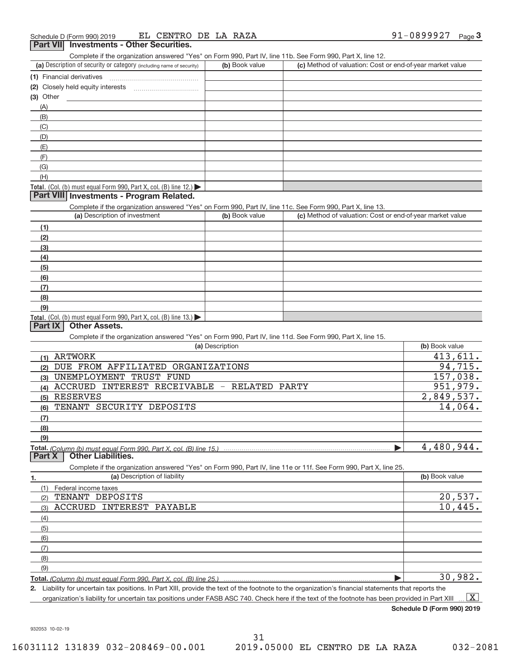### **Part VII** Investments - Other Securities.

Complete if the organization answered "Yes" on Form 990, Part IV, line 11b. See Form 990, Part X, line 12.

| (a) Description of security or category (including name of security)                   | (b) Book value | (c) Method of valuation: Cost or end-of-year market value |
|----------------------------------------------------------------------------------------|----------------|-----------------------------------------------------------|
| (1) Financial derivatives                                                              |                |                                                           |
| (2) Closely held equity interests                                                      |                |                                                           |
| $(3)$ Other                                                                            |                |                                                           |
| (A)                                                                                    |                |                                                           |
| (B)                                                                                    |                |                                                           |
| (C)                                                                                    |                |                                                           |
| (D)                                                                                    |                |                                                           |
| (E)                                                                                    |                |                                                           |
| (F)                                                                                    |                |                                                           |
| (G)                                                                                    |                |                                                           |
| (H)                                                                                    |                |                                                           |
| Total. (Col. (b) must equal Form 990, Part X, col. (B) line 12.) $\blacktriangleright$ |                |                                                           |

#### **Part VIII Investments ‐ Program Related.**

Complete if the organization answered "Yes" on Form 990, Part IV, line 11c. See Form 990, Part X, line 13.

| (a) Description of investment                                       | (b) Book value | (c) Method of valuation: Cost or end-of-year market value |
|---------------------------------------------------------------------|----------------|-----------------------------------------------------------|
| (1)                                                                 |                |                                                           |
| (2)                                                                 |                |                                                           |
| (3)                                                                 |                |                                                           |
| (4)                                                                 |                |                                                           |
| $\frac{1}{2}$                                                       |                |                                                           |
| (6)                                                                 |                |                                                           |
| (7)                                                                 |                |                                                           |
| (8)                                                                 |                |                                                           |
| (9)                                                                 |                |                                                           |
| Total. (Col. (b) must equal Form 990, Part X, col. (B) line $13.$ ) |                |                                                           |

#### **Part IX Other Assets.**

Complete if the organization answered "Yes" on Form 990, Part IV, line 11d. See Form 990, Part X, line 15.

|                                     | (a) Description                                                                                                   | (b) Book value |
|-------------------------------------|-------------------------------------------------------------------------------------------------------------------|----------------|
| <b>ARTWORK</b><br>(1)               |                                                                                                                   | 413,611.       |
| DUE FROM<br>(2)                     | AFFILIATED<br>ORGANIZATIONS                                                                                       | 94,715.        |
| UNEMPLOYMENT<br>(3)                 | TRUST FUND                                                                                                        | 157,038.       |
| <b>ACCRUED</b><br>(4)               | INTEREST RECEIVABLE - RELATED<br>PARTY                                                                            | 951,979.       |
| <b>RESERVES</b><br>(5)              |                                                                                                                   | 2,849,537.     |
| TENANT<br>(6)                       | SECURITY<br>DEPOSITS                                                                                              | 14,064.        |
| (7)                                 |                                                                                                                   |                |
| (8)                                 |                                                                                                                   |                |
| (9)                                 |                                                                                                                   |                |
|                                     | Total. (Column (b) must equal Form 990, Part X, col. (B) line 15.)                                                | 4,480,944.     |
| <b>Other Liabilities.</b><br>Part X |                                                                                                                   |                |
|                                     | Complete if the organization answered "Yes" on Form 990, Part IV, line 11e or 11f. See Form 990, Part X, line 25. |                |
|                                     |                                                                                                                   |                |
| 1.                                  | (a) Description of liability                                                                                      | (b) Book value |
| Federal income taxes<br>(1)         |                                                                                                                   |                |
| TENANT DEPOSITS<br>(2)              |                                                                                                                   | 20,537.        |
| <b>ACCRUED</b><br>(3)               | INTEREST PAYABLE                                                                                                  | 10,445.        |
| (4)                                 |                                                                                                                   |                |
| (5)                                 |                                                                                                                   |                |
| (6)                                 |                                                                                                                   |                |
| (7)                                 |                                                                                                                   |                |
| (8)                                 |                                                                                                                   |                |
| (9)                                 |                                                                                                                   | 30,982.        |

**2.** Liability for uncertain tax positions. In Part XIII, provide the text of the footnote to the organization's financial statements that reports the organization's liability for uncertain tax positions under FASB ASC 740. Check here if the text of the footnote has been provided in Part XIII  $\boxed{\text{X}}$ 

**Schedule D (Form 990) 2019**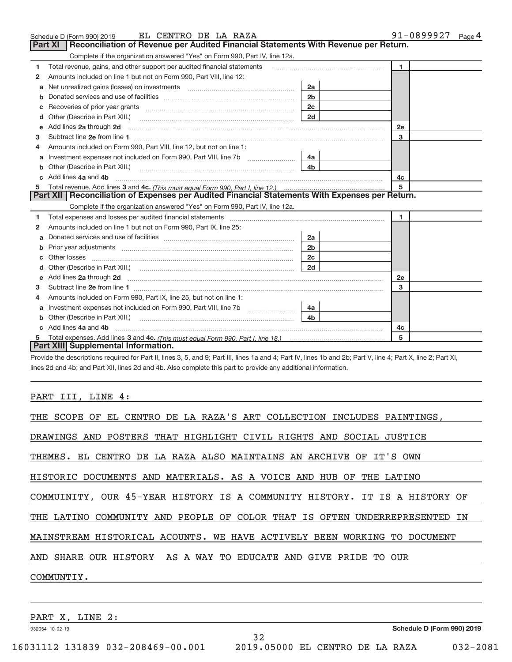|        | 91-0899927<br>EL CENTRO DE LA RAZA<br>Page 4<br>Schedule D (Form 990) 2019                                                                                                                                                                       |                |              |  |  |  |
|--------|--------------------------------------------------------------------------------------------------------------------------------------------------------------------------------------------------------------------------------------------------|----------------|--------------|--|--|--|
|        | Reconciliation of Revenue per Audited Financial Statements With Revenue per Return.<br><b>Part XI</b>                                                                                                                                            |                |              |  |  |  |
|        | Complete if the organization answered "Yes" on Form 990, Part IV, line 12a.                                                                                                                                                                      |                |              |  |  |  |
| 1      | Total revenue, gains, and other support per audited financial statements                                                                                                                                                                         |                | $\mathbf{1}$ |  |  |  |
| 2      | Amounts included on line 1 but not on Form 990, Part VIII, line 12:                                                                                                                                                                              |                |              |  |  |  |
|        | Net unrealized gains (losses) on investments                                                                                                                                                                                                     | 2a             |              |  |  |  |
| b      |                                                                                                                                                                                                                                                  | 2 <sub>b</sub> |              |  |  |  |
| c      |                                                                                                                                                                                                                                                  | 2c             |              |  |  |  |
| d      | Other (Describe in Part XIII.)                                                                                                                                                                                                                   | 2d             |              |  |  |  |
| е      | Add lines 2a through 2d <b>contained a contained a contained a contained a</b> contained a contained a contained a contained a contact a contact a contact a contact a contact a contact a contact a contact a contact a contact a               |                | <b>2e</b>    |  |  |  |
| з      |                                                                                                                                                                                                                                                  |                | 3            |  |  |  |
|        | Amounts included on Form 990, Part VIII, line 12, but not on line 1:                                                                                                                                                                             |                |              |  |  |  |
| a      | Investment expenses not included on Form 990, Part VIII, line 7b [100] [100] [100] [100] [100] [100] [100] [10<br>4a                                                                                                                             |                |              |  |  |  |
| b      | 4 <sub>b</sub><br>Other (Describe in Part XIII.)                                                                                                                                                                                                 |                |              |  |  |  |
| c.     | Add lines 4a and 4b<br>4с                                                                                                                                                                                                                        |                |              |  |  |  |
| 5<br>5 |                                                                                                                                                                                                                                                  |                |              |  |  |  |
|        | Part XII   Reconciliation of Expenses per Audited Financial Statements With Expenses per Return.                                                                                                                                                 |                |              |  |  |  |
|        | Complete if the organization answered "Yes" on Form 990, Part IV, line 12a.                                                                                                                                                                      |                |              |  |  |  |
| 1      |                                                                                                                                                                                                                                                  |                | $\mathbf{1}$ |  |  |  |
| 2      | Amounts included on line 1 but not on Form 990, Part IX, line 25:                                                                                                                                                                                |                |              |  |  |  |
| a      |                                                                                                                                                                                                                                                  | 2a             |              |  |  |  |
| b      | 2 <sub>b</sub>                                                                                                                                                                                                                                   |                |              |  |  |  |
|        | Other losses <b>with a contract of the contract of the contract of the contract of the contract of the contract of the contract of the contract of the contract of the contract of the contract of the contract of the contract </b><br>2c       |                |              |  |  |  |
|        | 2d                                                                                                                                                                                                                                               |                |              |  |  |  |
| e      | Add lines 2a through 2d <b>contained a contained a contained a contained a</b> contained a contact the set of the set of the set of the set of the set of the set of the set of the set of the set of the set of the set of the set<br><b>2e</b> |                |              |  |  |  |
| 3      | Subtract line 2e from line 1                                                                                                                                                                                                                     |                | 3            |  |  |  |
| 4      | Amounts included on Form 990, Part IX, line 25, but not on line 1:                                                                                                                                                                               |                |              |  |  |  |
| a      |                                                                                                                                                                                                                                                  | 4a             |              |  |  |  |
| b      |                                                                                                                                                                                                                                                  | 4b             |              |  |  |  |
|        | Add lines 4a and 4b                                                                                                                                                                                                                              |                | 4с           |  |  |  |
| 5      |                                                                                                                                                                                                                                                  |                | 5            |  |  |  |
|        | Part XIII Supplemental Information.                                                                                                                                                                                                              |                |              |  |  |  |

Provide the descriptions required for Part II, lines 3, 5, and 9; Part III, lines 1a and 4; Part IV, lines 1b and 2b; Part V, line 4; Part X, line 2; Part XI, lines 2d and 4b; and Part XII, lines 2d and 4b. Also complete this part to provide any additional information.

#### PART III, LINE 4:

| THE SCOPE OF EL CENTRO DE LA RAZA'S ART COLLECTION INCLUDES PAINTINGS,     |  |  |  |  |
|----------------------------------------------------------------------------|--|--|--|--|
| DRAWINGS AND POSTERS THAT HIGHLIGHT CIVIL RIGHTS AND SOCIAL JUSTICE        |  |  |  |  |
| THEMES. EL CENTRO DE LA RAZA ALSO MAINTAINS AN ARCHIVE OF IT'S OWN         |  |  |  |  |
| HISTORIC DOCUMENTS AND MATERIALS. AS A VOICE AND HUB OF THE LATINO         |  |  |  |  |
| COMMUINITY, OUR 45-YEAR HISTORY IS A COMMUNITY HISTORY. IT IS A HISTORY OF |  |  |  |  |
| THE LATINO COMMUNITY AND PEOPLE OF COLOR THAT IS OFTEN UNDERREPRESENTED IN |  |  |  |  |
| MAINSTREAM HISTORICAL ACOUNTS. WE HAVE ACTIVELY BEEN WORKING TO DOCUMENT   |  |  |  |  |
| AND SHARE OUR HISTORY AS A WAY TO EDUCATE AND GIVE PRIDE TO OUR            |  |  |  |  |
| COMMUNTIY.                                                                 |  |  |  |  |
|                                                                            |  |  |  |  |
|                                                                            |  |  |  |  |

32

PART X, LINE 2: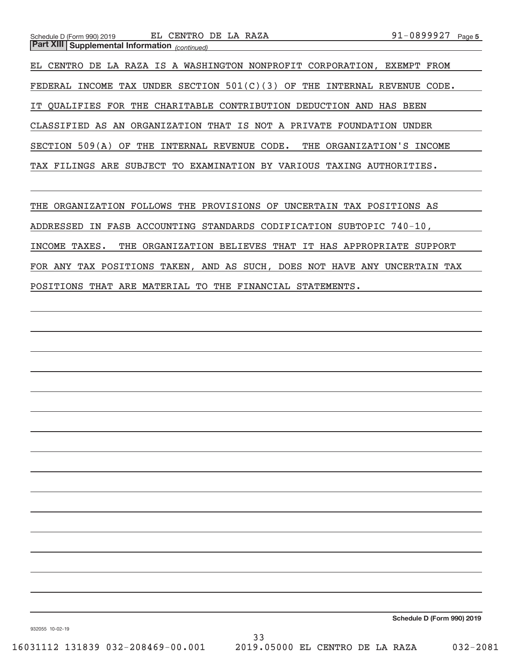EL CENTRO DE LA RAZA IS A WASHINGTON NONPROFIT CORPORATION, EXEMPT FROM FEDERAL INCOME TAX UNDER SECTION  $501(C)(3)$  OF THE INTERNAL REVENUE CODE. IT QUALIFIES FOR THE CHARITABLE CONTRIBUTION DEDUCTION AND HAS BEEN CLASSIFIED AS AN ORGANIZATION THAT IS NOT A PRIVATE FOUNDATION UNDER SECTION 509(A) OF THE INTERNAL REVENUE CODE. THE ORGANIZATION'S INCOME TAX FILINGS ARE SUBJECT TO EXAMINATION BY VARIOUS TAXING AUTHORITIES.

THE ORGANIZATION FOLLOWS THE PROVISIONS OF UNCERTAIN TAX POSITIONS AS ADDRESSED IN FASB ACCOUNTING STANDARDS CODIFICATION SUBTOPIC 740‐10, INCOME TAXES. THE ORGANIZATION BELIEVES THAT IT HAS APPROPRIATE SUPPORT FOR ANY TAX POSITIONS TAKEN, AND AS SUCH, DOES NOT HAVE ANY UNCERTAIN TAX POSITIONS THAT ARE MATERIAL TO THE FINANCIAL STATEMENTS.

**Schedule D (Form 990) 2019**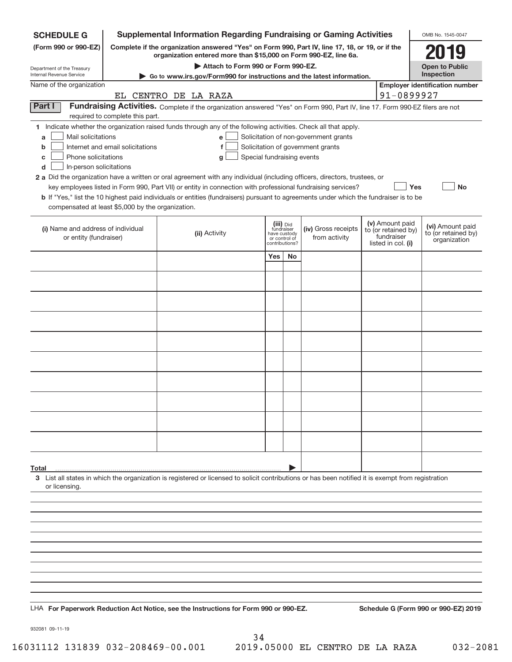| <b>SCHEDULE G</b>                                                                         |                                                                                                                                                                             | <b>Supplemental Information Regarding Fundraising or Gaming Activities</b>                                                                         |                                         |    |                                       |  |                                                      | OMB No. 1545-0047                       |
|-------------------------------------------------------------------------------------------|-----------------------------------------------------------------------------------------------------------------------------------------------------------------------------|----------------------------------------------------------------------------------------------------------------------------------------------------|-----------------------------------------|----|---------------------------------------|--|------------------------------------------------------|-----------------------------------------|
| (Form 990 or 990-EZ)                                                                      | Complete if the organization answered "Yes" on Form 990, Part IV, line 17, 18, or 19, or if the<br>2019<br>organization entered more than \$15,000 on Form 990-EZ, line 6a. |                                                                                                                                                    |                                         |    |                                       |  |                                                      |                                         |
| Attach to Form 990 or Form 990-EZ.<br><b>Open to Public</b><br>Department of the Treasury |                                                                                                                                                                             |                                                                                                                                                    |                                         |    |                                       |  |                                                      |                                         |
| Internal Revenue Service                                                                  | Inspection<br>Go to www.irs.gov/Form990 for instructions and the latest information.<br><b>Employer identification number</b><br>Name of the organization                   |                                                                                                                                                    |                                         |    |                                       |  |                                                      |                                         |
|                                                                                           |                                                                                                                                                                             | EL CENTRO DE LA RAZA                                                                                                                               |                                         |    |                                       |  | 91-0899927                                           |                                         |
| Part I                                                                                    |                                                                                                                                                                             | Fundraising Activities. Complete if the organization answered "Yes" on Form 990, Part IV, line 17. Form 990-EZ filers are not                      |                                         |    |                                       |  |                                                      |                                         |
|                                                                                           | required to complete this part.                                                                                                                                             |                                                                                                                                                    |                                         |    |                                       |  |                                                      |                                         |
| Mail solicitations<br>a                                                                   |                                                                                                                                                                             | 1 Indicate whether the organization raised funds through any of the following activities. Check all that apply.<br>e                               |                                         |    | Solicitation of non-government grants |  |                                                      |                                         |
| b                                                                                         | Internet and email solicitations                                                                                                                                            | f                                                                                                                                                  |                                         |    | Solicitation of government grants     |  |                                                      |                                         |
| Phone solicitations<br>c                                                                  |                                                                                                                                                                             | Special fundraising events<br>g                                                                                                                    |                                         |    |                                       |  |                                                      |                                         |
| In-person solicitations<br>d                                                              |                                                                                                                                                                             | 2 a Did the organization have a written or oral agreement with any individual (including officers, directors, trustees, or                         |                                         |    |                                       |  |                                                      |                                         |
|                                                                                           |                                                                                                                                                                             | key employees listed in Form 990, Part VII) or entity in connection with professional fundraising services?                                        |                                         |    |                                       |  |                                                      | Yes<br>No                               |
| compensated at least \$5,000 by the organization.                                         |                                                                                                                                                                             | <b>b</b> If "Yes," list the 10 highest paid individuals or entities (fundraisers) pursuant to agreements under which the fundraiser is to be       |                                         |    |                                       |  |                                                      |                                         |
|                                                                                           |                                                                                                                                                                             |                                                                                                                                                    |                                         |    |                                       |  |                                                      |                                         |
| (i) Name and address of individual                                                        |                                                                                                                                                                             | (ii) Activity                                                                                                                                      | (iii) Did<br>fundraiser<br>have custody |    | (iv) Gross receipts                   |  | (v) Amount paid<br>to (or retained by)<br>fundraiser | (vi) Amount paid<br>to (or retained by) |
| or entity (fundraiser)                                                                    |                                                                                                                                                                             |                                                                                                                                                    | or control of<br>contributions?         |    | from activity                         |  | listed in col. (i)                                   | organization                            |
|                                                                                           |                                                                                                                                                                             |                                                                                                                                                    | Yes                                     | No |                                       |  |                                                      |                                         |
|                                                                                           |                                                                                                                                                                             |                                                                                                                                                    |                                         |    |                                       |  |                                                      |                                         |
|                                                                                           |                                                                                                                                                                             |                                                                                                                                                    |                                         |    |                                       |  |                                                      |                                         |
|                                                                                           |                                                                                                                                                                             |                                                                                                                                                    |                                         |    |                                       |  |                                                      |                                         |
|                                                                                           |                                                                                                                                                                             |                                                                                                                                                    |                                         |    |                                       |  |                                                      |                                         |
|                                                                                           |                                                                                                                                                                             |                                                                                                                                                    |                                         |    |                                       |  |                                                      |                                         |
|                                                                                           |                                                                                                                                                                             |                                                                                                                                                    |                                         |    |                                       |  |                                                      |                                         |
|                                                                                           |                                                                                                                                                                             |                                                                                                                                                    |                                         |    |                                       |  |                                                      |                                         |
|                                                                                           |                                                                                                                                                                             |                                                                                                                                                    |                                         |    |                                       |  |                                                      |                                         |
|                                                                                           |                                                                                                                                                                             |                                                                                                                                                    |                                         |    |                                       |  |                                                      |                                         |
|                                                                                           |                                                                                                                                                                             |                                                                                                                                                    |                                         |    |                                       |  |                                                      |                                         |
|                                                                                           |                                                                                                                                                                             |                                                                                                                                                    |                                         |    |                                       |  |                                                      |                                         |
|                                                                                           |                                                                                                                                                                             |                                                                                                                                                    |                                         |    |                                       |  |                                                      |                                         |
|                                                                                           |                                                                                                                                                                             |                                                                                                                                                    |                                         |    |                                       |  |                                                      |                                         |
|                                                                                           |                                                                                                                                                                             |                                                                                                                                                    |                                         |    |                                       |  |                                                      |                                         |
| Total                                                                                     |                                                                                                                                                                             |                                                                                                                                                    |                                         |    |                                       |  |                                                      |                                         |
| or licensing.                                                                             |                                                                                                                                                                             | 3 List all states in which the organization is registered or licensed to solicit contributions or has been notified it is exempt from registration |                                         |    |                                       |  |                                                      |                                         |
|                                                                                           |                                                                                                                                                                             |                                                                                                                                                    |                                         |    |                                       |  |                                                      |                                         |
|                                                                                           |                                                                                                                                                                             |                                                                                                                                                    |                                         |    |                                       |  |                                                      |                                         |
|                                                                                           |                                                                                                                                                                             |                                                                                                                                                    |                                         |    |                                       |  |                                                      |                                         |
|                                                                                           |                                                                                                                                                                             |                                                                                                                                                    |                                         |    |                                       |  |                                                      |                                         |
|                                                                                           |                                                                                                                                                                             |                                                                                                                                                    |                                         |    |                                       |  |                                                      |                                         |
|                                                                                           |                                                                                                                                                                             |                                                                                                                                                    |                                         |    |                                       |  |                                                      |                                         |
|                                                                                           |                                                                                                                                                                             |                                                                                                                                                    |                                         |    |                                       |  |                                                      |                                         |
|                                                                                           |                                                                                                                                                                             |                                                                                                                                                    |                                         |    |                                       |  |                                                      |                                         |
|                                                                                           |                                                                                                                                                                             | LHA For Paperwork Reduction Act Notice, see the Instructions for Form 990 or 990-EZ.                                                               |                                         |    |                                       |  |                                                      | Schedule G (Form 990 or 990-EZ) 2019    |
| 932081 09-11-19                                                                           |                                                                                                                                                                             |                                                                                                                                                    |                                         |    |                                       |  |                                                      |                                         |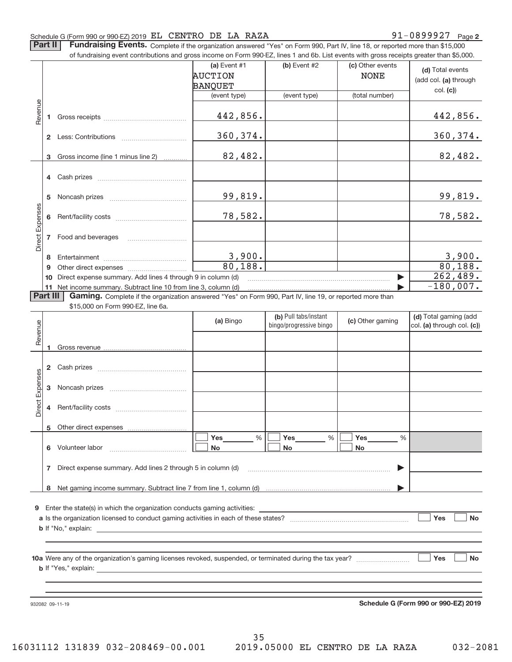#### Schedule G (Form 990 or 990‐EZ) 2019 Page EL CENTRO DE LA RAZA 91‐0899927

91-0899927 Page 2

Part II | Fundraising Events. Complete if the organization answered "Yes" on Form 990, Part IV, line 18, or reported more than \$15,000 of fundraising event contributions and gross income on Form 990‐EZ, lines 1 and 6b. List events with gross receipts greater than \$5,000.

|                 |          | of fundraising event contributions and gross income on Form 990-EZ, lines 1 and 6b. List events with gross receipts greater than \$5,000. |                                           |                                                  |                                 |                                                       |
|-----------------|----------|-------------------------------------------------------------------------------------------------------------------------------------------|-------------------------------------------|--------------------------------------------------|---------------------------------|-------------------------------------------------------|
|                 |          |                                                                                                                                           | (a) Event #1<br><b>AUCTION</b><br>BANQUET | (b) Event #2                                     | (c) Other events<br><b>NONE</b> | (d) Total events<br>(add col. (a) through<br>col. (c) |
|                 |          |                                                                                                                                           | (event type)                              | (event type)                                     | (total number)                  |                                                       |
| Revenue         |          |                                                                                                                                           | 442,856.                                  |                                                  |                                 | 442,856.                                              |
|                 |          |                                                                                                                                           | 360, 374.                                 |                                                  |                                 | <u>360,374.</u>                                       |
|                 | 3        | Gross income (line 1 minus line 2)                                                                                                        | 82,482.                                   |                                                  |                                 | 82,482.                                               |
|                 |          |                                                                                                                                           |                                           |                                                  |                                 |                                                       |
|                 | 5        |                                                                                                                                           | 99,819.                                   |                                                  |                                 | 99,819.                                               |
|                 | 6        |                                                                                                                                           | 78,582.                                   |                                                  |                                 | 78,582.                                               |
| Direct Expenses |          | 7 Food and beverages                                                                                                                      |                                           |                                                  |                                 |                                                       |
|                 |          |                                                                                                                                           |                                           |                                                  |                                 |                                                       |
|                 | 8<br>9   |                                                                                                                                           | $\frac{3,900}{80,188}$                    |                                                  |                                 | $\frac{3,900}{80,188}$                                |
|                 | 10       | Direct expense summary. Add lines 4 through 9 in column (d)                                                                               |                                           |                                                  | $\blacktriangleright$           | 262,489.                                              |
|                 |          | 11 Net income summary. Subtract line 10 from line 3, column (d)                                                                           |                                           |                                                  |                                 | $-180,007.$                                           |
|                 | Part III | Gaming. Complete if the organization answered "Yes" on Form 990, Part IV, line 19, or reported more than                                  |                                           |                                                  |                                 |                                                       |
|                 |          | \$15,000 on Form 990-EZ, line 6a.                                                                                                         |                                           |                                                  |                                 |                                                       |
| Revenue         |          |                                                                                                                                           | (a) Bingo                                 | (b) Pull tabs/instant<br>bingo/progressive bingo | (c) Other gaming                | (d) Total gaming (add<br>col. (a) through col. (c))   |
|                 | -1       |                                                                                                                                           |                                           |                                                  |                                 |                                                       |
|                 |          |                                                                                                                                           |                                           |                                                  |                                 |                                                       |
|                 |          |                                                                                                                                           |                                           |                                                  |                                 |                                                       |
| Expenses        |          |                                                                                                                                           |                                           |                                                  |                                 |                                                       |
| <b>Direct</b>   | 4        |                                                                                                                                           |                                           |                                                  |                                 |                                                       |
|                 |          |                                                                                                                                           |                                           |                                                  |                                 |                                                       |
|                 |          |                                                                                                                                           | Yes<br>%                                  | Yes<br>%                                         | Yes<br>%                        |                                                       |
|                 |          | 6 Volunteer labor                                                                                                                         | No                                        | No                                               | No                              |                                                       |
|                 |          |                                                                                                                                           |                                           |                                                  |                                 |                                                       |
|                 |          | 7 Direct expense summary. Add lines 2 through 5 in column (d)                                                                             |                                           |                                                  | ▶                               |                                                       |
|                 |          |                                                                                                                                           |                                           |                                                  |                                 |                                                       |
|                 |          |                                                                                                                                           |                                           |                                                  |                                 |                                                       |
|                 |          |                                                                                                                                           |                                           |                                                  |                                 | Yes<br><b>No</b>                                      |
|                 |          |                                                                                                                                           |                                           |                                                  |                                 |                                                       |
|                 |          |                                                                                                                                           |                                           |                                                  |                                 |                                                       |
|                 |          |                                                                                                                                           |                                           |                                                  |                                 |                                                       |
|                 |          |                                                                                                                                           |                                           |                                                  |                                 | Yes<br><b>No</b>                                      |

932082 09‐11‐19

**Schedule G (Form 990 or 990‐EZ) 2019**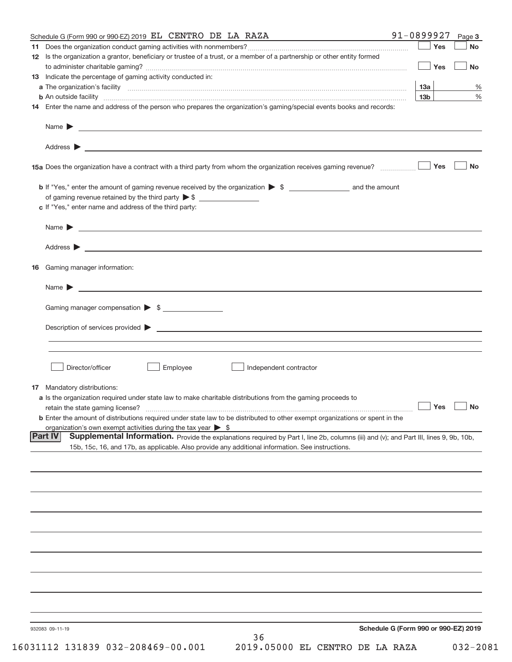| Schedule G (Form 990 or 990-EZ) 2019 EL CENTRO DE LA RAZA                                                                                                                                                                                 |                                                                                                                                        |                                      | 91-0899927      |     | Page 3       |
|-------------------------------------------------------------------------------------------------------------------------------------------------------------------------------------------------------------------------------------------|----------------------------------------------------------------------------------------------------------------------------------------|--------------------------------------|-----------------|-----|--------------|
|                                                                                                                                                                                                                                           |                                                                                                                                        |                                      |                 | Yes | <b>No</b>    |
| 12 Is the organization a grantor, beneficiary or trustee of a trust, or a member of a partnership or other entity formed                                                                                                                  |                                                                                                                                        |                                      |                 |     |              |
|                                                                                                                                                                                                                                           |                                                                                                                                        |                                      |                 | Yes | <b>No</b>    |
| 13 Indicate the percentage of gaming activity conducted in:                                                                                                                                                                               |                                                                                                                                        |                                      |                 |     |              |
|                                                                                                                                                                                                                                           |                                                                                                                                        |                                      | 1За             |     | %            |
| <b>b</b> An outside facility <i>www.communically.communically.communically.communically.communically.communically.communically.communically.communically.communically.communically.communically.communically.communically.communicall</i> |                                                                                                                                        |                                      | 13 <sub>b</sub> |     | %            |
| 14 Enter the name and address of the person who prepares the organization's gaming/special events books and records:                                                                                                                      |                                                                                                                                        |                                      |                 |     |              |
| Name $\blacktriangleright$ $\lrcorner$                                                                                                                                                                                                    |                                                                                                                                        |                                      |                 |     |              |
|                                                                                                                                                                                                                                           |                                                                                                                                        |                                      |                 |     |              |
|                                                                                                                                                                                                                                           |                                                                                                                                        |                                      |                 |     | <b>No</b>    |
|                                                                                                                                                                                                                                           |                                                                                                                                        |                                      |                 |     |              |
|                                                                                                                                                                                                                                           |                                                                                                                                        |                                      |                 |     |              |
|                                                                                                                                                                                                                                           |                                                                                                                                        |                                      |                 |     |              |
| c If "Yes," enter name and address of the third party:                                                                                                                                                                                    |                                                                                                                                        |                                      |                 |     |              |
| Name > 2008 - 2009 - 2009 - 2009 - 2009 - 2009 - 2009 - 2009 - 2009 - 2009 - 2009 - 2009 - 2009 - 2009 - 2009 - 2009 - 2009 - 2009 - 2009 - 2009 - 2009 - 2009 - 2009 - 2009 - 2009 - 2009 - 2009 - 2009 - 2009 - 2009 - 2009             |                                                                                                                                        |                                      |                 |     |              |
|                                                                                                                                                                                                                                           |                                                                                                                                        |                                      |                 |     |              |
| Gaming manager information:<br>16                                                                                                                                                                                                         |                                                                                                                                        |                                      |                 |     |              |
| Name $\blacktriangleright$ $\lrcorner$                                                                                                                                                                                                    |                                                                                                                                        |                                      |                 |     |              |
| Gaming manager compensation > \$                                                                                                                                                                                                          |                                                                                                                                        |                                      |                 |     |              |
|                                                                                                                                                                                                                                           |                                                                                                                                        |                                      |                 |     |              |
|                                                                                                                                                                                                                                           |                                                                                                                                        |                                      |                 |     |              |
|                                                                                                                                                                                                                                           |                                                                                                                                        |                                      |                 |     |              |
|                                                                                                                                                                                                                                           |                                                                                                                                        |                                      |                 |     |              |
| Director/officer<br>Employee                                                                                                                                                                                                              | Independent contractor                                                                                                                 |                                      |                 |     |              |
|                                                                                                                                                                                                                                           |                                                                                                                                        |                                      |                 |     |              |
| Mandatory distributions:<br>17                                                                                                                                                                                                            |                                                                                                                                        |                                      |                 |     |              |
| a Is the organization required under state law to make charitable distributions from the gaming proceeds to                                                                                                                               |                                                                                                                                        |                                      |                 |     |              |
|                                                                                                                                                                                                                                           |                                                                                                                                        |                                      |                 |     |              |
| <b>b</b> Enter the amount of distributions required under state law to be distributed to other exempt organizations or spent in the                                                                                                       |                                                                                                                                        |                                      |                 |     |              |
| organization's own exempt activities during the tax year $\triangleright$ \$                                                                                                                                                              |                                                                                                                                        |                                      |                 |     |              |
| <b>Part IV</b>                                                                                                                                                                                                                            | Supplemental Information. Provide the explanations required by Part I, line 2b, columns (iii) and (v); and Part III, lines 9, 9b, 10b, |                                      |                 |     |              |
|                                                                                                                                                                                                                                           | 15b, 15c, 16, and 17b, as applicable. Also provide any additional information. See instructions.                                       |                                      |                 |     |              |
|                                                                                                                                                                                                                                           |                                                                                                                                        |                                      |                 |     |              |
|                                                                                                                                                                                                                                           |                                                                                                                                        |                                      |                 |     |              |
|                                                                                                                                                                                                                                           |                                                                                                                                        |                                      |                 |     |              |
|                                                                                                                                                                                                                                           |                                                                                                                                        |                                      |                 |     |              |
|                                                                                                                                                                                                                                           |                                                                                                                                        |                                      |                 |     |              |
|                                                                                                                                                                                                                                           |                                                                                                                                        |                                      |                 |     |              |
|                                                                                                                                                                                                                                           |                                                                                                                                        |                                      |                 |     |              |
|                                                                                                                                                                                                                                           |                                                                                                                                        |                                      |                 |     |              |
|                                                                                                                                                                                                                                           |                                                                                                                                        |                                      |                 |     |              |
|                                                                                                                                                                                                                                           |                                                                                                                                        |                                      |                 |     |              |
|                                                                                                                                                                                                                                           |                                                                                                                                        |                                      |                 |     |              |
|                                                                                                                                                                                                                                           |                                                                                                                                        |                                      |                 |     |              |
|                                                                                                                                                                                                                                           |                                                                                                                                        |                                      |                 |     |              |
|                                                                                                                                                                                                                                           |                                                                                                                                        |                                      |                 |     |              |
|                                                                                                                                                                                                                                           |                                                                                                                                        |                                      |                 |     |              |
| 932083 09-11-19                                                                                                                                                                                                                           |                                                                                                                                        | Schedule G (Form 990 or 990-EZ) 2019 |                 |     |              |
|                                                                                                                                                                                                                                           | 36                                                                                                                                     |                                      |                 |     |              |
| 16031112 131839 032-208469-00.001                                                                                                                                                                                                         | 2019.05000 EL CENTRO DE LA RAZA                                                                                                        |                                      |                 |     | $032 - 2081$ |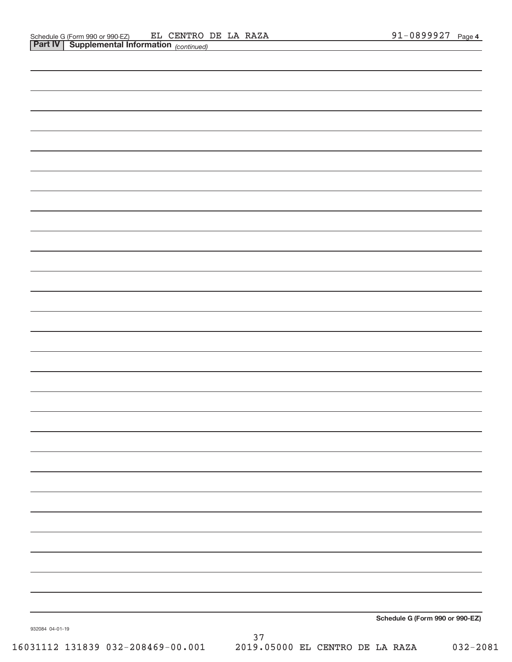| 932084 04-01-19 | $37\,$ |                                 |  |
|-----------------|--------|---------------------------------|--|
|                 |        | Schedule G (Form 990 or 990-EZ) |  |
|                 |        |                                 |  |
|                 |        |                                 |  |
|                 |        |                                 |  |
|                 |        |                                 |  |
|                 |        |                                 |  |
|                 |        |                                 |  |
|                 |        |                                 |  |
|                 |        |                                 |  |
|                 |        |                                 |  |
|                 |        |                                 |  |
|                 |        |                                 |  |
|                 |        |                                 |  |
|                 |        |                                 |  |
|                 |        |                                 |  |
|                 |        |                                 |  |
|                 |        |                                 |  |
|                 |        |                                 |  |
|                 |        |                                 |  |
|                 |        |                                 |  |
|                 |        |                                 |  |
|                 |        |                                 |  |
|                 |        |                                 |  |
|                 |        |                                 |  |
|                 |        |                                 |  |
|                 |        |                                 |  |
|                 |        |                                 |  |
|                 |        |                                 |  |
|                 |        |                                 |  |
|                 |        |                                 |  |
|                 |        |                                 |  |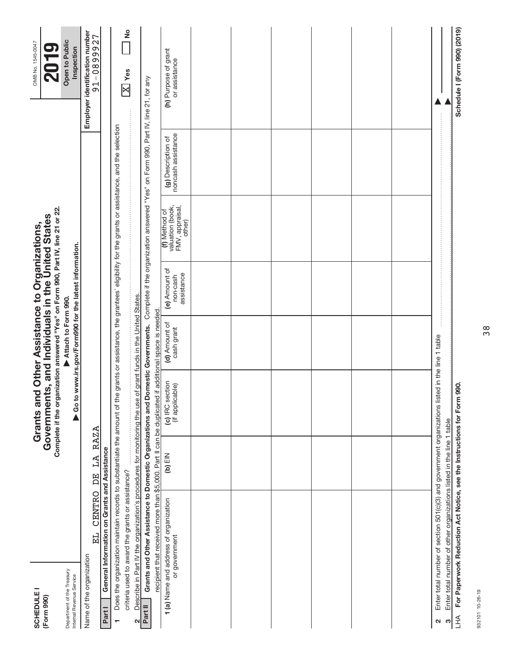| Department of the Treasury<br>SCHEDULE I<br>(Form 990) |                                                                                                                                                                                                                              |             | Complete if the organization answered "Yes" on Form 990, Part IV, line 21 or 22.<br>Grants and Other Assistance to Organizations,<br>Governments, and Individuals in the United States | Attach to Form 990.         |                                                       |                                                                |                                          | Open to Public<br>OMB No. 1545-0047<br><b>207</b>          |
|--------------------------------------------------------|------------------------------------------------------------------------------------------------------------------------------------------------------------------------------------------------------------------------------|-------------|----------------------------------------------------------------------------------------------------------------------------------------------------------------------------------------|-----------------------------|-------------------------------------------------------|----------------------------------------------------------------|------------------------------------------|------------------------------------------------------------|
| Name of the organization<br>Internal Revenue Service   | CENTRO DE LA<br>ロロ                                                                                                                                                                                                           | <b>RAZA</b> |                                                                                                                                                                                        |                             | Go to www.irs.gov/Form990 for the latest information. |                                                                |                                          | Employer identification number<br>91-0899927<br>Inspection |
| Part I                                                 | General Information on Grants and Assistance                                                                                                                                                                                 |             |                                                                                                                                                                                        |                             |                                                       |                                                                |                                          |                                                            |
| ÷                                                      | Does the organization maintain records to substantiate the amount of the grants or assistance, the grantees' eligibility for the grants or assistance, and the selection<br>criteria used to award the grants or assistance? |             |                                                                                                                                                                                        |                             |                                                       |                                                                |                                          | <u>ខ</u><br>$\overline{\mathbf{X}}$ Yes                    |
| $\mathbf{\Omega}$                                      | Describe in Part IV the organization's procedures for monitoring the use of grant funds in the United States.                                                                                                                |             |                                                                                                                                                                                        |                             |                                                       |                                                                |                                          |                                                            |
| Part II                                                | Grants and Other Assistance to Domestic Organizations and Domestic Governments. Complete if the organization answered "Yes" on Form 990, Part IV, line 21, for any                                                           |             |                                                                                                                                                                                        |                             |                                                       |                                                                |                                          |                                                            |
|                                                        | recipient that received more than \$5,000. Part II can be duplicated if additional space is needed                                                                                                                           |             |                                                                                                                                                                                        |                             |                                                       |                                                                |                                          |                                                            |
|                                                        | 1 (a) Name and address of organization<br>or government                                                                                                                                                                      | NIE (q)     | (c) IRC section<br>(if applicable)                                                                                                                                                     | (d) Amount of<br>cash grant | (e) Amount of<br>assistance<br>non-cash               | valuation (book,<br>FMV, appraisal,<br>other)<br>(f) Method of | noncash assistance<br>(g) Description of | (h) Purpose of grant<br>or assistance                      |
|                                                        |                                                                                                                                                                                                                              |             |                                                                                                                                                                                        |                             |                                                       |                                                                |                                          |                                                            |
|                                                        |                                                                                                                                                                                                                              |             |                                                                                                                                                                                        |                             |                                                       |                                                                |                                          |                                                            |
|                                                        |                                                                                                                                                                                                                              |             |                                                                                                                                                                                        |                             |                                                       |                                                                |                                          |                                                            |
|                                                        |                                                                                                                                                                                                                              |             |                                                                                                                                                                                        |                             |                                                       |                                                                |                                          |                                                            |
|                                                        |                                                                                                                                                                                                                              |             |                                                                                                                                                                                        |                             |                                                       |                                                                |                                          |                                                            |
|                                                        |                                                                                                                                                                                                                              |             |                                                                                                                                                                                        |                             |                                                       |                                                                |                                          |                                                            |
|                                                        |                                                                                                                                                                                                                              |             |                                                                                                                                                                                        |                             |                                                       |                                                                |                                          |                                                            |
| 2                                                      | Enter total number of section 501(c)(3) and government organizations listed in the line 1 table                                                                                                                              |             |                                                                                                                                                                                        |                             |                                                       |                                                                |                                          |                                                            |
| ო                                                      | Enter total number of other organizations listed in the line 1 table                                                                                                                                                         |             |                                                                                                                                                                                        |                             |                                                       |                                                                |                                          |                                                            |
| <b>AHT</b>                                             | For Paperwork Reduction Act Notice, see the Instructions for Form 990.                                                                                                                                                       |             |                                                                                                                                                                                        |                             |                                                       |                                                                |                                          | Schedule I (Form 990) (2019)                               |

LHA For Paperwork Reduction Act Notice, see the Instructions for Form 990.

932101 10-26-19 932101 10‐26‐19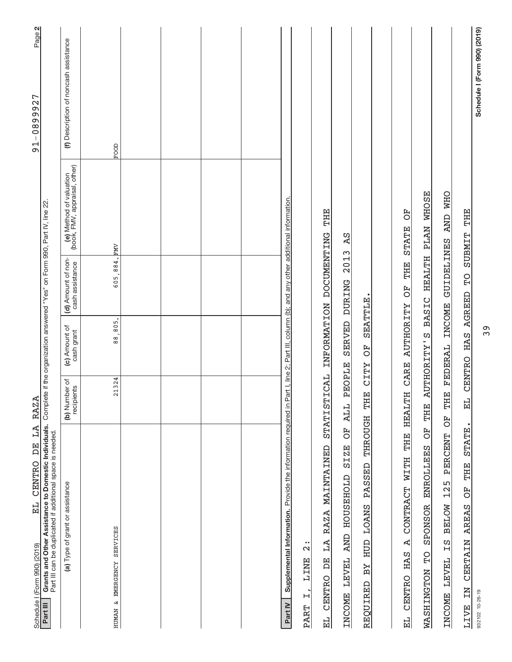| $\mathbb{L}\mathbb{A}$<br>CENTRO DE<br>법<br>Schedule I (Form 990) (2019)                                                                             | <b>RAZA</b>                 |                                 |                                                                            |                                                          | Page 2<br>91-0899927                  |
|------------------------------------------------------------------------------------------------------------------------------------------------------|-----------------------------|---------------------------------|----------------------------------------------------------------------------|----------------------------------------------------------|---------------------------------------|
| Grants and Other Assistance to Domestic Individuals.<br>Part III can be duplicated if additional space is needed.<br>Part III                        |                             |                                 | Complete if the organization answered "Yes" on Form 990, Part IV, line 22. |                                                          |                                       |
| (a) Type of grant or assistance                                                                                                                      | (b) Number of<br>recipients | (c) Amount of<br>cash grant     | (d) Amount of non-<br>cash assistance                                      | (e) Method of valuation<br>(book, FMV, appraisal, other) | (f) Description of noncash assistance |
| HUMAN & EMERGENCY SERVICES                                                                                                                           | 21324                       | 88,805.                         | 605,884.                                                                   | <b>ANA</b>                                               | FOOD                                  |
|                                                                                                                                                      |                             |                                 |                                                                            |                                                          |                                       |
|                                                                                                                                                      |                             |                                 |                                                                            |                                                          |                                       |
|                                                                                                                                                      |                             |                                 |                                                                            |                                                          |                                       |
|                                                                                                                                                      |                             |                                 |                                                                            |                                                          |                                       |
| Supplemental Information. Provide the information required in Part I, line 2; Part III, column (b); and any other additional information.<br>Part IV |                             |                                 |                                                                            |                                                          |                                       |
| $\ddot{\Omega}$<br>LINE<br>$\overline{H}$<br><b>PART</b>                                                                                             |                             |                                 |                                                                            |                                                          |                                       |
| MAINTAINED<br><b>RAZA</b><br>LA<br>呂<br>CENTRO<br>면                                                                                                  | STATISTICAL                 | <b>INFORMATION</b>              | <b>DOCUMENTING</b>                                                         | THE                                                      |                                       |
| F<br>O<br><b>SIZZE</b><br>AND HOUSEHOLD<br>INCOME LEVEL                                                                                              | <b>PEOPLE</b><br>ALL        |                                 | SERVED DURING 2013                                                         | <b>AS</b>                                                |                                       |
| <b>THROUGH</b><br>PASSED<br><b>LOANS</b><br>HUD<br>ВY<br>REQUIRED                                                                                    | <b>CITY</b><br>THE          | <b>SEATTLE</b><br>F)            |                                                                            |                                                          |                                       |
|                                                                                                                                                      |                             |                                 |                                                                            |                                                          |                                       |
| THE<br>CONTRACT WITH<br>Ą<br>HAS<br>CENTRO<br>법                                                                                                      | <b>HEALTH</b>               | <b>AUTHORITY</b><br><b>CARE</b> | THE<br>FO<br>O                                                             | FO<br><b>STATE</b>                                       |                                       |
| F)<br><b>ENROLLEES</b><br>SPONSOR<br>$\overline{P}$<br>WASHINGTON                                                                                    | <b>EHE</b>                  | AUTHORITY'S                     | BASIC HEALTH                                                               | PLAN WHOSE                                               |                                       |
| PERCENT<br>125<br><b>BELOW</b><br>Ξ<br>LEVEL<br><b>INCOME</b>                                                                                        | THE<br>FO                   | <b>TNCOME</b><br>FEDERAL        | <b>GUIDELINES</b>                                                          | NND WHO                                                  |                                       |
| <b>STATE</b><br>THE<br>FO<br>AREAS<br><b>CERTAIN</b><br>ΣZ<br>LIVE                                                                                   | 뵵                           | CENTRO HAS AGREED TO            |                                                                            | <b>SUBMIT THE</b>                                        |                                       |
| 932102 10-26-19                                                                                                                                      |                             |                                 |                                                                            |                                                          | Schedule I (Form 990) (2019)          |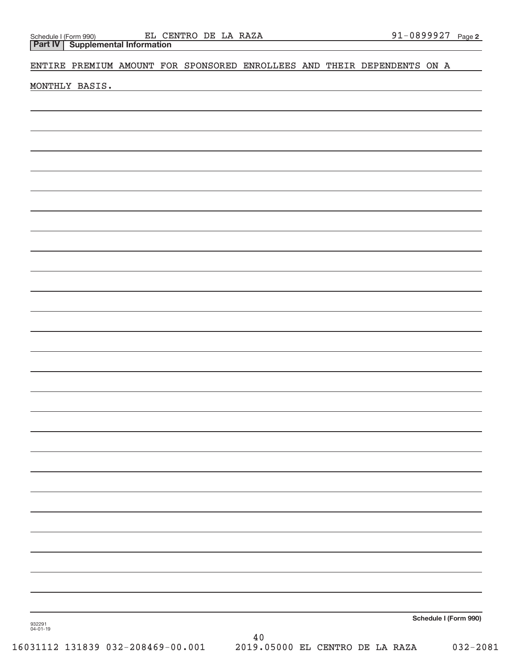#### ENTIRE PREMIUM AMOUNT FOR SPONSORED ENROLLEES AND THEIR DEPENDENTS ON A

MONTHLY BASIS.

**Schedule I (Form 990)**

932291 04‐01‐19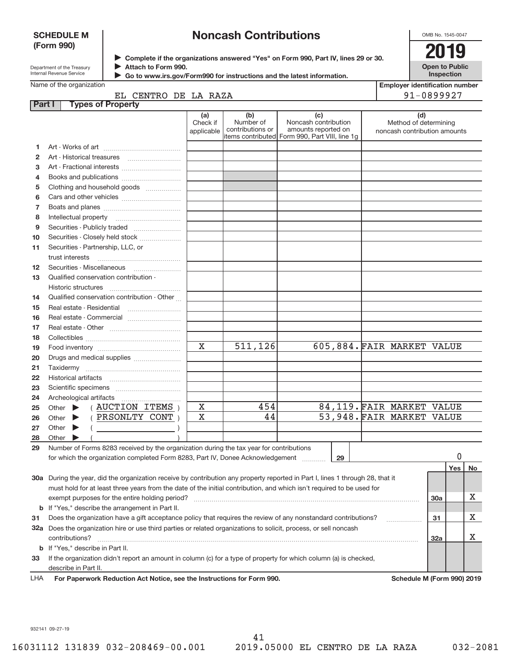#### **SCHEDULE M (Form 990)**

# **Noncash Contributions**

OMB No. 1545‐0047

| Department of the Treasury      |  |
|---------------------------------|--|
| <b>Internal Revenue Service</b> |  |

▶ Complete if the organizations answered "Yes" on Form 990, Part IV, lines 29 or 30.<br>▶ Complete if the organizations answered "Yes" on Form 990, Part IV, lines 29 or 30. **Attach to Form 990.** J

**Open to Public Inspection**

**Employer identification number**

91‐0899927

|  | Name of the organization |
|--|--------------------------|

 **Go to www.irs.gov/Form990 for instructions and the latest information.** J

|  | EL CENTRO DE LA RAZA |  |  |
|--|----------------------|--|--|

| Part I | <b>Types of Property</b>                                                                                                       |                               |                                      |                                                                                                      |                                                              |     |     |    |  |  |  |
|--------|--------------------------------------------------------------------------------------------------------------------------------|-------------------------------|--------------------------------------|------------------------------------------------------------------------------------------------------|--------------------------------------------------------------|-----|-----|----|--|--|--|
|        |                                                                                                                                | (a)<br>Check if<br>applicable | (b)<br>Number of<br>contributions or | (c)<br>Noncash contribution<br>amounts reported on<br>items contributed Form 990, Part VIII, line 1g | (d)<br>Method of determining<br>noncash contribution amounts |     |     |    |  |  |  |
| 1      |                                                                                                                                |                               |                                      |                                                                                                      |                                                              |     |     |    |  |  |  |
| 2      |                                                                                                                                |                               |                                      |                                                                                                      |                                                              |     |     |    |  |  |  |
| з      |                                                                                                                                |                               |                                      |                                                                                                      |                                                              |     |     |    |  |  |  |
| 4      |                                                                                                                                |                               |                                      |                                                                                                      |                                                              |     |     |    |  |  |  |
| 5      | Clothing and household goods                                                                                                   |                               |                                      |                                                                                                      |                                                              |     |     |    |  |  |  |
| 6      |                                                                                                                                |                               |                                      |                                                                                                      |                                                              |     |     |    |  |  |  |
| 7      |                                                                                                                                |                               |                                      |                                                                                                      |                                                              |     |     |    |  |  |  |
| 8      |                                                                                                                                |                               |                                      |                                                                                                      |                                                              |     |     |    |  |  |  |
| 9      | Securities - Publicly traded                                                                                                   |                               |                                      |                                                                                                      |                                                              |     |     |    |  |  |  |
| 10     | Securities - Closely held stock                                                                                                |                               |                                      |                                                                                                      |                                                              |     |     |    |  |  |  |
| 11     | Securities - Partnership, LLC, or                                                                                              |                               |                                      |                                                                                                      |                                                              |     |     |    |  |  |  |
|        | trust interests                                                                                                                |                               |                                      |                                                                                                      |                                                              |     |     |    |  |  |  |
| 12     |                                                                                                                                |                               |                                      |                                                                                                      |                                                              |     |     |    |  |  |  |
| 13     | Qualified conservation contribution -                                                                                          |                               |                                      |                                                                                                      |                                                              |     |     |    |  |  |  |
|        | Historic structures                                                                                                            |                               |                                      |                                                                                                      |                                                              |     |     |    |  |  |  |
| 14     | Qualified conservation contribution - Other                                                                                    |                               |                                      |                                                                                                      |                                                              |     |     |    |  |  |  |
| 15     | Real estate - Residential                                                                                                      |                               |                                      |                                                                                                      |                                                              |     |     |    |  |  |  |
| 16     |                                                                                                                                |                               |                                      |                                                                                                      |                                                              |     |     |    |  |  |  |
| 17     |                                                                                                                                |                               |                                      |                                                                                                      |                                                              |     |     |    |  |  |  |
| 18     |                                                                                                                                |                               |                                      |                                                                                                      |                                                              |     |     |    |  |  |  |
| 19     |                                                                                                                                | $\mathbf x$                   | 511,126                              |                                                                                                      | 605,884. FAIR MARKET VALUE                                   |     |     |    |  |  |  |
| 20     | Drugs and medical supplies                                                                                                     |                               |                                      |                                                                                                      |                                                              |     |     |    |  |  |  |
| 21     | Taxidermy                                                                                                                      |                               |                                      |                                                                                                      |                                                              |     |     |    |  |  |  |
| 22     |                                                                                                                                |                               |                                      |                                                                                                      |                                                              |     |     |    |  |  |  |
| 23     |                                                                                                                                |                               |                                      |                                                                                                      |                                                              |     |     |    |  |  |  |
| 24     |                                                                                                                                |                               |                                      |                                                                                                      |                                                              |     |     |    |  |  |  |
| 25     | (AUCTION ITEMS)<br>Other $\blacktriangleright$                                                                                 | $\mathbf X$                   | 454                                  |                                                                                                      | 84, 119. FAIR MARKET VALUE                                   |     |     |    |  |  |  |
| 26     | (PRSONLTY CONT)<br>Other $\blacktriangleright$                                                                                 | $\mathbf X$                   | 44                                   |                                                                                                      | 53,948. FAIR MARKET VALUE                                    |     |     |    |  |  |  |
| 27     | Other $\blacktriangleright$<br>$\overline{a}$                                                                                  |                               |                                      |                                                                                                      |                                                              |     |     |    |  |  |  |
| 28     | Other                                                                                                                          |                               |                                      |                                                                                                      |                                                              |     |     |    |  |  |  |
| 29     | Number of Forms 8283 received by the organization during the tax year for contributions                                        |                               |                                      |                                                                                                      |                                                              |     |     |    |  |  |  |
|        | for which the organization completed Form 8283, Part IV, Donee Acknowledgement                                                 |                               |                                      | 29                                                                                                   |                                                              |     | 0   |    |  |  |  |
|        |                                                                                                                                |                               |                                      |                                                                                                      |                                                              |     | Yes | No |  |  |  |
|        | 30a During the year, did the organization receive by contribution any property reported in Part I, lines 1 through 28, that it |                               |                                      |                                                                                                      |                                                              |     |     |    |  |  |  |
|        | must hold for at least three years from the date of the initial contribution, and which isn't required to be used for          |                               |                                      |                                                                                                      |                                                              |     |     |    |  |  |  |
|        | exempt purposes for the entire holding period?                                                                                 |                               |                                      |                                                                                                      |                                                              | 30a |     | x  |  |  |  |
|        | <b>b</b> If "Yes," describe the arrangement in Part II.                                                                        |                               |                                      |                                                                                                      |                                                              |     |     |    |  |  |  |
| 31     | Does the organization have a gift acceptance policy that requires the review of any nonstandard contributions?                 |                               |                                      |                                                                                                      |                                                              | 31  |     | х  |  |  |  |
|        | 32a Does the organization hire or use third parties or related organizations to solicit, process, or sell noncash              |                               |                                      |                                                                                                      |                                                              |     |     |    |  |  |  |
|        | contributions?                                                                                                                 |                               |                                      |                                                                                                      |                                                              | 32a |     | x. |  |  |  |
|        | <b>b</b> If "Yes," describe in Part II.                                                                                        |                               |                                      |                                                                                                      |                                                              |     |     |    |  |  |  |
| 33     | If the organization didn't report an amount in column (c) for a type of property for which column (a) is checked,              |                               |                                      |                                                                                                      |                                                              |     |     |    |  |  |  |
|        | describe in Part II.                                                                                                           |                               |                                      |                                                                                                      |                                                              |     |     |    |  |  |  |

932141 09‐27‐19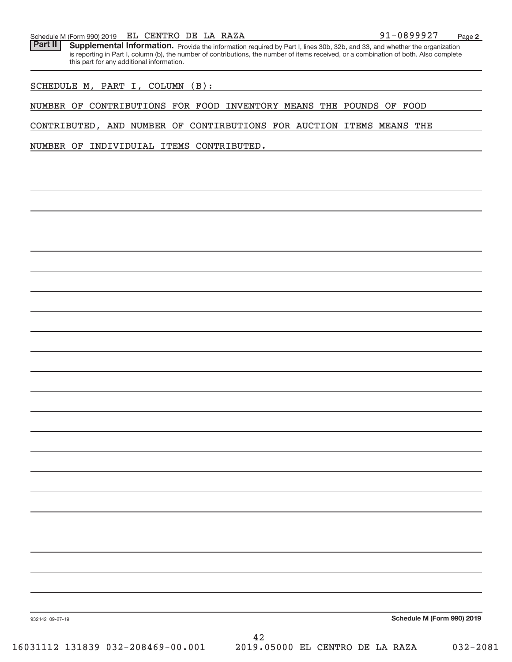| Schedule M (Form 990) 2019 |  | EL CENTRO DE LA |  |  | RAZA | $-0899927$<br>ດ 1 | Page |  |
|----------------------------|--|-----------------|--|--|------|-------------------|------|--|
|----------------------------|--|-----------------|--|--|------|-------------------|------|--|

Part II | Supplemental Information. Provide the information required by Part I, lines 30b, 32b, and 33, and whether the organization is reporting in Part I, column (b), the number of contributions, the number of items received, or a combination of both. Also complete this part for any additional information.

SCHEDULE M, PART I, COLUMN (B):

#### NUMBER OF CONTRIBUTIONS FOR FOOD INVENTORY MEANS THE POUNDS OF FOOD

CONTRIBUTED, AND NUMBER OF CONTIRBUTIONS FOR AUCTION ITEMS MEANS THE

NUMBER OF INDIVIDUIAL ITEMS CONTRIBUTED.

**Schedule M (Form 990) 2019**

**2**

932142 09‐27‐19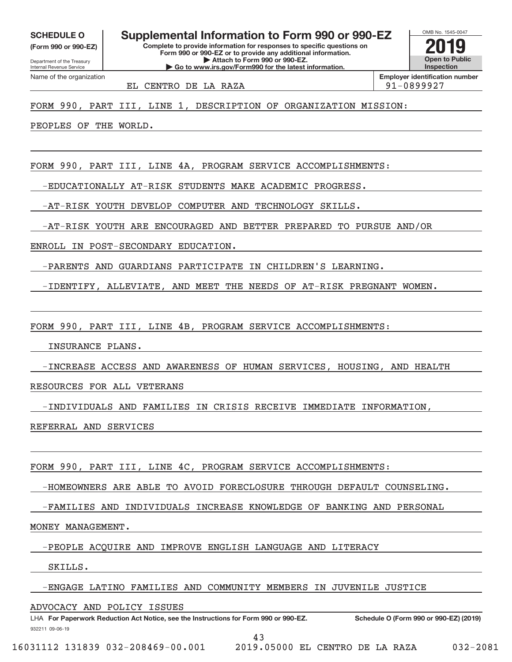**(Form 990 or 990‐EZ)**

Department of the Treasury Internal Revenue Service Name of the organization

**Complete to provide information for responses to specific questions on** SCHEDULE O **Supplemental Information to Form 990 or 990-EZ**  $\frac{6008 \text{ No. }1545-004}{2019}$ 

**Form 990 or 990‐EZ or to provide any additional information. | Attach to Form 990 or 990‐EZ. | Go to www.irs.gov/Form990 for the latest information.**



EL CENTRO DE LA RAZA 191–0899927

FORM 990, PART III, LINE 1, DESCRIPTION OF ORGANIZATION MISSION:

PEOPLES OF THE WORLD.

FORM 990, PART III, LINE 4A, PROGRAM SERVICE ACCOMPLISHMENTS:

‐EDUCATIONALLY AT‐RISK STUDENTS MAKE ACADEMIC PROGRESS.

‐AT‐RISK YOUTH DEVELOP COMPUTER AND TECHNOLOGY SKILLS.

‐AT‐RISK YOUTH ARE ENCOURAGED AND BETTER PREPARED TO PURSUE AND/OR

ENROLL IN POST‐SECONDARY EDUCATION.

‐PARENTS AND GUARDIANS PARTICIPATE IN CHILDREN'S LEARNING.

‐IDENTIFY, ALLEVIATE, AND MEET THE NEEDS OF AT‐RISK PREGNANT WOMEN.

FORM 990, PART III, LINE 4B, PROGRAM SERVICE ACCOMPLISHMENTS:

INSURANCE PLANS.

‐INCREASE ACCESS AND AWARENESS OF HUMAN SERVICES, HOUSING, AND HEALTH

RESOURCES FOR ALL VETERANS

‐INDIVIDUALS AND FAMILIES IN CRISIS RECEIVE IMMEDIATE INFORMATION,

REFERRAL AND SERVICES

FORM 990, PART III, LINE 4C, PROGRAM SERVICE ACCOMPLISHMENTS:

‐HOMEOWNERS ARE ABLE TO AVOID FORECLOSURE THROUGH DEFAULT COUNSELING.

‐FAMILIES AND INDIVIDUALS INCREASE KNOWLEDGE OF BANKING AND PERSONAL

MONEY MANAGEMENT.

‐PEOPLE ACQUIRE AND IMPROVE ENGLISH LANGUAGE AND LITERACY

SKILLS.

‐ENGAGE LATINO FAMILIES AND COMMUNITY MEMBERS IN JUVENILE JUSTICE

ADVOCACY AND POLICY ISSUES

932211 09‐06‐19 **For Paperwork Reduction Act Notice, see the Instructions for Form 990 or 990‐EZ. Schedule O (Form 990 or 990‐EZ) (2019)** LHA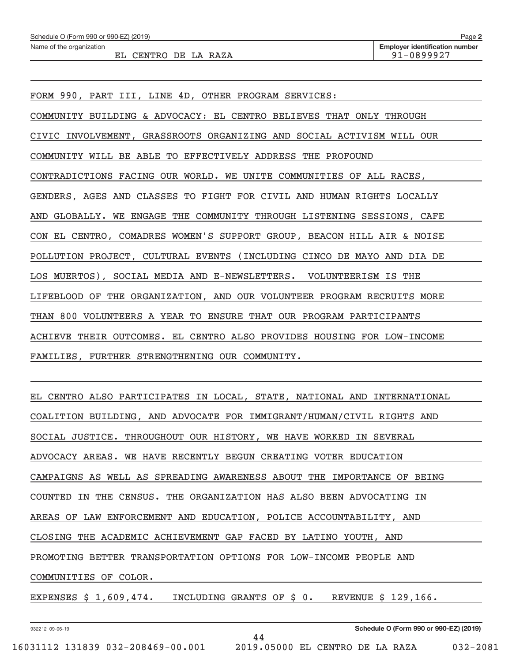|  | Schedule O (Form 990 or 990-EZ) (2019) | Page |
|--|----------------------------------------|------|
|--|----------------------------------------|------|

EL CENTRO DE LA RAZA 91‐0899927

FORM 990, PART III, LINE 4D, OTHER PROGRAM SERVICES: COMMUNITY BUILDING & ADVOCACY: EL CENTRO BELIEVES THAT ONLY THROUGH CIVIC INVOLVEMENT, GRASSROOTS ORGANIZING AND SOCIAL ACTIVISM WILL OUR COMMUNITY WILL BE ABLE TO EFFECTIVELY ADDRESS THE PROFOUND CONTRADICTIONS FACING OUR WORLD. WE UNITE COMMUNITIES OF ALL RACES, GENDERS, AGES AND CLASSES TO FIGHT FOR CIVIL AND HUMAN RIGHTS LOCALLY AND GLOBALLY. WE ENGAGE THE COMMUNITY THROUGH LISTENING SESSIONS, CAFE CON EL CENTRO, COMADRES WOMEN'S SUPPORT GROUP, BEACON HILL AIR & NOISE POLLUTION PROJECT, CULTURAL EVENTS (INCLUDING CINCO DE MAYO AND DIA DE LOS MUERTOS), SOCIAL MEDIA AND E‐NEWSLETTERS. VOLUNTEERISM IS THE LIFEBLOOD OF THE ORGANIZATION, AND OUR VOLUNTEER PROGRAM RECRUITS MORE THAN 800 VOLUNTEERS A YEAR TO ENSURE THAT OUR PROGRAM PARTICIPANTS ACHIEVE THEIR OUTCOMES. EL CENTRO ALSO PROVIDES HOUSING FOR LOW‐INCOME FAMILIES, FURTHER STRENGTHENING OUR COMMUNITY.

EL CENTRO ALSO PARTICIPATES IN LOCAL, STATE, NATIONAL AND INTERNATIONAL COALITION BUILDING, AND ADVOCATE FOR IMMIGRANT/HUMAN/CIVIL RIGHTS AND SOCIAL JUSTICE. THROUGHOUT OUR HISTORY, WE HAVE WORKED IN SEVERAL ADVOCACY AREAS. WE HAVE RECENTLY BEGUN CREATING VOTER EDUCATION CAMPAIGNS AS WELL AS SPREADING AWARENESS ABOUT THE IMPORTANCE OF BEING COUNTED IN THE CENSUS. THE ORGANIZATION HAS ALSO BEEN ADVOCATING IN AREAS OF LAW ENFORCEMENT AND EDUCATION, POLICE ACCOUNTABILITY, AND CLOSING THE ACADEMIC ACHIEVEMENT GAP FACED BY LATINO YOUTH, AND PROMOTING BETTER TRANSPORTATION OPTIONS FOR LOW‐INCOME PEOPLE AND COMMUNITIES OF COLOR. EXPENSES \$ 1,609,474. INCLUDING GRANTS OF \$ 0. REVENUE \$ 129,166.

44

932212 09‐06‐19

**Schedule O (Form 990 or 990‐EZ) (2019)**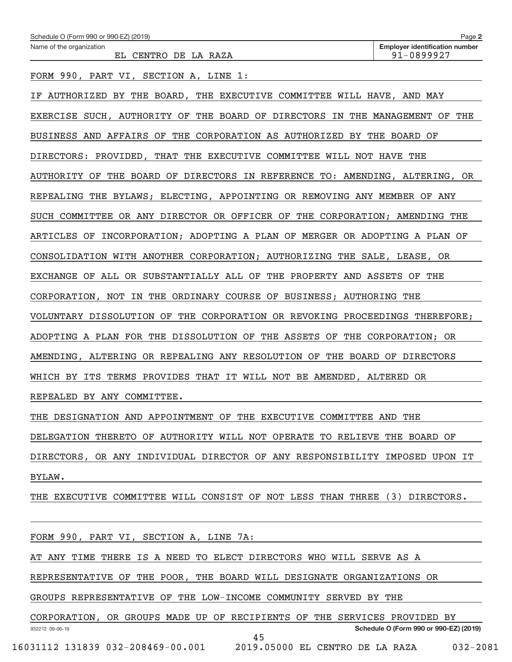| Schedule O (Form 990 or 990-EZ) (2019)                                      | Page 2                                              |
|-----------------------------------------------------------------------------|-----------------------------------------------------|
| Name of the organization<br>EL CENTRO DE LA RAZA                            | <b>Employer identification number</b><br>91-0899927 |
| FORM 990, PART VI, SECTION A, LINE 1:                                       |                                                     |
| IF AUTHORIZED BY THE BOARD, THE EXECUTIVE COMMITTEE WILL HAVE, AND MAY      |                                                     |
| EXERCISE SUCH, AUTHORITY OF THE BOARD OF DIRECTORS IN THE MANAGEMENT OF THE |                                                     |
| BUSINESS AND AFFAIRS OF THE CORPORATION AS AUTHORIZED BY THE BOARD OF       |                                                     |
| DIRECTORS: PROVIDED, THAT THE EXECUTIVE COMMITTEE WILL NOT HAVE THE         |                                                     |
| AUTHORITY OF THE BOARD OF DIRECTORS IN REFERENCE TO: AMENDING, ALTERING, OR |                                                     |
| REPEALING THE BYLAWS; ELECTING, APPOINTING OR REMOVING ANY MEMBER OF ANY    |                                                     |
| SUCH COMMITTEE OR ANY DIRECTOR OR OFFICER OF THE CORPORATION; AMENDING THE  |                                                     |
| ARTICLES OF INCORPORATION; ADOPTING A PLAN OF MERGER OR ADOPTING A PLAN OF  |                                                     |
| CONSOLIDATION WITH ANOTHER CORPORATION; AUTHORIZING THE SALE, LEASE, OR     |                                                     |
| EXCHANGE OF ALL OR SUBSTANTIALLY ALL OF THE PROPERTY AND ASSETS OF THE      |                                                     |
| CORPORATION, NOT IN THE ORDINARY COURSE OF BUSINESS; AUTHORING THE          |                                                     |
| VOLUNTARY DISSOLUTION OF THE CORPORATION OR REVOKING PROCEEDINGS THEREFORE; |                                                     |
| ADOPTING A PLAN FOR THE DISSOLUTION OF THE ASSETS OF THE CORPORATION; OR    |                                                     |
| AMENDING, ALTERING OR REPEALING ANY RESOLUTION OF THE BOARD OF DIRECTORS    |                                                     |
| WHICH BY ITS TERMS PROVIDES THAT IT WILL NOT BE AMENDED, ALTERED OR         |                                                     |
| REPEALED BY ANY COMMITTEE.                                                  |                                                     |
| THE DESIGNATION AND APPOINTMENT OF THE EXECUTIVE COMMITTEE AND THE          |                                                     |
| DELEGATION THERETO OF AUTHORITY WILL NOT OPERATE TO RELIEVE THE BOARD OF    |                                                     |

DIRECTORS, OR ANY INDIVIDUAL DIRECTOR OF ANY RESPONSIBILITY IMPOSED UPON IT BYLAW.

THE EXECUTIVE COMMITTEE WILL CONSIST OF NOT LESS THAN THREE (3) DIRECTORS.

| FORM 990, PART VI, SECTION A, LINE 7A:                                   |
|--------------------------------------------------------------------------|
| AT ANY TIME THERE IS A NEED TO ELECT DIRECTORS WHO WILL SERVE AS A       |
| REPRESENTATIVE OF THE POOR, THE BOARD WILL DESIGNATE ORGANIZATIONS OR    |
| GROUPS REPRESENTATIVE OF THE LOW-INCOME COMMUNITY SERVED BY THE          |
| CORPORATION, OR GROUPS MADE UP OF RECIPIENTS OF THE SERVICES PROVIDED BY |
| Schedule O (Form 990 or 990-EZ) (2019)<br>932212 09-06-19                |
| 45                                                                       |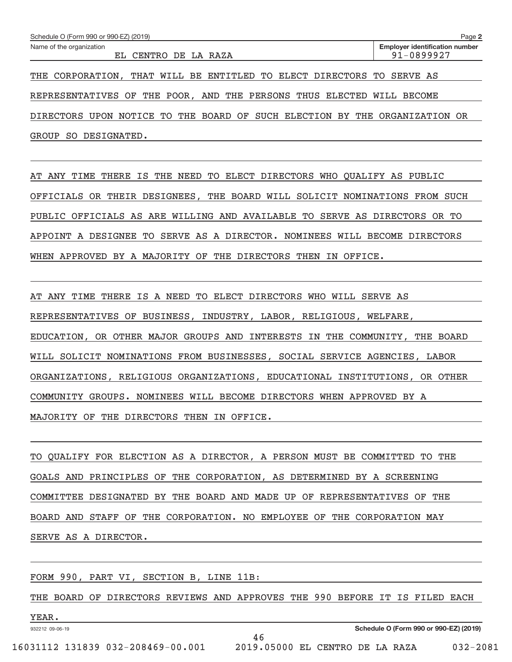| Schedule O (Form 990 or 990-EZ) (2019)                                     | Page 2                                              |
|----------------------------------------------------------------------------|-----------------------------------------------------|
| Name of the organization<br>EL CENTRO DE LA RAZA                           | <b>Employer identification number</b><br>91-0899927 |
| THE CORPORATION, THAT WILL BE ENTITLED TO ELECT DIRECTORS TO SERVE AS      |                                                     |
| REPRESENTATIVES OF THE POOR, AND THE PERSONS THUS ELECTED WILL BECOME      |                                                     |
| DIRECTORS UPON NOTICE TO THE BOARD OF SUCH ELECTION BY THE ORGANIZATION OR |                                                     |
| SO DESIGNATED.<br>GROUP                                                    |                                                     |

AT ANY TIME THERE IS THE NEED TO ELECT DIRECTORS WHO QUALIFY AS PUBLIC OFFICIALS OR THEIR DESIGNEES, THE BOARD WILL SOLICIT NOMINATIONS FROM SUCH PUBLIC OFFICIALS AS ARE WILLING AND AVAILABLE TO SERVE AS DIRECTORS OR TO APPOINT A DESIGNEE TO SERVE AS A DIRECTOR. NOMINEES WILL BECOME DIRECTORS WHEN APPROVED BY A MAJORITY OF THE DIRECTORS THEN IN OFFICE.

AT ANY TIME THERE IS A NEED TO ELECT DIRECTORS WHO WILL SERVE AS REPRESENTATIVES OF BUSINESS, INDUSTRY, LABOR, RELIGIOUS, WELFARE, EDUCATION, OR OTHER MAJOR GROUPS AND INTERESTS IN THE COMMUNITY, THE BOARD WILL SOLICIT NOMINATIONS FROM BUSINESSES, SOCIAL SERVICE AGENCIES, LABOR ORGANIZATIONS, RELIGIOUS ORGANIZATIONS, EDUCATIONAL INSTITUTIONS, OR OTHER COMMUNITY GROUPS. NOMINEES WILL BECOME DIRECTORS WHEN APPROVED BY A MAJORITY OF THE DIRECTORS THEN IN OFFICE.

TO QUALIFY FOR ELECTION AS A DIRECTOR, A PERSON MUST BE COMMITTED TO THE GOALS AND PRINCIPLES OF THE CORPORATION, AS DETERMINED BY A SCREENING COMMITTEE DESIGNATED BY THE BOARD AND MADE UP OF REPRESENTATIVES OF THE BOARD AND STAFF OF THE CORPORATION. NO EMPLOYEE OF THE CORPORATION MAY SERVE AS A DIRECTOR.

FORM 990, PART VI, SECTION B, LINE 11B:

THE BOARD OF DIRECTORS REVIEWS AND APPROVES THE 990 BEFORE IT IS FILED EACH

46

YEAR.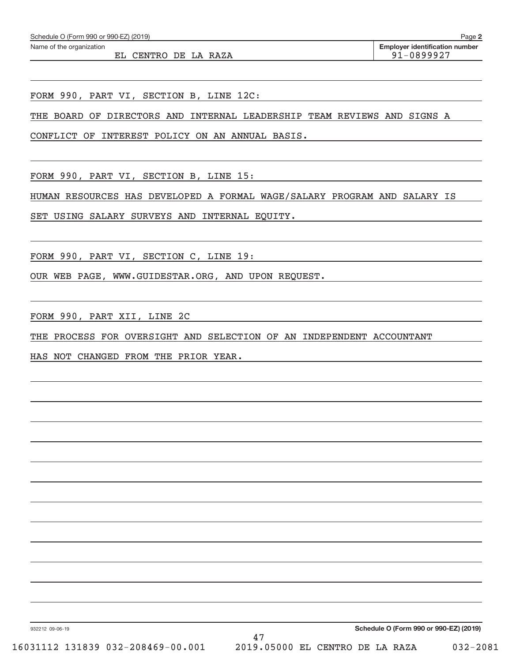EL CENTRO DE LA RAZA 91‐0899927

**Employer identification number**

FORM 990, PART VI, SECTION B, LINE 12C:

THE BOARD OF DIRECTORS AND INTERNAL LEADERSHIP TEAM REVIEWS AND SIGNS A

CONFLICT OF INTEREST POLICY ON AN ANNUAL BASIS.

FORM 990, PART VI, SECTION B, LINE 15:

HUMAN RESOURCES HAS DEVELOPED A FORMAL WAGE/SALARY PROGRAM AND SALARY IS

SET USING SALARY SURVEYS AND INTERNAL EQUITY.

FORM 990, PART VI, SECTION C, LINE 19:

OUR WEB PAGE, WWW.GUIDESTAR.ORG, AND UPON REQUEST.

FORM 990, PART XII, LINE 2C

THE PROCESS FOR OVERSIGHT AND SELECTION OF AN INDEPENDENT ACCOUNTANT

HAS NOT CHANGED FROM THE PRIOR YEAR.

932212 09‐06‐19

**Schedule O (Form 990 or 990‐EZ) (2019)** 47 16031112 131839 032‐208469‐00.001 2019.05000 EL CENTRO DE LA RAZA 032‐2081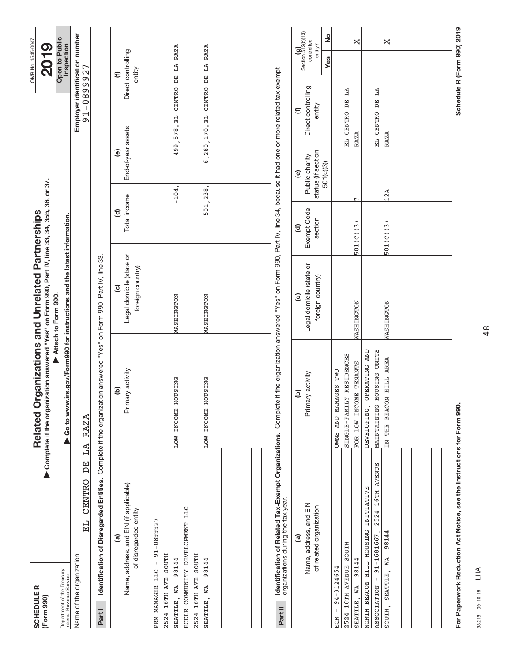| <b>SCHEDULER</b><br>(Form 990)                                                          |                                                                                                                    | ▶ Complete if the organization answered "Yes" on Form 990, Part IV, line 33, 34, 35b, 36, or 37.<br>Related Organizations and Unrelated Partnerships |                                                                        |                                                  |                                                                     |                                              | OMB No. 1545-0047<br><u> (၂</u><br><b>201</b>                                                       |   |
|-----------------------------------------------------------------------------------------|--------------------------------------------------------------------------------------------------------------------|------------------------------------------------------------------------------------------------------------------------------------------------------|------------------------------------------------------------------------|--------------------------------------------------|---------------------------------------------------------------------|----------------------------------------------|-----------------------------------------------------------------------------------------------------|---|
| Department of the Treasury<br>Internal Revenue Service                                  |                                                                                                                    | ▶ Go to www.irs.gov/Form990 for instructions and the latest information.                                                                             | Attach to Form 990.                                                    |                                                  |                                                                     |                                              | Open to Public<br>Inspection                                                                        |   |
| Name of the organization                                                                | 呂<br>CENTRO<br>녑                                                                                                   | <b>RAZA</b><br>LA                                                                                                                                    |                                                                        |                                                  |                                                                     | Employer identification number<br>91-0899927 |                                                                                                     |   |
| Part I                                                                                  | Identification of Disregarded Entities. Complete if the organization answered "Yes" on Form 990, Part IV, line 33. |                                                                                                                                                      |                                                                        |                                                  |                                                                     |                                              |                                                                                                     |   |
|                                                                                         | Name, address, and EIN (if applicable)<br>of disregarded entity<br>ම                                               | Primary activity<br>ê                                                                                                                                | Legal domicile (state or<br>foreign country)<br>$\widehat{\mathbf{c}}$ | Total income<br>$\widehat{\mathbf{c}}$           | End-of-year assets<br>$\mathbf{e}$                                  |                                              | Direct controlling<br>entity<br>$\widehat{\epsilon}$                                                |   |
| 16TH AVE SOUTH<br>98144<br>PRM MANAGER LLC<br>WA<br>SEATTLE,<br>2524                    | 91-0899927                                                                                                         | <b>HOUSING</b><br>LOW INCOME                                                                                                                         | <b>WASHINGTON</b>                                                      |                                                  | $-104.$                                                             | EL CENTRO DE<br>578.<br>499.                 | <b>RAZA</b><br>LA                                                                                   |   |
| ECDLR COMMUNITY DEVELOPMENT LLC<br>2524 16TH AVE SOUTH<br>98144<br>WA<br><b>SEATTLE</b> |                                                                                                                    | <b>DSING</b><br>LOW INCOME HO                                                                                                                        | WASHINGTON                                                             | 501                                              | .238.                                                               | 6,280,170. EL CENTRO DE LA RAZA              |                                                                                                     |   |
|                                                                                         |                                                                                                                    |                                                                                                                                                      |                                                                        |                                                  |                                                                     |                                              |                                                                                                     |   |
| Part II                                                                                 | Identification of Related Tax-Exempt Organizations.<br>organizations during the tax year.                          | Complete if the organization answered "Yes" on Form 990, Part IV, line 34, because it had one or more related tax-exempt                             |                                                                        |                                                  |                                                                     |                                              |                                                                                                     |   |
|                                                                                         | Name, address, and EIN<br>of related organization<br>$\widehat{a}$                                                 | Primary activity<br>$\widehat{a}$                                                                                                                    | Legal domicile (state or<br>foreign country)<br>$\widehat{\mathbf{c}}$ | Exempt Code<br>section<br>$\widehat{\mathbf{c}}$ | status (if section<br>Public charity<br>501(c)(3))<br>$\widehat{e}$ | Direct controlling<br>entity<br>$\epsilon$   | $\begin{pmatrix} \mathbf{g} \\ \mathbf{g} \\ \mathbf{c} \end{pmatrix}$ controlled<br>entity?<br>Yes | å |
| 98144<br>16TH AVENUE<br>$94 - 3124654$<br>WA<br>SEATTLE,<br>2524<br>ECR                 | <b>RULDS</b>                                                                                                       | SINGLE-FAMILY RESIDENCES<br>FOR LOW-INCOME TENANTS<br>OWNS AND MANAGES TWO                                                                           | MASHINGTON                                                             | 501(C)(3)                                        | Γ                                                                   | A1<br>EL CENTRO DE<br><b>RAZA</b>            |                                                                                                     | × |
| NORTH BEACON HILL HOUSING<br>WA<br><b>SEATTLE</b><br><b>ASSOCIATION</b><br>SOUTH,       | 2524 16TH AVENUE<br><b>INITIATIVE</b><br>98144<br>$91 - 1681667$                                                   | HOUSING UNITS<br>DEVELOPING, OPERATING AND<br>HILL AREA<br><b>BEACON</b><br><b>MAINTAINING</b><br>IN THE                                             | <b>WASHINGTON</b>                                                      | 501(C)(3)                                        | 12A                                                                 | A,<br>EL CENTRO DE<br><b>RAZA</b>            |                                                                                                     | X |
|                                                                                         |                                                                                                                    |                                                                                                                                                      |                                                                        |                                                  |                                                                     |                                              |                                                                                                     |   |
|                                                                                         |                                                                                                                    |                                                                                                                                                      |                                                                        |                                                  |                                                                     |                                              |                                                                                                     |   |
|                                                                                         | For Paperwork Reduction Act Notice, see the Instructions for Form 990.                                             |                                                                                                                                                      |                                                                        |                                                  |                                                                     |                                              | Schedule R (Form 990) 2019                                                                          |   |

932161 09‐10‐19 932161 09-10-19 LHA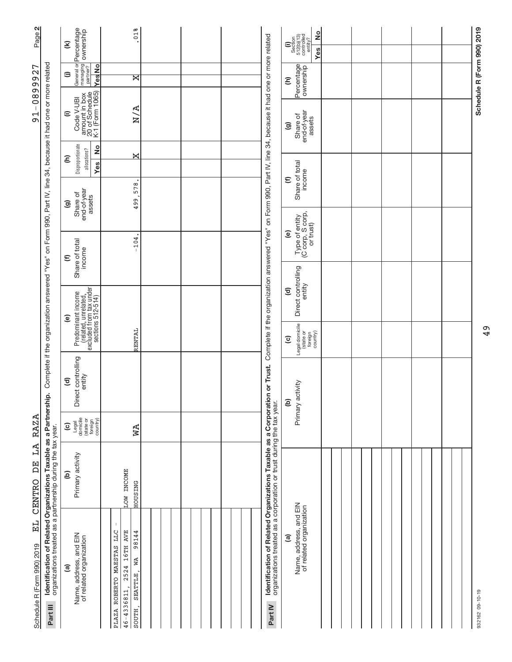| Page 2<br>Complete if the organization answered "Yes" on Form 990, Part IV, line 34, because it had one or more related<br>0899927<br>$\mathsf I$<br>$\overline{9}$ |                                                            | General or Percentage<br>ownership<br>$\widehat{\boldsymbol{\epsilon}}$<br>managing<br>$\oplus$<br>Code V-UBI<br>amount in box<br>20 of Schedule<br>K-1 (Form 1065)<br>$\widehat{=}$ | 01%<br>YesNo<br>ਸ਼<br>N/A                                                                                       |  | Complete if the organization answered "Yes" on Form 990, Part IV, line 34, because it had one or more related                                      | °<br>$\begin{array}{c} \textbf{(i)}\\ \text{Section}\\ 512\text{(b)(13)}\\ \text{controlved}\\ \text{entity?} \end{array}$<br>Yes<br>Percentage<br>Ξ<br>end-of-year<br>Share of<br>assets<br>ම |  |  |  |
|---------------------------------------------------------------------------------------------------------------------------------------------------------------------|------------------------------------------------------------|--------------------------------------------------------------------------------------------------------------------------------------------------------------------------------------|-----------------------------------------------------------------------------------------------------------------|--|----------------------------------------------------------------------------------------------------------------------------------------------------|------------------------------------------------------------------------------------------------------------------------------------------------------------------------------------------------|--|--|--|
|                                                                                                                                                                     |                                                            | Disproportionate<br>allocations?<br>Ξ<br>end-of-year<br>assets<br>Share of<br>ම                                                                                                      | $\frac{1}{2}$<br>⊠<br>Yes<br>578<br>499                                                                         |  |                                                                                                                                                    | Share of total<br>income<br>$\widehat{\epsilon}$                                                                                                                                               |  |  |  |
|                                                                                                                                                                     |                                                            | Share of total<br>income<br>$\mathbf \epsilon$                                                                                                                                       | $-104.$                                                                                                         |  |                                                                                                                                                    | Type of entity<br>(C corp, S corp,<br>or trust)<br>ම                                                                                                                                           |  |  |  |
|                                                                                                                                                                     |                                                            | Predominant income<br>(related, unrelated,<br>excluded from tax under<br>sections 512-514)<br>$\widehat{\mathbf{e}}$                                                                 | RENTAL                                                                                                          |  |                                                                                                                                                    | Direct controlling<br>entity<br>$\widehat{\mathbf{c}}$<br>Legal domicile<br>foreign<br>country)<br>(state or<br>$\widehat{c}$                                                                  |  |  |  |
| <u>ہ</u>                                                                                                                                                            |                                                            | Direct controlling<br>entity<br>$\widehat{\mathbf{c}}$                                                                                                                               |                                                                                                                 |  |                                                                                                                                                    | Primary activity<br>ê                                                                                                                                                                          |  |  |  |
| <b>RAZA</b><br>LA                                                                                                                                                   |                                                            | Legal<br>domicile<br>(state or<br>foreign<br>country)<br>$\widehat{\mathbf{c}}$<br>Primary activity<br>ê                                                                             | WA                                                                                                              |  |                                                                                                                                                    |                                                                                                                                                                                                |  |  |  |
| Identification of Related Organizations Taxable as a Partnershi<br>CENTRO DE<br>법<br>Schedule R (Form 990) 2019                                                     | organizations treated as a partnership during the tax year | Name, address, and EIN<br>of related organization<br>$\widehat{a}$                                                                                                                   | <b>LOW INCOME</b><br><b>BOUSING</b><br>2524 16TH AVE<br>LLC<br>98144<br>ROBERTO MAESTAS<br>WA<br><b>SEATTLE</b> |  | Identification of Related Organizations Taxable as a Corporation or Trust.<br>organizations treated as a corporation or trust during the tax year. | Name, address, and EIN<br>of related organization<br>$\widehat{\mathbf{e}}$                                                                                                                    |  |  |  |
| Part III                                                                                                                                                            |                                                            |                                                                                                                                                                                      | $46 - 4336811$ ,<br><b>PLAZA</b><br>SOUTH,                                                                      |  | Part IV                                                                                                                                            |                                                                                                                                                                                                |  |  |  |

49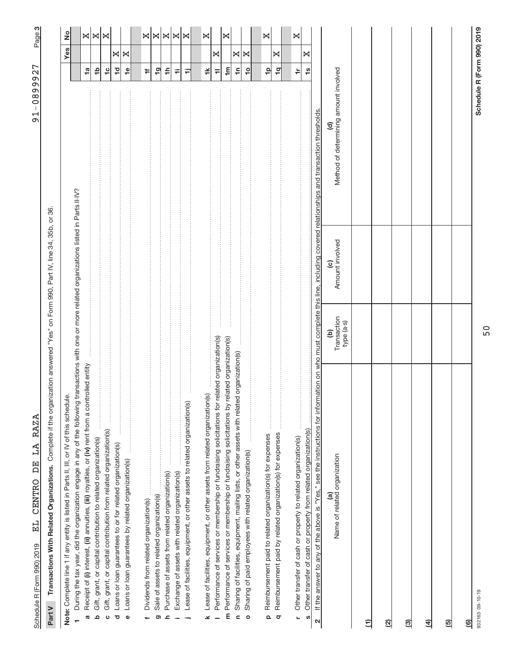Schedule R (Form 990) 2019 Page Schedule R (Form 990) 2019 EL CENTRO DE LA RAZA EL CENTRO DE LA RAZA

Page 3 91-0899927 91‐0899927

> Part V Transactions With Related Organizations. Complete if the organization answered "Yes" on Form 990, Part IV, line 34, 35b, or 36. Complete if the organization answered "Yes" on Form 990, Part IV, line 34, 35b, or 36. **Part V Transactions With Related Organizations.**

| Note: Complete line 1 if any entity is listed in Parts II, III, or IV of this schedule                                                                                       |                                  |                        |                                                                 |                            | Yes     | <u>ខ</u> |
|------------------------------------------------------------------------------------------------------------------------------------------------------------------------------|----------------------------------|------------------------|-----------------------------------------------------------------|----------------------------|---------|----------|
| During the tax year, did the organization engage in any of the following transactions with one or more related organizations listed in Parts II-IV?                          |                                  |                        |                                                                 |                            |         |          |
| Receipt of (i) interest, (ii) annuities, (iii) royalties, or (iv) rent from a controlled entity<br>a                                                                         |                                  |                        |                                                                 | 1a                         |         | X        |
| Gift, grant, or capital contribution to related organization(s)<br>$\Omega$                                                                                                  |                                  |                        |                                                                 | $\frac{1}{2}$              |         | X        |
| Gift, grant, or capital contribution from related organization(s)<br>ပ                                                                                                       |                                  |                        |                                                                 | $\frac{1}{2}$              |         | X        |
|                                                                                                                                                                              |                                  |                        |                                                                 |                            |         |          |
| Loans or loan guarantees to or for related organization(s)<br>ರ                                                                                                              |                                  |                        |                                                                 | $\overline{10}$            | ×∣×     |          |
| $\bullet$                                                                                                                                                                    |                                  |                        |                                                                 | $\frac{6}{1}$              |         |          |
|                                                                                                                                                                              |                                  |                        |                                                                 |                            |         |          |
| Dividends from related organization(s)                                                                                                                                       |                                  |                        |                                                                 | ÷                          |         |          |
| Sale of assets to related organization(s)                                                                                                                                    |                                  |                        |                                                                 | $\frac{1}{2}$              |         |          |
| Purchase of assets from related organization(s)                                                                                                                              |                                  |                        |                                                                 | ≑                          |         |          |
| Exchange of assets with related organization(s)                                                                                                                              |                                  |                        |                                                                 | Ŧ                          |         | x x x    |
| Lease of facilities, equipment, or other assets to related organization(s)                                                                                                   |                                  |                        |                                                                 | Ξ                          |         |          |
|                                                                                                                                                                              |                                  |                        |                                                                 |                            |         |          |
| Lease of facilities, equipment, or other assets from related organization(s)                                                                                                 |                                  |                        |                                                                 | ¥                          |         | X        |
| Performance of services or membership or fundraising solicitations for related organization(s)                                                                               |                                  |                        |                                                                 | $\equiv$                   | ×       |          |
| m Performance of services or membership or fundraising solicitations by related organization(s)                                                                              |                                  |                        |                                                                 | $\mathbf{m}$               |         | X        |
| Sharing of facilities, equipment, mailing lists, or other assets with related organization(s)                                                                                |                                  |                        |                                                                 | $\tilde{=}$                | $\Join$ |          |
| Sharing of paid employees with related organization(s)                                                                                                                       |                                  |                        |                                                                 | $\overline{\phantom{a}}$   | X       |          |
|                                                                                                                                                                              |                                  |                        |                                                                 |                            |         |          |
| Reimbursement paid to related organization(s) for expenses                                                                                                                   |                                  |                        |                                                                 | $\frac{\rho}{\sqrt{2}}$    |         | X        |
| Reimbursement paid by related organization(s) for expenses                                                                                                                   |                                  |                        |                                                                 | $\frac{1}{2}$              | ×       |          |
|                                                                                                                                                                              |                                  |                        |                                                                 |                            |         |          |
| Other transfer of cash or property to related organization(s)                                                                                                                |                                  |                        |                                                                 | ÷                          |         | X        |
| Other transfer of cash or property from related organization(s)                                                                                                              |                                  |                        |                                                                 | $\frac{5}{10}$             | ×       |          |
| If the answer to any of the above is "Yes," see the instructions for information on who must complete this line, including covered relationships and transaction thresholds. |                                  |                        |                                                                 |                            |         |          |
| Name of related organization<br>$\widehat{\mathbf{e}}$                                                                                                                       | (b)<br>Transaction<br>type (a-s) | (c)<br>Amount involved | Method of determining amount involved<br>$\widehat{\mathbf{c}}$ |                            |         |          |
|                                                                                                                                                                              |                                  |                        |                                                                 |                            |         |          |
|                                                                                                                                                                              |                                  |                        |                                                                 |                            |         |          |
|                                                                                                                                                                              |                                  |                        |                                                                 |                            |         |          |
|                                                                                                                                                                              |                                  |                        |                                                                 |                            |         |          |
|                                                                                                                                                                              |                                  |                        |                                                                 |                            |         |          |
|                                                                                                                                                                              |                                  |                        |                                                                 |                            |         |          |
|                                                                                                                                                                              |                                  |                        |                                                                 |                            |         |          |
| 932163 09-10-19                                                                                                                                                              |                                  |                        |                                                                 | Schedule R (Form 990) 2019 |         |          |
|                                                                                                                                                                              |                                  |                        |                                                                 |                            |         |          |

50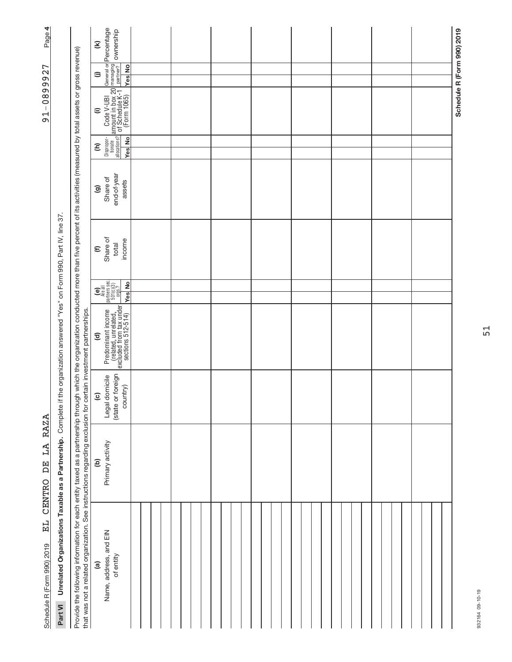| Page 4                        |                                                                       |                                                                                                                                                                                                                                                                                                                                 | $\mathbf{\widehat{\epsilon}}$ |                                                                                                                                                                                                                                                                                                                                                                                                                                                                                 |  |  |  |  |  |  |  |  |  |  |  |  |  |  |  |                            |
|-------------------------------|-----------------------------------------------------------------------|---------------------------------------------------------------------------------------------------------------------------------------------------------------------------------------------------------------------------------------------------------------------------------------------------------------------------------|-------------------------------|---------------------------------------------------------------------------------------------------------------------------------------------------------------------------------------------------------------------------------------------------------------------------------------------------------------------------------------------------------------------------------------------------------------------------------------------------------------------------------|--|--|--|--|--|--|--|--|--|--|--|--|--|--|--|----------------------------|
|                               |                                                                       |                                                                                                                                                                                                                                                                                                                                 | $\oplus$                      |                                                                                                                                                                                                                                                                                                                                                                                                                                                                                 |  |  |  |  |  |  |  |  |  |  |  |  |  |  |  |                            |
| $-0899927$<br>$\overline{91}$ |                                                                       |                                                                                                                                                                                                                                                                                                                                 | $\widehat{=}$                 | Code V-UBI   General or <mark>Percentage</mark><br>  amount in box 20 <sup>managing</sup>   ownership<br>  of Schedule K-1   <u>perher?</u>   ownership<br>  (Form 1065)   <b>Yes   No</b>                                                                                                                                                                                                                                                                                      |  |  |  |  |  |  |  |  |  |  |  |  |  |  |  | Schedule R (Form 990) 2019 |
|                               |                                                                       |                                                                                                                                                                                                                                                                                                                                 | $\widehat{\epsilon}$          | Dispropor-<br>tionate<br>allocations?<br><b>Yes</b> No                                                                                                                                                                                                                                                                                                                                                                                                                          |  |  |  |  |  |  |  |  |  |  |  |  |  |  |  |                            |
|                               |                                                                       |                                                                                                                                                                                                                                                                                                                                 | $\widehat{\mathbf{e}}$        | end-of-year<br>Share of<br>assets                                                                                                                                                                                                                                                                                                                                                                                                                                               |  |  |  |  |  |  |  |  |  |  |  |  |  |  |  |                            |
|                               |                                                                       |                                                                                                                                                                                                                                                                                                                                 | $\widehat{\epsilon}$          | Share of<br>income<br>total                                                                                                                                                                                                                                                                                                                                                                                                                                                     |  |  |  |  |  |  |  |  |  |  |  |  |  |  |  |                            |
|                               |                                                                       |                                                                                                                                                                                                                                                                                                                                 |                               | $\begin{bmatrix} \mathbf{c} \\ \mathbf{e} \\ \mathbf{e} \\ \mathbf{e} \\ \mathbf{e} \\ \mathbf{e} \\ \mathbf{e} \\ \mathbf{e} \\ \mathbf{e} \\ \mathbf{e} \\ \mathbf{e} \\ \mathbf{e} \\ \mathbf{e} \\ \mathbf{e} \\ \mathbf{e} \\ \mathbf{e} \\ \mathbf{e} \\ \mathbf{e} \\ \mathbf{e} \\ \mathbf{e} \\ \mathbf{e} \\ \mathbf{e} \\ \mathbf{e} \\ \mathbf{e} \\ \mathbf{e} \\ \mathbf{e} \\ \mathbf{e} \\ \mathbf{e} \\ \mathbf{e} \\ \mathbf{e} \\ \mathbf{$<br><b>Yes</b> No |  |  |  |  |  |  |  |  |  |  |  |  |  |  |  |                            |
|                               | the organization answered "Yes" on Form 990, Part IV, line 37         |                                                                                                                                                                                                                                                                                                                                 | $\widehat{\mathbf{c}}$        | Predominant income<br>(related, unrelated,<br>excluded from tax under<br>sections 512-514)<br>sections 512-514)                                                                                                                                                                                                                                                                                                                                                                 |  |  |  |  |  |  |  |  |  |  |  |  |  |  |  |                            |
|                               |                                                                       |                                                                                                                                                                                                                                                                                                                                 | $\overline{c}$                | (state or foreign<br>domicile<br>country)<br>Legal                                                                                                                                                                                                                                                                                                                                                                                                                              |  |  |  |  |  |  |  |  |  |  |  |  |  |  |  |                            |
| EL CENTRO DE LA RAZA          |                                                                       |                                                                                                                                                                                                                                                                                                                                 | ê                             | Primary activity                                                                                                                                                                                                                                                                                                                                                                                                                                                                |  |  |  |  |  |  |  |  |  |  |  |  |  |  |  |                            |
| Schedule R (Form 990) 2019    | Part VI Unrelated Organizations Taxable as a Partnership. Complete if | Provide the following information for each entity taxed as a partnership through though which the organization conducted more than five percent of its activities (measured by total assets or gross revenue)<br>that was not a related organization. See instructions regarding exclusion for certain investment partnerships. | $\widehat{a}$                 | Name, address, and EIN<br>of entity                                                                                                                                                                                                                                                                                                                                                                                                                                             |  |  |  |  |  |  |  |  |  |  |  |  |  |  |  |                            |

932164 09-10-19 932164 09‐10‐19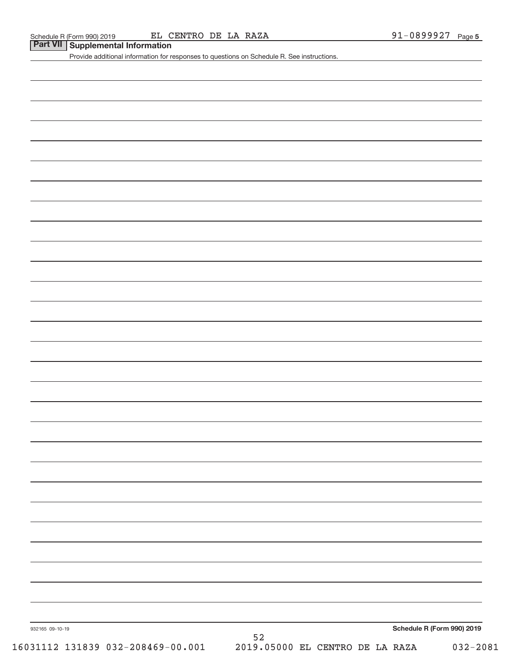# **Part VII Schedule R (Form 990) 2019** EL C

Provide additional information for responses to questions on Schedule R. See instructions.

932165 09‐10‐19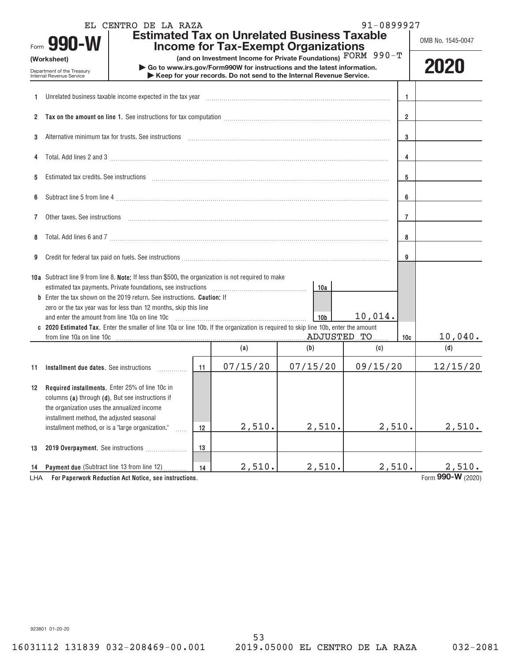|     |                                                                                                                                                                                                                               | EL CENTRO DE LA RAZA                                                                                                                                                                                                           |    | <b>Estimated Tax on Unrelated Business Taxable</b>                                                                                                                                                              |             | 91-0899927 |                | OMB No. 1545-0047 |
|-----|-------------------------------------------------------------------------------------------------------------------------------------------------------------------------------------------------------------------------------|--------------------------------------------------------------------------------------------------------------------------------------------------------------------------------------------------------------------------------|----|-----------------------------------------------------------------------------------------------------------------------------------------------------------------------------------------------------------------|-------------|------------|----------------|-------------------|
|     | Form 990-W                                                                                                                                                                                                                    |                                                                                                                                                                                                                                |    | <b>Income for Tax-Exempt Organizations</b>                                                                                                                                                                      |             |            |                |                   |
|     | (Worksheet)<br>Department of the Treasury<br>Internal Revenue Service                                                                                                                                                         |                                                                                                                                                                                                                                |    | (and on Investment Income for Private Foundations) FORM 990-T<br>Go to www.irs.gov/Form990W for instructions and the latest information.<br>Keep for your records. Do not send to the Internal Revenue Service. |             |            |                | 2020              |
| 1.  |                                                                                                                                                                                                                               | Unrelated business taxable income expected in the tax year manufactured in the tax year manufactured business taxable income expected in the tax year manufactured in the tax with the state of the state of the state of the  |    |                                                                                                                                                                                                                 |             |            | 1              |                   |
|     |                                                                                                                                                                                                                               |                                                                                                                                                                                                                                |    |                                                                                                                                                                                                                 |             |            | $\overline{2}$ |                   |
| 3   |                                                                                                                                                                                                                               | Alternative minimum tax for trusts. See instructions                                                                                                                                                                           |    |                                                                                                                                                                                                                 |             |            | 3              |                   |
|     |                                                                                                                                                                                                                               | Total. Add lines 2 and 3 [11] manufactures and 3 [11] manufactures are not all the set of the set of the set of the set of the set of the set of the set of the set of the set of the set of the set of the set of the set of  |    |                                                                                                                                                                                                                 |             |            | 4              |                   |
| 5   |                                                                                                                                                                                                                               | Estimated tax credits. See instructions entertainment and an according to the instruction of the set instructions of the set of the set of the set of the set of the set of the set of the set of the set of the set of the se |    |                                                                                                                                                                                                                 |             |            | 5              |                   |
| 6   |                                                                                                                                                                                                                               |                                                                                                                                                                                                                                |    |                                                                                                                                                                                                                 |             |            | 6              |                   |
| 7   |                                                                                                                                                                                                                               | Other taxes. See instructions entertainments are also allows and the taxes. See instructions and all the second second services and the set of the set of the second second service in the set of the set of the second second |    |                                                                                                                                                                                                                 |             |            | $\overline{7}$ |                   |
| 8   | Total. Add lines 6 and 7 [11] manufacture contract and a set of the set of the set of the set of the set of the set of the set of the set of the set of the set of the set of the set of the set of the set of the set of the |                                                                                                                                                                                                                                | 8  |                                                                                                                                                                                                                 |             |            |                |                   |
| 9   |                                                                                                                                                                                                                               | Credit for federal tax paid on fuels. See instructions [11] paints and the context of the set of the set of the set of the set of the set of the set of the set of the set of the set of the set of the set of the set of the  |    |                                                                                                                                                                                                                 |             |            | 9              |                   |
|     |                                                                                                                                                                                                                               | 10a Subtract line 9 from line 8. Note: If less than \$500, the organization is not required to make                                                                                                                            |    |                                                                                                                                                                                                                 | 10a         |            |                |                   |
|     | and enter the amount from line 10a on line 10c                                                                                                                                                                                | <b>b</b> Enter the tax shown on the 2019 return. See instructions. <b>Caution:</b> If<br>zero or the tax year was for less than 12 months, skip this line                                                                      |    |                                                                                                                                                                                                                 | $\vert$ 10b | 10,014.    |                |                   |
|     |                                                                                                                                                                                                                               | c 2020 Estimated Tax. Enter the smaller of line 10a or line 10b. If the organization is required to skip line 10b, enter the amount                                                                                            |    |                                                                                                                                                                                                                 |             |            | 10c            | $10,040$ .        |
|     |                                                                                                                                                                                                                               |                                                                                                                                                                                                                                |    | (a)                                                                                                                                                                                                             | (b)         | (c)        |                | (d)               |
| 11  |                                                                                                                                                                                                                               | Installment due dates. See instructions                                                                                                                                                                                        | 11 | 07/15/20                                                                                                                                                                                                        | 07/15/20    | 09/15/20   |                | 12/15/20          |
|     | 12 Required installments. Enter 25% of line 10c in<br>columns (a) through (d). But see instructions if<br>the organization uses the annualized income<br>installment method, the adjusted seasonal                            |                                                                                                                                                                                                                                |    |                                                                                                                                                                                                                 |             |            |                |                   |
|     | installment method, or is a "large organization."                                                                                                                                                                             | .                                                                                                                                                                                                                              | 12 | 2,510.                                                                                                                                                                                                          | 2,510.      | 2,510.     |                | 2,510.            |
| 13  |                                                                                                                                                                                                                               | 2019 Overpayment. See instructions                                                                                                                                                                                             | 13 |                                                                                                                                                                                                                 |             |            |                |                   |
| 14  | Payment due (Subtract line 13 from line 12)                                                                                                                                                                                   |                                                                                                                                                                                                                                | 14 | 2,510.                                                                                                                                                                                                          | 2,510.      | 2,510.     |                | 2,510.            |
| LHA |                                                                                                                                                                                                                               | For Paperwork Reduction Act Notice, see instructions.                                                                                                                                                                          |    |                                                                                                                                                                                                                 |             |            |                | Form 990-W (2020) |

923801 01‐20‐20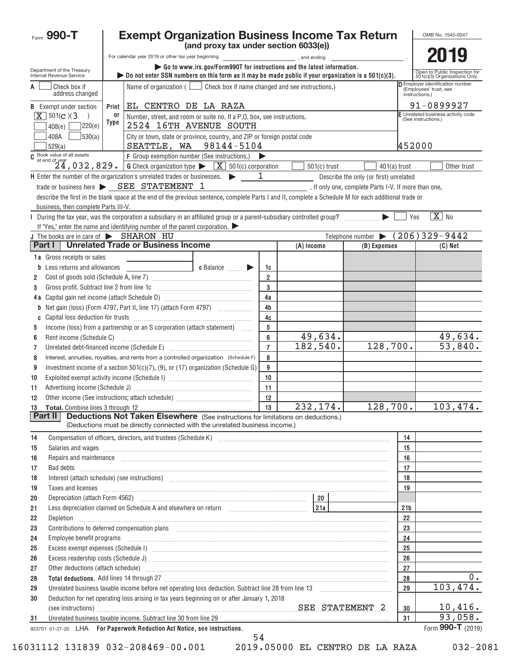| (and proxy tax under section 6033(e))<br>2019<br>For calendar year 2019 or other tax year beginning<br>, and ending<br>Go to www.irs.gov/Form990T for instructions and the latest information.<br>Department of the Treasury<br>Open to Public Inspection for<br>501(c)(3) Organizations Only<br>bo not enter SSN numbers on this form as it may be made public if your organization is a $501(c)(3)$ .<br>Internal Revenue Service<br>D Employer identification number<br>Check box if name changed and see instructions.)<br>Check box if<br>Name of organization $($<br>A<br>(Employees' trust, see<br>address changed<br>instructions.)<br>91-0899927<br>EL CENTRO DE LA RAZA<br><b>B</b> Exempt under section<br>Print<br>F Unrelated business activity code<br>$X$ 501(c)(3<br>0r<br>Number, street, and room or suite no. If a P.O. box, see instructions.<br>(See instructions.)<br>Type<br>2524 16TH AVENUE SOUTH<br> 220(e) <br>408(e)<br>408A<br> 530(a) <br>City or town, state or province, country, and ZIP or foreign postal code<br>SEATTLE, WA 98144-5104<br>452000<br>529(a)<br>$\frac{1}{2}$ Book value of all assets<br>at end of year<br>F Group exemption number (See instructions.)<br>$24,032,829.$ G Check organization type $\triangleright$ $\boxed{X}$ 501(c) corporation<br>$501(c)$ trust<br>Other trust<br>$401(a)$ trust<br>1<br>$H$ Enter the number of the organization's unrelated trades or businesses. $\blacktriangleright$<br>Describe the only (or first) unrelated<br>trade or business here > SEE STATEMENT 1<br>. If only one, complete Parts I-V. If more than one,<br>describe the first in the blank space at the end of the previous sentence, complete Parts I and II, complete a Schedule M for each additional trade or<br>business, then complete Parts III-V.<br>$\boxed{\text{X}}$ No<br>Yes<br>If "Yes," enter the name and identifying number of the parent corporation. $\blacktriangleright$<br>Telephone number $\triangleright$ (206) 329-9442<br>J The books are in care of SHARON HU<br><b>Unrelated Trade or Business Income</b><br>Part I<br>(A) Income<br>(B) Expenses<br>$(C)$ Net<br>1a Gross receipts or sales<br>c Balance <b>Division</b><br>Less returns and allowances<br>1c<br>b<br><u>and the state of the state of the state</u><br>$\overline{2}$<br>2<br>3<br>3<br>4a<br>4 <sub>b</sub><br>b<br>4c<br>C<br>5<br>Income (loss) from a partnership or an S corporation (attach statement)<br>5<br>49,634.<br>49,634.<br>6<br>Rent income (Schedule C)<br>6<br>182,540.<br>128,700.<br>53,840.<br>$\overline{7}$<br>Unrelated debt-financed income (Schedule E) [11] [2010] [2010] [2010] [2010] [2010] [2010] [2010] [2010] [2010<br>7<br>Interest, annuities, royalties, and rents from a controlled organization (Schedule F)<br>8<br>8<br>Investment income of a section $501(c)(7)$ , (9), or (17) organization (Schedule G)<br>9<br>9<br>10<br>10<br>11<br>11<br>12<br>Other income (See instructions: attach schedule)<br>12<br>$\overline{13}$<br>$\overline{232, 174.}$<br>128,700.<br>$\overline{103}$ , 474.<br><b>Deductions Not Taken Elsewhere</b> (See instructions for limitations on deductions.)<br><b>Part II</b><br>(Deductions must be directly connected with the unrelated business income.)<br>14<br>14<br>15<br>15<br>Salaries and wages information continuous contracts and wages in the salaries and wages incommutation of the salarities and wages in the salarities of the salarities and wages in the salarities of the salarities of the sal<br>16<br>16<br>17<br>17<br>Interest (attach schedule) (see instructions) www.communications.communications are interest (attach schedule)<br>18<br>18<br>Taxes and licenses <b>contract the contract of the contract of the contract of the contract of the contract of the contract of the contract of the contract of the contract of the contract of the contract of the contract of t</b><br>19<br>19<br>20<br>Less depreciation claimed on Schedule A and elsewhere on return [1] [214]<br>21 <sub>b</sub><br>21<br>22<br>22<br>Contributions to deferred compensation plans [11] manufactured contributions to deferred compensation plans [11] manufactured compensation plans [11] manufactured compensation plans [11] manufactured contributions to defer<br>23<br>23<br>Employee benefit programs in the continuum contract of the contract of the contract of the contract of the contract of the contract of the contract of the contract of the contract of the contract of the contract of the con<br>24<br>24<br>25<br>25<br>26<br>Excess readership costs (Schedule J) <b>Manual Constructs</b> 2014 (Schedule J)<br>26<br>27<br>Other deductions (attach schedule) www.communications.communications.communications.com<br>27<br>$0 \cdot$<br>Total deductions. Add lines 14 through 27 [11] Martin Martin Martin Martin Martin Martin Martin Martin Martin Martin Martin Martin Martin Martin Martin Martin Martin Martin Martin Martin Martin Martin Martin Martin Martin<br>28<br>28<br>103,474.<br>Unrelated business taxable income before net operating loss deduction. Subtract line 28 from line 13 [11] [12]<br>29<br>29<br>Deduction for net operating loss arising in tax years beginning on or after January 1, 2018<br>30<br>10,416.<br>30<br>93,058.<br>31<br>31<br>Form 990-T (2019)<br>923701 01-27-20 LHA For Paperwork Reduction Act Notice, see instructions. | Form 990-T | <b>Exempt Organization Business Income Tax Return</b> |  |  |  | OMB No. 1545-0047 |
|-----------------------------------------------------------------------------------------------------------------------------------------------------------------------------------------------------------------------------------------------------------------------------------------------------------------------------------------------------------------------------------------------------------------------------------------------------------------------------------------------------------------------------------------------------------------------------------------------------------------------------------------------------------------------------------------------------------------------------------------------------------------------------------------------------------------------------------------------------------------------------------------------------------------------------------------------------------------------------------------------------------------------------------------------------------------------------------------------------------------------------------------------------------------------------------------------------------------------------------------------------------------------------------------------------------------------------------------------------------------------------------------------------------------------------------------------------------------------------------------------------------------------------------------------------------------------------------------------------------------------------------------------------------------------------------------------------------------------------------------------------------------------------------------------------------------------------------------------------------------------------------------------------------------------------------------------------------------------------------------------------------------------------------------------------------------------------------------------------------------------------------------------------------------------------------------------------------------------------------------------------------------------------------------------------------------------------------------------------------------------------------------------------------------------------------------------------------------------------------------------------------------------------------------------------------------------------------------------------------------------------------------------------------------------------------------------------------------------------------------------------------------------------------------------------------------------------------------------------------------------------------------------------------------------------------------------------------------------------------------------------------------------------------------------------------------------------------------------------------------------------------------------------------------------------------------------------------------------------------------------------------------------------------------------------------------------------------------------------------------------------------------------------------------------------------------------------------------------------------------------------------------------------------------------------------------------------------------------------------------------------------------------------------------------------------------------------------------------------------------------------------------------------------------------------------------------------------------------------------------------------------------------------------------------------------------------------------------------------------------------------------------------------------------------------------------------------------------------------------------------------------------------------------------------------------------------------------------------------------------------------------------------------------------------------------------------------------------------------------------------------------------------------------------------------------------------------------------------------------------------------------------------------------------------------------------------------------------------------------------------------------------------------------------------------------------------------------------------------------------------------------------------------------------------------------------------------------------------------------------------------------------------------------------------------------------------------------------------------------------------------------------------------------------------------------------------------------------------------------------------------------------------------------------------------------------------------------------------------------------------------------------------------------------------------------------------------------------------------------------------------------------------------------------------------------------------------------|------------|-------------------------------------------------------|--|--|--|-------------------|
|                                                                                                                                                                                                                                                                                                                                                                                                                                                                                                                                                                                                                                                                                                                                                                                                                                                                                                                                                                                                                                                                                                                                                                                                                                                                                                                                                                                                                                                                                                                                                                                                                                                                                                                                                                                                                                                                                                                                                                                                                                                                                                                                                                                                                                                                                                                                                                                                                                                                                                                                                                                                                                                                                                                                                                                                                                                                                                                                                                                                                                                                                                                                                                                                                                                                                                                                                                                                                                                                                                                                                                                                                                                                                                                                                                                                                                                                                                                                                                                                                                                                                                                                                                                                                                                                                                                                                                                                                                                                                                                                                                                                                                                                                                                                                                                                                                                                                                                                                                                                                                                                                                                                                                                                                                                                                                                                                                                                                                                           |            |                                                       |  |  |  |                   |
|                                                                                                                                                                                                                                                                                                                                                                                                                                                                                                                                                                                                                                                                                                                                                                                                                                                                                                                                                                                                                                                                                                                                                                                                                                                                                                                                                                                                                                                                                                                                                                                                                                                                                                                                                                                                                                                                                                                                                                                                                                                                                                                                                                                                                                                                                                                                                                                                                                                                                                                                                                                                                                                                                                                                                                                                                                                                                                                                                                                                                                                                                                                                                                                                                                                                                                                                                                                                                                                                                                                                                                                                                                                                                                                                                                                                                                                                                                                                                                                                                                                                                                                                                                                                                                                                                                                                                                                                                                                                                                                                                                                                                                                                                                                                                                                                                                                                                                                                                                                                                                                                                                                                                                                                                                                                                                                                                                                                                                                           |            |                                                       |  |  |  |                   |
|                                                                                                                                                                                                                                                                                                                                                                                                                                                                                                                                                                                                                                                                                                                                                                                                                                                                                                                                                                                                                                                                                                                                                                                                                                                                                                                                                                                                                                                                                                                                                                                                                                                                                                                                                                                                                                                                                                                                                                                                                                                                                                                                                                                                                                                                                                                                                                                                                                                                                                                                                                                                                                                                                                                                                                                                                                                                                                                                                                                                                                                                                                                                                                                                                                                                                                                                                                                                                                                                                                                                                                                                                                                                                                                                                                                                                                                                                                                                                                                                                                                                                                                                                                                                                                                                                                                                                                                                                                                                                                                                                                                                                                                                                                                                                                                                                                                                                                                                                                                                                                                                                                                                                                                                                                                                                                                                                                                                                                                           |            |                                                       |  |  |  |                   |
|                                                                                                                                                                                                                                                                                                                                                                                                                                                                                                                                                                                                                                                                                                                                                                                                                                                                                                                                                                                                                                                                                                                                                                                                                                                                                                                                                                                                                                                                                                                                                                                                                                                                                                                                                                                                                                                                                                                                                                                                                                                                                                                                                                                                                                                                                                                                                                                                                                                                                                                                                                                                                                                                                                                                                                                                                                                                                                                                                                                                                                                                                                                                                                                                                                                                                                                                                                                                                                                                                                                                                                                                                                                                                                                                                                                                                                                                                                                                                                                                                                                                                                                                                                                                                                                                                                                                                                                                                                                                                                                                                                                                                                                                                                                                                                                                                                                                                                                                                                                                                                                                                                                                                                                                                                                                                                                                                                                                                                                           |            |                                                       |  |  |  |                   |
|                                                                                                                                                                                                                                                                                                                                                                                                                                                                                                                                                                                                                                                                                                                                                                                                                                                                                                                                                                                                                                                                                                                                                                                                                                                                                                                                                                                                                                                                                                                                                                                                                                                                                                                                                                                                                                                                                                                                                                                                                                                                                                                                                                                                                                                                                                                                                                                                                                                                                                                                                                                                                                                                                                                                                                                                                                                                                                                                                                                                                                                                                                                                                                                                                                                                                                                                                                                                                                                                                                                                                                                                                                                                                                                                                                                                                                                                                                                                                                                                                                                                                                                                                                                                                                                                                                                                                                                                                                                                                                                                                                                                                                                                                                                                                                                                                                                                                                                                                                                                                                                                                                                                                                                                                                                                                                                                                                                                                                                           |            |                                                       |  |  |  |                   |
|                                                                                                                                                                                                                                                                                                                                                                                                                                                                                                                                                                                                                                                                                                                                                                                                                                                                                                                                                                                                                                                                                                                                                                                                                                                                                                                                                                                                                                                                                                                                                                                                                                                                                                                                                                                                                                                                                                                                                                                                                                                                                                                                                                                                                                                                                                                                                                                                                                                                                                                                                                                                                                                                                                                                                                                                                                                                                                                                                                                                                                                                                                                                                                                                                                                                                                                                                                                                                                                                                                                                                                                                                                                                                                                                                                                                                                                                                                                                                                                                                                                                                                                                                                                                                                                                                                                                                                                                                                                                                                                                                                                                                                                                                                                                                                                                                                                                                                                                                                                                                                                                                                                                                                                                                                                                                                                                                                                                                                                           |            |                                                       |  |  |  |                   |
|                                                                                                                                                                                                                                                                                                                                                                                                                                                                                                                                                                                                                                                                                                                                                                                                                                                                                                                                                                                                                                                                                                                                                                                                                                                                                                                                                                                                                                                                                                                                                                                                                                                                                                                                                                                                                                                                                                                                                                                                                                                                                                                                                                                                                                                                                                                                                                                                                                                                                                                                                                                                                                                                                                                                                                                                                                                                                                                                                                                                                                                                                                                                                                                                                                                                                                                                                                                                                                                                                                                                                                                                                                                                                                                                                                                                                                                                                                                                                                                                                                                                                                                                                                                                                                                                                                                                                                                                                                                                                                                                                                                                                                                                                                                                                                                                                                                                                                                                                                                                                                                                                                                                                                                                                                                                                                                                                                                                                                                           |            |                                                       |  |  |  |                   |
|                                                                                                                                                                                                                                                                                                                                                                                                                                                                                                                                                                                                                                                                                                                                                                                                                                                                                                                                                                                                                                                                                                                                                                                                                                                                                                                                                                                                                                                                                                                                                                                                                                                                                                                                                                                                                                                                                                                                                                                                                                                                                                                                                                                                                                                                                                                                                                                                                                                                                                                                                                                                                                                                                                                                                                                                                                                                                                                                                                                                                                                                                                                                                                                                                                                                                                                                                                                                                                                                                                                                                                                                                                                                                                                                                                                                                                                                                                                                                                                                                                                                                                                                                                                                                                                                                                                                                                                                                                                                                                                                                                                                                                                                                                                                                                                                                                                                                                                                                                                                                                                                                                                                                                                                                                                                                                                                                                                                                                                           |            |                                                       |  |  |  |                   |
|                                                                                                                                                                                                                                                                                                                                                                                                                                                                                                                                                                                                                                                                                                                                                                                                                                                                                                                                                                                                                                                                                                                                                                                                                                                                                                                                                                                                                                                                                                                                                                                                                                                                                                                                                                                                                                                                                                                                                                                                                                                                                                                                                                                                                                                                                                                                                                                                                                                                                                                                                                                                                                                                                                                                                                                                                                                                                                                                                                                                                                                                                                                                                                                                                                                                                                                                                                                                                                                                                                                                                                                                                                                                                                                                                                                                                                                                                                                                                                                                                                                                                                                                                                                                                                                                                                                                                                                                                                                                                                                                                                                                                                                                                                                                                                                                                                                                                                                                                                                                                                                                                                                                                                                                                                                                                                                                                                                                                                                           |            |                                                       |  |  |  |                   |
|                                                                                                                                                                                                                                                                                                                                                                                                                                                                                                                                                                                                                                                                                                                                                                                                                                                                                                                                                                                                                                                                                                                                                                                                                                                                                                                                                                                                                                                                                                                                                                                                                                                                                                                                                                                                                                                                                                                                                                                                                                                                                                                                                                                                                                                                                                                                                                                                                                                                                                                                                                                                                                                                                                                                                                                                                                                                                                                                                                                                                                                                                                                                                                                                                                                                                                                                                                                                                                                                                                                                                                                                                                                                                                                                                                                                                                                                                                                                                                                                                                                                                                                                                                                                                                                                                                                                                                                                                                                                                                                                                                                                                                                                                                                                                                                                                                                                                                                                                                                                                                                                                                                                                                                                                                                                                                                                                                                                                                                           |            |                                                       |  |  |  |                   |
|                                                                                                                                                                                                                                                                                                                                                                                                                                                                                                                                                                                                                                                                                                                                                                                                                                                                                                                                                                                                                                                                                                                                                                                                                                                                                                                                                                                                                                                                                                                                                                                                                                                                                                                                                                                                                                                                                                                                                                                                                                                                                                                                                                                                                                                                                                                                                                                                                                                                                                                                                                                                                                                                                                                                                                                                                                                                                                                                                                                                                                                                                                                                                                                                                                                                                                                                                                                                                                                                                                                                                                                                                                                                                                                                                                                                                                                                                                                                                                                                                                                                                                                                                                                                                                                                                                                                                                                                                                                                                                                                                                                                                                                                                                                                                                                                                                                                                                                                                                                                                                                                                                                                                                                                                                                                                                                                                                                                                                                           |            |                                                       |  |  |  |                   |
|                                                                                                                                                                                                                                                                                                                                                                                                                                                                                                                                                                                                                                                                                                                                                                                                                                                                                                                                                                                                                                                                                                                                                                                                                                                                                                                                                                                                                                                                                                                                                                                                                                                                                                                                                                                                                                                                                                                                                                                                                                                                                                                                                                                                                                                                                                                                                                                                                                                                                                                                                                                                                                                                                                                                                                                                                                                                                                                                                                                                                                                                                                                                                                                                                                                                                                                                                                                                                                                                                                                                                                                                                                                                                                                                                                                                                                                                                                                                                                                                                                                                                                                                                                                                                                                                                                                                                                                                                                                                                                                                                                                                                                                                                                                                                                                                                                                                                                                                                                                                                                                                                                                                                                                                                                                                                                                                                                                                                                                           |            |                                                       |  |  |  |                   |
|                                                                                                                                                                                                                                                                                                                                                                                                                                                                                                                                                                                                                                                                                                                                                                                                                                                                                                                                                                                                                                                                                                                                                                                                                                                                                                                                                                                                                                                                                                                                                                                                                                                                                                                                                                                                                                                                                                                                                                                                                                                                                                                                                                                                                                                                                                                                                                                                                                                                                                                                                                                                                                                                                                                                                                                                                                                                                                                                                                                                                                                                                                                                                                                                                                                                                                                                                                                                                                                                                                                                                                                                                                                                                                                                                                                                                                                                                                                                                                                                                                                                                                                                                                                                                                                                                                                                                                                                                                                                                                                                                                                                                                                                                                                                                                                                                                                                                                                                                                                                                                                                                                                                                                                                                                                                                                                                                                                                                                                           |            |                                                       |  |  |  |                   |
|                                                                                                                                                                                                                                                                                                                                                                                                                                                                                                                                                                                                                                                                                                                                                                                                                                                                                                                                                                                                                                                                                                                                                                                                                                                                                                                                                                                                                                                                                                                                                                                                                                                                                                                                                                                                                                                                                                                                                                                                                                                                                                                                                                                                                                                                                                                                                                                                                                                                                                                                                                                                                                                                                                                                                                                                                                                                                                                                                                                                                                                                                                                                                                                                                                                                                                                                                                                                                                                                                                                                                                                                                                                                                                                                                                                                                                                                                                                                                                                                                                                                                                                                                                                                                                                                                                                                                                                                                                                                                                                                                                                                                                                                                                                                                                                                                                                                                                                                                                                                                                                                                                                                                                                                                                                                                                                                                                                                                                                           |            |                                                       |  |  |  |                   |
|                                                                                                                                                                                                                                                                                                                                                                                                                                                                                                                                                                                                                                                                                                                                                                                                                                                                                                                                                                                                                                                                                                                                                                                                                                                                                                                                                                                                                                                                                                                                                                                                                                                                                                                                                                                                                                                                                                                                                                                                                                                                                                                                                                                                                                                                                                                                                                                                                                                                                                                                                                                                                                                                                                                                                                                                                                                                                                                                                                                                                                                                                                                                                                                                                                                                                                                                                                                                                                                                                                                                                                                                                                                                                                                                                                                                                                                                                                                                                                                                                                                                                                                                                                                                                                                                                                                                                                                                                                                                                                                                                                                                                                                                                                                                                                                                                                                                                                                                                                                                                                                                                                                                                                                                                                                                                                                                                                                                                                                           |            |                                                       |  |  |  |                   |
|                                                                                                                                                                                                                                                                                                                                                                                                                                                                                                                                                                                                                                                                                                                                                                                                                                                                                                                                                                                                                                                                                                                                                                                                                                                                                                                                                                                                                                                                                                                                                                                                                                                                                                                                                                                                                                                                                                                                                                                                                                                                                                                                                                                                                                                                                                                                                                                                                                                                                                                                                                                                                                                                                                                                                                                                                                                                                                                                                                                                                                                                                                                                                                                                                                                                                                                                                                                                                                                                                                                                                                                                                                                                                                                                                                                                                                                                                                                                                                                                                                                                                                                                                                                                                                                                                                                                                                                                                                                                                                                                                                                                                                                                                                                                                                                                                                                                                                                                                                                                                                                                                                                                                                                                                                                                                                                                                                                                                                                           |            |                                                       |  |  |  |                   |
|                                                                                                                                                                                                                                                                                                                                                                                                                                                                                                                                                                                                                                                                                                                                                                                                                                                                                                                                                                                                                                                                                                                                                                                                                                                                                                                                                                                                                                                                                                                                                                                                                                                                                                                                                                                                                                                                                                                                                                                                                                                                                                                                                                                                                                                                                                                                                                                                                                                                                                                                                                                                                                                                                                                                                                                                                                                                                                                                                                                                                                                                                                                                                                                                                                                                                                                                                                                                                                                                                                                                                                                                                                                                                                                                                                                                                                                                                                                                                                                                                                                                                                                                                                                                                                                                                                                                                                                                                                                                                                                                                                                                                                                                                                                                                                                                                                                                                                                                                                                                                                                                                                                                                                                                                                                                                                                                                                                                                                                           |            |                                                       |  |  |  |                   |
|                                                                                                                                                                                                                                                                                                                                                                                                                                                                                                                                                                                                                                                                                                                                                                                                                                                                                                                                                                                                                                                                                                                                                                                                                                                                                                                                                                                                                                                                                                                                                                                                                                                                                                                                                                                                                                                                                                                                                                                                                                                                                                                                                                                                                                                                                                                                                                                                                                                                                                                                                                                                                                                                                                                                                                                                                                                                                                                                                                                                                                                                                                                                                                                                                                                                                                                                                                                                                                                                                                                                                                                                                                                                                                                                                                                                                                                                                                                                                                                                                                                                                                                                                                                                                                                                                                                                                                                                                                                                                                                                                                                                                                                                                                                                                                                                                                                                                                                                                                                                                                                                                                                                                                                                                                                                                                                                                                                                                                                           |            |                                                       |  |  |  |                   |
|                                                                                                                                                                                                                                                                                                                                                                                                                                                                                                                                                                                                                                                                                                                                                                                                                                                                                                                                                                                                                                                                                                                                                                                                                                                                                                                                                                                                                                                                                                                                                                                                                                                                                                                                                                                                                                                                                                                                                                                                                                                                                                                                                                                                                                                                                                                                                                                                                                                                                                                                                                                                                                                                                                                                                                                                                                                                                                                                                                                                                                                                                                                                                                                                                                                                                                                                                                                                                                                                                                                                                                                                                                                                                                                                                                                                                                                                                                                                                                                                                                                                                                                                                                                                                                                                                                                                                                                                                                                                                                                                                                                                                                                                                                                                                                                                                                                                                                                                                                                                                                                                                                                                                                                                                                                                                                                                                                                                                                                           |            |                                                       |  |  |  |                   |
|                                                                                                                                                                                                                                                                                                                                                                                                                                                                                                                                                                                                                                                                                                                                                                                                                                                                                                                                                                                                                                                                                                                                                                                                                                                                                                                                                                                                                                                                                                                                                                                                                                                                                                                                                                                                                                                                                                                                                                                                                                                                                                                                                                                                                                                                                                                                                                                                                                                                                                                                                                                                                                                                                                                                                                                                                                                                                                                                                                                                                                                                                                                                                                                                                                                                                                                                                                                                                                                                                                                                                                                                                                                                                                                                                                                                                                                                                                                                                                                                                                                                                                                                                                                                                                                                                                                                                                                                                                                                                                                                                                                                                                                                                                                                                                                                                                                                                                                                                                                                                                                                                                                                                                                                                                                                                                                                                                                                                                                           |            |                                                       |  |  |  |                   |
|                                                                                                                                                                                                                                                                                                                                                                                                                                                                                                                                                                                                                                                                                                                                                                                                                                                                                                                                                                                                                                                                                                                                                                                                                                                                                                                                                                                                                                                                                                                                                                                                                                                                                                                                                                                                                                                                                                                                                                                                                                                                                                                                                                                                                                                                                                                                                                                                                                                                                                                                                                                                                                                                                                                                                                                                                                                                                                                                                                                                                                                                                                                                                                                                                                                                                                                                                                                                                                                                                                                                                                                                                                                                                                                                                                                                                                                                                                                                                                                                                                                                                                                                                                                                                                                                                                                                                                                                                                                                                                                                                                                                                                                                                                                                                                                                                                                                                                                                                                                                                                                                                                                                                                                                                                                                                                                                                                                                                                                           |            |                                                       |  |  |  |                   |
|                                                                                                                                                                                                                                                                                                                                                                                                                                                                                                                                                                                                                                                                                                                                                                                                                                                                                                                                                                                                                                                                                                                                                                                                                                                                                                                                                                                                                                                                                                                                                                                                                                                                                                                                                                                                                                                                                                                                                                                                                                                                                                                                                                                                                                                                                                                                                                                                                                                                                                                                                                                                                                                                                                                                                                                                                                                                                                                                                                                                                                                                                                                                                                                                                                                                                                                                                                                                                                                                                                                                                                                                                                                                                                                                                                                                                                                                                                                                                                                                                                                                                                                                                                                                                                                                                                                                                                                                                                                                                                                                                                                                                                                                                                                                                                                                                                                                                                                                                                                                                                                                                                                                                                                                                                                                                                                                                                                                                                                           |            |                                                       |  |  |  |                   |
|                                                                                                                                                                                                                                                                                                                                                                                                                                                                                                                                                                                                                                                                                                                                                                                                                                                                                                                                                                                                                                                                                                                                                                                                                                                                                                                                                                                                                                                                                                                                                                                                                                                                                                                                                                                                                                                                                                                                                                                                                                                                                                                                                                                                                                                                                                                                                                                                                                                                                                                                                                                                                                                                                                                                                                                                                                                                                                                                                                                                                                                                                                                                                                                                                                                                                                                                                                                                                                                                                                                                                                                                                                                                                                                                                                                                                                                                                                                                                                                                                                                                                                                                                                                                                                                                                                                                                                                                                                                                                                                                                                                                                                                                                                                                                                                                                                                                                                                                                                                                                                                                                                                                                                                                                                                                                                                                                                                                                                                           |            |                                                       |  |  |  |                   |
|                                                                                                                                                                                                                                                                                                                                                                                                                                                                                                                                                                                                                                                                                                                                                                                                                                                                                                                                                                                                                                                                                                                                                                                                                                                                                                                                                                                                                                                                                                                                                                                                                                                                                                                                                                                                                                                                                                                                                                                                                                                                                                                                                                                                                                                                                                                                                                                                                                                                                                                                                                                                                                                                                                                                                                                                                                                                                                                                                                                                                                                                                                                                                                                                                                                                                                                                                                                                                                                                                                                                                                                                                                                                                                                                                                                                                                                                                                                                                                                                                                                                                                                                                                                                                                                                                                                                                                                                                                                                                                                                                                                                                                                                                                                                                                                                                                                                                                                                                                                                                                                                                                                                                                                                                                                                                                                                                                                                                                                           |            |                                                       |  |  |  |                   |
|                                                                                                                                                                                                                                                                                                                                                                                                                                                                                                                                                                                                                                                                                                                                                                                                                                                                                                                                                                                                                                                                                                                                                                                                                                                                                                                                                                                                                                                                                                                                                                                                                                                                                                                                                                                                                                                                                                                                                                                                                                                                                                                                                                                                                                                                                                                                                                                                                                                                                                                                                                                                                                                                                                                                                                                                                                                                                                                                                                                                                                                                                                                                                                                                                                                                                                                                                                                                                                                                                                                                                                                                                                                                                                                                                                                                                                                                                                                                                                                                                                                                                                                                                                                                                                                                                                                                                                                                                                                                                                                                                                                                                                                                                                                                                                                                                                                                                                                                                                                                                                                                                                                                                                                                                                                                                                                                                                                                                                                           |            |                                                       |  |  |  |                   |
|                                                                                                                                                                                                                                                                                                                                                                                                                                                                                                                                                                                                                                                                                                                                                                                                                                                                                                                                                                                                                                                                                                                                                                                                                                                                                                                                                                                                                                                                                                                                                                                                                                                                                                                                                                                                                                                                                                                                                                                                                                                                                                                                                                                                                                                                                                                                                                                                                                                                                                                                                                                                                                                                                                                                                                                                                                                                                                                                                                                                                                                                                                                                                                                                                                                                                                                                                                                                                                                                                                                                                                                                                                                                                                                                                                                                                                                                                                                                                                                                                                                                                                                                                                                                                                                                                                                                                                                                                                                                                                                                                                                                                                                                                                                                                                                                                                                                                                                                                                                                                                                                                                                                                                                                                                                                                                                                                                                                                                                           |            |                                                       |  |  |  |                   |
|                                                                                                                                                                                                                                                                                                                                                                                                                                                                                                                                                                                                                                                                                                                                                                                                                                                                                                                                                                                                                                                                                                                                                                                                                                                                                                                                                                                                                                                                                                                                                                                                                                                                                                                                                                                                                                                                                                                                                                                                                                                                                                                                                                                                                                                                                                                                                                                                                                                                                                                                                                                                                                                                                                                                                                                                                                                                                                                                                                                                                                                                                                                                                                                                                                                                                                                                                                                                                                                                                                                                                                                                                                                                                                                                                                                                                                                                                                                                                                                                                                                                                                                                                                                                                                                                                                                                                                                                                                                                                                                                                                                                                                                                                                                                                                                                                                                                                                                                                                                                                                                                                                                                                                                                                                                                                                                                                                                                                                                           |            |                                                       |  |  |  |                   |
|                                                                                                                                                                                                                                                                                                                                                                                                                                                                                                                                                                                                                                                                                                                                                                                                                                                                                                                                                                                                                                                                                                                                                                                                                                                                                                                                                                                                                                                                                                                                                                                                                                                                                                                                                                                                                                                                                                                                                                                                                                                                                                                                                                                                                                                                                                                                                                                                                                                                                                                                                                                                                                                                                                                                                                                                                                                                                                                                                                                                                                                                                                                                                                                                                                                                                                                                                                                                                                                                                                                                                                                                                                                                                                                                                                                                                                                                                                                                                                                                                                                                                                                                                                                                                                                                                                                                                                                                                                                                                                                                                                                                                                                                                                                                                                                                                                                                                                                                                                                                                                                                                                                                                                                                                                                                                                                                                                                                                                                           |            |                                                       |  |  |  |                   |
|                                                                                                                                                                                                                                                                                                                                                                                                                                                                                                                                                                                                                                                                                                                                                                                                                                                                                                                                                                                                                                                                                                                                                                                                                                                                                                                                                                                                                                                                                                                                                                                                                                                                                                                                                                                                                                                                                                                                                                                                                                                                                                                                                                                                                                                                                                                                                                                                                                                                                                                                                                                                                                                                                                                                                                                                                                                                                                                                                                                                                                                                                                                                                                                                                                                                                                                                                                                                                                                                                                                                                                                                                                                                                                                                                                                                                                                                                                                                                                                                                                                                                                                                                                                                                                                                                                                                                                                                                                                                                                                                                                                                                                                                                                                                                                                                                                                                                                                                                                                                                                                                                                                                                                                                                                                                                                                                                                                                                                                           |            |                                                       |  |  |  |                   |
|                                                                                                                                                                                                                                                                                                                                                                                                                                                                                                                                                                                                                                                                                                                                                                                                                                                                                                                                                                                                                                                                                                                                                                                                                                                                                                                                                                                                                                                                                                                                                                                                                                                                                                                                                                                                                                                                                                                                                                                                                                                                                                                                                                                                                                                                                                                                                                                                                                                                                                                                                                                                                                                                                                                                                                                                                                                                                                                                                                                                                                                                                                                                                                                                                                                                                                                                                                                                                                                                                                                                                                                                                                                                                                                                                                                                                                                                                                                                                                                                                                                                                                                                                                                                                                                                                                                                                                                                                                                                                                                                                                                                                                                                                                                                                                                                                                                                                                                                                                                                                                                                                                                                                                                                                                                                                                                                                                                                                                                           |            |                                                       |  |  |  |                   |
|                                                                                                                                                                                                                                                                                                                                                                                                                                                                                                                                                                                                                                                                                                                                                                                                                                                                                                                                                                                                                                                                                                                                                                                                                                                                                                                                                                                                                                                                                                                                                                                                                                                                                                                                                                                                                                                                                                                                                                                                                                                                                                                                                                                                                                                                                                                                                                                                                                                                                                                                                                                                                                                                                                                                                                                                                                                                                                                                                                                                                                                                                                                                                                                                                                                                                                                                                                                                                                                                                                                                                                                                                                                                                                                                                                                                                                                                                                                                                                                                                                                                                                                                                                                                                                                                                                                                                                                                                                                                                                                                                                                                                                                                                                                                                                                                                                                                                                                                                                                                                                                                                                                                                                                                                                                                                                                                                                                                                                                           |            |                                                       |  |  |  |                   |
|                                                                                                                                                                                                                                                                                                                                                                                                                                                                                                                                                                                                                                                                                                                                                                                                                                                                                                                                                                                                                                                                                                                                                                                                                                                                                                                                                                                                                                                                                                                                                                                                                                                                                                                                                                                                                                                                                                                                                                                                                                                                                                                                                                                                                                                                                                                                                                                                                                                                                                                                                                                                                                                                                                                                                                                                                                                                                                                                                                                                                                                                                                                                                                                                                                                                                                                                                                                                                                                                                                                                                                                                                                                                                                                                                                                                                                                                                                                                                                                                                                                                                                                                                                                                                                                                                                                                                                                                                                                                                                                                                                                                                                                                                                                                                                                                                                                                                                                                                                                                                                                                                                                                                                                                                                                                                                                                                                                                                                                           |            |                                                       |  |  |  |                   |
|                                                                                                                                                                                                                                                                                                                                                                                                                                                                                                                                                                                                                                                                                                                                                                                                                                                                                                                                                                                                                                                                                                                                                                                                                                                                                                                                                                                                                                                                                                                                                                                                                                                                                                                                                                                                                                                                                                                                                                                                                                                                                                                                                                                                                                                                                                                                                                                                                                                                                                                                                                                                                                                                                                                                                                                                                                                                                                                                                                                                                                                                                                                                                                                                                                                                                                                                                                                                                                                                                                                                                                                                                                                                                                                                                                                                                                                                                                                                                                                                                                                                                                                                                                                                                                                                                                                                                                                                                                                                                                                                                                                                                                                                                                                                                                                                                                                                                                                                                                                                                                                                                                                                                                                                                                                                                                                                                                                                                                                           |            |                                                       |  |  |  |                   |
|                                                                                                                                                                                                                                                                                                                                                                                                                                                                                                                                                                                                                                                                                                                                                                                                                                                                                                                                                                                                                                                                                                                                                                                                                                                                                                                                                                                                                                                                                                                                                                                                                                                                                                                                                                                                                                                                                                                                                                                                                                                                                                                                                                                                                                                                                                                                                                                                                                                                                                                                                                                                                                                                                                                                                                                                                                                                                                                                                                                                                                                                                                                                                                                                                                                                                                                                                                                                                                                                                                                                                                                                                                                                                                                                                                                                                                                                                                                                                                                                                                                                                                                                                                                                                                                                                                                                                                                                                                                                                                                                                                                                                                                                                                                                                                                                                                                                                                                                                                                                                                                                                                                                                                                                                                                                                                                                                                                                                                                           |            |                                                       |  |  |  |                   |
|                                                                                                                                                                                                                                                                                                                                                                                                                                                                                                                                                                                                                                                                                                                                                                                                                                                                                                                                                                                                                                                                                                                                                                                                                                                                                                                                                                                                                                                                                                                                                                                                                                                                                                                                                                                                                                                                                                                                                                                                                                                                                                                                                                                                                                                                                                                                                                                                                                                                                                                                                                                                                                                                                                                                                                                                                                                                                                                                                                                                                                                                                                                                                                                                                                                                                                                                                                                                                                                                                                                                                                                                                                                                                                                                                                                                                                                                                                                                                                                                                                                                                                                                                                                                                                                                                                                                                                                                                                                                                                                                                                                                                                                                                                                                                                                                                                                                                                                                                                                                                                                                                                                                                                                                                                                                                                                                                                                                                                                           |            |                                                       |  |  |  |                   |
|                                                                                                                                                                                                                                                                                                                                                                                                                                                                                                                                                                                                                                                                                                                                                                                                                                                                                                                                                                                                                                                                                                                                                                                                                                                                                                                                                                                                                                                                                                                                                                                                                                                                                                                                                                                                                                                                                                                                                                                                                                                                                                                                                                                                                                                                                                                                                                                                                                                                                                                                                                                                                                                                                                                                                                                                                                                                                                                                                                                                                                                                                                                                                                                                                                                                                                                                                                                                                                                                                                                                                                                                                                                                                                                                                                                                                                                                                                                                                                                                                                                                                                                                                                                                                                                                                                                                                                                                                                                                                                                                                                                                                                                                                                                                                                                                                                                                                                                                                                                                                                                                                                                                                                                                                                                                                                                                                                                                                                                           |            |                                                       |  |  |  |                   |
|                                                                                                                                                                                                                                                                                                                                                                                                                                                                                                                                                                                                                                                                                                                                                                                                                                                                                                                                                                                                                                                                                                                                                                                                                                                                                                                                                                                                                                                                                                                                                                                                                                                                                                                                                                                                                                                                                                                                                                                                                                                                                                                                                                                                                                                                                                                                                                                                                                                                                                                                                                                                                                                                                                                                                                                                                                                                                                                                                                                                                                                                                                                                                                                                                                                                                                                                                                                                                                                                                                                                                                                                                                                                                                                                                                                                                                                                                                                                                                                                                                                                                                                                                                                                                                                                                                                                                                                                                                                                                                                                                                                                                                                                                                                                                                                                                                                                                                                                                                                                                                                                                                                                                                                                                                                                                                                                                                                                                                                           |            |                                                       |  |  |  |                   |
|                                                                                                                                                                                                                                                                                                                                                                                                                                                                                                                                                                                                                                                                                                                                                                                                                                                                                                                                                                                                                                                                                                                                                                                                                                                                                                                                                                                                                                                                                                                                                                                                                                                                                                                                                                                                                                                                                                                                                                                                                                                                                                                                                                                                                                                                                                                                                                                                                                                                                                                                                                                                                                                                                                                                                                                                                                                                                                                                                                                                                                                                                                                                                                                                                                                                                                                                                                                                                                                                                                                                                                                                                                                                                                                                                                                                                                                                                                                                                                                                                                                                                                                                                                                                                                                                                                                                                                                                                                                                                                                                                                                                                                                                                                                                                                                                                                                                                                                                                                                                                                                                                                                                                                                                                                                                                                                                                                                                                                                           |            |                                                       |  |  |  |                   |
|                                                                                                                                                                                                                                                                                                                                                                                                                                                                                                                                                                                                                                                                                                                                                                                                                                                                                                                                                                                                                                                                                                                                                                                                                                                                                                                                                                                                                                                                                                                                                                                                                                                                                                                                                                                                                                                                                                                                                                                                                                                                                                                                                                                                                                                                                                                                                                                                                                                                                                                                                                                                                                                                                                                                                                                                                                                                                                                                                                                                                                                                                                                                                                                                                                                                                                                                                                                                                                                                                                                                                                                                                                                                                                                                                                                                                                                                                                                                                                                                                                                                                                                                                                                                                                                                                                                                                                                                                                                                                                                                                                                                                                                                                                                                                                                                                                                                                                                                                                                                                                                                                                                                                                                                                                                                                                                                                                                                                                                           |            |                                                       |  |  |  |                   |
|                                                                                                                                                                                                                                                                                                                                                                                                                                                                                                                                                                                                                                                                                                                                                                                                                                                                                                                                                                                                                                                                                                                                                                                                                                                                                                                                                                                                                                                                                                                                                                                                                                                                                                                                                                                                                                                                                                                                                                                                                                                                                                                                                                                                                                                                                                                                                                                                                                                                                                                                                                                                                                                                                                                                                                                                                                                                                                                                                                                                                                                                                                                                                                                                                                                                                                                                                                                                                                                                                                                                                                                                                                                                                                                                                                                                                                                                                                                                                                                                                                                                                                                                                                                                                                                                                                                                                                                                                                                                                                                                                                                                                                                                                                                                                                                                                                                                                                                                                                                                                                                                                                                                                                                                                                                                                                                                                                                                                                                           |            |                                                       |  |  |  |                   |
|                                                                                                                                                                                                                                                                                                                                                                                                                                                                                                                                                                                                                                                                                                                                                                                                                                                                                                                                                                                                                                                                                                                                                                                                                                                                                                                                                                                                                                                                                                                                                                                                                                                                                                                                                                                                                                                                                                                                                                                                                                                                                                                                                                                                                                                                                                                                                                                                                                                                                                                                                                                                                                                                                                                                                                                                                                                                                                                                                                                                                                                                                                                                                                                                                                                                                                                                                                                                                                                                                                                                                                                                                                                                                                                                                                                                                                                                                                                                                                                                                                                                                                                                                                                                                                                                                                                                                                                                                                                                                                                                                                                                                                                                                                                                                                                                                                                                                                                                                                                                                                                                                                                                                                                                                                                                                                                                                                                                                                                           |            |                                                       |  |  |  |                   |
|                                                                                                                                                                                                                                                                                                                                                                                                                                                                                                                                                                                                                                                                                                                                                                                                                                                                                                                                                                                                                                                                                                                                                                                                                                                                                                                                                                                                                                                                                                                                                                                                                                                                                                                                                                                                                                                                                                                                                                                                                                                                                                                                                                                                                                                                                                                                                                                                                                                                                                                                                                                                                                                                                                                                                                                                                                                                                                                                                                                                                                                                                                                                                                                                                                                                                                                                                                                                                                                                                                                                                                                                                                                                                                                                                                                                                                                                                                                                                                                                                                                                                                                                                                                                                                                                                                                                                                                                                                                                                                                                                                                                                                                                                                                                                                                                                                                                                                                                                                                                                                                                                                                                                                                                                                                                                                                                                                                                                                                           |            |                                                       |  |  |  |                   |
|                                                                                                                                                                                                                                                                                                                                                                                                                                                                                                                                                                                                                                                                                                                                                                                                                                                                                                                                                                                                                                                                                                                                                                                                                                                                                                                                                                                                                                                                                                                                                                                                                                                                                                                                                                                                                                                                                                                                                                                                                                                                                                                                                                                                                                                                                                                                                                                                                                                                                                                                                                                                                                                                                                                                                                                                                                                                                                                                                                                                                                                                                                                                                                                                                                                                                                                                                                                                                                                                                                                                                                                                                                                                                                                                                                                                                                                                                                                                                                                                                                                                                                                                                                                                                                                                                                                                                                                                                                                                                                                                                                                                                                                                                                                                                                                                                                                                                                                                                                                                                                                                                                                                                                                                                                                                                                                                                                                                                                                           |            |                                                       |  |  |  |                   |
|                                                                                                                                                                                                                                                                                                                                                                                                                                                                                                                                                                                                                                                                                                                                                                                                                                                                                                                                                                                                                                                                                                                                                                                                                                                                                                                                                                                                                                                                                                                                                                                                                                                                                                                                                                                                                                                                                                                                                                                                                                                                                                                                                                                                                                                                                                                                                                                                                                                                                                                                                                                                                                                                                                                                                                                                                                                                                                                                                                                                                                                                                                                                                                                                                                                                                                                                                                                                                                                                                                                                                                                                                                                                                                                                                                                                                                                                                                                                                                                                                                                                                                                                                                                                                                                                                                                                                                                                                                                                                                                                                                                                                                                                                                                                                                                                                                                                                                                                                                                                                                                                                                                                                                                                                                                                                                                                                                                                                                                           |            |                                                       |  |  |  |                   |
|                                                                                                                                                                                                                                                                                                                                                                                                                                                                                                                                                                                                                                                                                                                                                                                                                                                                                                                                                                                                                                                                                                                                                                                                                                                                                                                                                                                                                                                                                                                                                                                                                                                                                                                                                                                                                                                                                                                                                                                                                                                                                                                                                                                                                                                                                                                                                                                                                                                                                                                                                                                                                                                                                                                                                                                                                                                                                                                                                                                                                                                                                                                                                                                                                                                                                                                                                                                                                                                                                                                                                                                                                                                                                                                                                                                                                                                                                                                                                                                                                                                                                                                                                                                                                                                                                                                                                                                                                                                                                                                                                                                                                                                                                                                                                                                                                                                                                                                                                                                                                                                                                                                                                                                                                                                                                                                                                                                                                                                           |            |                                                       |  |  |  |                   |
|                                                                                                                                                                                                                                                                                                                                                                                                                                                                                                                                                                                                                                                                                                                                                                                                                                                                                                                                                                                                                                                                                                                                                                                                                                                                                                                                                                                                                                                                                                                                                                                                                                                                                                                                                                                                                                                                                                                                                                                                                                                                                                                                                                                                                                                                                                                                                                                                                                                                                                                                                                                                                                                                                                                                                                                                                                                                                                                                                                                                                                                                                                                                                                                                                                                                                                                                                                                                                                                                                                                                                                                                                                                                                                                                                                                                                                                                                                                                                                                                                                                                                                                                                                                                                                                                                                                                                                                                                                                                                                                                                                                                                                                                                                                                                                                                                                                                                                                                                                                                                                                                                                                                                                                                                                                                                                                                                                                                                                                           |            |                                                       |  |  |  |                   |
|                                                                                                                                                                                                                                                                                                                                                                                                                                                                                                                                                                                                                                                                                                                                                                                                                                                                                                                                                                                                                                                                                                                                                                                                                                                                                                                                                                                                                                                                                                                                                                                                                                                                                                                                                                                                                                                                                                                                                                                                                                                                                                                                                                                                                                                                                                                                                                                                                                                                                                                                                                                                                                                                                                                                                                                                                                                                                                                                                                                                                                                                                                                                                                                                                                                                                                                                                                                                                                                                                                                                                                                                                                                                                                                                                                                                                                                                                                                                                                                                                                                                                                                                                                                                                                                                                                                                                                                                                                                                                                                                                                                                                                                                                                                                                                                                                                                                                                                                                                                                                                                                                                                                                                                                                                                                                                                                                                                                                                                           |            |                                                       |  |  |  |                   |
|                                                                                                                                                                                                                                                                                                                                                                                                                                                                                                                                                                                                                                                                                                                                                                                                                                                                                                                                                                                                                                                                                                                                                                                                                                                                                                                                                                                                                                                                                                                                                                                                                                                                                                                                                                                                                                                                                                                                                                                                                                                                                                                                                                                                                                                                                                                                                                                                                                                                                                                                                                                                                                                                                                                                                                                                                                                                                                                                                                                                                                                                                                                                                                                                                                                                                                                                                                                                                                                                                                                                                                                                                                                                                                                                                                                                                                                                                                                                                                                                                                                                                                                                                                                                                                                                                                                                                                                                                                                                                                                                                                                                                                                                                                                                                                                                                                                                                                                                                                                                                                                                                                                                                                                                                                                                                                                                                                                                                                                           |            |                                                       |  |  |  |                   |
|                                                                                                                                                                                                                                                                                                                                                                                                                                                                                                                                                                                                                                                                                                                                                                                                                                                                                                                                                                                                                                                                                                                                                                                                                                                                                                                                                                                                                                                                                                                                                                                                                                                                                                                                                                                                                                                                                                                                                                                                                                                                                                                                                                                                                                                                                                                                                                                                                                                                                                                                                                                                                                                                                                                                                                                                                                                                                                                                                                                                                                                                                                                                                                                                                                                                                                                                                                                                                                                                                                                                                                                                                                                                                                                                                                                                                                                                                                                                                                                                                                                                                                                                                                                                                                                                                                                                                                                                                                                                                                                                                                                                                                                                                                                                                                                                                                                                                                                                                                                                                                                                                                                                                                                                                                                                                                                                                                                                                                                           |            |                                                       |  |  |  |                   |
|                                                                                                                                                                                                                                                                                                                                                                                                                                                                                                                                                                                                                                                                                                                                                                                                                                                                                                                                                                                                                                                                                                                                                                                                                                                                                                                                                                                                                                                                                                                                                                                                                                                                                                                                                                                                                                                                                                                                                                                                                                                                                                                                                                                                                                                                                                                                                                                                                                                                                                                                                                                                                                                                                                                                                                                                                                                                                                                                                                                                                                                                                                                                                                                                                                                                                                                                                                                                                                                                                                                                                                                                                                                                                                                                                                                                                                                                                                                                                                                                                                                                                                                                                                                                                                                                                                                                                                                                                                                                                                                                                                                                                                                                                                                                                                                                                                                                                                                                                                                                                                                                                                                                                                                                                                                                                                                                                                                                                                                           |            |                                                       |  |  |  |                   |
|                                                                                                                                                                                                                                                                                                                                                                                                                                                                                                                                                                                                                                                                                                                                                                                                                                                                                                                                                                                                                                                                                                                                                                                                                                                                                                                                                                                                                                                                                                                                                                                                                                                                                                                                                                                                                                                                                                                                                                                                                                                                                                                                                                                                                                                                                                                                                                                                                                                                                                                                                                                                                                                                                                                                                                                                                                                                                                                                                                                                                                                                                                                                                                                                                                                                                                                                                                                                                                                                                                                                                                                                                                                                                                                                                                                                                                                                                                                                                                                                                                                                                                                                                                                                                                                                                                                                                                                                                                                                                                                                                                                                                                                                                                                                                                                                                                                                                                                                                                                                                                                                                                                                                                                                                                                                                                                                                                                                                                                           |            |                                                       |  |  |  |                   |
|                                                                                                                                                                                                                                                                                                                                                                                                                                                                                                                                                                                                                                                                                                                                                                                                                                                                                                                                                                                                                                                                                                                                                                                                                                                                                                                                                                                                                                                                                                                                                                                                                                                                                                                                                                                                                                                                                                                                                                                                                                                                                                                                                                                                                                                                                                                                                                                                                                                                                                                                                                                                                                                                                                                                                                                                                                                                                                                                                                                                                                                                                                                                                                                                                                                                                                                                                                                                                                                                                                                                                                                                                                                                                                                                                                                                                                                                                                                                                                                                                                                                                                                                                                                                                                                                                                                                                                                                                                                                                                                                                                                                                                                                                                                                                                                                                                                                                                                                                                                                                                                                                                                                                                                                                                                                                                                                                                                                                                                           |            |                                                       |  |  |  |                   |

| 16031112 131839 032-208469-00.001 |
|-----------------------------------|
|-----------------------------------|

16032-2019.05000 EL CENTRO DE LA RAZA 032-2081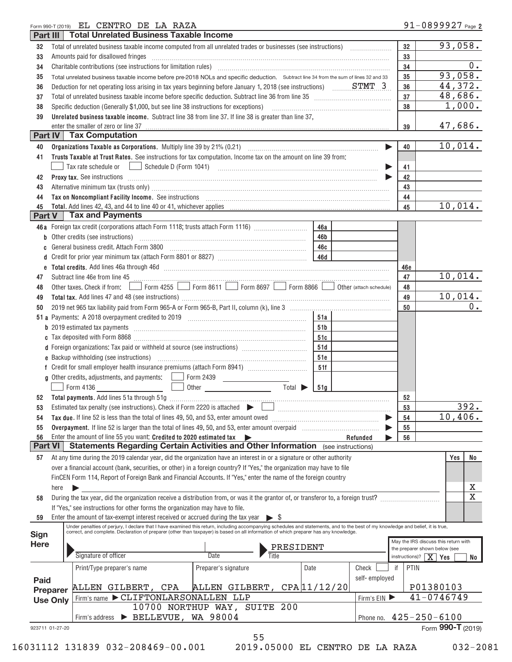#### Form 990‐T (2019) Page EL CENTRO DE LA RAZA

| Part III        |                 | <b>Total Unrelated Business Taxable Income</b>                                                                                                                                                                                                                                                                            |                                             |      |                       |                                       |                                      |
|-----------------|-----------------|---------------------------------------------------------------------------------------------------------------------------------------------------------------------------------------------------------------------------------------------------------------------------------------------------------------------------|---------------------------------------------|------|-----------------------|---------------------------------------|--------------------------------------|
| 32              |                 | Total of unrelated business taxable income computed from all unrelated trades or businesses (see instructions)                                                                                                                                                                                                            |                                             |      |                       | 32                                    | 93,058.                              |
| 33              |                 | Amounts paid for disallowed fringes encourance and contained and contained and an amounts paid for disallowed fringes                                                                                                                                                                                                     |                                             |      |                       | 33                                    |                                      |
| 34              |                 |                                                                                                                                                                                                                                                                                                                           |                                             |      |                       | 34                                    | $0 \cdot$                            |
| 35              |                 | Total unrelated business taxable income before pre-2018 NOLs and specific deduction. Subtract line 34 from the sum of lines 32 and 33                                                                                                                                                                                     |                                             |      |                       | 35                                    | 93,058.                              |
| 36              |                 | Deduction for net operating loss arising in tax years beginning before January 1, 2018 (see instructions) $\ldots$ STMT 3                                                                                                                                                                                                 |                                             |      |                       | 36                                    | 44,372.                              |
| 37              |                 | Total of unrelated business taxable income before specific deduction. Subtract line 36 from line 35 [11] [11] Total of uncontrolleration of the state of the state of the state of the state of the state of the state of the                                                                                             |                                             |      |                       | 37                                    | 48,686.                              |
| 38              |                 | Specific deduction (Generally \$1,000, but see line 38 instructions for exceptions)                                                                                                                                                                                                                                       |                                             |      |                       | 38                                    | 1,000.                               |
| 39              |                 | Unrelated business taxable income. Subtract line 38 from line 37. If line 38 is greater than line 37,                                                                                                                                                                                                                     |                                             |      |                       |                                       |                                      |
|                 |                 | enter the smaller of zero or line 37                                                                                                                                                                                                                                                                                      |                                             |      |                       | 39                                    | 47,686.                              |
|                 |                 | Part IV   Tax Computation                                                                                                                                                                                                                                                                                                 |                                             |      |                       |                                       |                                      |
| 40              |                 |                                                                                                                                                                                                                                                                                                                           |                                             |      | $\blacktriangleright$ | 40                                    | 10,014.                              |
| 41              |                 | Trusts Taxable at Trust Rates. See instructions for tax computation. Income tax on the amount on line 39 from:                                                                                                                                                                                                            |                                             |      |                       |                                       |                                      |
|                 |                 | Tax rate schedule or                                                                                                                                                                                                                                                                                                      |                                             |      | ▶                     | 41                                    |                                      |
| 42              |                 |                                                                                                                                                                                                                                                                                                                           |                                             |      |                       | 42                                    |                                      |
| 43              |                 | Alternative minimum tax (trusts only) manufactured and an according to the state of the state of the state of the state of the state of the state of the state of the state of the state of the state of the state of the stat                                                                                            |                                             |      |                       | 43                                    |                                      |
| 44              |                 | Tax on Noncompliant Facility Income. See instructions [11] All and the material contract the contract of the contract of the contract of the contract of the contract of the contract of the contract of the contract of the c                                                                                            |                                             |      |                       | 44                                    |                                      |
| 45              |                 |                                                                                                                                                                                                                                                                                                                           |                                             |      |                       | 45                                    | 10,014.                              |
| Part V          |                 | <b>Tax and Payments</b>                                                                                                                                                                                                                                                                                                   |                                             |      |                       |                                       |                                      |
|                 |                 | 46a Foreign tax credit (corporations attach Form 1118; trusts attach Form 1116)                                                                                                                                                                                                                                           |                                             | 46a  |                       |                                       |                                      |
| b               |                 | Other credits (see instructions)                                                                                                                                                                                                                                                                                          |                                             | 46b  |                       |                                       |                                      |
| C               |                 | General business credit. Attach Form 3800                                                                                                                                                                                                                                                                                 |                                             | 46с  |                       |                                       |                                      |
|                 |                 |                                                                                                                                                                                                                                                                                                                           |                                             |      |                       |                                       |                                      |
| d               |                 |                                                                                                                                                                                                                                                                                                                           |                                             |      |                       |                                       |                                      |
|                 |                 |                                                                                                                                                                                                                                                                                                                           |                                             |      |                       | 46e<br>47                             | 10,014.                              |
| 47              |                 | Subtract line 46e from line 45 <b>manual contract of the 45</b> manual contract of the 46e from line 45<br>Other taxes. Check if from: Form 4255 Form 8611 Form 8697 Form 8866 Other (attach schedule)                                                                                                                    |                                             |      |                       |                                       |                                      |
| 48              |                 |                                                                                                                                                                                                                                                                                                                           |                                             |      |                       | 48                                    |                                      |
| 49              |                 |                                                                                                                                                                                                                                                                                                                           |                                             |      |                       | 49                                    | <u>10,014.</u><br>0.                 |
| 50              |                 |                                                                                                                                                                                                                                                                                                                           |                                             |      |                       | 50                                    |                                      |
|                 |                 |                                                                                                                                                                                                                                                                                                                           |                                             | 51a  |                       |                                       |                                      |
|                 |                 |                                                                                                                                                                                                                                                                                                                           |                                             | 51b  |                       |                                       |                                      |
|                 |                 |                                                                                                                                                                                                                                                                                                                           |                                             | 51c  |                       |                                       |                                      |
|                 |                 | d Foreign organizations: Tax paid or withheld at source (see instructions) [1000111111111111111111111111111111                                                                                                                                                                                                            |                                             | 51d  |                       |                                       |                                      |
|                 |                 |                                                                                                                                                                                                                                                                                                                           |                                             | 51e  |                       |                                       |                                      |
|                 |                 |                                                                                                                                                                                                                                                                                                                           |                                             | 51f  |                       |                                       |                                      |
|                 |                 | <b>g</b> Other credits, adjustments, and payments: Form 2439                                                                                                                                                                                                                                                              | <u> Tanzania (</u>                          |      |                       |                                       |                                      |
|                 |                 | Form 4136                                                                                                                                                                                                                                                                                                                 | Total $\blacktriangleright$<br>$\Box$ Other | 51g  |                       |                                       |                                      |
| 52              |                 |                                                                                                                                                                                                                                                                                                                           |                                             |      |                       | 52                                    |                                      |
| ხკ              |                 | Estimated tax penalty (see instructions). Check if Form 2220 is attached $\begin{array}{ c c }\n\hline\n\end{array}$                                                                                                                                                                                                      |                                             |      |                       | 53                                    | 392.                                 |
| 54              |                 | Tax due. If line 52 is less than the total of lines 49, 50, and 53, enter amount owed                                                                                                                                                                                                                                     |                                             |      |                       | 54                                    | 10,406.                              |
| 55              |                 |                                                                                                                                                                                                                                                                                                                           |                                             |      |                       | 55                                    |                                      |
| 56              |                 | Enter the amount of line 55 you want: Credited to 2020 estimated tax                                                                                                                                                                                                                                                      |                                             |      | Refunded              | 56                                    |                                      |
| <b>Part VI</b>  |                 | Statements Regarding Certain Activities and Other Information (see instructions)                                                                                                                                                                                                                                          |                                             |      |                       |                                       |                                      |
| 57              |                 | At any time during the 2019 calendar year, did the organization have an interest in or a signature or other authority                                                                                                                                                                                                     |                                             |      |                       |                                       | Yes<br>No                            |
|                 |                 | over a financial account (bank, securities, or other) in a foreign country? If "Yes," the organization may have to file                                                                                                                                                                                                   |                                             |      |                       |                                       |                                      |
|                 |                 | FinCEN Form 114, Report of Foreign Bank and Financial Accounts. If "Yes," enter the name of the foreign country                                                                                                                                                                                                           |                                             |      |                       |                                       |                                      |
|                 | here            |                                                                                                                                                                                                                                                                                                                           |                                             |      |                       |                                       | х                                    |
| 58              |                 | During the tax year, did the organization receive a distribution from, or was it the grantor of, or transferor to, a foreign trust?                                                                                                                                                                                       |                                             |      |                       |                                       | $\overline{\text{x}}$                |
|                 |                 | If "Yes," see instructions for other forms the organization may have to file.                                                                                                                                                                                                                                             |                                             |      |                       |                                       |                                      |
| 59              |                 | Enter the amount of tax-exempt interest received or accrued during the tax year $\triangleright$ \$                                                                                                                                                                                                                       |                                             |      |                       |                                       |                                      |
| <b>Sign</b>     |                 | Under penalties of perjury, I declare that I have examined this return, including accompanying schedules and statements, and to the best of my knowledge and belief, it is true,<br>correct, and complete. Declaration of preparer (other than taxpayer) is based on all information of which preparer has any knowledge. |                                             |      |                       |                                       |                                      |
| <b>Here</b>     |                 |                                                                                                                                                                                                                                                                                                                           |                                             |      |                       |                                       | May the IRS discuss this return with |
|                 |                 |                                                                                                                                                                                                                                                                                                                           | <b>PRESIDENT</b><br>Title                   |      |                       |                                       | the preparer shown below (see        |
|                 |                 | Signature of officer                                                                                                                                                                                                                                                                                                      | Date                                        |      |                       | instructions)? $\mid \mathbf{X} \mid$ | Yes<br>No                            |
|                 |                 | Print/Type preparer's name                                                                                                                                                                                                                                                                                                | Preparer's signature                        | Date | Check                 | PTIN<br>if                            |                                      |
| Paid            |                 |                                                                                                                                                                                                                                                                                                                           |                                             |      | self-employed         |                                       |                                      |
|                 | Preparer        | ALLEN GILBERT, CPA                                                                                                                                                                                                                                                                                                        | ALLEN GILBERT, CPA 11/12/20                 |      |                       |                                       | P01380103                            |
|                 | <b>Use Only</b> | Firm's name CLIFTONLARSONALLEN LLP                                                                                                                                                                                                                                                                                        |                                             |      | Firm's $EIN$          |                                       | 41-0746749                           |
|                 |                 |                                                                                                                                                                                                                                                                                                                           | 10700 NORTHUP WAY, SUITE 200                |      |                       |                                       |                                      |
|                 |                 | BELLEVUE, WA 98004<br>Firm's address                                                                                                                                                                                                                                                                                      |                                             |      | Phone no.             |                                       | $425 - 250 - 6100$                   |
| 923711 01-27-20 |                 |                                                                                                                                                                                                                                                                                                                           |                                             |      |                       |                                       | Form 990-T (2019)                    |
|                 |                 |                                                                                                                                                                                                                                                                                                                           | 55                                          |      |                       |                                       |                                      |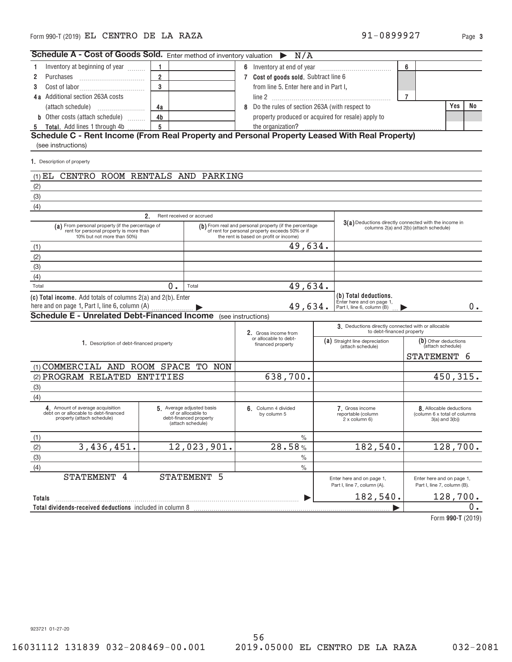Inventory at beginning of year Purchases

**1 2 3**

**Schedule A - Cost of Goods Sold.** Enter method of inventory valuation  $\triangleright$ 

**1 2 3**

| (attach schedule)<br>4a<br><b>b</b> Other costs (attach schedule)<br>4b<br>$5\phantom{.0}$<br>5 Total. Add lines 1 through 4b<br>(see instructions) |                                                                                               |                                                                                                                                                    |                                                                                 | $\overline{7}$                                                                 |
|-----------------------------------------------------------------------------------------------------------------------------------------------------|-----------------------------------------------------------------------------------------------|----------------------------------------------------------------------------------------------------------------------------------------------------|---------------------------------------------------------------------------------|--------------------------------------------------------------------------------|
| Schedule C - Rent Income (From Real Property and Personal Property Leased With Real Property)                                                       |                                                                                               | 8 Do the rules of section 263A (with respect to                                                                                                    |                                                                                 | Yes<br>No                                                                      |
|                                                                                                                                                     |                                                                                               | property produced or acquired for resale) apply to                                                                                                 |                                                                                 |                                                                                |
|                                                                                                                                                     |                                                                                               | the organization?                                                                                                                                  |                                                                                 |                                                                                |
|                                                                                                                                                     |                                                                                               |                                                                                                                                                    |                                                                                 |                                                                                |
|                                                                                                                                                     |                                                                                               |                                                                                                                                                    |                                                                                 |                                                                                |
| 1. Description of property                                                                                                                          |                                                                                               |                                                                                                                                                    |                                                                                 |                                                                                |
| ROOM RENTALS AND PARKING<br>CENTRO<br>$(1)$ $EL$                                                                                                    |                                                                                               |                                                                                                                                                    |                                                                                 |                                                                                |
| (2)                                                                                                                                                 |                                                                                               |                                                                                                                                                    |                                                                                 |                                                                                |
| (3)                                                                                                                                                 |                                                                                               |                                                                                                                                                    |                                                                                 |                                                                                |
| (4)                                                                                                                                                 |                                                                                               |                                                                                                                                                    |                                                                                 |                                                                                |
| 2.                                                                                                                                                  | Rent received or accrued                                                                      |                                                                                                                                                    |                                                                                 |                                                                                |
| (a) From personal property (if the percentage of<br>rent for personal property is more than<br>10% but not more than 50%)                           |                                                                                               | $(b)$ From real and personal property (if the percentage of rent for personal property exceeds 50% or if<br>the rent is based on profit or income) | 3(a) Deductions directly connected with the income in                           | columns 2(a) and 2(b) (attach schedule)                                        |
| (1)                                                                                                                                                 |                                                                                               | 49,634.                                                                                                                                            |                                                                                 |                                                                                |
| (2)                                                                                                                                                 |                                                                                               |                                                                                                                                                    |                                                                                 |                                                                                |
| (3)                                                                                                                                                 |                                                                                               |                                                                                                                                                    |                                                                                 |                                                                                |
| (4)                                                                                                                                                 |                                                                                               |                                                                                                                                                    |                                                                                 |                                                                                |
| Total                                                                                                                                               | $0$ .<br>Total                                                                                | 49,634.                                                                                                                                            |                                                                                 |                                                                                |
| (c) Total income. Add totals of columns 2(a) and 2(b). Enter                                                                                        |                                                                                               |                                                                                                                                                    | (b) Total deductions.                                                           |                                                                                |
| here and on page 1, Part I, line 6, column (A)                                                                                                      |                                                                                               | 49,634.                                                                                                                                            | Enter here and on page 1,<br>Part I, line 6, column (B)                         | $0$ .                                                                          |
| <b>Schedule E - Unrelated Debt-Financed Income</b>                                                                                                  |                                                                                               | (see instructions)                                                                                                                                 |                                                                                 |                                                                                |
|                                                                                                                                                     |                                                                                               | 2. Gross income from                                                                                                                               | 3. Deductions directly connected with or allocable<br>to debt-financed property |                                                                                |
| 1. Description of debt-financed property                                                                                                            |                                                                                               | or allocable to debt-<br>financed property                                                                                                         | (a) Straight line depreciation<br>(attach schedule)                             | (b) Other deductions<br>(attach schedule)                                      |
|                                                                                                                                                     |                                                                                               |                                                                                                                                                    |                                                                                 | <b>STATEMENT</b><br>6                                                          |
| (1) COMMERCIAL AND ROOM SPACE TO NON                                                                                                                |                                                                                               |                                                                                                                                                    |                                                                                 |                                                                                |
| (2) PROGRAM RELATED ENTITIES                                                                                                                        |                                                                                               | 638,700.                                                                                                                                           |                                                                                 | $\overline{450,315}$ .                                                         |
| (3)                                                                                                                                                 |                                                                                               |                                                                                                                                                    |                                                                                 |                                                                                |
| (4)                                                                                                                                                 |                                                                                               |                                                                                                                                                    |                                                                                 |                                                                                |
| 4. Amount of average acquisition<br>debt on or allocable to debt-financed<br>property (attach schedule)                                             | 5 Average adjusted basis<br>of or allocable to<br>debt-financed property<br>(attach schedule) | 6. Column 4 divided<br>by column 5                                                                                                                 | 7. Gross income<br>reportable (column<br>2 x column 6)                          | 8. Allocable deductions<br>(column 6 x total of columns<br>$3(a)$ and $3(b)$ ) |
| (1)                                                                                                                                                 |                                                                                               | $\frac{0}{0}$                                                                                                                                      |                                                                                 |                                                                                |
| 3,436,451.<br>(2)                                                                                                                                   | 12,023,901.                                                                                   | 28.58%                                                                                                                                             | 182,540.                                                                        | 128,700.                                                                       |
| (3)                                                                                                                                                 |                                                                                               | $\frac{0}{0}$                                                                                                                                      |                                                                                 |                                                                                |
| (4)                                                                                                                                                 |                                                                                               | 0/2                                                                                                                                                |                                                                                 |                                                                                |
| <b>STATEMENT</b>                                                                                                                                    | STATEMENT 5                                                                                   |                                                                                                                                                    | Enter here and on page 1,<br>Part I, line 7, column (A).                        | Enter here and on page 1,<br>Part I, line 7, column (B).                       |
|                                                                                                                                                     |                                                                                               |                                                                                                                                                    | 182,540.                                                                        | 128,700.                                                                       |
|                                                                                                                                                     |                                                                                               |                                                                                                                                                    |                                                                                 |                                                                                |
| <b>Totals</b><br>Total dividends-received deductions included in column 8                                                                           |                                                                                               |                                                                                                                                                    |                                                                                 |                                                                                |

**6** ~~~ Inventory at end of year ~~~~~~~~~~~~

N/A

**2 1 Cost of goods sold.** Subtract line 6

Cost of labor~~~~~~~~~~~ from line 5. Enter here and in Part I,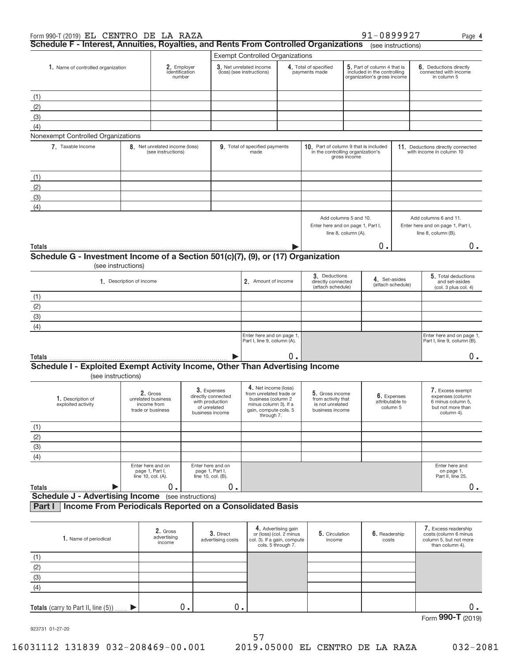|                         | Form 990-T (2019) EL CENTRO DE LA RAZA                                                             |                          |                                                      |                                                                      |                                |                                                                                                |                                                                      |                                                                            |                     | 91-0899927                                                                                |                         | Page 4                                                                                     |
|-------------------------|----------------------------------------------------------------------------------------------------|--------------------------|------------------------------------------------------|----------------------------------------------------------------------|--------------------------------|------------------------------------------------------------------------------------------------|----------------------------------------------------------------------|----------------------------------------------------------------------------|---------------------|-------------------------------------------------------------------------------------------|-------------------------|--------------------------------------------------------------------------------------------|
|                         | Schedule F - Interest, Annuities, Royalties, and Rents From Controlled Organizations               |                          |                                                      |                                                                      |                                |                                                                                                |                                                                      |                                                                            |                     |                                                                                           | (see instructions)      |                                                                                            |
|                         |                                                                                                    |                          |                                                      |                                                                      |                                | <b>Exempt Controlled Organizations</b>                                                         |                                                                      |                                                                            |                     |                                                                                           |                         |                                                                                            |
|                         | 1. Name of controlled organization                                                                 |                          | 2. Employer<br>identification<br>number              |                                                                      |                                | 3. Net unrelated income<br>(loss) (see instructions)                                           |                                                                      | 4. Total of specified<br>payments made                                     |                     | 5. Part of column 4 that is<br>included in the controlling<br>organization's gross income |                         | 6. Deductions directly<br>connected with income<br>in column 5                             |
| (1)                     |                                                                                                    |                          |                                                      |                                                                      |                                |                                                                                                |                                                                      |                                                                            |                     |                                                                                           |                         |                                                                                            |
| (2)                     |                                                                                                    |                          |                                                      |                                                                      |                                |                                                                                                |                                                                      |                                                                            |                     |                                                                                           |                         |                                                                                            |
| (3)                     |                                                                                                    |                          |                                                      |                                                                      |                                |                                                                                                |                                                                      |                                                                            |                     |                                                                                           |                         |                                                                                            |
| (4)                     |                                                                                                    |                          |                                                      |                                                                      |                                |                                                                                                |                                                                      |                                                                            |                     |                                                                                           |                         |                                                                                            |
|                         | Nonexempt Controlled Organizations                                                                 |                          |                                                      |                                                                      |                                |                                                                                                |                                                                      |                                                                            |                     |                                                                                           |                         |                                                                                            |
|                         | 7. Taxable Income                                                                                  |                          | 8. Net unrelated income (loss)<br>(see instructions) |                                                                      |                                | 9. Total of specified payments<br>made                                                         |                                                                      | 10. Part of column 9 that is included<br>in the controlling organization's | gross income        |                                                                                           |                         | 11. Deductions directly connected<br>with income in column 10                              |
| (1)                     |                                                                                                    |                          |                                                      |                                                                      |                                |                                                                                                |                                                                      |                                                                            |                     |                                                                                           |                         |                                                                                            |
| (2)                     |                                                                                                    |                          |                                                      |                                                                      |                                |                                                                                                |                                                                      |                                                                            |                     |                                                                                           |                         |                                                                                            |
| (3)                     |                                                                                                    |                          |                                                      |                                                                      |                                |                                                                                                |                                                                      |                                                                            |                     |                                                                                           |                         |                                                                                            |
| (4)                     |                                                                                                    |                          |                                                      |                                                                      |                                |                                                                                                |                                                                      |                                                                            |                     |                                                                                           |                         |                                                                                            |
|                         |                                                                                                    |                          |                                                      |                                                                      |                                |                                                                                                |                                                                      | Add columns 5 and 10.<br>Enter here and on page 1, Part I,                 | line 8, column (A). |                                                                                           |                         | Add columns 6 and 11.<br>Enter here and on page 1, Part I,<br>line 8, column (B).          |
| Totals                  |                                                                                                    |                          |                                                      |                                                                      |                                |                                                                                                |                                                                      |                                                                            |                     | 0.                                                                                        |                         | 0.                                                                                         |
|                         | Schedule G - Investment Income of a Section 501(c)(7), (9), or (17) Organization                   |                          |                                                      |                                                                      |                                |                                                                                                |                                                                      |                                                                            |                     |                                                                                           |                         |                                                                                            |
|                         | (see instructions)                                                                                 |                          |                                                      |                                                                      |                                |                                                                                                |                                                                      | 3. Deductions                                                              |                     | 4. Set-asides                                                                             |                         | 5. Total deductions                                                                        |
|                         |                                                                                                    | 1. Description of income |                                                      |                                                                      |                                | 2. Amount of income                                                                            |                                                                      | directly connected<br>(attach schedule)                                    |                     |                                                                                           | (attach schedule)       | and set-asides<br>(col. 3 plus col. 4)                                                     |
| (1)                     |                                                                                                    |                          |                                                      |                                                                      |                                |                                                                                                |                                                                      |                                                                            |                     |                                                                                           |                         |                                                                                            |
| (2)                     |                                                                                                    |                          |                                                      |                                                                      |                                |                                                                                                |                                                                      |                                                                            |                     |                                                                                           |                         |                                                                                            |
| (3)                     |                                                                                                    |                          |                                                      |                                                                      |                                |                                                                                                |                                                                      |                                                                            |                     |                                                                                           |                         |                                                                                            |
| (4)                     |                                                                                                    |                          |                                                      |                                                                      |                                |                                                                                                |                                                                      |                                                                            |                     |                                                                                           |                         |                                                                                            |
|                         |                                                                                                    |                          |                                                      |                                                                      |                                | Enter here and on page 1,<br>Part I, line 9, column (A).                                       |                                                                      |                                                                            |                     |                                                                                           |                         | Enter here and on page 1,<br>Part I, line 9, column (B).                                   |
| Totals                  |                                                                                                    |                          |                                                      |                                                                      |                                |                                                                                                | 0.                                                                   |                                                                            |                     |                                                                                           |                         | 0.                                                                                         |
|                         | Schedule I - Exploited Exempt Activity Income, Other Than Advertising Income<br>(see instructions) |                          |                                                      |                                                                      |                                |                                                                                                |                                                                      |                                                                            |                     |                                                                                           |                         |                                                                                            |
|                         | 1. Description of<br>exploited activity                                                            | unrelated business       | 2. Gross<br>income from                              | 3. Expenses<br>directly connected<br>with production<br>of unrelated |                                | 4. Net income (loss)<br>from unrelated trade or<br>business (column 2<br>minus column 3). If a |                                                                      | 5. Gross income<br>from activity that<br>is not unrelated                  |                     | attributable to                                                                           | 6. Expenses<br>column 5 | 7. Excess exempt<br>expenses (column<br>6 minus column 5,<br>but not more than             |
|                         |                                                                                                    | trade or business        |                                                      | business income                                                      |                                | gain, compute cols. 5<br>through 7.                                                            |                                                                      | business income                                                            |                     |                                                                                           |                         | column 4).                                                                                 |
| (1)                     |                                                                                                    |                          |                                                      |                                                                      |                                |                                                                                                |                                                                      |                                                                            |                     |                                                                                           |                         |                                                                                            |
| (2)<br>$\overline{(3)}$ |                                                                                                    |                          |                                                      |                                                                      |                                |                                                                                                |                                                                      |                                                                            |                     |                                                                                           |                         |                                                                                            |
| (4)                     |                                                                                                    |                          |                                                      |                                                                      |                                |                                                                                                |                                                                      |                                                                            |                     |                                                                                           |                         |                                                                                            |
|                         |                                                                                                    | line 10, col. (A).       | Enter here and on<br>page 1, Part I,                 | Enter here and on<br>page 1, Part I,<br>line 10, col. (B).           |                                |                                                                                                |                                                                      |                                                                            |                     |                                                                                           |                         | Enter here and<br>on page 1,<br>Part II. line 25.                                          |
| <b>Totals</b>           |                                                                                                    |                          | 0.                                                   |                                                                      | 0.                             |                                                                                                |                                                                      |                                                                            |                     |                                                                                           |                         | 0.                                                                                         |
|                         | <b>Schedule J - Advertising Income</b> (see instructions)                                          |                          |                                                      |                                                                      |                                |                                                                                                |                                                                      |                                                                            |                     |                                                                                           |                         |                                                                                            |
| Part I                  | Income From Periodicals Reported on a Consolidated Basis                                           |                          |                                                      |                                                                      |                                |                                                                                                |                                                                      |                                                                            |                     |                                                                                           |                         |                                                                                            |
|                         | 1. Name of periodical                                                                              |                          | 2. Gross<br>advertising<br>income                    |                                                                      | 3. Direct<br>advertising costs | col. 3). If a gain, compute                                                                    | 4. Advertising gain<br>or (loss) (col. 2 minus<br>cols. 5 through 7. | 5. Circulation<br>income                                                   |                     | 6. Readership<br>costs                                                                    |                         | 7. Excess readership<br>costs (column 6 minus<br>column 5, but not more<br>than column 4). |
| (1)                     |                                                                                                    |                          |                                                      |                                                                      |                                |                                                                                                |                                                                      |                                                                            |                     |                                                                                           |                         |                                                                                            |
| (2)                     |                                                                                                    |                          |                                                      |                                                                      |                                |                                                                                                |                                                                      |                                                                            |                     |                                                                                           |                         |                                                                                            |
| $\overline{(3)}$        |                                                                                                    |                          |                                                      |                                                                      |                                |                                                                                                |                                                                      |                                                                            |                     |                                                                                           |                         |                                                                                            |
| (4)                     |                                                                                                    |                          |                                                      |                                                                      |                                |                                                                                                |                                                                      |                                                                            |                     |                                                                                           |                         |                                                                                            |

Form (2019) **990‐T**

923731 01‐27‐20

**Totals** (carry to Part II, line (5))

 $\blacktriangleright$ 

0. 0. 0. 0. 0. 0.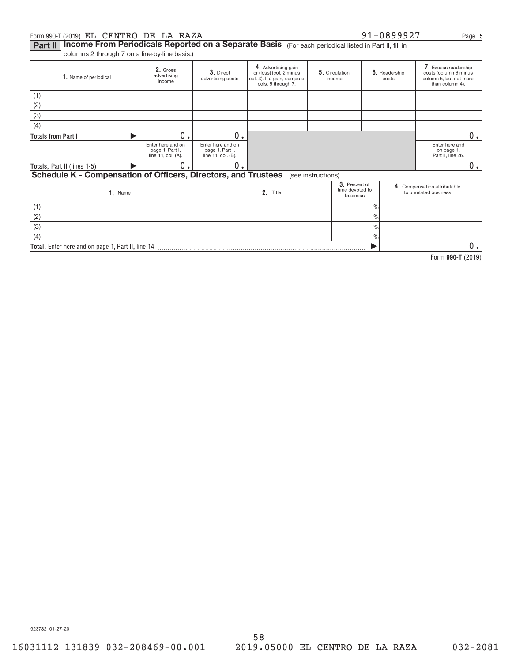#### Form 990‐T (2019)  $\mathbf{EL}$   $\mathbf{CENTRO}$   $\mathbf{DE}$   $\mathbf{LA}$   $\mathbf{RAZA}$   $\mathbf{QAD}$   $\mathbf{QCD}$   $\mathbf{QCD}$   $\mathbf{QCD}$   $\mathbf{QCD}$   $\mathbf{QCD}$   $\mathbf{QCD}$   $\mathbf{QCD}$   $\mathbf{QCD}$   $\mathbf{QCD}$

Part II | Income From Periodicals Reported on a Separate Basis (For each periodical listed in Part II, fill in

columns 2 through 7 on a line‐by‐line basis.)

| 1. Name of periodical                                                                                                    | 2. Gross<br>advertising<br>income |  | 3. Direct<br>advertising costs | 4. Advertising gain<br>or (loss) (col. 2 minus<br>col. 3). If a gain, compute<br>cols. 5 through 7. |                    | 5. Circulation<br>income                     |                | 6. Readership<br>costs | 7. Excess readership<br>costs (column 6 minus<br>column 5, but not more<br>than column 4). |
|--------------------------------------------------------------------------------------------------------------------------|-----------------------------------|--|--------------------------------|-----------------------------------------------------------------------------------------------------|--------------------|----------------------------------------------|----------------|------------------------|--------------------------------------------------------------------------------------------|
| (1)                                                                                                                      |                                   |  |                                |                                                                                                     |                    |                                              |                |                        |                                                                                            |
| (2)                                                                                                                      |                                   |  |                                |                                                                                                     |                    |                                              |                |                        |                                                                                            |
| (3)                                                                                                                      |                                   |  |                                |                                                                                                     |                    |                                              |                |                        |                                                                                            |
| (4)                                                                                                                      |                                   |  |                                |                                                                                                     |                    |                                              |                |                        |                                                                                            |
| <b>Totals from Part I</b>                                                                                                | $\Omega$                          |  | 0.                             |                                                                                                     |                    |                                              |                |                        | 0.                                                                                         |
| Enter here and on<br>Enter here and on<br>page 1, Part I,<br>page 1, Part I,<br>line 11, col. (A).<br>line 11, col. (B). |                                   |  |                                |                                                                                                     |                    |                                              |                |                        | Enter here and<br>on page 1,<br>Part II, line 26.                                          |
| Totals, Part II (lines $1-5$ )                                                                                           | 0.                                |  | 0.                             |                                                                                                     |                    |                                              |                |                        | 0.                                                                                         |
| Schedule K - Compensation of Officers, Directors, and Trustees                                                           |                                   |  |                                |                                                                                                     | (see instructions) |                                              |                |                        |                                                                                            |
| 1. Name                                                                                                                  |                                   |  |                                | 2. Title                                                                                            |                    | 3. Percent of<br>time devoted to<br>business |                |                        | 4. Compensation attributable<br>to unrelated business                                      |
| (1)                                                                                                                      |                                   |  |                                |                                                                                                     |                    |                                              | $\frac{9}{10}$ |                        |                                                                                            |
| (2)                                                                                                                      |                                   |  |                                |                                                                                                     |                    |                                              | $\frac{9}{0}$  |                        |                                                                                            |
| (3)                                                                                                                      |                                   |  |                                |                                                                                                     |                    |                                              | $\frac{0}{0}$  |                        |                                                                                            |
| (4)                                                                                                                      |                                   |  |                                |                                                                                                     |                    |                                              | $\frac{9}{10}$ |                        |                                                                                            |
| Total. Enter here and on page 1, Part II, line 14                                                                        |                                   |  |                                |                                                                                                     |                    |                                              |                |                        | $0$ .                                                                                      |

**990‐T**  Form (2019)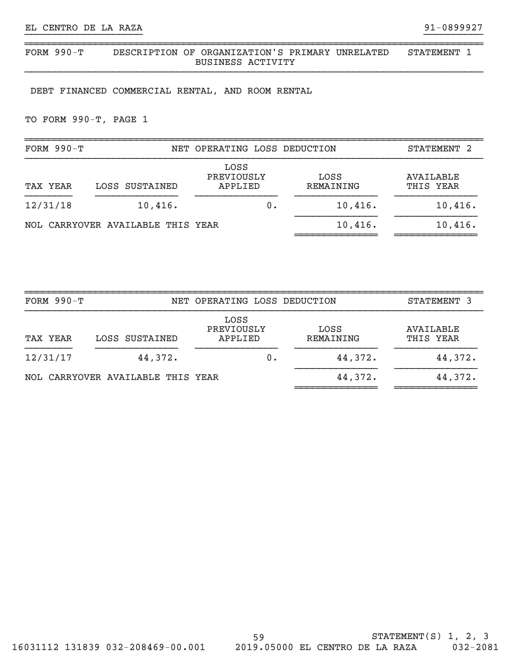FORM 990-T DESCRIPTION OF ORGANIZATION'S PRIMARY UNRELATED STATEMENT 1 BUSINESS ACTIVITY }}}}}}}}}}}}}}}}}}}}}}}}}}}}}}}}}}}}}}}}}}}}}}}}}}}}}}}}}}}}}}}}}}}}}}}}}}}}}}

DEBT FINANCED COMMERCIAL RENTAL, AND ROOM RENTAL

TO FORM 990-T, PAGE 1

| FORM $990-T$ |                                   | NET OPERATING LOSS DEDUCTION  |                   | STATEMENT <sub>2</sub> |
|--------------|-----------------------------------|-------------------------------|-------------------|------------------------|
| TAX YEAR     | LOSS SUSTAINED                    | LOSS<br>PREVIOUSLY<br>APPLIED | LOSS<br>REMAINING | AVAILABLE<br>THIS YEAR |
| 12/31/18     | 10,416.                           | 0.                            | 10,416.           | 10,416.                |
|              | NOL CARRYOVER AVAILABLE THIS YEAR |                               | 10,416.           | 10,416.                |

| FORM $990-T$ |                                   | NET OPERATING LOSS DEDUCTION  |                   | STATEMENT 3            |
|--------------|-----------------------------------|-------------------------------|-------------------|------------------------|
| TAX YEAR     | LOSS SUSTAINED                    | LOSS<br>PREVIOUSLY<br>APPLIED | LOSS<br>REMAINING | AVAILABLE<br>THIS YEAR |
| 12/31/17     | 44,372.                           | 0.                            | 44,372.           | 44,372.                |
|              | NOL CARRYOVER AVAILABLE THIS YEAR |                               | 44,372.           | 44,372.                |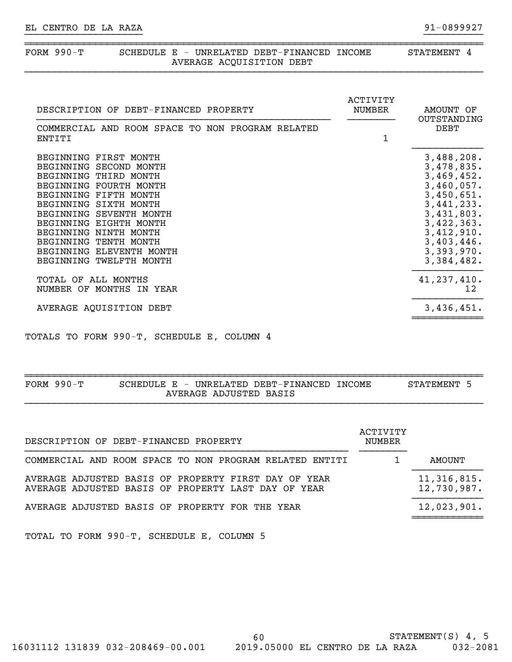| FORM $990-T$<br>SCHEDULE E - UNRELATED DEBT-FINANCED INCOME<br>AVERAGE ACQUISITION DEBT                                                                                                                                                                                                                                                          |                                | STATEMENT 4                                                                                                                                                          |
|--------------------------------------------------------------------------------------------------------------------------------------------------------------------------------------------------------------------------------------------------------------------------------------------------------------------------------------------------|--------------------------------|----------------------------------------------------------------------------------------------------------------------------------------------------------------------|
| DESCRIPTION OF DEBT-FINANCED PROPERTY<br>COMMERCIAL AND ROOM SPACE TO NON PROGRAM RELATED<br>ENTITI                                                                                                                                                                                                                                              | ACTIVITY<br><b>NUMBER</b><br>1 | AMOUNT OF<br><b>OUTSTANDING</b><br><b>DEBT</b>                                                                                                                       |
| BEGINNING FIRST MONTH<br>BEGINNING SECOND MONTH<br><b>BEGINNING</b><br>THIRD MONTH<br>BEGINNING FOURTH MONTH<br>BEGINNING FIFTH MONTH<br>BEGINNING SIXTH MONTH<br><b>BEGINNING</b><br>SEVENTH MONTH<br>BEGINNING EIGHTH MONTH<br>BEGINNING NINTH MONTH<br>BEGINNING TENTH MONTH<br><b>BEGINNING</b><br>ELEVENTH MONTH<br>BEGINNING TWELFTH MONTH |                                | 3,488,208.<br>3,478,835.<br>3,469,452.<br>3,460,057.<br>3,450,651.<br>3,441,233.<br>3,431,803.<br>3,422,363.<br>3,412,910.<br>3,403,446.<br>3,393,970.<br>3,384,482. |
| TOTAL OF ALL MONTHS<br>NUMBER OF MONTHS IN YEAR                                                                                                                                                                                                                                                                                                  |                                | 41, 237, 410.<br>12                                                                                                                                                  |
| AVERAGE AQUISITION DEBT                                                                                                                                                                                                                                                                                                                          |                                | 3,436,451.                                                                                                                                                           |

TOTALS TO FORM 990‐T, SCHEDULE E, COLUMN 4

| $FORM 990-T$ | SCHEDULE E - UNRELATED DEBT-FINANCED INCOME<br>AVERAGE ADJUSTED BASIS | STATEMENT 5 |
|--------------|-----------------------------------------------------------------------|-------------|
|              |                                                                       |             |

| DESCRIPTION OF DEBT-FINANCED PROPERTY |                                                                                                             | ACTIVITY<br><b>NUMBER</b> |                            |
|---------------------------------------|-------------------------------------------------------------------------------------------------------------|---------------------------|----------------------------|
|                                       | COMMERCIAL AND ROOM SPACE TO NON PROGRAM RELATED ENTITI                                                     |                           | <b>AMOUNT</b>              |
|                                       | AVERAGE ADJUSTED BASIS OF PROPERTY FIRST DAY OF YEAR<br>AVERAGE ADJUSTED BASIS OF PROPERTY LAST DAY OF YEAR |                           | 11,316,815.<br>12,730,987. |
|                                       | AVERAGE ADJUSTED BASIS OF PROPERTY FOR THE YEAR                                                             |                           | 12,023,901.                |
|                                       |                                                                                                             |                           |                            |

TOTAL TO FORM 990‐T, SCHEDULE E, COLUMN 5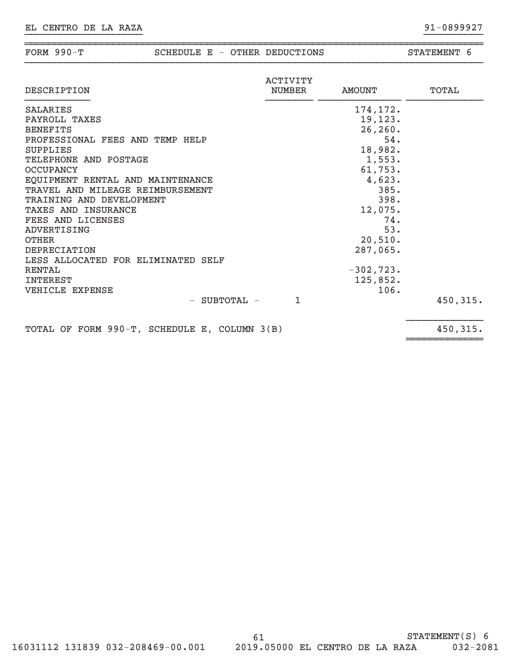| FORM 990-T |  | SCHEDULE E - OTHER DEDUCTIONS | <b>STATEMENT</b> |  |
|------------|--|-------------------------------|------------------|--|
|            |  |                               |                  |  |

~~~~~~~~~~~~~~~~~~~~~~~~~~~~~~~~~~~~~~~~~~~~~~~~~~~~~~~~~~~~~~~~~~~~~~~~~~~~~~

| DESCRIPTION                                  | <b>ACTIVITY</b><br><b>NUMBER</b> | <b>AMOUNT</b> | TOTAL     |
|----------------------------------------------|----------------------------------|---------------|-----------|
| <b>SALARIES</b>                              |                                  | 174,172.      |           |
| PAYROLL TAXES                                |                                  | 19,123.       |           |
| <b>BENEFITS</b>                              |                                  | 26, 260.      |           |
| PROFESSIONAL FEES AND TEMP HELP              |                                  | 54.           |           |
| <b>SUPPLIES</b>                              |                                  | 18,982.       |           |
| TELEPHONE AND POSTAGE                        |                                  | 1,553.        |           |
| <b>OCCUPANCY</b>                             |                                  | 61,753.       |           |
| EQUIPMENT RENTAL AND MAINTENANCE             |                                  | 4,623.        |           |
| TRAVEL AND MILEAGE REIMBURSEMENT             |                                  | 385.          |           |
| TRAINING AND DEVELOPMENT                     |                                  | 398.          |           |
| <b>TAXES AND INSURANCE</b>                   |                                  | 12,075.       |           |
| FEES AND LICENSES                            |                                  | 74.           |           |
| ADVERTISING                                  |                                  | 53.           |           |
| <b>OTHER</b>                                 |                                  | 20,510.       |           |
| <b>DEPRECIATION</b>                          |                                  | 287,065.      |           |
| LESS ALLOCATED FOR ELIMINATED SELF           |                                  |               |           |
| RENTAL                                       |                                  | $-302, 723.$  |           |
| <b>INTEREST</b>                              |                                  | 125,852.      |           |
| VEHICLE EXPENSE                              |                                  | 106.          |           |
| - SUBTOTAL -                                 | 1                                |               | 450, 315. |
| TOTAL OF FORM 990-T, SCHEDULE E, COLUMN 3(B) |                                  |               | 450, 315. |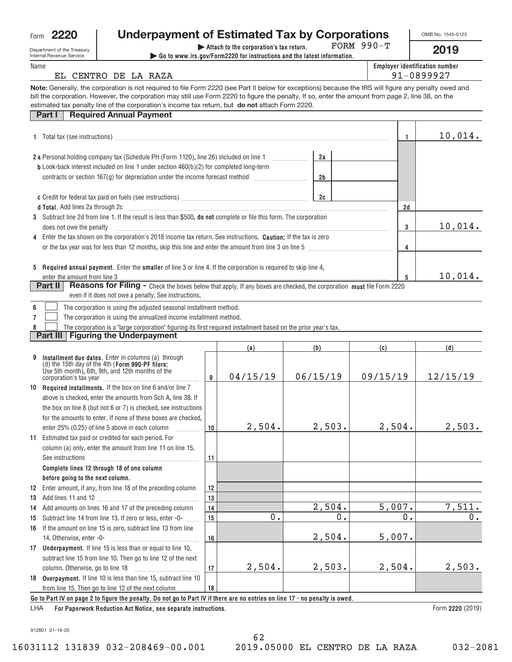| Form | ΟТ<br>и<br>м |
|------|--------------|
|------|--------------|

| Form                         |                                                                                                                 | <b>Underpayment of Estimated Tax by Corporations</b>                                                                                                                                                                                                                                                                                                                                                            |          |                                                                                                                    |  |          |                  |                                                     | OMB No. 1545-0123 |
|------------------------------|-----------------------------------------------------------------------------------------------------------------|-----------------------------------------------------------------------------------------------------------------------------------------------------------------------------------------------------------------------------------------------------------------------------------------------------------------------------------------------------------------------------------------------------------------|----------|--------------------------------------------------------------------------------------------------------------------|--|----------|------------------|-----------------------------------------------------|-------------------|
|                              | Department of the Treasury<br>Internal Revenue Service                                                          |                                                                                                                                                                                                                                                                                                                                                                                                                 |          | Attach to the corporation's tax return.<br>Go to www.irs.gov/Form2220 for instructions and the latest information. |  |          | FORM $990-T$     |                                                     | 2019              |
| Name<br>EL CENTRO DE LA RAZA |                                                                                                                 |                                                                                                                                                                                                                                                                                                                                                                                                                 |          |                                                                                                                    |  |          |                  | <b>Employer identification number</b><br>91-0899927 |                   |
|                              |                                                                                                                 | Note: Generally, the corporation is not required to file Form 2220 (see Part II below for exceptions) because the IRS will figure any penalty owed and<br>bill the corporation. However, the corporation may still use Form 2220 to figure the penalty. If so, enter the amount from page 2, line 38, on the<br>estimated tax penalty line of the corporation's income tax return, but do not attach Form 2220. |          |                                                                                                                    |  |          |                  |                                                     |                   |
|                              | Part I                                                                                                          | <b>Required Annual Payment</b>                                                                                                                                                                                                                                                                                                                                                                                  |          |                                                                                                                    |  |          |                  |                                                     |                   |
|                              |                                                                                                                 |                                                                                                                                                                                                                                                                                                                                                                                                                 |          |                                                                                                                    |  |          |                  | $\mathbf{1}$                                        | 10,014.           |
|                              |                                                                                                                 |                                                                                                                                                                                                                                                                                                                                                                                                                 |          |                                                                                                                    |  |          |                  |                                                     |                   |
|                              |                                                                                                                 |                                                                                                                                                                                                                                                                                                                                                                                                                 |          |                                                                                                                    |  | 2a       |                  |                                                     |                   |
|                              |                                                                                                                 | <b>b</b> Look-back interest included on line 1 under section 460(b)(2) for completed long-term                                                                                                                                                                                                                                                                                                                  |          |                                                                                                                    |  |          |                  |                                                     |                   |
|                              |                                                                                                                 | contracts or section 167(g) for depreciation under the income forecast method <i></i>                                                                                                                                                                                                                                                                                                                           |          |                                                                                                                    |  | 2b       |                  |                                                     |                   |
|                              |                                                                                                                 |                                                                                                                                                                                                                                                                                                                                                                                                                 |          |                                                                                                                    |  |          |                  |                                                     |                   |
|                              |                                                                                                                 |                                                                                                                                                                                                                                                                                                                                                                                                                 |          |                                                                                                                    |  | 2c       |                  |                                                     |                   |
|                              |                                                                                                                 | d Total. Add lines 2a through 2c [11] matter contracts and the contracts and the contracts are determined as a contract of the contracts and the contracts are determined as a contract of the contracts and the contracts are<br>3 Subtract line 2d from line 1. If the result is less than \$500, do not complete or file this form. The corporation                                                          |          |                                                                                                                    |  |          |                  | 2d                                                  |                   |
|                              | does not owe the penalty                                                                                        |                                                                                                                                                                                                                                                                                                                                                                                                                 |          |                                                                                                                    |  |          |                  | 3                                                   | 10,014.           |
| 4                            |                                                                                                                 | Enter the tax shown on the corporation's 2018 income tax return. See instructions. Caution: If the tax is zero                                                                                                                                                                                                                                                                                                  |          |                                                                                                                    |  |          |                  |                                                     |                   |
|                              |                                                                                                                 | or the tax year was for less than 12 months, skip this line and enter the amount from line 3 on line 5                                                                                                                                                                                                                                                                                                          |          |                                                                                                                    |  |          |                  | 4                                                   |                   |
|                              |                                                                                                                 |                                                                                                                                                                                                                                                                                                                                                                                                                 |          |                                                                                                                    |  |          |                  |                                                     |                   |
|                              |                                                                                                                 | 5 Required annual payment. Enter the smaller of line 3 or line 4. If the corporation is required to skip line 4,                                                                                                                                                                                                                                                                                                |          |                                                                                                                    |  |          |                  |                                                     |                   |
|                              | enter the amount from line 3                                                                                    |                                                                                                                                                                                                                                                                                                                                                                                                                 |          |                                                                                                                    |  |          |                  | 5                                                   | 10,014.           |
|                              | Part II                                                                                                         | Reasons for Filing - Check the boxes below that apply. If any boxes are checked, the corporation must file Form 2220                                                                                                                                                                                                                                                                                            |          |                                                                                                                    |  |          |                  |                                                     |                   |
|                              |                                                                                                                 | even if it does not owe a penalty. See instructions.                                                                                                                                                                                                                                                                                                                                                            |          |                                                                                                                    |  |          |                  |                                                     |                   |
|                              |                                                                                                                 | The corporation is using the adjusted seasonal installment method.                                                                                                                                                                                                                                                                                                                                              |          |                                                                                                                    |  |          |                  |                                                     |                   |
|                              | The corporation is using the annualized income installment method.                                              |                                                                                                                                                                                                                                                                                                                                                                                                                 |          |                                                                                                                    |  |          |                  |                                                     |                   |
|                              | The corporation is a "large corporation" figuring its first required installment based on the prior year's tax. |                                                                                                                                                                                                                                                                                                                                                                                                                 |          |                                                                                                                    |  |          |                  |                                                     |                   |
|                              | Part III   Figuring the Underpayment                                                                            |                                                                                                                                                                                                                                                                                                                                                                                                                 |          |                                                                                                                    |  |          |                  |                                                     |                   |
|                              |                                                                                                                 |                                                                                                                                                                                                                                                                                                                                                                                                                 |          | (a)                                                                                                                |  | (b)      | (c)              |                                                     | (d)               |
| 9                            |                                                                                                                 | Installment due dates. Enter in columns (a) through<br>(d) the 15th day of the 4th (Form 990-PF filers:<br>Use 5th month), 6th, 9th, and 12th months of the                                                                                                                                                                                                                                                     | 9        | 04/15/19                                                                                                           |  | 06/15/19 | 09/15/19         |                                                     | 12/15/19          |
|                              |                                                                                                                 | 10 Required installments. If the box on line 6 and/or line 7                                                                                                                                                                                                                                                                                                                                                    |          |                                                                                                                    |  |          |                  |                                                     |                   |
|                              |                                                                                                                 | above is checked, enter the amounts from Sch A, line 38. If                                                                                                                                                                                                                                                                                                                                                     |          |                                                                                                                    |  |          |                  |                                                     |                   |
|                              |                                                                                                                 | the box on line 8 (but not 6 or 7) is checked, see instructions                                                                                                                                                                                                                                                                                                                                                 |          |                                                                                                                    |  |          |                  |                                                     |                   |
|                              |                                                                                                                 | for the amounts to enter. If none of these boxes are checked,                                                                                                                                                                                                                                                                                                                                                   |          |                                                                                                                    |  |          |                  |                                                     |                   |
|                              |                                                                                                                 | enter 25% (0.25) of line 5 above in each column<br>.                                                                                                                                                                                                                                                                                                                                                            | 10       | 2,504.                                                                                                             |  | 2,503.   | 2,504.<br>2,503. |                                                     |                   |
| $11-1$                       |                                                                                                                 | Estimated tax paid or credited for each period. For                                                                                                                                                                                                                                                                                                                                                             |          |                                                                                                                    |  |          |                  |                                                     |                   |
|                              |                                                                                                                 | column (a) only, enter the amount from line 11 on line 15.                                                                                                                                                                                                                                                                                                                                                      |          |                                                                                                                    |  |          |                  |                                                     |                   |
|                              | See instructions                                                                                                |                                                                                                                                                                                                                                                                                                                                                                                                                 | 11       |                                                                                                                    |  |          |                  |                                                     |                   |
|                              |                                                                                                                 | Complete lines 12 through 18 of one column                                                                                                                                                                                                                                                                                                                                                                      |          |                                                                                                                    |  |          |                  |                                                     |                   |
|                              | before going to the next column.                                                                                |                                                                                                                                                                                                                                                                                                                                                                                                                 |          |                                                                                                                    |  |          |                  |                                                     |                   |
|                              |                                                                                                                 | 12 Enter amount, if any, from line 18 of the preceding column                                                                                                                                                                                                                                                                                                                                                   | 12<br>13 |                                                                                                                    |  |          |                  |                                                     |                   |
| 14                           |                                                                                                                 | Add amounts on lines 16 and 17 of the preceding column                                                                                                                                                                                                                                                                                                                                                          | 14       |                                                                                                                    |  | 2,504.   | 5,007.           |                                                     | 7,511.            |
| 15                           |                                                                                                                 | Subtract line 14 from line 13. If zero or less, enter -0-                                                                                                                                                                                                                                                                                                                                                       | 15       | 0.                                                                                                                 |  | 0.       |                  | 0.                                                  | 0.                |
| 16                           |                                                                                                                 | If the amount on line 15 is zero, subtract line 13 from line                                                                                                                                                                                                                                                                                                                                                    |          |                                                                                                                    |  |          |                  |                                                     |                   |
|                              |                                                                                                                 |                                                                                                                                                                                                                                                                                                                                                                                                                 | 16       |                                                                                                                    |  | 2,504.   | 5,007.           |                                                     |                   |
|                              |                                                                                                                 | 17 Underpayment. If line 15 is less than or equal to line 10,                                                                                                                                                                                                                                                                                                                                                   |          |                                                                                                                    |  |          |                  |                                                     |                   |
|                              |                                                                                                                 | subtract line 15 from line 10. Then go to line 12 of the next                                                                                                                                                                                                                                                                                                                                                   |          |                                                                                                                    |  |          |                  |                                                     |                   |
|                              | column. Otherwise, go to line 18                                                                                |                                                                                                                                                                                                                                                                                                                                                                                                                 | 17       | 2,504.                                                                                                             |  | 2,503.   | 2,504.           |                                                     | 2,503.            |
| 18                           |                                                                                                                 | Overpayment. If line 10 is less than line 15, subtract line 10                                                                                                                                                                                                                                                                                                                                                  |          |                                                                                                                    |  |          |                  |                                                     |                   |
|                              |                                                                                                                 | from line 15. Then go to line 12 of the next column                                                                                                                                                                                                                                                                                                                                                             | 18       |                                                                                                                    |  |          |                  |                                                     |                   |

Go to Part IV on page 2 to figure the penalty. Do not go to Part IV if there are no entries on line 17 - no penalty is owed.

**For Paperwork Reduction Act Notice, see separate instructions.** LHA

Form 2220 (2019)

912801 01‐14‐20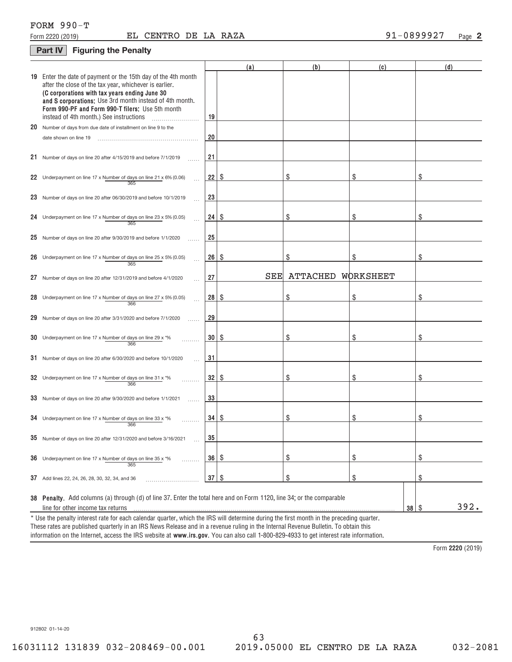#### **Part IV** Figuring the Penalty

|    |                                                                                                                                                                                                                                                                                                                                    |                 | (a)  | (b)             | (c)       | (d)                |  |  |  |
|----|------------------------------------------------------------------------------------------------------------------------------------------------------------------------------------------------------------------------------------------------------------------------------------------------------------------------------------|-----------------|------|-----------------|-----------|--------------------|--|--|--|
|    | 19 Enter the date of payment or the 15th day of the 4th month<br>after the close of the tax year, whichever is earlier.<br>(C corporations with tax years ending June 30<br>and S corporations: Use 3rd month instead of 4th month.<br>Form 990-PF and Form 990-T filers: Use 5th month<br>instead of 4th month.) See instructions | 19              |      |                 |           |                    |  |  |  |
|    | 20 Number of days from due date of installment on line 9 to the                                                                                                                                                                                                                                                                    |                 |      |                 |           |                    |  |  |  |
|    | date shown on line 19                                                                                                                                                                                                                                                                                                              | 20              |      |                 |           |                    |  |  |  |
|    | 21 Number of days on line 20 after 4/15/2019 and before 7/1/2019                                                                                                                                                                                                                                                                   | 21              |      |                 |           |                    |  |  |  |
|    | 22 Underpayment on line 17 x Number of days on line 21 x 6% (0.06)<br>365                                                                                                                                                                                                                                                          | 22              | \$   | \$              | \$        | \$                 |  |  |  |
|    | 23 Number of days on line 20 after 06/30/2019 and before 10/1/2019<br>$\cdots$                                                                                                                                                                                                                                                     | 23              |      |                 |           |                    |  |  |  |
|    | 24 Underpayment on line 17 x Number of days on line 23 x 5% (0.05)<br>$\sim$<br>365                                                                                                                                                                                                                                                | 24              | 8    | \$              | \$        | \$                 |  |  |  |
|    | 25 Number of days on line 20 after 9/30/2019 and before $1/1/2020$                                                                                                                                                                                                                                                                 | 25              |      |                 |           |                    |  |  |  |
|    | 26 Underpayment on line 17 x Number of days on line 25 x 5% (0.05)<br>$\sim$<br>365                                                                                                                                                                                                                                                | 26              | -\$  | \$              | \$        | \$                 |  |  |  |
| 27 | Number of days on line 20 after 12/31/2019 and before 4/1/2020<br>$\cdots$                                                                                                                                                                                                                                                         | 27              | SEE  | <b>ATTACHED</b> | WORKSHEET |                    |  |  |  |
|    | 28 Underpayment on line 17 x Number of days on line $27 \times 5\%$ (0.05)<br>366                                                                                                                                                                                                                                                  | 28 <sub>1</sub> | 8    | \$              | \$        | \$                 |  |  |  |
|    | 29 Number of days on line 20 after 3/31/2020 and before 7/1/2020                                                                                                                                                                                                                                                                   | 29              |      |                 |           |                    |  |  |  |
|    | 30 Underpayment on line 17 x Number of days on line 29 x $*$ %<br>366                                                                                                                                                                                                                                                              | 30 I            | - \$ | \$              | \$        | \$                 |  |  |  |
|    | 31 Number of days on line 20 after 6/30/2020 and before 10/1/2020<br>$\sim$                                                                                                                                                                                                                                                        | 31              |      |                 |           |                    |  |  |  |
|    | 32 Underpayment on line 17 x Number of days on line 31 x $*$ %<br>366                                                                                                                                                                                                                                                              | 32              | -\$  | \$              | \$        | \$                 |  |  |  |
|    | 33 Number of days on line 20 after 9/30/2020 and before 1/1/2021                                                                                                                                                                                                                                                                   | 33              |      |                 |           |                    |  |  |  |
|    | 34 Underpayment on line 17 x Number of days on line 33 x $*$ %<br>366                                                                                                                                                                                                                                                              | $34  $ \$       |      | \$              | \$        | \$                 |  |  |  |
|    | 35 Number of days on line 20 after 12/31/2020 and before 3/16/2021                                                                                                                                                                                                                                                                 | 35              |      |                 |           |                    |  |  |  |
|    | 36 Underpayment on line 17 x Number of days on line 35 x *%<br>.<br>365                                                                                                                                                                                                                                                            | 36              | -\$  | $\frac{1}{2}$   | \$        | \$                 |  |  |  |
|    | 37 Add lines 22, 24, 26, 28, 30, 32, 34, and 36                                                                                                                                                                                                                                                                                    | $37 \mid$ \$    |      | \$              | \$        | \$                 |  |  |  |
|    | 38 Penalty. Add columns (a) through (d) of line 37. Enter the total here and on Form 1120, line 34; or the comparable<br>line for other income tax returns                                                                                                                                                                         |                 |      |                 | 38        | 392.<br>$\sqrt{3}$ |  |  |  |
|    | * Use the penalty interest rate for each calendar quarter, which the IRS will determine during the first month in the preceding quarter.                                                                                                                                                                                           |                 |      |                 |           |                    |  |  |  |

information on the Internet, access the IRS website at **www.irs.gov.** You can also call 1‐800‐829‐4933 to get interest rate information. These rates are published quarterly in an IRS News Release and in a revenue ruling in the Internal Revenue Bulletin. To obtain this

**2220**  Form (2019)

912802 01‐14‐20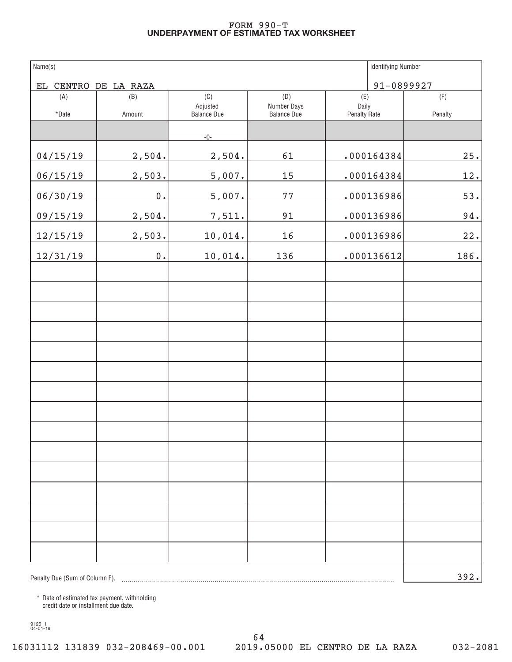#### **UNDERPAYMENT OF ESTIMATED TAX WORKSHEET** FORM 990‐T

| Name(s)                        | <b>Identifying Number</b> |                    |                    |              |         |
|--------------------------------|---------------------------|--------------------|--------------------|--------------|---------|
| EL CENTRO DE LA RAZA           | 91-0899927                |                    |                    |              |         |
| (A)                            | (B)                       | (C)<br>Adjusted    | (D)<br>Number Days | (E)<br>Daily | (F)     |
| $^\star$ Date                  | Amount                    | <b>Balance Due</b> | <b>Balance Due</b> | Penalty Rate | Penalty |
|                                |                           | $-0-$              |                    |              |         |
| 04/15/19                       | 2,504.                    | 2,504.             | 61                 | .000164384   | 25.     |
| 06/15/19                       | 2,503.                    | 5,007.             | $15$               | .000164384   | 12.     |
| 06/30/19                       | $\mathbf 0$ .             | 5,007.             | $7\,7$             | .000136986   | 53.     |
| 09/15/19                       | 2,504.                    | 7,511.             | 91                 | .000136986   | 94.     |
| 12/15/19                       | 2,503.                    | 10,014.            | $16$               | .000136986   | 22.     |
| 12/31/19                       | $0$ .                     | 10,014.            | 136                | .000136612   | 186.    |
|                                |                           |                    |                    |              |         |
|                                |                           |                    |                    |              |         |
|                                |                           |                    |                    |              |         |
|                                |                           |                    |                    |              |         |
|                                |                           |                    |                    |              |         |
|                                |                           |                    |                    |              |         |
|                                |                           |                    |                    |              |         |
|                                |                           |                    |                    |              |         |
|                                |                           |                    |                    |              |         |
|                                |                           |                    |                    |              |         |
|                                |                           |                    |                    |              |         |
|                                |                           |                    |                    |              |         |
|                                |                           |                    |                    |              |         |
|                                |                           |                    |                    |              |         |
|                                |                           |                    |                    |              |         |
| Penalty Due (Sum of Column F). |                           |                    |                    |              | 392.    |

\* Date of estimated tax payment, withholding credit date or installment due date.

912511 04‐01‐19